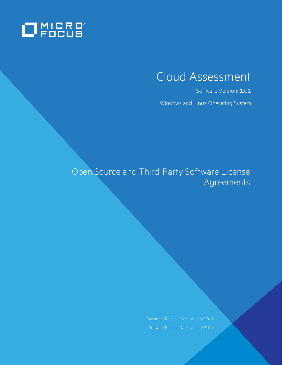

# Cloud Assessment

Software Version: 1.01

Windows and Linux Operating System

## Open Source and Third-Party Software License Agreements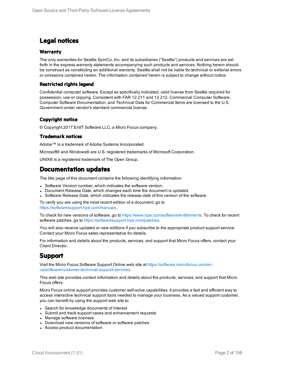### **Legal notices**

### **Warranty**

The only warranties for Seattle SpinCo, Inc. and its subsidiaries ("Seattle") products and services are set forth in the express warranty statements accompanying such products and services. Nothing herein should be construed as constituting an additional warranty. Seattle shall not be liable for technical or editorial errors or omissions contained herein. The information contained herein is subject to change without notice.

### **Restricted rights legend**

Confidential computer software. Except as specifically indicated, valid license from Seattle required for possession, use or copying. Consistent with FAR 12.211 and 12.212, Commercial Computer Software, Computer Software Documentation, and Technical Data for Commercial Items are licensed to the U.S. Government under vendor's standard commercial license.

### **Copyright notice**

© Copyright 2017 EntIT Software LLC, a Micro Focus company.

#### **Trademark notices**

Adobe™ is a trademark of Adobe Systems Incorporated.

Microsoft® and Windows® are U.S. registered trademarks of Microsoft Corporation.

UNIX® is a registered trademark of The Open Group.

### **Documentation updates**

The title page of this document contains the following identifying information:

- Software Version number, which indicates the software version.
- Document Release Date, which changes each time the document is updated.
- Software Release Date, which indicates the release date of this version of the software.

To verify you are using the most recent edition of a document, go to [https://softwaresupport.hpe.com/manuals.](https://softwaresupport.hpe.com/manuals)

To check for new versions of software, go to <https://www.hpe.com/software/entitlements>. To check for recent software patches, go to [https://softwaresupport.hpe.com/patches.](https://softwaresupport.hpe.com/patches)

You will also receive updated or new editions if you subscribe to the appropriate product support service. Contact your Micro Focus sales representative for details.

For information and details about the products, services, and support that Micro Focus offers, contact your Client Director.

### **Support**

Visit the Micro Focus Software Support Online web site at [https://software.microfocus.com/en](https://softwaresupport.hpe.com/)[us/software/customer-technical-support-services.](https://softwaresupport.hpe.com/)

This web site provides contact information and details about the products, services, and support that Micro Focus offers.

Micro Focus online support provides customer self-solve capabilities. It provides a fast and efficient way to access interactive technical support tools needed to manage your business. As a valued support customer, you can benefit by using the support web site to:

- Search for knowledge documents of interest
- Submit and track support cases and enhancement requests
- Manage software licenses
- Download new versions of software or software patches
- Access product documentation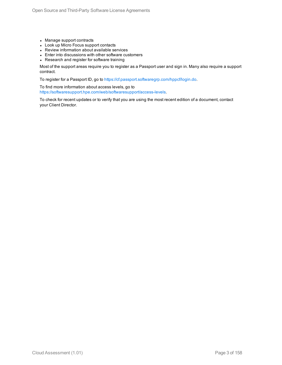- Manage support contracts
- Look up Micro Focus support contacts
- Review information about available services
- Enter into discussions with other software customers
- Research and register for software training

Most of the support areas require you to register as a Passport user and sign in. Many also require a support contract.

To register for a Passport ID, go to [https://cf.passport.softwaregrp.com/hppcf/login.do.](https://cf.passport.softwaregrp.com/hppcf/login.do)

To find more information about access levels, go to <https://softwaresupport.hpe.com/web/softwaresupport/access-levels>.

To check for recent updates or to verify that you are using the most recent edition of a document, contact your Client Director.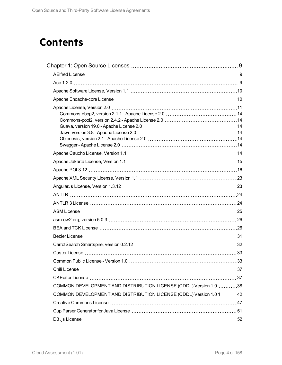# **Contents**

| COMMON DEVELOPMENT AND DISTRIBUTION LICENSE (CDDL) Version 1.0 38   |
|---------------------------------------------------------------------|
| COMMON DEVELOPMENT AND DISTRIBUTION LICENSE (CDDL) Version 1.0 1 42 |
|                                                                     |
|                                                                     |
|                                                                     |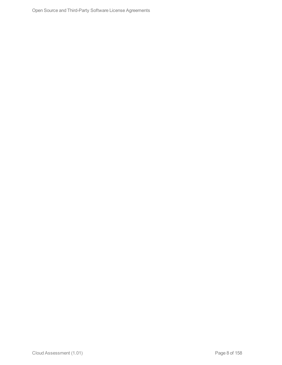Open Source and Third-Party Software License Agreements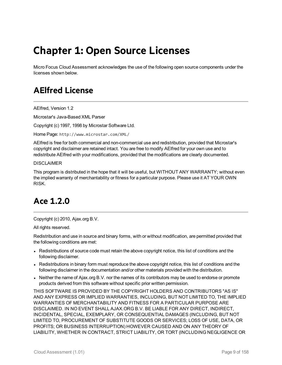# <span id="page-8-0"></span>**Chapter 1: Open Source Licenses**

Micro Focus Cloud Assessment acknowledges the use of the following open source components under the licenses shown below.

## <span id="page-8-1"></span>**AElfred License**

AElfred, Version 1.2

Microstar's Java-Based XML Parser

Copyright (c) 1997, 1998 by Microstar Software Ltd.

Home Page: http://www.microstar.com/XML/

AElfred is free for both commercial and non-commercial use and redistribution, provided that Microstar's copyright and disclaimer are retained intact. You are free to modify AElfred for your own use and to redistribute AElfred with your modifications, provided that the modifications are clearly documented.

#### DISCLAIMER

This program is distributed in the hope that it will be useful, but WITHOUT ANY WARRANTY; without even the implied warranty of merchantability or fitness for a particular purpose. Please use it AT YOUR OWN RISK.

### <span id="page-8-2"></span>**Ace 1.2.0**

Copyright (c) 2010, Ajax.org B.V.

All rights reserved.

Redistribution and use in source and binary forms, with or without modification, are permitted provided that the following conditions are met:

- Redistributions of source code must retain the above copyright notice, this list of conditions and the following disclaimer.
- Redistributions in binary form must reproduce the above copyright notice, this list of conditions and the following disclaimer in the documentation and/or other materials provided with the distribution.
- $\bullet$  Neither the name of Ajax.org B.V. nor the names of its contributors may be used to endorse or promote products derived from this software without specific prior written permission.

THIS SOFTWARE IS PROVIDED BY THE COPYRIGHT HOLDERS AND CONTRIBUTORS "AS IS" AND ANY EXPRESS OR IMPLIED WARRANTIES, INCLUDING, BUT NOT LIMITED TO, THE IMPLIED WARRANTIES OF MERCHANTABILITY AND FITNESS FOR A PARTICULAR PURPOSE ARE DISCLAIMED. IN NO EVENT SHALL AJAX.ORG B.V. BE LIABLE FOR ANY DIRECT, INDIRECT, INCIDENTAL, SPECIAL, EXEMPLARY, OR CONSEQUENTIAL DAMAGES (INCLUDING, BUT NOT LIMITED TO, PROCUREMENT OF SUBSTITUTE GOODS OR SERVICES; LOSS OF USE, DATA, OR PROFITS; OR BUSINESS INTERRUPTION) HOWEVER CAUSED AND ON ANY THEORY OF LIABILITY, WHETHER IN CONTRACT, STRICT LIABILITY, OR TORT (INCLUDING NEGLIGENCE OR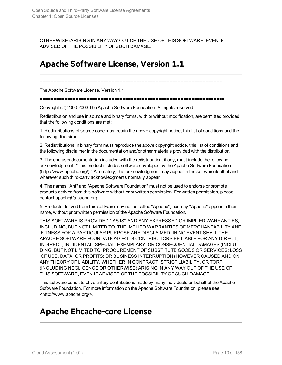OTHERWISE) ARISING IN ANY WAY OUT OF THE USE OF THIS SOFTWARE, EVEN IF ADVISED OF THE POSSIBILITY OF SUCH DAMAGE.

### <span id="page-9-0"></span>**Apache Software License, Version 1.1**

==================================================================

The Apache Software License, Version 1.1

===================================================================

Copyright (C) 2000-2003 The Apache Software Foundation. All rights reserved.

Redistribution and use in source and binary forms, with or without modification, are permitted provided that the following conditions are met:

1. Redistributions of source code must retain the above copyright notice, this list of conditions and the following disclaimer.

2. Redistributions in binary form must reproduce the above copyright notice, this list of conditions and the following disclaimer in the documentation and/or other materials provided with the distribution.

3. The end-user documentation included with the redistribution, if any, must include the following acknowledgment: "This product includes software developed by the Apache Software Foundation (http://www.apache.org/)." Alternately, this acknowledgment may appear in the software itself, if and wherever such third-party acknowledgments normally appear.

4. The names "Ant" and "Apache Software Foundation" must not be used to endorse or promote products derived from this software without prior written permission. For written permission, please contact apache@apache.org.

5. Products derived from this software may not be called "Apache", nor may "Apache" appear in their name, without prior written permission of the Apache Software Foundation.

THIS SOFTWARE IS PROVIDED ``AS IS'' AND ANY EXPRESSED OR IMPLIED WARRANTIES, INCLUDING, BUT NOT LIMITED TO, THE IMPLIED WARRANTIES OF MERCHANTABILITY AND FITNESS FOR A PARTICULAR PURPOSE ARE DISCLAIMED. IN NO EVENT SHALL THE APACHE SOFTWARE FOUNDATION OR ITS CONTRIBUTORS BE LIABLE FOR ANY DIRECT, INDIRECT, INCIDENTAL, SPECIAL, EXEMPLARY, OR CONSEQUENTIAL DAMAGES (INCLU-DING, BUT NOT LIMITED TO, PROCUREMENT OF SUBSTITUTE GOODS OR SERVICES; LOSS OF USE, DATA, OR PROFITS; OR BUSINESS INTERRUPTION) HOWEVER CAUSED AND ON ANY THEORY OF LIABILITY, WHETHER IN CONTRACT, STRICT LIABILITY, OR TORT (INCLUDING NEGLIGENCE OR OTHERWISE) ARISING IN ANY WAY OUT OF THE USE OF THIS SOFTWARE, EVEN IF ADVISED OF THE POSSIBILITY OF SUCH DAMAGE.

This software consists of voluntary contributions made by many individuals on behalf of the Apache Software Foundation. For more information on the Apache Software Foundation, please see <http://www.apache.org/>.

## <span id="page-9-1"></span>**Apache Ehcache-core License**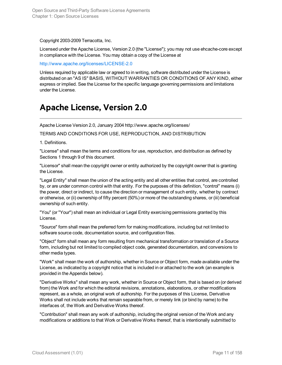Copyright 2003-2009 Terracotta, Inc.

Licensed under the Apache License, Version 2.0 (the "License"); you may not use ehcache-core except in compliance with the License. You may obtain a copy of the License at

<http://www.apache.org/licenses/LICENSE-2.0>

Unless required by applicable law or agreed to in writing, software distributed under the License is distributed on an "AS IS" BASIS, WITHOUT WARRANTIES OR CONDITIONS OF ANY KIND, either express or implied. See the License for the specific language governing permissions and limitations under the License.

## <span id="page-10-0"></span>**Apache License, Version 2.0**

Apache License Version 2.0, January 2004 http://www.apache.org/licenses/

TERMS AND CONDITIONS FOR USE, REPRODUCTION, AND DISTRIBUTION

1. Definitions.

"License" shall mean the terms and conditions for use, reproduction, and distribution as defined by Sections 1 through 9 of this document.

"Licensor" shall mean the copyright owner or entity authorized by the copyright owner that is granting the License.

"Legal Entity" shall mean the union of the acting entity and all other entities that control, are controlled by, or are under common control with that entity. For the purposes of this definition, "control" means (i) the power, direct or indirect, to cause the direction or management of such entity, whether by contract or otherwise, or (ii) ownership of fifty percent (50%) or more of the outstanding shares, or (iii) beneficial ownership of such entity.

"You" (or "Your") shall mean an individual or Legal Entity exercising permissions granted by this License.

"Source" form shall mean the preferred form for making modifications, including but not limited to software source code, documentation source, and configuration files.

"Object" form shall mean any form resulting from mechanical transformation or translation of a Source form, including but not limited to compiled object code, generated documentation, and conversions to other media types.

"Work" shall mean the work of authorship, whether in Source or Object form, made available under the License, as indicated by a copyright notice that is included in or attached to the work (an example is provided in the Appendix below).

"Derivative Works" shall mean any work, whether in Source or Object form, that is based on (or derived from) the Work and for which the editorial revisions, annotations, elaborations, or other modifications represent, as a whole, an original work of authorship. For the purposes of this License, Derivative Works shall not include works that remain separable from, or merely link (or bind by name) to the interfaces of, the Work and Derivative Works thereof.

"Contribution" shall mean any work of authorship, including the original version of the Work and any modifications or additions to that Work or Derivative Works thereof, that is intentionally submitted to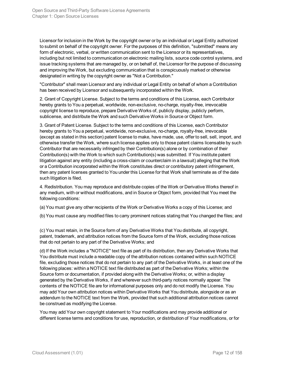Licensor for inclusion in the Work by the copyright owner or by an individual or Legal Entity authorized to submit on behalf of the copyright owner. For the purposes of this definition, "submitted" means any form of electronic, verbal, or written communication sent to the Licensor or its representatives, including but not limited to communication on electronic mailing lists, source code control systems, and issue tracking systems that are managed by, or on behalf of, the Licensor for the purpose of discussing and improving the Work, but excluding communication that is conspicuously marked or otherwise designated in writing by the copyright owner as "Not a Contribution."

"Contributor" shall mean Licensor and any individual or Legal Entity on behalf of whom a Contribution has been received by Licensor and subsequently incorporated within the Work.

2. Grant of Copyright License. Subject to the terms and conditions of this License, each Contributor hereby grants to You a perpetual, worldwide, non-exclusive, no-charge, royalty-free, irrevocable copyright license to reproduce, prepare Derivative Works of, publicly display, publicly perform, sublicense, and distribute the Work and such Derivative Works in Source or Object form.

3. Grant of Patent License. Subject to the terms and conditions of this License, each Contributor hereby grants to You a perpetual, worldwide, non-exclusive, no-charge, royalty-free, irrevocable (except as stated in this section) patent license to make, have made, use, offer to sell, sell, import, and otherwise transfer the Work, where such license applies only to those patent claims licensable by such Contributor that are necessarily infringed by their Contribution(s) alone or by combination of their Contribution(s) with the Work to which such Contribution(s) was submitted. If You institute patent litigation against any entity (including a cross-claim or counterclaim in a lawsuit) alleging that the Work or a Contribution incorporated within the Work constitutes direct or contributory patent infringement, then any patent licenses granted to You under this License for that Work shall terminate as of the date such litigation is filed.

4. Redistribution. You may reproduce and distribute copies of the Work or Derivative Works thereof in any medium, with or without modifications, and in Source or Object form, provided that You meet the following conditions:

(a) You must give any other recipients of the Work or Derivative Works a copy of this License; and

(b) You must cause any modified files to carry prominent notices stating that You changed the files; and

(c) You must retain, in the Source form of any Derivative Works that You distribute, all copyright, patent, trademark, and attribution notices from the Source form of the Work, excluding those notices that do not pertain to any part of the Derivative Works; and

(d) If the Work includes a "NOTICE" text file as part of its distribution, then any Derivative Works that You distribute must include a readable copy of the attribution notices contained within such NOTICE file, excluding those notices that do not pertain to any part of the Derivative Works, in at least one of the following places: within a NOTICE text file distributed as part of the Derivative Works; within the Source form or documentation, if provided along with the Derivative Works; or, within a display generated by the Derivative Works, if and wherever such third-party notices normally appear. The contents of the NOTICE file are for informational purposes only and do not modify the License. You may add Your own attribution notices within Derivative Works that You distribute, alongside or as an addendum to the NOTICE text from the Work, provided that such additional attribution notices cannot be construed as modifying the License.

You may add Your own copyright statement to Your modifications and may provide additional or different license terms and conditions for use, reproduction, or distribution of Your modifications, or for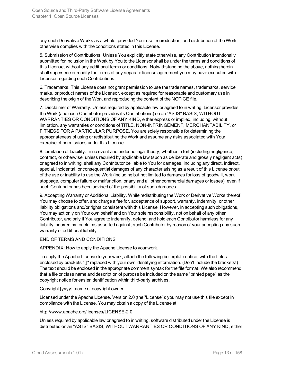any such Derivative Works as a whole, provided Your use, reproduction, and distribution of the Work otherwise complies with the conditions stated in this License.

5. Submission of Contributions. Unless You explicitly state otherwise, any Contribution intentionally submitted for inclusion in the Work by You to the Licensor shall be under the terms and conditions of this License, without any additional terms or conditions. Notwithstanding the above, nothing herein shall supersede or modify the terms of any separate license agreement you may have executed with Licensor regarding such Contributions.

6. Trademarks. This License does not grant permission to use the trade names, trademarks, service marks, or product names of the Licensor, except as required for reasonable and customary use in describing the origin of the Work and reproducing the content of the NOTICE file.

7. Disclaimer of Warranty. Unless required by applicable law or agreed to in writing, Licensor provides the Work (and each Contributor provides its Contributions) on an "AS IS" BASIS, WITHOUT WARRANTIES OR CONDITIONS OF ANY KIND, either express or implied, including, without limitation, any warranties or conditions of TITLE, NON-INFRINGEMENT, MERCHANTABILITY, or FITNESS FOR A PARTICULAR PURPOSE. You are solely responsible for determining the appropriateness of using or redistributing the Work and assume any risks associated with Your exercise of permissions under this License.

8. Limitation of Liability. In no event and under no legal theory, whether in tort (including negligence), contract, or otherwise, unless required by applicable law (such as deliberate and grossly negligent acts) or agreed to in writing, shall any Contributor be liable to You for damages, including any direct, indirect, special, incidental, or consequential damages of any character arising as a result of this License or out of the use or inability to use the Work (including but not limited to damages for loss of goodwill, work stoppage, computer failure or malfunction, or any and all other commercial damages or losses), even if such Contributor has been advised of the possibility of such damages.

9. Accepting Warranty or Additional Liability. While redistributing the Work or Derivative Works thereof, You may choose to offer, and charge a fee for, acceptance of support, warranty, indemnity, or other liability obligations and/or rights consistent with this License. However, in accepting such obligations, You may act only on Your own behalf and on Your sole responsibility, not on behalf of any other Contributor, and only if You agree to indemnify, defend, and hold each Contributor harmless for any liability incurred by, or claims asserted against, such Contributor by reason of your accepting any such warranty or additional liability.

### END OF TERMS AND CONDITIONS

APPENDIX: How to apply the Apache License to your work.

To apply the Apache License to your work, attach the following boilerplate notice, with the fields enclosed by brackets "[]" replaced with your own identifying information. (Don't include the brackets!) The text should be enclosed in the appropriate comment syntax for the file format. We also recommend that a file or class name and description of purpose be included on the same "printed page" as the copyright notice for easier identification within third-party archives.

#### Copyright [yyyy] [name of copyright owner]

Licensed under the Apache License, Version 2.0 (the "License"); you may not use this file except in compliance with the License. You may obtain a copy of the License at

#### http://www.apache.org/licenses/LICENSE-2.0

Unless required by applicable law or agreed to in writing, software distributed under the License is distributed on an "AS IS" BASIS, WITHOUT WARRANTIES OR CONDITIONS OF ANY KIND, either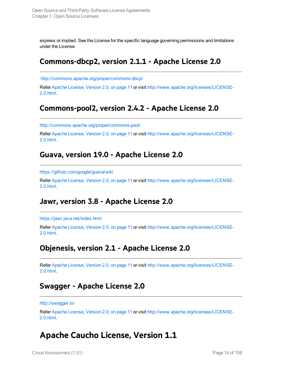express or implied. See the License for the specific language governing permissions and limitations under the License.

### <span id="page-13-0"></span>**Commons-dbcp2, version 2.1.1 - Apache License 2.0**

<http://commons.apache.org/proper/commons-dbcp/>

Refer Apache [License,](#page-10-0) Version 2.0, on page 11 or visit [http://www.apache.org/licenses/LICENSE-](http://www.apache.org/licenses/LICENSE-2.0.html)[2.0.html.](http://www.apache.org/licenses/LICENSE-2.0.html)

### <span id="page-13-1"></span>**Commons-pool2, version 2.4.2 - Apache License 2.0**

<http://commons.apache.org/proper/commons-pool/>

Refer Apache [License,](#page-10-0) Version 2.0, on page 11 or visit [http://www.apache.org/licenses/LICENSE-](http://www.apache.org/licenses/LICENSE-2.0.html)[2.0.html.](http://www.apache.org/licenses/LICENSE-2.0.html)

### <span id="page-13-2"></span>**Guava, version 19.0 - Apache License 2.0**

<https://github.com/google/guava/wiki>

Refer Apache [License,](#page-10-0) Version 2.0, on page 11 or visit [http://www.apache.org/licenses/LICENSE-](http://www.apache.org/licenses/LICENSE-2.0.html)[2.0.html.](http://www.apache.org/licenses/LICENSE-2.0.html)

### <span id="page-13-3"></span>**Jawr, version 3.8 - Apache License 2.0**

#### <https://jawr.java.net/index.html>

Refer Apache [License,](#page-10-0) Version 2.0, on page 11 or visit [http://www.apache.org/licenses/LICENSE-](http://www.apache.org/licenses/LICENSE-2.0.html)[2.0.html.](http://www.apache.org/licenses/LICENSE-2.0.html)

### <span id="page-13-4"></span>**Objenesis, version 2.1 - Apache License 2.0**

Refer Apache [License,](#page-10-0) Version 2.0, on page 11 or visit [http://www.apache.org/licenses/LICENSE-](http://www.apache.org/licenses/LICENSE-2.0.html)[2.0.html.](http://www.apache.org/licenses/LICENSE-2.0.html)

### <span id="page-13-5"></span>**Swagger - Apache License 2.0**

#### <http://swagger.io/>

Refer Apache [License,](#page-10-0) Version 2.0, on page 11 or visit [http://www.apache.org/licenses/LICENSE-](http://www.apache.org/licenses/LICENSE-2.0.html)[2.0.html.](http://www.apache.org/licenses/LICENSE-2.0.html)

### <span id="page-13-6"></span>**Apache Caucho License, Version 1.1**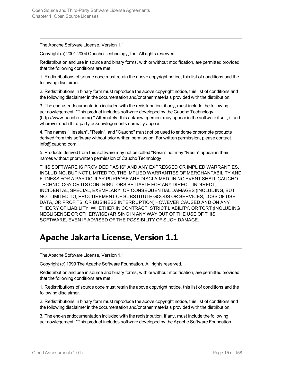The Apache Software License, Version 1.1

Copyright (c) 2001-2004 Caucho Technology, Inc. All rights reserved.

Redistribution and use in source and binary forms, with or without modification, are permitted provided that the following conditions are met:

1. Redistributions of source code must retain the above copyright notice, this list of conditions and the following disclaimer.

2. Redistributions in binary form must reproduce the above copyright notice, this list of conditions and the following disclaimer in the documentation and/or other materials provided with the distribution.

3. The end-user documentation included with the redistribution, if any, must include the following acknowlegement: "This product includes software developed by the Caucho Technology (http://www.caucho.com/)." Alternately, this acknowlegement may appear in the software itself, if and wherever such third-party acknowlegements normally appear.

4. The names "Hessian", "Resin", and "Caucho" must not be used to endorse or promote products derived from this software without prior written permission. For written permission, please contact info@caucho.com.

5. Products derived from this software may not be called "Resin" nor may "Resin" appear in their names without prior written permission of Caucho Technology.

THIS SOFTWARE IS PROVIDED ``AS IS'' AND ANY EXPRESSED OR IMPLIED WARRANTIES, INCLUDING, BUT NOT LIMITED TO, THE IMPLIED WARRANTIES OF MERCHANTABILITY AND FITNESS FOR A PARTICULAR PURPOSE ARE DISCLAIMED. IN NO EVENT SHALL CAUCHO TECHNOLOGY OR ITS CONTRIBUTORS BE LIABLE FOR ANY DIRECT, INDIRECT, INCIDENTAL, SPECIAL, EXEMPLARY, OR CONSEQUENTIAL DAMAGES (INCLUDING, BUT NOT LIMITED TO, PROCUREMENT OF SUBSTITUTE GOODS OR SERVICES; LOSS OF USE, DATA, OR PROFITS; OR BUSINESS INTERRUPTION) HOWEVER CAUSED AND ON ANY THEORY OF LIABILITY, WHETHER IN CONTRACT, STRICT LIABILITY, OR TORT (INCLUDING NEGLIGENCE OR OTHERWISE) ARISING IN ANY WAY OUT OF THE USE OF THIS SOFTWARE, EVEN IF ADVISED OF THE POSSIBILITY OF SUCH DAMAGE.

## <span id="page-14-0"></span>**Apache Jakarta License, Version 1.1**

The Apache Software License, Version 1.1

Copyright (c) 1999 The Apache Software Foundation. All rights reserved.

Redistribution and use in source and binary forms, with or without modification, are permitted provided that the following conditions are met:

1. Redistributions of source code must retain the above copyright notice, this list of conditions and the following disclaimer.

2. Redistributions in binary form must reproduce the above copyright notice, this list of conditions and the following disclaimer in the documentation and/or other materials provided with the distribution.

3. The end-user documentation included with the redistribution, if any, must include the following acknowlegement: "This product includes software developed by the Apache Software Foundation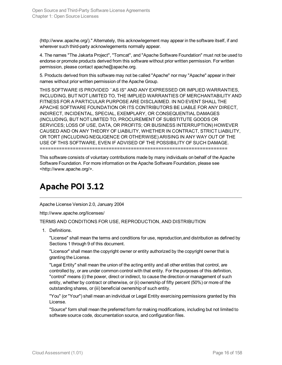(http://www.apache.org/)." Alternately, this acknowlegement may appear in the software itself, if and wherever such third-party acknowlegements normally appear.

4. The names "The Jakarta Project", "Tomcat", and "Apache Software Foundation" must not be used to endorse or promote products derived from this software without prior written permission. For written permission, please contact apache@apache.org.

5. Products derived from this software may not be called "Apache" nor may "Apache" appear in their names without prior written permission of the Apache Group.

THIS SOFTWARE IS PROVIDED ``AS IS'' AND ANY EXPRESSED OR IMPLIED WARRANTIES, INCLUDING, BUT NOT LIMITED TO, THE IMPLIED WARRANTIES OF MERCHANTABILITY AND FITNESS FOR A PARTICULAR PURPOSE ARE DISCLAIMED. IN NO EVENT SHALL THE APACHE SOFTWARE FOUNDATION OR ITS CONTRIBUTORS BE LIABLE FOR ANY DIRECT, INDIRECT, INCIDENTAL, SPECIAL, EXEMPLARY, OR CONSEQUENTIAL DAMAGES (INCLUDING, BUT NOT LIMITED TO, PROCUREMENT OF SUBSTITUTE GOODS OR SERVICES; LOSS OF USE, DATA, OR PROFITS; OR BUSINESS INTERRUPTION) HOWEVER CAUSED AND ON ANY THEORY OF LIABILITY, WHETHER IN CONTRACT, STRICT LIABILITY, OR TORT (INCLUDING NEGLIGENCE OR OTHERWISE) ARISING IN ANY WAY OUT OF THE USE OF THIS SOFTWARE, EVEN IF ADVISED OF THE POSSIBILITY OF SUCH DAMAGE. ====================================================================

This software consists of voluntary contributions made by many individuals on behalf of the Apache Software Foundation. For more information on the Apache Software Foundation, please see <http://www.apache.org/>.

## <span id="page-15-0"></span>**Apache POI 3.12**

Apache License Version 2.0, January 2004

http://www.apache.org/licenses/

TERMS AND CONDITIONS FOR USE, REPRODUCTION, AND DISTRIBUTION

1. Definitions.

"License" shall mean the terms and conditions for use, reproduction,and distribution as defined by Sections 1 through 9 of this document.

"Licensor" shall mean the copyright owner or entity authorized by the copyright owner that is granting the License.

"Legal Entity" shall mean the union of the acting entity and all other entities that control, are controlled by, or are under common control with that entity. For the purposes of this definition, "control" means (i) the power, direct or indirect, to cause the direction or management of such entity, whether by contract or otherwise, or (ii) ownership of fifty percent (50%) or more of the outstanding shares, or (iii) beneficial ownership of such entity.

"You" (or "Your") shall mean an individual or Legal Entity exercising permissions granted by this License.

"Source" form shall mean the preferred form for making modifications, including but not limited to software source code, documentation source, and configuration files.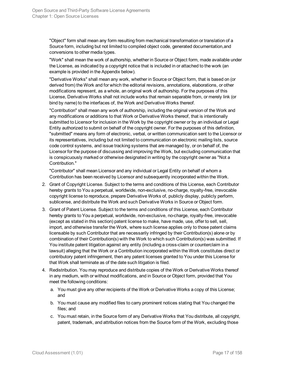"Object" form shall mean any form resulting from mechanical transformation or translation of a Source form, including but not limited to compiled object code, generated documentation,and conversions to other media types.

"Work" shall mean the work of authorship, whether in Source or Object form, made available under the License, as indicated by a copyright notice that is included in or attached to the work (an example is provided in the Appendix below).

"Derivative Works" shall mean any work, whether in Source or Object form, that is based on (or derived from) the Work and for which the editorial revisions, annotations, elaborations, or other modifications represent, as a whole, an original work of authorship. For the purposes of this License, Derivative Works shall not include works that remain separable from, or merely link (or bind by name) to the interfaces of, the Work and Derivative Works thereof.

"Contribution" shall mean any work of authorship, including the original version of the Work and any modifications or additions to that Work or Derivative Works thereof, that is intentionally submitted to Licensor for inclusion in the Work by the copyright owner or by an individual or Legal Entity authorized to submit on behalf of the copyright owner. For the purposes of this definition, "submitted" means any form of electronic, verbal, or written communication sent to the Licensor or its representatives, including but not limited to communication on electronic mailing lists, source code control systems, and issue tracking systems that are managed by, or on behalf of, the Licensor for the purpose of discussing and improving the Work, but excluding communication that is conspicuously marked or otherwise designated in writing by the copyright owner as "Not a Contribution."

"Contributor" shall mean Licensor and any individual or Legal Entity on behalf of whom a Contribution has been received by Licensor and subsequently incorporated within the Work.

- 2. Grant of Copyright License. Subject to the terms and conditions of this License, each Contributor hereby grants to You a perpetual, worldwide, non-exclusive, no-charge, royalty-free, irrevocable copyright license to reproduce, prepare Derivative Works of, publicly display, publicly perform, sublicense, and distribute the Work and such Derivative Works in Source or Object form.
- 3. Grant of Patent License. Subject to the terms and conditions of this License, each Contributor hereby grants to You a perpetual, worldwide, non-exclusive, no-charge, royalty-free, irrevocable (except as stated in this section) patent license to make, have made, use, offer to sell, sell, import, and otherwise transfer the Work, where such license applies only to those patent claims licensable by such Contributor that are necessarily infringed by their Contribution(s) alone or by combination of their Contribution(s) with the Work to which such Contribution(s) was submitted. If You institute patent litigation against any entity (including a cross-claim or counterclaim in a lawsuit) alleging that the Work or a Contribution incorporated within the Work constitutes direct or contributory patent infringement, then any patent licenses granted to You under this License for that Work shall terminate as of the date such litigation is filed.
- 4. Redistribution. You may reproduce and distribute copies of the Work or Derivative Works thereof in any medium, with or without modifications, and in Source or Object form, provided that You meet the following conditions:
	- a. You must give any other recipients of the Work or Derivative Works a copy of this License; and
	- b. You must cause any modified files to carry prominent notices stating that You changed the files; and
	- c. You must retain, in the Source form of any Derivative Works that You distribute, all copyright, patent, trademark, and attribution notices from the Source form of the Work, excluding those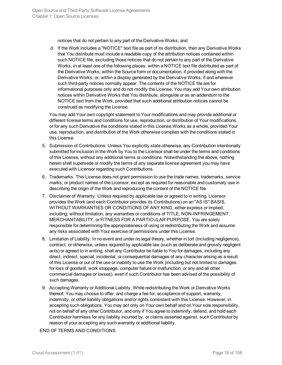notices that do not pertain to any part of the Derivative Works; and

d. If the Work includes a "NOTICE" text file as part of its distribution, then any Derivative Works that You distribute must include a readable copy of the attribution notices contained within such NOTICE file, excluding those notices that do not pertain to any part of the Derivative Works, in at least one of the following places: within a NOTICE text file distributed as part of the Derivative Works; within the Source form or documentation, if provided along with the Derivative Works; or, within a display generated by the Derivative Works, if and wherever such third-party notices normally appear. The contents of the NOTICE file are for informational purposes only and do not modify the License. You may add Your own attribution notices within Derivative Works that You distribute, alongside or as an addendum to the NOTICE text from the Work, provided that such additional attribution notices cannot be construed as modifying the License.

You may add Your own copyright statement to Your modifications and may provide additional or different license terms and conditions for use, reproduction, or distribution of Your modifications, or for any such Derivative the conditions stated in this License.Works as a whole, provided Your use, reproduction, and distribution of the Work otherwise complies with the conditions stated in this License.

- 5. Submission of Contributions. Unless You explicitly state otherwise, any Contribution intentionally submitted for inclusion in the Work by You to the Licensor shall be under the terms and conditions of this License, without any additional terms or conditions. Notwithstanding the above, nothing herein shall supersede or modify the terms of any separate license agreement you may have executed with Licensor regarding such Contributions.
- 6. Trademarks. This License does not grant permission to use the trade names, trademarks, service marks, or product names of the Licensor, except as required for reasonable and customary use in describing the origin of the Work and reproducing the content of the NOTICE file.
- 7. Disclaimer of Warranty. Unless required by applicable law or agreed to in writing, Licensor provides the Work (and each Contributor provides its Contributions) on an "AS IS" BASIS, WITHOUT WARRANTIES OR CONDITIONS OF ANY KIND, either express or implied, including, without limitation, any warranties or conditions of TITLE, NON-INFRINGEMENT, MERCHANTABILITY, or FITNESS FOR A PARTICULAR PURPOSE. You are solely responsible for determining the appropriateness of using or redistributing the Work and assume any risks associated with Your exercise of permissions under this License.
- 8. Limitation of Liability. In no event and under no legal theory, whether in tort (including negligence), contract, or otherwise, unless required by applicable law (such as deliberate and grossly negligent acts) or agreed to in writing, shall any Contributor be liable to You for damages, including any direct, indirect, special, incidental, or consequential damages of any character arising as a result of this License or out of the use or inability to use the Work (including but not limited to damages for loss of goodwill, work stoppage, computer failure or malfunction, or any and all other commercial damages or losses), even if such Contributor has been advised of the possibility of such damages.
- 9. Accepting Warranty or Additional Liability. While redistributing the Work or Derivative Works thereof, You may choose to offer, and charge a fee for, acceptance of support, warranty, indemnity, or other liability obligations and/or rights consistent with this License. However, in accepting such obligations, You may act only on Your own behalf and on Your sole responsibility, not on behalf of any other Contributor, and only if You agree to indemnify, defend, and hold each Contributor harmless for any liability incurred by, or claims asserted against, such Contributor by reason of your accepting any such warranty or additional liability.

END OF TERMS AND CONDITIONS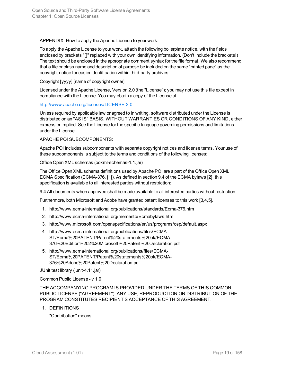APPENDIX: How to apply the Apache License to your work.

To apply the Apache License to your work, attach the following boilerplate notice, with the fields enclosed by brackets "[]" replaced with your own identifying information. (Don't include the brackets!) The text should be enclosed in the appropriate comment syntax for the file format. We also recommend that a file or class name and description of purpose be included on the same "printed page" as the copyright notice for easier identification within third-party archives.

### Copyright [yyyy] [name of copyright owner]

Licensed under the Apache License, Version 2.0 (the "License"); you may not use this file except in compliance with the License. You may obtain a copy of the License at

### <http://www.apache.org/licenses/LICENSE-2.0>

Unless required by applicable law or agreed to in writing, software distributed under the License is distributed on an "AS IS" BASIS, WITHOUT WARRANTIES OR CONDITIONS OF ANY KIND, either express or implied. See the License for the specific language governing permissions and limitations under the License.

### APACHE POI SUBCOMPONENTS:

Apache POI includes subcomponents with separate copyright notices and license terms. Your use of these subcomponents is subject to the terms and conditions of the following licenses:

Office Open XML schemas (ooxml-schemas-1.1.jar)

The Office Open XML schema definitions used by Apache POI are a part of the Office Open XML ECMA Specification (ECMA-376, [1]). As defined in section 9.4 of the ECMA bylaws [2], this specification is available to all interested parties without restriction:

9.4 All documents when approved shall be made available to all interested parties without restriction.

Furthermore, both Microsoft and Adobe have granted patent licenses to this work [3,4,5].

- 1. http://www.ecma-international.org/publications/standards/Ecma-376.htm
- 2. http://www.ecma-international.org/memento/Ecmabylaws.htm
- 3. http://www.microsoft.com/openspecifications/en/us/programs/osp/default.aspx
- 4. http://www.ecma-international.org/publications/files/ECMA-ST/Ecma%20PATENT/Patent%20statements%20ok/ECMA-376%20Edition%202%20Microsoft%20Patent%20Declaration.pdf
- 5. http://www.ecma-international.org/publications/files/ECMA-ST/Ecma%20PATENT/Patent%20statements%20ok/ECMA-376%20Adobe%20Patent%20Declaration.pdf

JUnit test library (junit-4.11.jar)

Common Public License - v 1.0

THE ACCOMPANYING PROGRAM IS PROVIDED UNDER THE TERMS OF THIS COMMON PUBLIC LICENSE ("AGREEMENT"). ANY USE, REPRODUCTION OR DISTRIBUTION OF THE PROGRAM CONSTITUTES RECIPIENT'S ACCEPTANCE OF THIS AGREEMENT.

1. DEFINITIONS

"Contribution" means: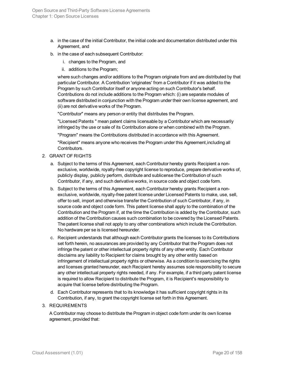- a. in the case of the initial Contributor, the initial code and documentation distributed under this Agreement, and
- b. in the case of each subsequent Contributor:
	- i. changes to the Program, and
	- ii. additions to the Program;

where such changes and/or additions to the Program originate from and are distributed by that particular Contributor. A Contribution 'originates' from a Contributor if it was added to the Program by such Contributor itself or anyone acting on such Contributor's behalf. Contributions do not include additions to the Program which: (i) are separate modules of software distributed in conjunction with the Program under their own license agreement, and (ii) are not derivative works of the Program.

"Contributor" means any person or entity that distributes the Program.

"Licensed Patents " mean patent claims licensable by a Contributor which are necessarily infringed by the use or sale of its Contribution alone or when combined with the Program.

"Program" means the Contributions distributed in accordance with this Agreement.

"Recipient" means anyone who receives the Program under this Agreement,including all Contributors.

- 2. GRANT OF RIGHTS
	- a. Subject to the terms of this Agreement, each Contributor hereby grants Recipient a nonexclusive, worldwide, royalty-free copyright license to reproduce, prepare derivative works of, publicly display, publicly perform, distribute and sublicense the Contribution of such Contributor, if any, and such derivative works, in source code and object code form.
	- b. Subject to the terms of this Agreement, each Contributor hereby grants Recipient a nonexclusive, worldwide, royalty-free patent license under Licensed Patents to make, use, sell, offer to sell, import and otherwise transfer the Contribution of such Contributor, if any, in source code and object code form. This patent license shall apply to the combination of the Contribution and the Program if, at the time the Contribution is added by the Contributor, such addition of the Contribution causes such combination to be covered by the Licensed Patents. The patent license shall not apply to any other combinations which include the Contribution. No hardware per se is licensed hereunder.
	- c. Recipient understands that although each Contributor grants the licenses to its Contributions set forth herein, no assurances are provided by any Contributor that the Program does not infringe the patent or other intellectual property rights of any other entity. Each Contributor disclaims any liability to Recipient for claims brought by any other entity based on infringement of intellectual property rights or otherwise. As a condition to exercising the rights and licenses granted hereunder, each Recipient hereby assumes sole responsibility to secure any other intellectual property rights needed, if any. For example, if a third party patent license is required to allow Recipient to distribute the Program, it is Recipient's responsibility to acquire that license before distributing the Program.
	- d. Each Contributor represents that to its knowledge it has sufficient copyright rights in its Contribution, if any, to grant the copyright license set forth in this Agreement.

#### 3. REQUIREMENTS

A Contributor may choose to distribute the Program in object code form under its own license agreement, provided that: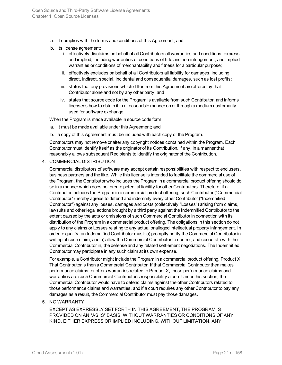- a. it complies with the terms and conditions of this Agreement; and
- b. its license agreement:
	- i. effectively disclaims on behalf of all Contributors all warranties and conditions, express and implied, including warranties or conditions of title and non-infringement, and implied warranties or conditions of merchantability and fitness for a particular purpose;
	- ii. effectively excludes on behalf of all Contributors all liability for damages, including direct, indirect, special, incidental and consequential damages, such as lost profits;
	- iii. states that any provisions which differ from this Agreement are offered by that Contributor alone and not by any other party; and
	- iv. states that source code for the Program is available from such Contributor, and informs licensees how to obtain it in a reasonable manner on or through a medium customarily used for software exchange.

When the Program is made available in source code form:

- a. it must be made available under this Agreement; and
- b. a copy of this Agreement must be included with each copy of the Program.

Contributors may not remove or alter any copyright notices contained within the Program. Each Contributor must identify itself as the originator of its Contribution, if any, in a manner that reasonably allows subsequent Recipients to identify the originator of the Contribution.

#### 4. COMMERCIAL DISTRIBUTION

Commercial distributors of software may accept certain responsibilities with respect to end users, business partners and the like. While this license is intended to facilitate the commercial use of the Program, the Contributor who includes the Program in a commercial product offering should do so in a manner which does not create potential liability for other Contributors. Therefore, if a Contributor includes the Program in a commercial product offering, such Contributor ("Commercial Contributor") hereby agrees to defend and indemnify every other Contributor ("Indemnified Contributor") against any losses, damages and costs (collectively "Losses") arising from claims, lawsuits and other legal actions brought by a third party against the Indemnified Contributor to the extent caused by the acts or omissions of such Commercial Contributor in connection with its distribution of the Program in a commercial product offering. The obligations in this section do not apply to any claims or Losses relating to any actual or alleged intellectual property infringement. In order to qualify, an Indemnified Contributor must: a) promptly notify the Commercial Contributor in writing of such claim, and b) allow the Commercial Contributor to control, and cooperate with the Commercial Contributor in, the defense and any related settlement negotiations. The Indemnified Contributor may participate in any such claim at its own expense.

For example, a Contributor might include the Program in a commercial product offering, Product X. That Contributor is then a Commercial Contributor. If that Commercial Contributor then makes performance claims, or offers warranties related to Product X, those performance claims and warranties are such Commercial Contributor's responsibility alone. Under this section, the Commercial Contributor would have to defend claims against the other Contributors related to those performance claims and warranties, and if a court requires any other Contributor to pay any damages as a result, the Commercial Contributor must pay those damages.

#### 5. NO WARRANTY

EXCEPT AS EXPRESSLY SET FORTH IN THIS AGREEMENT, THE PROGRAM IS PROVIDED ON AN "AS IS" BASIS, WITHOUT WARRANTIES OR CONDITIONS OF ANY KIND, EITHER EXPRESS OR IMPLIED INCLUDING, WITHOUT LIMITATION, ANY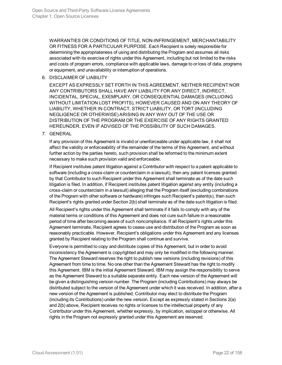WARRANTIES OR CONDITIONS OF TITLE, NON-INFRINGEMENT, MERCHANTABILITY OR FITNESS FOR A PARTICULAR PURPOSE. Each Recipient is solely responsible for determining the appropriateness of using and distributing the Program and assumes all risks associated with its exercise of rights under this Agreement, including but not limited to the risks and costs of program errors, compliance with applicable laws, damage to or loss of data, programs or equipment, and unavailability or interruption of operations.

6. DISCLAIMER OF LIABILITY

EXCEPT AS EXPRESSLY SET FORTH IN THIS AGREEMENT, NEITHER RECIPIENT NOR ANY CONTRIBUTORS SHALL HAVE ANY LIABILITY FOR ANY DIRECT, INDIRECT, INCIDENTAL, SPECIAL, EXEMPLARY, OR CONSEQUENTIAL DAMAGES (INCLUDING WITHOUT LIMITATION LOST PROFITS), HOWEVER CAUSED AND ON ANY THEORY OF LIABILITY, WHETHER IN CONTRACT, STRICT LIABILITY, OR TORT (INCLUDING NEGLIGENCE OR OTHERWISE) ARISING IN ANY WAY OUT OF THE USE OR DISTRIBUTION OF THE PROGRAM OR THE EXERCISE OF ANY RIGHTS GRANTED HEREUNDER, EVEN IF ADVISED OF THE POSSIBILITY OF SUCH DAMAGES.

7. GENERAL

If any provision of this Agreement is invalid or unenforceable under applicable law, it shall not affect the validity or enforceability of the remainder of the terms of this Agreement, and without further action by the parties hereto, such provision shall be reformed to the minimum extent necessary to make such provision valid and enforceable.

If Recipient institutes patent litigation against a Contributor with respect to a patent applicable to software (including a cross-claim or counterclaim in a lawsuit), then any patent licenses granted by that Contributor to such Recipient under this Agreement shall terminate as of the date such litigation is filed. In addition, if Recipient institutes patent litigation against any entity (including a cross-claim or counterclaim in a lawsuit) alleging that the Program itself (excluding combinations of the Program with other software or hardware) infringes such Recipient's patent(s), then such Recipient's rights granted under Section 2(b) shall terminate as of the date such litigation is filed.

All Recipient's rights under this Agreement shall terminate if it fails to comply with any of the material terms or conditions of this Agreement and does not cure such failure in a reasonable period of time after becoming aware of such noncompliance. If all Recipient's rights under this Agreement terminate, Recipient agrees to cease use and distribution of the Program as soon as reasonably practicable. However, Recipient's obligations under this Agreement and any licenses granted by Recipient relating to the Program shall continue and survive.

Everyone is permitted to copy and distribute copies of this Agreement, but in order to avoid inconsistency the Agreement is copyrighted and may only be modified in the following manner. The Agreement Steward reserves the right to publish new versions (including revisions) of this Agreement from time to time. No one other than the Agreement Steward has the right to modify this Agreement. IBM is the initial Agreement Steward. IBM may assign the responsibility to serve as the Agreement Steward to a suitable separate entity. Each new version of the Agreement will be given a distinguishing version number. The Program (including Contributions) may always be distributed subject to the version of the Agreement under which it was received. In addition, after a new version of the Agreement is published, Contributor may elect to distribute the Program (including its Contributions) under the new version. Except as expressly stated in Sections 2(a) and 2(b) above, Recipient receives no rights or licenses to the intellectual property of any Contributor under this Agreement, whether expressly, by implication, estoppel or otherwise. All rights in the Program not expressly granted under this Agreement are reserved.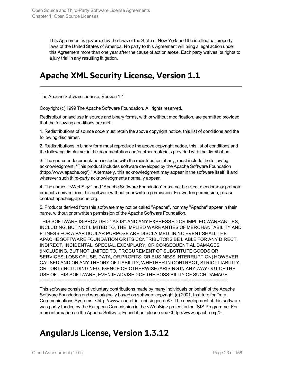This Agreement is governed by the laws of the State of New York and the intellectual property laws of the United States of America. No party to this Agreement will bring a legal action under this Agreement more than one year after the cause of action arose. Each party waives its rights to a jury trial in any resulting litigation.

## <span id="page-22-0"></span>**Apache XML Security License, Version 1.1**

The Apache Software License, Version 1.1

Copyright (c) 1999 The Apache Software Foundation. All rights reserved.

Redistribution and use in source and binary forms, with or without modification, are permitted provided that the following conditions are met:

1. Redistributions of source code must retain the above copyright notice, this list of conditions and the following disclaimer.

2. Redistributions in binary form must reproduce the above copyright notice, this list of conditions and the following disclaimer in the documentation and/or other materials provided with the distribution.

3. The end-user documentation included with the redistribution, if any, must include the following acknowledgment: "This product includes software developed by the Apache Software Foundation (http://www.apache.org/)." Alternately, this acknowledgment may appear in the software itself, if and wherever such third-party acknowledgments normally appear.

4. The names "<WebSig>" and "Apache Software Foundation" must not be used to endorse or promote products derived from this software without prior written permission. For written permission, please contact apache@apache.org.

5. Products derived from this software may not be called "Apache", nor may "Apache" appear in their name, without prior written permission of the Apache Software Foundation.

THIS SOFTWARE IS PROVIDED ``AS IS'' AND ANY EXPRESSED OR IMPLIED WARRANTIES, INCLUDING, BUT NOT LIMITED TO, THE IMPLIED WARRANTIES OF MERCHANTABILITY AND FITNESS FOR A PARTICULAR PURPOSE ARE DISCLAIMED. IN NO EVENT SHALL THE APACHE SOFTWARE FOUNDATION OR ITS CONTRIBUTORS BE LIABLE FOR ANY DIRECT, INDIRECT, INCIDENTAL, SPECIAL, EXEMPLARY, OR CONSEQUENTIAL DAMAGES (INCLUDING, BUT NOT LIMITED TO, PROCUREMENT OF SUBSTITUTE GOODS OR SERVICES; LOSS OF USE, DATA, OR PROFITS; OR BUSINESS INTERRUPTION) HOWEVER CAUSED AND ON ANY THEORY OF LIABILITY, WHETHER IN CONTRACT, STRICT LIABILITY, OR TORT (INCLUDING NEGLIGENCE OR OTHERWISE) ARISING IN ANY WAY OUT OF THE USE OF THIS SOFTWARE, EVEN IF ADVISED OF THE POSSIBILITY OF SUCH DAMAGE. ====================================================================

This software consists of voluntary contributions made by many individuals on behalf of the Apache Software Foundation and was originally based on software copyright (c) 2001, Institute for Data Communications Systems, <http://www.nue.et-inf.uni-siegen.de/>. The development of this software was partly funded by the European Commission in the <WebSig> project in the ISIS Programme. For more information on the Apache Software Foundation, please see <http://www.apache.org/>.

## <span id="page-22-1"></span>**AngularJs License, Version 1.3.12**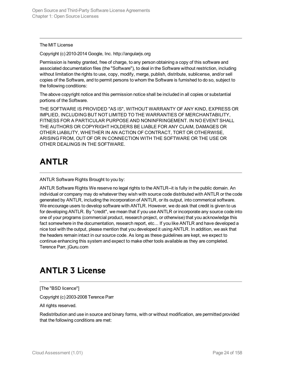### The MIT License

Copyright (c) 2010-2014 Google, Inc. http://angularjs.org

Permission is hereby granted, free of charge, to any person obtaining a copy of this software and associated documentation files (the "Software"), to deal in the Software without restriction, including without limitation the rights to use, copy, modify, merge, publish, distribute, sublicense, and/or sell copies of the Software, and to permit persons to whom the Software is furnished to do so, subject to the following conditions:

The above copyright notice and this permission notice shall be included in all copies or substantial portions of the Software.

THE SOFTWARE IS PROVIDED "AS IS", WITHOUT WARRANTY OF ANY KIND, EXPRESS OR IMPLIED, INCLUDING BUT NOT LIMITED TO THE WARRANTIES OF MERCHANTABILITY, FITNESS FOR A PARTICULAR PURPOSE AND NONINFRINGEMENT. IN NO EVENT SHALL THE AUTHORS OR COPYRIGHT HOLDERS BE LIABLE FOR ANY CLAIM, DAMAGES OR OTHER LIABILITY, WHETHER IN AN ACTION OF CONTRACT, TORT OR OTHERWISE, ARISING FROM, OUT OF OR IN CONNECTION WITH THE SOFTWARE OR THE USE OR OTHER DEALINGS IN THE SOFTWARE.

## <span id="page-23-0"></span>**ANTLR**

ANTLR Software Rights Brought to you by:

ANTLR Software Rights We reserve no legal rights to the ANTLR--it is fully in the public domain. An individual or company may do whatever they wish with source code distributed with ANTLR or the code generated by ANTLR, including the incorporation of ANTLR, or its output, into commerical software. We encourage users to develop software with ANTLR. However, we do ask that credit is given to us for developing ANTLR. By "credit", we mean that if you use ANTLR or incorporate any source code into one of your programs (commercial product, research project, or otherwise) that you acknowledge this fact somewhere in the documentation, research report, etc... If you like ANTLR and have developed a nice tool with the output, please mention that you developed it using ANTLR. In addition, we ask that the headers remain intact in our source code. As long as these guidelines are kept, we expect to continue enhancing this system and expect to make other tools available as they are completed. Terence Parr, jGuru.com

## <span id="page-23-1"></span>**ANTLR 3 License**

[The "BSD licence"]

Copyright (c) 2003-2008 Terence Parr

All rights reserved.

Redistribution and use in source and binary forms, with or without modification, are permitted provided that the following conditions are met: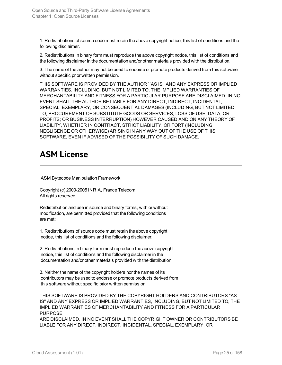1. Redistributions of source code must retain the above copyright notice, this list of conditions and the following disclaimer.

2. Redistributions in binary form must reproduce the above copyright notice, this list of conditions and the following disclaimer in the documentation and/or other materials provided with the distribution.

3. The name of the author may not be used to endorse or promote products derived from this software without specific prior written permission.

THIS SOFTWARE IS PROVIDED BY THE AUTHOR ``AS IS'' AND ANY EXPRESS OR IMPLIED WARRANTIES, INCLUDING, BUT NOT LIMITED TO, THE IMPLIED WARRANTIES OF MERCHANTABILITY AND FITNESS FOR A PARTICULAR PURPOSE ARE DISCLAIMED. IN NO EVENT SHALL THE AUTHOR BE LIABLE FOR ANY DIRECT, INDIRECT, INCIDENTAL, SPECIAL, EXEMPLARY, OR CONSEQUENTIAL DAMAGES (INCLUDING, BUT NOT LIMITED TO, PROCUREMENT OF SUBSTITUTE GOODS OR SERVICES; LOSS OF USE, DATA, OR PROFITS; OR BUSINESS INTERRUPTION) HOWEVER CAUSED AND ON ANY THEORY OF LIABILITY, WHETHER IN CONTRACT, STRICT LIABILITY, OR TORT (INCLUDING NEGLIGENCE OR OTHERWISE) ARISING IN ANY WAY OUT OF THE USE OF THIS SOFTWARE, EVEN IF ADVISED OF THE POSSIBILITY OF SUCH DAMAGE.

## <span id="page-24-0"></span>**ASM License**

ASM Bytecode Manipulation Framework

Copyright (c) 2000-2005 INRIA, France Telecom All rights reserved.

Redistribution and use in source and binary forms, with or without modification, are permitted provided that the following conditions are met:

1. Redistributions of source code must retain the above copyright notice, this list of conditions and the following disclaimer.

2. Redistributions in binary form must reproduce the above copyright notice, this list of conditions and the following disclaimer in the documentation and/or other materials provided with the distribution.

3. Neither the name of the copyright holders nor the names of its contributors may be used to endorse or promote products derived from this software without specific prior written permission.

THIS SOFTWARE IS PROVIDED BY THE COPYRIGHT HOLDERS AND CONTRIBUTORS "AS IS" AND ANY EXPRESS OR IMPLIED WARRANTIES, INCLUDING, BUT NOT LIMITED TO, THE IMPLIED WARRANTIES OF MERCHANTABILITY AND FITNESS FOR A PARTICULAR PURPOSE

ARE DISCLAIMED. IN NO EVENT SHALL THE COPYRIGHT OWNER OR CONTRIBUTORS BE LIABLE FOR ANY DIRECT, INDIRECT, INCIDENTAL, SPECIAL, EXEMPLARY, OR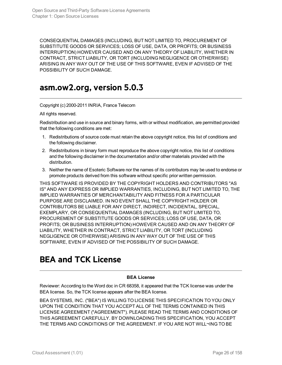CONSEQUENTIAL DAMAGES (INCLUDING, BUT NOT LIMITED TO, PROCUREMENT OF SUBSTITUTE GOODS OR SERVICES; LOSS OF USE, DATA, OR PROFITS; OR BUSINESS INTERRUPTION) HOWEVER CAUSED AND ON ANY THEORY OF LIABILITY, WHETHER IN CONTRACT, STRICT LIABILITY, OR TORT (INCLUDING NEGLIGENCE OR OTHERWISE) ARISING IN ANY WAY OUT OF THE USE OF THIS SOFTWARE, EVEN IF ADVISED OF THE POSSIBILITY OF SUCH DAMAGE.

### <span id="page-25-0"></span>**asm.ow2.org, version 5.0.3**

Copyright (c) 2000-2011 INRIA, France Telecom

All rights reserved.

Redistribution and use in source and binary forms, with or without modification, are permitted provided that the following conditions are met:

- 1. Redistributions of source code must retain the above copyright notice, this list of conditions and the following disclaimer.
- 2. Redistributions in binary form must reproduce the above copyright notice, this list of conditions and the following disclaimer in the documentation and/or other materials provided with the distribution.
- 3. Neither the name of Esoteric Software nor the names of its contributors may be used to endorse or promote products derived from this software without specific prior written permission.

THIS SOFTWARE IS PROVIDED BY THE COPYRIGHT HOLDERS AND CONTRIBUTORS "AS IS" AND ANY EXPRESS OR IMPLIED WARRANTIES, INCLUDING, BUT NOT LIMITED TO, THE IMPLIED WARRANTIES OF MERCHANTABILITY AND FITNESS FOR A PARTICULAR PURPOSE ARE DISCLAIMED. IN NO EVENT SHALL THE COPYRIGHT HOLDER OR CONTRIBUTORS BE LIABLE FOR ANY DIRECT, INDIRECT, INCIDENTAL, SPECIAL, EXEMPLARY, OR CONSEQUENTIAL DAMAGES (INCLUDING, BUT NOT LIMITED TO, PROCUREMENT OF SUBSTITUTE GOODS OR SERVICES; LOSS OF USE, DATA, OR PROFITS; OR BUSINESS INTERRUPTION) HOWEVER CAUSED AND ON ANY THEORY OF LIABILITY, WHETHER IN CONTRACT, STRICT LIABILITY, OR TORT (INCLUDING NEGLIGENCE OR OTHERWISE) ARISING IN ANY WAY OUT OF THE USE OF THIS SOFTWARE, EVEN IF ADVISED OF THE POSSIBILITY OF SUCH DAMAGE.

## <span id="page-25-1"></span>**BEA and TCK License**

#### **BEA License**

Reviewer: According to the Word doc in CR 68358, it appeared that the TCK license was under the BEA license. So, the TCK license appears after the BEA license.

BEA SYSTEMS, INC. ("BEA") IS WILLING TO LICENSE THIS SPECIFICATION TO YOU ONLY UPON THE CONDITION THAT YOU ACCEPT ALL OF THE TERMS CONTAINED IN THIS LICENSE AGREEMENT ("AGREEMENT"). PLEASE READ THE TERMS AND CONDITIONS OF THIS AGREEMENT CAREFULLY. BY DOWNLOADING THIS SPECIFICATION, YOU ACCEPT THE TERMS AND CONDITIONS OF THE AGREEMENT. IF YOU ARE NOT WILL¬ING TO BE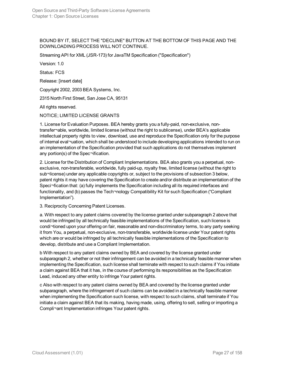### BOUND BY IT, SELECT THE "DECLINE" BUTTON AT THE BOTTOM OF THIS PAGE AND THE DOWNLOADING PROCESS WILL NOT CONTINUE.

Streaming API for XML (JSR-173) for JavaTM Specification ("Specification")

Version: 1.0

Status: FCS

Release: [insert date]

Copyright 2002, 2003 BEA Systems, Inc.

2315 North First Street, San Jose CA, 95131

All rights reserved.

### NOTICE; LIMITED LICENSE GRANTS

1. License for Evaluation Purposes. BEA hereby grants you a fully-paid, non-exclusive, nontransfer¬able, worldwide, limited license (without the right to sublicense), under BEA's applicable intellectual property rights to view, download, use and reproduce the Specification only for the purpose of internal eval¬uation, which shall be understood to include developing applications intended to run on an implementation of the Specification provided that such applications do not themselves implement any portion(s) of the Spec¬ification.

2. License for the Distribution of Compliant Implementations. BEA also grants you a perpetual, nonexclusive, non-transferable, worldwide, fully paid-up, royalty free, limited license (without the right to sub¬license) under any applicable copyrights or, subject to the provisions of subsection 3 below, patent rights it may have covering the Specification to create and/or distribute an implementation of the Speci¬fication that: (a) fully implements the Specification including all its required interfaces and functionality, and (b) passes the Tech¬nology Compatibility Kit for such Specification ("Compliant Implementation").

3. Reciprocity Concerning Patent Licenses.

a. With respect to any patent claims covered by the license granted under subparagraph 2 above that would be infringed by all technically feasible implementations of the Specification, such license is condi¬tioned upon your offering on fair, reasonable and non-discriminatory terms, to any party seeking it from You, a perpetual, non-exclusive, non-transferable, worldwide license under Your patent rights which are or would be infringed by all technically feasible implementations of the Specification to develop, distribute and use a Compliant Implementation.

b With respect to any patent claims owned by BEA and covered by the license granted under subparagraph 2, whether or not their infringement can be avoided in a technically feasible manner when implementing the Specification, such license shall terminate with respect to such claims if You initiate a claim against BEA that it has, in the course of performing its responsibilities as the Specification Lead, induced any other entity to infringe Your patent rights.

c Also with respect to any patent claims owned by BEA and covered by the license granted under subparagraph, where the infringement of such claims can be avoided in a technically feasible manner when implementing the Specification such license, with respect to such claims, shall terminate if You initiate a claim against BEA that its making, having made, using, offering to sell, selling or importing a Compli¬ant Implementation infringes Your patent rights.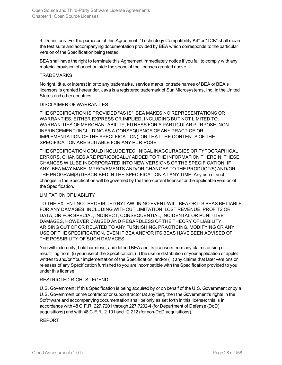4. Definitions. For the purposes of this Agreement: "Technology Compatibility Kit" or "TCK" shall mean the test suite and accompanying documentation provided by BEA which corresponds to the particular version of the Specification being tested.

BEA shall have the right to terminate this Agreement immediately notice if you fail to comply with any material provision of or act outside the scope of the licenses granted above.

#### **TRADEMARKS**

No right, title, or interest in or to any trademarks, service marks, or trade names of BEA or BEA's licensors is granted hereunder. Java is a registered trademark of Sun Microsystems, Inc. in the United States and other countries.

### DISCLAIMER OF WARRANTIES

THE SPECIFICATION IS PROVIDED "AS IS". BEA MAKES NO REPRESENTATIONS OR WARRANTIES, EITHER EXPRESS OR IMPLIED, INCLUDING BUT NOT LIMITED TO, WARRAN-TIES OF MERCHANTABILITY, FITNESS FOR A PARTICULAR PURPOSE, NON-INFRINGEMENT (INCLUDING AS A CONSEQUENCE OF ANY PRACTICE OR IMPLEMENTATION OF THE SPECI-FICATION), OR THAT THE CONTENTS OF THE SPECIFICATION ARE SUITABLE FOR ANY PUR-POSE.

THE SPECIFICATION COULD INCLUDE TECHNICAL INACCURACIES OR TYPOGRAPHICAL ERRORS. CHANGES ARE PERIODICALLY ADDED TO THE INFORMATION THEREIN; THESE CHANGES WILL BE INCORPORATED INTO NEW VERSIONS OF THE SPECIFICATION, IF ANY. BEA MAY MAKE IMPROVEMENTS AND/OR CHANGES TO THE PRODUCT(S) AND/OR THE PROGRAM(S) DESCRIBED IN THE SPECIFICATION AT ANY TIME. Any use of such changes in the Specification will be governed by the then-current license for the applicable version of the Specification.

#### LIMITATION OF LIABILITY

TO THE EXTENT NOT PROHIBITED BY LAW, IN NO EVENT WILL BEA OR ITS BEAS BE LIABLE FOR ANY DAMAGES, INCLUDING WITHOUT LIMITATION, LOST REVENUE, PROFITS OR DATA, OR FOR SPECIAL, INDIRECT, CONSEQUENTIAL, INCIDENTAL OR PUNI¬TIVE DAMAGES, HOWEVER CAUSED AND REGARDLESS OF THE THEORY OF LIABILITY, ARISING OUT OF OR RELATED TO ANY FURNISHING, PRACTICING, MODIFYING OR ANY USE OF THE SPECIFICATION, EVEN IF BEA AND/OR ITS BEAS HAVE BEEN ADVISED OF THE POSSIBILITY OF SUCH DAMAGES.

You will indemnify, hold harmless, and defend BEA and its licensors from any claims arising or result¬ing from: (i) your use of the Specification; (ii) the use or distribution of your application or applet written to and/or Your implementation of the Specification; and/or (iii) any claims that later versions or releases of any Specification furnished to you are incompatible with the Specification provided to you under this license.

#### RESTRICTED RIGHTS LEGEND

U.S. Government: If this Specification is being acquired by or on behalf of the U.S. Government or by a U.S. Government prime contractor or subcontractor (at any tier), then the Government's rights in the Soft¬ware and accompanying documentation shall be only as set forth in this license; this is in accordance with 48 C.F.R. 227.7201 through 227.7202-4 (for Department of Defense (DoD) acquisitions) and with 48 C.F.R. 2.101 and 12.212 (for non-DoD acquisitions).

REPORT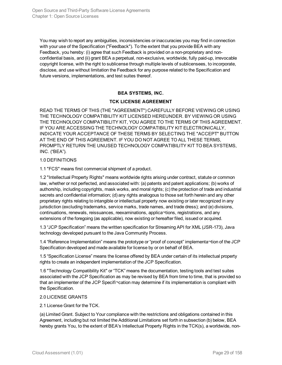You may wish to report any ambiguities, inconsistencies or inaccuracies you may find in connection with your use of the Specification ("Feedback"). To the extent that you provide BEA with any Feedback, you hereby: (i) agree that such Feedback is provided on a non-proprietary and nonconfidential basis, and (ii) grant BEA a perpetual, non-exclusive, worldwide, fully paid-up, irrevocable copyright license, with the right to sublicense through multiple levels of sublicensees, to incorporate, disclose, and use without limitation the Feedback for any purpose related to the Specification and future versions, implementations, and test suites thereof.

### **BEA SYSTEMS, INC.**

### **TCK LICENSE AGREEMENT**

READ THE TERMS OF THIS (THE "AGREEMENT") CAREFULLY BEFORE VIEWING OR USING THE TECHNOLOGY COMPATIBILITY KIT LICENSED HEREUNDER. BY VIEWING OR USING THE TECHNOLOGY COMPATIBILITY KIT, YOU AGREE TO THE TERMS OF THIS AGREEMENT. IF YOU ARE ACCESSING THE TECHNOLOGY COMPATIBILITY KIT ELECTRONICALLY, INDICATE YOUR ACCEPTANCE OF THESE TERMS BY SELECTING THE "ACCEPT" BUTTON AT THE END OF THIS AGREEMENT. IF YOU DO NOT AGREE TO ALL THESE TERMS, PROMPTLY RETURN THE UNUSED TECHNOLOGY COMPATIBILITY KIT TO BEA SYSTEMS, INC. ("BEA").

### 1.0 DEFINITIONS

1.1 "FCS" means first commercial shipment of a product.

1.2 "Intellectual Property Rights" means worldwide rights arising under contract, statute or common law, whether or not perfected, and associated with: (a) patents and patent applications; (b) works of authorship, including copyrights, mask works, and moral rights; (c) the protection of trade and industrial secrets and confidential information; (d) any rights analogous to those set forth herein and any other proprietary rights relating to intangible or intellectual property now existing or later recognized in any jurisdiction (excluding trademarks, service marks, trade names, and trade dress); and (e) divisions, continuations, renewals, reissuances, reexaminations, applica¬tions, registrations, and any extensions of the foregoing (as applicable), now existing or hereafter filed, issued or acquired.

1.3 "JCP Specification" means the written specification for Streaming API for XML (JSR-173), Java technology developed pursuant to the Java Community Process.

1.4 "Reference Implementation" means the prototype or "proof of concept" implementa¬tion of the JCP Specification developed and made available for license by or on behalf of BEA.

1.5 "Specification License" means the license offered by BEA under certain of its intellectual property rights to create an independent implementation of the JCP Specification.

1.6 "Technology Compatibility Kit" or "TCK" means the documentation, testing tools and test suites associated with the JCP Specification as may be revised by BEA from time to time, that is provided so that an implementer of the JCP Specifi¬cation may determine if its implementation is compliant with the Specification.

#### 2.0 LICENSE GRANTS

2.1 License Grant for the TCK.

(a) Limited Grant. Subject to Your compliance with the restrictions and obligations contained in this Agreement, including but not limited the Additional Limitations set forth in subsection (b) below, BEA hereby grants You, to the extent of BEA's Intellectual Property Rights in the TCK(s), a worldwide, non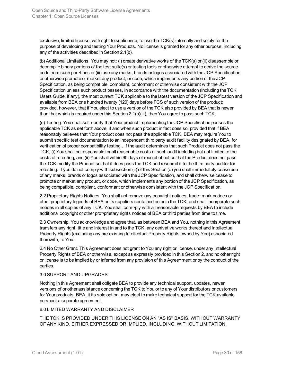exclusive, limited license, with right to sublicense, to use the TCK(s) internally and solely for the purpose of developing and testing Your Products. No license is granted for any other purpose, including any of the activities described in Section 2.1(b).

(b) Additional Limitations. You may not: (i) create derivative works of the TCK(s) or (ii) disassemble or decompile binary portions of the test suite(s) or testing tools or otherwise attempt to derive the source code from such por¬tions or (iii) use any marks, brands or logos associated with the JCP Specification, or otherwise promote or market any product, or code, which implements any portion of the JCP Specification, as being compatible, compliant, conformant or otherwise consistent with the JCP Specification unless such product passes, in accordance with the documentation (including the TCK Users Guide, if any), the most current TCK applicable to the latest version of the JCP Specification and available from BEA one hundred twenty (120) days before FCS of such version of the product; provided, however, that if You elect to use a version of the TCK also provided by BEA that is newer than that which is required under this Section 2.1(b)(iii), then You agree to pass such TCK.

(c) Testing. You shall self-certify that Your product implementing the JCP Specification passes the applicable TCK as set forth above, if and when such product in fact does so, provided that if BEA reasonably believes that Your product does not pass the applicable TCK, BEA may require You to submit specific test documentation to an independent third party audit facility designated by BEA, for verification of proper compatibility testing.. If the audit determines that such Product does not pass the TCK, (i) You shall be responsible for all reasonable costs of such audit including but not limited to the costs of retesting, and (ii) You shall within 90 days of receipt of notice that the Product does not pass the TCK modify the Product so that it does pass the TCK and resubmit it to the third party auditor for retesting. If you do not comply with subsection (ii) of this Section (c) you shall immediately cease use of any marks, brands or logos associated with the JCP Specification, and shall otherwise cease to promote or market any product, or code, which implements any portion of the JCP Specification, as being compatible, compliant, conformant or otherwise consistent with the JCP Specification.

2.2 Proprietary Rights Notices. You shall not remove any copyright notices, trade¬mark notices or other proprietary legends of BEA or its suppliers contained on or in the TCK, and shall incorporate such notices in all copies of any TCK. You shall comply with all reasonable requests by BEA to include additional copyright or other pro¬prietary rights notices of BEA or third parties from time to time.

2.3 Ownership. You acknowledge and agree that, as between BEA and You, nothing in this Agreement transfers any right, title and interest in and to the TCK, any derivative works thereof and Intellectual Property Rights (excluding any pre-existing Intellectual Property Rights owned by You) associated therewith, to You.

2.4 No Other Grant. This Agreement does not grant to You any right or license, under any Intellectual Property Rights of BEA or otherwise, except as expressly provided in this Section 2, and no other right or license is to be implied by or inferred from any provision of this Agree¬ment or by the conduct of the parties.

### 3.0 SUPPORT AND UPGRADES

Nothing in this Agreement shall obligate BEA to provide any technical support, updates, newer versions of or other assistance concerning the TCK to You or to any of Your distributors or customers for Your products. BEA, it its sole option, may elect to make technical support for the TCK available pursuant a separate agreement.

### 6.0 LIMITED WARRANTY AND DISCLAIMER

THE TCK IS PROVIDED UNDER THIS LICENSE ON AN "AS IS'' BASIS, WITHOUT WARRANTY OF ANY KIND, EITHER EXPRESSED OR IMPLIED, INCLUDING, WITHOUT LIMITATION,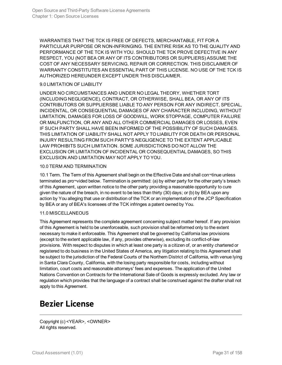WARRANTIES THAT THE TCK IS FREE OF DEFECTS, MERCHANTABLE, FIT FOR A PARTICULAR PURPOSE OR NON-INFRINGING. THE ENTIRE RISK AS TO THE QUALITY AND PERFORMANCE OF THE TCK IS WITH YOU. SHOULD THE TCK PROVE DEFECTIVE IN ANY RESPECT, YOU (NOT BEA OR ANY OF ITS CONTRIBUTORS OR SUPPLIERS) ASSUME THE COST OF ANY NECESSARY SERVICING, REPAIR OR CORRECTION. THIS DISCLAIMER OF WARRANTY CONSTITUTES AN ESSENTIAL PART OF THIS LICENSE. NO USE OF THE TCK IS AUTHORIZED HEREUNDER EXCEPT UNDER THIS DISCLAIMER.

### 9.0 LIMITATION OF LIABILITY

UNDER NO CIRCUMSTANCES AND UNDER NO LEGAL THEORY, WHETHER TORT (INCLUDING NEGLIGENCE), CONTRACT, OR OTHERWISE, SHALL BEA, OR ANY OF ITS CONTRIBUTORS OR SUPPLIERSBE LIABLE TO ANY PERSON FOR ANY INDIRECT, SPECIAL, INCIDENTAL, OR CONSEQUENTIAL DAMAGES OF ANY CHARACTER INCLUDING, WITHOUT LIMITATION, DAMAGES FOR LOSS OF GOODWILL, WORK STOPPAGE, COMPUTER FAILURE OR MALFUNCTION, OR ANY AND ALL OTHER COMMERCIAL DAMAGES OR LOSSES, EVEN IF SUCH PARTY SHALL HAVE BEEN INFORMED OF THE POSSIBILITY OF SUCH DAMAGES. THIS LIMITATION OF LIABILITY SHALL NOT APPLY TO LIABILITY FOR DEATH OR PERSONAL INJURY RESULTING FROM SUCH PARTY'S NEGLIGENCE TO THE EXTENT APPLICABLE LAW PROHIBITS SUCH LIMITATION. SOME JURISDICTIONS DO NOT ALLOW THE EXCLUSION OR LIMITATION OF INCIDENTAL OR CONSEQUENTIAL DAMAGES, SO THIS EXCLUSION AND LIMITATION MAY NOT APPLY TO YOU.

### 10.0 TERM AND TERMINATION

10.1 Term. The Term of this Agreement shall begin on the Effective Date and shall con¬tinue unless terminated as pro¬vided below. Termination is permitted: (a) by either party for the other party's breach of this Agreement, upon written notice to the other party providing a reasonable opportunity to cure given the nature of the breach, in no event to be less than thirty (30) days; or (b) by BEA upon any action by You alleging that use or distribution of the TCK or an implementation of the JCP Specification by BEA or any of BEA's licensees of the TCK infringes a patent owned by You.

### 11.0 MISCELLANEOUS

This Agreement represents the complete agreement concerning subject matter hereof. If any provision of this Agreement is held to be unenforceable, such provision shall be reformed only to the extent necessary to make it enforceable. This Agreement shall be governed by California law provisions (except to the extent applicable law, if any, provides otherwise), excluding its conflict-of-law provisions. With respect to disputes in which at least one party is a citizen of, or an entity chartered or registered to do business in the United States of America, any litigation relating to this Agreement shall be subject to the jurisdiction of the Federal Courts of the Northern District of California, with venue lying in Santa Clara County, California, with the losing party responsible for costs, including without limitation, court costs and reasonable attorneys' fees and expenses. The application of the United Nations Convention on Contracts for the International Sale of Goods is expressly excluded. Any law or regulation which provides that the language of a contract shall be construed against the drafter shall not apply to this Agreement.

### <span id="page-30-0"></span>**Bezier License**

Copyright (c) <YEAR>, <OWNER> All rights reserved.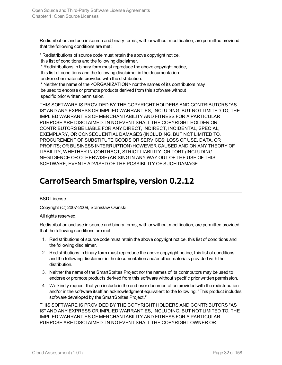Redistribution and use in source and binary forms, with or without modification, are permitted provided that the following conditions are met:

\* Redistributions of source code must retain the above copyright notice,

this list of conditions and the following disclaimer.

\* Redistributions in binary form must reproduce the above copyright notice, this list of conditions and the following disclaimer in the documentation and/or other materials provided with the distribution.

\* Neither the name of the <ORGANIZATION> nor the names of its contributors may be used to endorse or promote products derived from this software without specific prior written permission.

THIS SOFTWARE IS PROVIDED BY THE COPYRIGHT HOLDERS AND CONTRIBUTORS "AS IS" AND ANY EXPRESS OR IMPLIED WARRANTIES, INCLUDING, BUT NOT LIMITED TO, THE IMPLIED WARRANTIES OF MERCHANTABILITY AND FITNESS FOR A PARTICULAR PURPOSE ARE DISCLAIMED. IN NO EVENT SHALL THE COPYRIGHT HOLDER OR CONTRIBUTORS BE LIABLE FOR ANY DIRECT, INDIRECT, INCIDENTAL, SPECIAL, EXEMPLARY, OR CONSEQUENTIAL DAMAGES (INCLUDING, BUT NOT LIMITED TO, PROCUREMENT OF SUBSTITUTE GOODS OR SERVICES; LOSS OF USE, DATA, OR PROFITS; OR BUSINESS INTERRUPTION) HOWEVER CAUSED AND ON ANY THEORY OF LIABILITY, WHETHER IN CONTRACT, STRICT LIABILITY, OR TORT (INCLUDING NEGLIGENCE OR OTHERWISE) ARISING IN ANY WAY OUT OF THE USE OF THIS SOFTWARE, EVEN IF ADVISED OF THE POSSIBILITY OF SUCH DAMAGE.

## <span id="page-31-0"></span>**CarrotSearch Smartspire, version 0.2.12**

### BSD License

Copyright (C) 2007-2009, Stanisław Osiński.

All rights reserved.

Redistribution and use in source and binary forms, with or without modification, are permitted provided that the following conditions are met:

- 1. Redistributions of source code must retain the above copyright notice, this list of conditions and the following disclaimer.
- 2. Redistributions in binary form must reproduce the above copyright notice, this list of conditions and the following disclaimer in the documentation and/or other materials provided with the distribution.
- 3. Neither the name of the SmartSprites Project nor the names of its contributors may be used to endorse or promote products derived from this software without specific prior written permission.
- 4. We kindly request that you include in the end-user documentation provided with the redistribution and/or in the software itself an acknowledgment equivalent to the following: "This product includes software developed by the SmartSprites Project."

THIS SOFTWARE IS PROVIDED BY THE COPYRIGHT HOLDERS AND CONTRIBUTORS "AS IS" AND ANY EXPRESS OR IMPLIED WARRANTIES, INCLUDING, BUT NOT LIMITED TO, THE IMPLIED WARRANTIES OF MERCHANTABILITY AND FITNESS FOR A PARTICULAR PURPOSE ARE DISCLAIMED. IN NO EVENT SHALL THE COPYRIGHT OWNER OR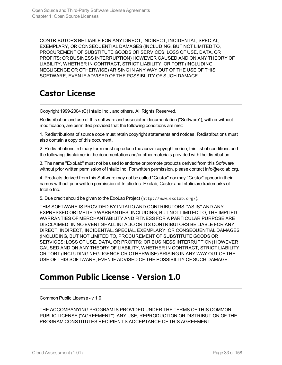CONTRIBUTORS BE LIABLE FOR ANY DIRECT, INDIRECT, INCIDENTAL, SPECIAL, EXEMPLARY, OR CONSEQUENTIAL DAMAGES (INCLUDING, BUT NOT LIMITED TO, PROCUREMENT OF SUBSTITUTE GOODS OR SERVICES; LOSS OF USE, DATA, OR PROFITS; OR BUSINESS INTERRUPTION) HOWEVER CAUSED AND ON ANY THEORY OF LIABILITY, WHETHER IN CONTRACT, STRICT LIABILITY, OR TORT (INCLUDING NEGLIGENCE OR OTHERWISE) ARISING IN ANY WAY OUT OF THE USE OF THIS SOFTWARE, EVEN IF ADVISED OF THE POSSIBILITY OF SUCH DAMAGE.

## <span id="page-32-0"></span>**Castor License**

Copyright 1999-2004 (C) Intalio Inc., and others. All Rights Reserved.

Redistribution and use of this software and associated documentation ("Software"), with or without modification, are permitted provided that the following conditions are met:

1. Redistributions of source code must retain copyright statements and notices. Redistributions must also contain a copy of this document.

2. Redistributions in binary form must reproduce the above copyright notice, this list of conditions and the following disclaimer in the documentation and/or other materials provided with the distribution.

3. The name "ExoLab" must not be used to endorse or promote products derived from this Software without prior written permission of Intalio Inc. For written permission, please contact info@exolab.org.

4. Products derived from this Software may not be called "Castor" nor may "Castor" appear in their names without prior written permission of Intalio Inc. Exolab, Castor and Intalio are trademarks of Intalio Inc.

5. Due credit should be given to the ExoLab Project (http://www.exolab.org/).

THIS SOFTWARE IS PROVIDED BY INTALIO AND CONTRIBUTORS ``AS IS'' AND ANY EXPRESSED OR IMPLIED WARRANTIES, INCLUDING, BUT NOT LIMITED TO, THE IMPLIED WARRANTIES OF MERCHANTABILITY AND FITNESS FOR A PARTICULAR PURPOSE ARE DISCLAIMED. IN NO EVENT SHALL INTALIO OR ITS CONTRIBUTORS BE LIABLE FOR ANY DIRECT, INDIRECT, INCIDENTAL, SPECIAL, EXEMPLARY, OR CONSEQUENTIAL DAMAGES (INCLUDING, BUT NOT LIMITED TO, PROCUREMENT OF SUBSTITUTE GOODS OR SERVICES; LOSS OF USE, DATA, OR PROFITS; OR BUSINESS INTERRUPTION) HOWEVER CAUSED AND ON ANY THEORY OF LIABILITY, WHETHER IN CONTRACT, STRICT LIABILITY, OR TORT (INCLUDING NEGLIGENCE OR OTHERWISE) ARISING IN ANY WAY OUT OF THE USE OF THIS SOFTWARE, EVEN IF ADVISED OF THE POSSIBILITY OF SUCH DAMAGE.

### <span id="page-32-1"></span>**Common Public License - Version 1.0**

Common Public License - v 1.0

THE ACCOMPANYING PROGRAM IS PROVIDED UNDER THE TERMS OF THIS COMMON PUBLIC LICENSE ("AGREEMENT"). ANY USE, REPRODUCTION OR DISTRIBUTION OF THE PROGRAM CONSTITUTES RECIPIENT'S ACCEPTANCE OF THIS AGREEMENT.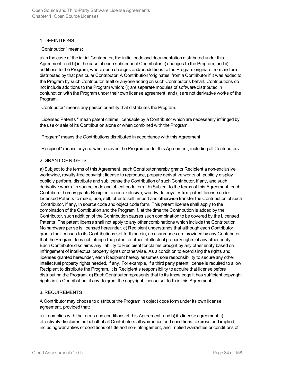### 1. DEFINITIONS

#### "Contribution" means:

a) in the case of the initial Contributor, the initial code and documentation distributed under this Agreement, and b) in the case of each subsequent Contributor: i) changes to the Program, and ii) additions to the Program; where such changes and/or additions to the Program originate from and are distributed by that particular Contributor. A Contribution 'originates' from a Contributor if it was added to the Program by such Contributor itself or anyone acting on such Contributor's behalf. Contributions do not include additions to the Program which: (i) are separate modules of software distributed in conjunction with the Program under their own license agreement, and (ii) are not derivative works of the Program.

"Contributor" means any person or entity that distributes the Program.

"Licensed Patents " mean patent claims licensable by a Contributor which are necessarily infringed by the use or sale of its Contribution alone or when combined with the Program.

"Program" means the Contributions distributed in accordance with this Agreement.

"Recipient" means anyone who receives the Program under this Agreement, including all Contributors.

### 2. GRANT OF RIGHTS

a) Subject to the terms of this Agreement, each Contributor hereby grants Recipient a non-exclusive, worldwide, royalty-free copyright license to reproduce, prepare derivative works of, publicly display, publicly perform, distribute and sublicense the Contribution of such Contributor, if any, and such derivative works, in source code and object code form. b) Subject to the terms of this Agreement, each Contributor hereby grants Recipient a non-exclusive, worldwide, royalty-free patent license under Licensed Patents to make, use, sell, offer to sell, import and otherwise transfer the Contribution of such Contributor, if any, in source code and object code form. This patent license shall apply to the combination of the Contribution and the Program if, at the time the Contribution is added by the Contributor, such addition of the Contribution causes such combination to be covered by the Licensed Patents. The patent license shall not apply to any other combinations which include the Contribution. No hardware per se is licensed hereunder. c) Recipient understands that although each Contributor grants the licenses to its Contributions set forth herein, no assurances are provided by any Contributor that the Program does not infringe the patent or other intellectual property rights of any other entity. Each Contributor disclaims any liability to Recipient for claims brought by any other entity based on infringement of intellectual property rights or otherwise. As a condition to exercising the rights and licenses granted hereunder, each Recipient hereby assumes sole responsibility to secure any other intellectual property rights needed, if any. For example, if a third party patent license is required to allow Recipient to distribute the Program, it is Recipient's responsibility to acquire that license before distributing the Program. d) Each Contributor represents that to its knowledge it has sufficient copyright rights in its Contribution, if any, to grant the copyright license set forth in this Agreement.

#### 3. REQUIREMENTS

A Contributor may choose to distribute the Program in object code form under its own license agreement, provided that:

a) it complies with the terms and conditions of this Agreement; and b) its license agreement: i) effectively disclaims on behalf of all Contributors all warranties and conditions, express and implied, including warranties or conditions of title and non-infringement, and implied warranties or conditions of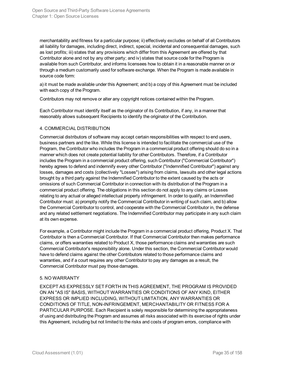merchantability and fitness for a particular purpose; ii) effectively excludes on behalf of all Contributors all liability for damages, including direct, indirect, special, incidental and consequential damages, such as lost profits; iii) states that any provisions which differ from this Agreement are offered by that Contributor alone and not by any other party; and iv) states that source code for the Program is available from such Contributor, and informs licensees how to obtain it in a reasonable manner on or through a medium customarily used for software exchange. When the Program is made available in source code form:

a) it must be made available under this Agreement; and b) a copy of this Agreement must be included with each copy of the Program.

Contributors may not remove or alter any copyright notices contained within the Program.

Each Contributor must identify itself as the originator of its Contribution, if any, in a manner that reasonably allows subsequent Recipients to identify the originator of the Contribution.

### 4. COMMERCIAL DISTRIBUTION

Commercial distributors of software may accept certain responsibilities with respect to end users, business partners and the like. While this license is intended to facilitate the commercial use of the Program, the Contributor who includes the Program in a commercial product offering should do so in a manner which does not create potential liability for other Contributors. Therefore, if a Contributor includes the Program in a commercial product offering, such Contributor ("Commercial Contributor") hereby agrees to defend and indemnify every other Contributor ("Indemnified Contributor") against any losses, damages and costs (collectively "Losses") arising from claims, lawsuits and other legal actions brought by a third party against the Indemnified Contributor to the extent caused by the acts or omissions of such Commercial Contributor in connection with its distribution of the Program in a commercial product offering. The obligations in this section do not apply to any claims or Losses relating to any actual or alleged intellectual property infringement. In order to qualify, an Indemnified Contributor must: a) promptly notify the Commercial Contributor in writing of such claim, and b) allow the Commercial Contributor to control, and cooperate with the Commercial Contributor in, the defense and any related settlement negotiations. The Indemnified Contributor may participate in any such claim at its own expense.

For example, a Contributor might include the Program in a commercial product offering, Product X. That Contributor is then a Commercial Contributor. If that Commercial Contributor then makes performance claims, or offers warranties related to Product X, those performance claims and warranties are such Commercial Contributor's responsibility alone. Under this section, the Commercial Contributor would have to defend claims against the other Contributors related to those performance claims and warranties, and if a court requires any other Contributor to pay any damages as a result, the Commercial Contributor must pay those damages.

### 5. NO WARRANTY

EXCEPT AS EXPRESSLY SET FORTH IN THIS AGREEMENT, THE PROGRAM IS PROVIDED ON AN "AS IS" BASIS, WITHOUT WARRANTIES OR CONDITIONS OF ANY KIND, EITHER EXPRESS OR IMPLIED INCLUDING, WITHOUT LIMITATION, ANY WARRANTIES OR CONDITIONS OF TITLE, NON-INFRINGEMENT, MERCHANTABILITY OR FITNESS FOR A PARTICULAR PURPOSE. Each Recipient is solely responsible for determining the appropriateness of using and distributing the Program and assumes all risks associated with its exercise of rights under this Agreement, including but not limited to the risks and costs of program errors, compliance with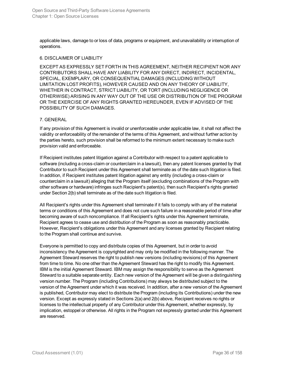applicable laws, damage to or loss of data, programs or equipment, and unavailability or interruption of operations.

### 6. DISCLAIMER OF LIABILITY

EXCEPT AS EXPRESSLY SET FORTH IN THIS AGREEMENT, NEITHER RECIPIENT NOR ANY CONTRIBUTORS SHALL HAVE ANY LIABILITY FOR ANY DIRECT, INDIRECT, INCIDENTAL, SPECIAL, EXEMPLARY, OR CONSEQUENTIAL DAMAGES (INCLUDING WITHOUT LIMITATION LOST PROFITS), HOWEVER CAUSED AND ON ANY THEORY OF LIABILITY, WHETHER IN CONTRACT, STRICT LIABILITY, OR TORT (INCLUDING NEGLIGENCE OR OTHERWISE) ARISING IN ANY WAY OUT OF THE USE OR DISTRIBUTION OF THE PROGRAM OR THE EXERCISE OF ANY RIGHTS GRANTED HEREUNDER, EVEN IF ADVISED OF THE POSSIBILITY OF SUCH DAMAGES.

### 7. GENERAL

If any provision of this Agreement is invalid or unenforceable under applicable law, it shall not affect the validity or enforceability of the remainder of the terms of this Agreement, and without further action by the parties hereto, such provision shall be reformed to the minimum extent necessary to make such provision valid and enforceable.

If Recipient institutes patent litigation against a Contributor with respect to a patent applicable to software (including a cross-claim or counterclaim in a lawsuit), then any patent licenses granted by that Contributor to such Recipient under this Agreement shall terminate as of the date such litigation is filed. In addition, if Recipient institutes patent litigation against any entity (including a cross-claim or counterclaim in a lawsuit) alleging that the Program itself (excluding combinations of the Program with other software or hardware) infringes such Recipient's patent(s), then such Recipient's rights granted under Section 2(b) shall terminate as of the date such litigation is filed.

All Recipient's rights under this Agreement shall terminate if it fails to comply with any of the material terms or conditions of this Agreement and does not cure such failure in a reasonable period of time after becoming aware of such noncompliance. If all Recipient's rights under this Agreement terminate, Recipient agrees to cease use and distribution of the Program as soon as reasonably practicable. However, Recipient's obligations under this Agreement and any licenses granted by Recipient relating to the Program shall continue and survive.

Everyone is permitted to copy and distribute copies of this Agreement, but in order to avoid inconsistency the Agreement is copyrighted and may only be modified in the following manner. The Agreement Steward reserves the right to publish new versions (including revisions) of this Agreement from time to time. No one other than the Agreement Steward has the right to modify this Agreement. IBM is the initial Agreement Steward. IBM may assign the responsibility to serve as the Agreement Steward to a suitable separate entity. Each new version of the Agreement will be given a distinguishing version number. The Program (including Contributions) may always be distributed subject to the version of the Agreement under which it was received. In addition, after a new version of the Agreement is published, Contributor may elect to distribute the Program (including its Contributions) under the new version. Except as expressly stated in Sections 2(a) and 2(b) above, Recipient receives no rights or licenses to the intellectual property of any Contributor under this Agreement, whether expressly, by implication, estoppel or otherwise. All rights in the Program not expressly granted under this Agreement are reserved.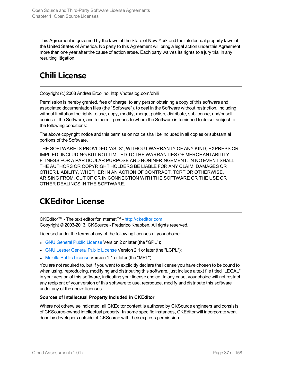This Agreement is governed by the laws of the State of New York and the intellectual property laws of the United States of America. No party to this Agreement will bring a legal action under this Agreement more than one year after the cause of action arose. Each party waives its rights to a jury trial in any resulting litigation.

# **Chili License**

Copyright (c) 2008 Andrea Ercolino, http://noteslog.com/chili

Permission is hereby granted, free of charge, to any person obtaining a copy of this software and associated documentation files (the "Software"), to deal in the Software without restriction, including without limitation the rights to use, copy, modify, merge, publish, distribute, sublicense, and/or sell copies of the Software, and to permit persons to whom the Software is furnished to do so, subject to the following conditions:

The above copyright notice and this permission notice shall be included in all copies or substantial portions of the Software.

THE SOFTWARE IS PROVIDED "AS IS", WITHOUT WARRANTY OF ANY KIND, EXPRESS OR IMPLIED, INCLUDING BUT NOT LIMITED TO THE WARRANTIES OF MERCHANTABILITY, FITNESS FOR A PARTICULAR PURPOSE AND NONINFRINGEMENT. IN NO EVENT SHALL THE AUTHORS OR COPYRIGHT HOLDERS BE LIABLE FOR ANY CLAIM, DAMAGES OR OTHER LIABILITY, WHETHER IN AN ACTION OF CONTRACT, TORT OR OTHERWISE, ARISING FROM, OUT OF OR IN CONNECTION WITH THE SOFTWARE OR THE USE OR OTHER DEALINGS IN THE SOFTWARE.

# **CKEditor License**

CKEditor™ - The text editor for Internet™ - [http://ckeditor.com](http://ckeditor.com/) Copyright © 2003-2013, CKSource - Frederico Knabben. All rights reserved.

Licensed under the terms of any of the following licenses at your choice:

- GNU General Public [License](http://www.gnu.org/licenses/gpl.html) Version 2 or later (the "GPL");
- GNU Lesser General Public [License](http://www.gnu.org/licenses/lgpl.html) Version 2.1 or later (the "LGPL");
- Mozilla Public [License](http://www.mozilla.org/MPL/MPL-1.1.html) Version 1.1 or later (the "MPL").

You are not required to, but if you want to explicitly declare the license you have chosen to be bound to when using, reproducing, modifying and distributing this software, just include a text file titled "LEGAL" in your version of this software, indicating your license choice. In any case, your choice will not restrict any recipient of your version of this software to use, reproduce, modify and distribute this software under any of the above licenses.

### **Sources of Intellectual Property Included in CKEditor**

Where not otherwise indicated, all CKEditor content is authored by CKSource engineers and consists of CKSource-owned intellectual property. In some specific instances, CKEditor will incorporate work done by developers outside of CKSource with their express permission.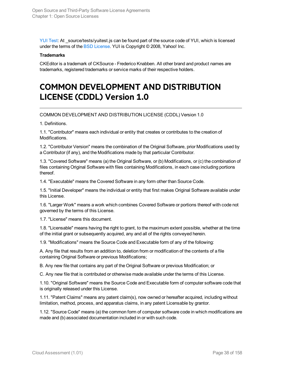YUI [Test](http://developer.yahoo.com/yui/yuitest/): At \_source/tests/yuitest.js can be found part of the source code of YUI, which is licensed under the terms of the BSD [License](http://developer.yahoo.com/yui/license.txt). YUI is Copyright © 2008, Yahoo! Inc.

#### **Trademarks**

CKEditor is a trademark of CKSource - Frederico Knabben. All other brand and product names are trademarks, registered trademarks or service marks of their respective holders.

# **COMMON DEVELOPMENT AND DISTRIBUTION LICENSE (CDDL) Version 1.0**

### COMMON DEVELOPMENT AND DISTRIBUTION LICENSE (CDDL) Version 1.0

1. Definitions.

1.1. "Contributor" means each individual or entity that creates or contributes to the creation of Modifications.

1.2. "Contributor Version" means the combination of the Original Software, prior Modifications used by a Contributor (if any), and the Modifications made by that particular Contributor.

1.3. "Covered Software" means (a) the Original Software, or (b) Modifications, or (c) the combination of files containing Original Software with files containing Modifications, in each case including portions thereof.

1.4. "Executable" means the Covered Software in any form other than Source Code.

1.5. "Initial Developer" means the individual or entity that first makes Original Software available under this License.

1.6. "Larger Work" means a work which combines Covered Software or portions thereof with code not governed by the terms of this License.

1.7. "License" means this document.

1.8. "Licensable" means having the right to grant, to the maximum extent possible, whether at the time of the initial grant or subsequently acquired, any and all of the rights conveyed herein.

1.9. "Modifications" means the Source Code and Executable form of any of the following:

A. Any file that results from an addition to, deletion from or modification of the contents of a file containing Original Software or previous Modifications;

B. Any new file that contains any part of the Original Software or previous Modification; or

C. Any new file that is contributed or otherwise made available under the terms of this License.

1.10. "Original Software" means the Source Code and Executable form of computer software code that is originally released under this License.

1.11. "Patent Claims" means any patent claim(s), now owned or hereafter acquired, including without limitation, method, process, and apparatus claims, in any patent Licensable by grantor.

1.12. "Source Code" means (a) the common form of computer software code in which modifications are made and (b) associated documentation included in or with such code.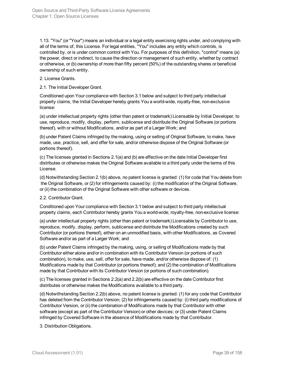1.13. "You" (or "Your") means an individual or a legal entity exercising rights under, and complying with all of the terms of, this License. For legal entities, "You" includes any entity which controls, is controlled by, or is under common control with You. For purposes of this definition, "control" means (a) the power, direct or indirect, to cause the direction or management of such entity, whether by contract or otherwise, or (b) ownership of more than fifty percent (50%) of the outstanding shares or beneficial ownership of such entity.

### 2. License Grants.

2.1. The Initial Developer Grant.

Conditioned upon Your compliance with Section 3.1 below and subject to third party intellectual property claims, the Initial Developer hereby grants You a world-wide, royalty-free, non-exclusive license:

(a) under intellectual property rights (other than patent or trademark) Licensable by Initial Developer, to use, reproduce, modify, display, perform, sublicense and distribute the Original Software (or portions thereof), with or without Modifications, and/or as part of a Larger Work; and

(b) under Patent Claims infringed by the making, using or selling of Original Software, to make, have made, use, practice, sell, and offer for sale, and/or otherwise dispose of the Original Software (or portions thereof).

(c) The licenses granted in Sections 2.1(a) and (b) are effective on the date Initial Developer first distributes or otherwise makes the Original Software available to a third party under the terms of this License.

(d) Notwithstanding Section 2.1(b) above, no patent license is granted: (1) for code that You delete from the Original Software, or (2) for infringements caused by: (i) the modification of the Original Software, or (ii) the combination of the Original Software with other software or devices.

# 2.2. Contributor Grant.

Conditioned upon Your compliance with Section 3.1 below and subject to third party intellectual property claims, each Contributor hereby grants You a world-wide, royalty-free, non-exclusive license:

(a) under intellectual property rights (other than patent or trademark) Licensable by Contributor to use, reproduce, modify, display, perform, sublicense and distribute the Modifications created by such Contributor (or portions thereof), either on an unmodified basis, with other Modifications, as Covered Software and/or as part of a Larger Work; and

(b) under Patent Claims infringed by the making, using, or selling of Modifications made by that Contributor either alone and/or in combination with its Contributor Version (or portions of such combination), to make, use, sell, offer for sale, have made, and/or otherwise dispose of: (1) Modifications made by that Contributor (or portions thereof); and (2) the combination of Modifications made by that Contributor with its Contributor Version (or portions of such combination).

(c) The licenses granted in Sections 2.2(a) and 2.2(b) are effective on the date Contributor first distributes or otherwise makes the Modifications available to a third party.

(d) Notwithstanding Section 2.2(b) above, no patent license is granted: (1) for any code that Contributor has deleted from the Contributor Version; (2) for infringements caused by: (i) third party modifications of Contributor Version, or (ii) the combination of Modifications made by that Contributor with other software (except as part of the Contributor Version) or other devices; or (3) under Patent Claims infringed by Covered Software in the absence of Modifications made by that Contributor.

3. Distribution Obligations.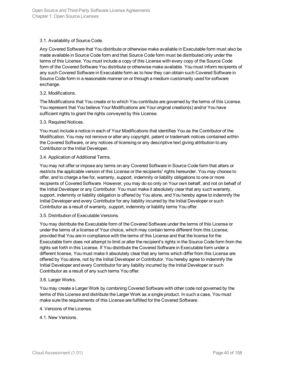## 3.1. Availability of Source Code.

Any Covered Software that You distribute or otherwise make available in Executable form must also be made available in Source Code form and that Source Code form must be distributed only under the terms of this License. You must include a copy of this License with every copy of the Source Code form of the Covered Software You distribute or otherwise make available. You must inform recipients of any such Covered Software in Executable form as to how they can obtain such Covered Software in Source Code form in a reasonable manner on or through a medium customarily used for software exchange.

## 3.2. Modifications.

The Modifications that You create or to which You contribute are governed by the terms of this License. You represent that You believe Your Modifications are Your original creation(s) and/or You have sufficient rights to grant the rights conveyed by this License.

## 3.3. Required Notices.

You must include a notice in each of Your Modifications that identifies You as the Contributor of the Modification. You may not remove or alter any copyright, patent or trademark notices contained within the Covered Software, or any notices of licensing or any descriptive text giving attribution to any Contributor or the Initial Developer.

## 3.4. Application of Additional Terms.

You may not offer or impose any terms on any Covered Software in Source Code form that alters or restricts the applicable version of this License or the recipients' rights hereunder. You may choose to offer, and to charge a fee for, warranty, support, indemnity or liability obligations to one or more recipients of Covered Software. However, you may do so only on Your own behalf, and not on behalf of the Initial Developer or any Contributor. You must make it absolutely clear that any such warranty, support, indemnity or liability obligation is offered by You alone, and You hereby agree to indemnify the Initial Developer and every Contributor for any liability incurred by the Initial Developer or such Contributor as a result of warranty, support, indemnity or liability terms You offer.

# 3.5. Distribution of Executable Versions.

You may distribute the Executable form of the Covered Software under the terms of this License or under the terms of a license of Your choice, which may contain terms different from this License, provided that You are in compliance with the terms of this License and that the license for the Executable form does not attempt to limit or alter the recipient's rights in the Source Code form from the rights set forth in this License. If You distribute the Covered Software in Executable form under a different license, You must make it absolutely clear that any terms which differ from this License are offered by You alone, not by the Initial Developer or Contributor. You hereby agree to indemnify the Initial Developer and every Contributor for any liability incurred by the Initial Developer or such Contributor as a result of any such terms You offer.

### 3.6. Larger Works.

You may create a Larger Work by combining Covered Software with other code not governed by the terms of this License and distribute the Larger Work as a single product. In such a case, You must make sure the requirements of this License are fulfilled for the Covered Software.

- 4. Versions of the License.
- 4.1. New Versions.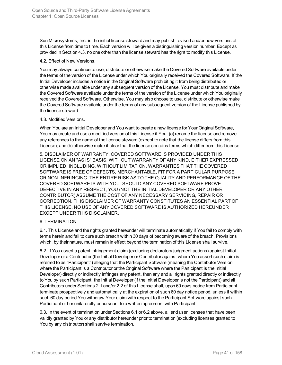Sun Microsystems, Inc. is the initial license steward and may publish revised and/or new versions of this License from time to time. Each version will be given a distinguishing version number. Except as provided in Section 4.3, no one other than the license steward has the right to modify this License.

## 4.2. Effect of New Versions.

You may always continue to use, distribute or otherwise make the Covered Software available under the terms of the version of the License under which You originally received the Covered Software. If the Initial Developer includes a notice in the Original Software prohibiting it from being distributed or otherwise made available under any subsequent version of the License, You must distribute and make the Covered Software available under the terms of the version of the License under which You originally received the Covered Software. Otherwise, You may also choose to use, distribute or otherwise make the Covered Software available under the terms of any subsequent version of the License published by the license steward.

## 4.3. Modified Versions.

When You are an Initial Developer and You want to create a new license for Your Original Software, You may create and use a modified version of this License if You: (a) rename the license and remove any references to the name of the license steward (except to note that the license differs from this License); and (b) otherwise make it clear that the license contains terms which differ from this License.

5. DISCLAIMER OF WARRANTY. COVERED SOFTWARE IS PROVIDED UNDER THIS LICENSE ON AN "AS IS" BASIS, WITHOUT WARRANTY OF ANY KIND, EITHER EXPRESSED OR IMPLIED, INCLUDING, WITHOUT LIMITATION, WARRANTIES THAT THE COVERED SOFTWARE IS FREE OF DEFECTS, MERCHANTABLE, FIT FOR A PARTICULAR PURPOSE OR NON-INFRINGING. THE ENTIRE RISK AS TO THE QUALITY AND PERFORMANCE OF THE COVERED SOFTWARE IS WITH YOU. SHOULD ANY COVERED SOFTWARE PROVE DEFECTIVE IN ANY RESPECT, YOU (NOT THE INITIAL DEVELOPER OR ANY OTHER CONTRIBUTOR) ASSUME THE COST OF ANY NECESSARY SERVICING, REPAIR OR CORRECTION. THIS DISCLAIMER OF WARRANTY CONSTITUTES AN ESSENTIAL PART OF THIS LICENSE. NO USE OF ANY COVERED SOFTWARE IS AUTHORIZED HEREUNDER EXCEPT UNDER THIS DISCLAIMER.

# 6. TERMINATION.

6.1. This License and the rights granted hereunder will terminate automatically if You fail to comply with terms herein and fail to cure such breach within 30 days of becoming aware of the breach. Provisions which, by their nature, must remain in effect beyond the termination of this License shall survive.

6.2. If You assert a patent infringement claim (excluding declaratory judgment actions) against Initial Developer or a Contributor (the Initial Developer or Contributor against whom You assert such claim is referred to as "Participant") alleging that the Participant Software (meaning the Contributor Version where the Participant is a Contributor or the Original Software where the Participant is the Initial Developer) directly or indirectly infringes any patent, then any and all rights granted directly or indirectly to You by such Participant, the Initial Developer (if the Initial Developer is not the Participant) and all Contributors under Sections 2.1 and/or 2.2 of this License shall, upon 60 days notice from Participant terminate prospectively and automatically at the expiration of such 60 day notice period, unless if within such 60 day period You withdraw Your claim with respect to the Participant Software against such Participant either unilaterally or pursuant to a written agreement with Participant.

6.3. In the event of termination under Sections 6.1 or 6.2 above, all end user licenses that have been validly granted by You or any distributor hereunder prior to termination (excluding licenses granted to You by any distributor) shall survive termination.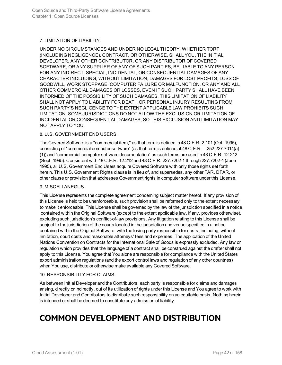# 7. LIMITATION OF LIABILITY.

UNDER NO CIRCUMSTANCES AND UNDER NO LEGAL THEORY, WHETHER TORT (INCLUDING NEGLIGENCE), CONTRACT, OR OTHERWISE, SHALL YOU, THE INITIAL DEVELOPER, ANY OTHER CONTRIBUTOR, OR ANY DISTRIBUTOR OF COVERED SOFTWARE, OR ANY SUPPLIER OF ANY OF SUCH PARTIES, BE LIABLE TO ANY PERSON FOR ANY INDIRECT, SPECIAL, INCIDENTAL, OR CONSEQUENTIAL DAMAGES OF ANY CHARACTER INCLUDING, WITHOUT LIMITATION, DAMAGES FOR LOST PROFITS, LOSS OF GOODWILL, WORK STOPPAGE, COMPUTER FAILURE OR MALFUNCTION, OR ANY AND ALL OTHER COMMERCIAL DAMAGES OR LOSSES, EVEN IF SUCH PARTY SHALL HAVE BEEN INFORMED OF THE POSSIBILITY OF SUCH DAMAGES. THIS LIMITATION OF LIABILITY SHALL NOT APPLY TO LIABILITY FOR DEATH OR PERSONAL INJURY RESULTING FROM SUCH PARTY'S NEGLIGENCE TO THE EXTENT APPLICABLE LAW PROHIBITS SUCH LIMITATION. SOME JURISDICTIONS DO NOT ALLOW THE EXCLUSION OR LIMITATION OF INCIDENTAL OR CONSEQUENTIAL DAMAGES, SO THIS EXCLUSION AND LIMITATION MAY NOT APPLY TO YOU.

# 8. U.S. GOVERNMENT END USERS.

The Covered Software is a "commercial item," as that term is defined in 48 C.F.R. 2.101 (Oct. 1995), consisting of "commercial computer software" (as that term is defined at 48 C.F.R. 252.227-7014(a) (1)) and "commercial computer software documentation" as such terms are used in 48 C.F.R. 12.212 (Sept. 1995). Consistent with 48 C.F.R. 12.212 and 48 C.F.R. 227.7202-1 through 227.7202-4 (June 1995), all U.S. Government End Users acquire Covered Software with only those rights set forth herein. This U.S. Government Rights clause is in lieu of, and supersedes, any other FAR, DFAR, or other clause or provision that addresses Government rights in computer software under this License.

# 9. MISCELLANEOUS.

This License represents the complete agreement concerning subject matter hereof. If any provision of this License is held to be unenforceable, such provision shall be reformed only to the extent necessary to make it enforceable. This License shall be governed by the law of the jurisdiction specified in a notice contained within the Original Software (except to the extent applicable law, if any, provides otherwise), excluding such jurisdiction's conflict-of-law provisions. Any litigation relating to this License shall be subject to the jurisdiction of the courts located in the jurisdiction and venue specified in a notice contained within the Original Software, with the losing party responsible for costs, including, without limitation, court costs and reasonable attorneys' fees and expenses. The application of the United Nations Convention on Contracts for the International Sale of Goods is expressly excluded. Any law or regulation which provides that the language of a contract shall be construed against the drafter shall not apply to this License. You agree that You alone are responsible for compliance with the United States export administration regulations (and the export control laws and regulation of any other countries) when You use, distribute or otherwise make available any Covered Software.

# 10. RESPONSIBILITY FOR CLAIMS.

As between Initial Developer and the Contributors, each party is responsible for claims and damages arising, directly or indirectly, out of its utilization of rights under this License and You agree to work with Initial Developer and Contributors to distribute such responsibility on an equitable basis. Nothing herein is intended or shall be deemed to constitute any admission of liability.

# **COMMON DEVELOPMENT AND DISTRIBUTION**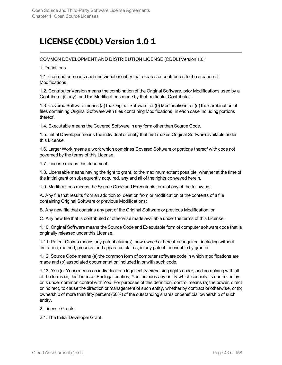# **LICENSE (CDDL) Version 1.0 1**

COMMON DEVELOPMENT AND DISTRIBUTION LICENSE (CDDL) Version 1.0 1

1. Definitions.

1.1. Contributor means each individual or entity that creates or contributes to the creation of Modifications.

1.2. Contributor Version means the combination of the Original Software, prior Modifications used by a Contributor (if any), and the Modifications made by that particular Contributor.

1.3. Covered Software means (a) the Original Software, or (b) Modifications, or (c) the combination of files containing Original Software with files containing Modifications, in each case including portions thereof.

1.4. Executable means the Covered Software in any form other than Source Code.

1.5. Initial Developer means the individual or entity that first makes Original Software available under this License.

1.6. Larger Work means a work which combines Covered Software or portions thereof with code not governed by the terms of this License.

1.7. License means this document.

1.8. Licensable means having the right to grant, to the maximum extent possible, whether at the time of the initial grant or subsequently acquired, any and all of the rights conveyed herein.

1.9. Modifications means the Source Code and Executable form of any of the following:

A. Any file that results from an addition to, deletion from or modification of the contents of a file containing Original Software or previous Modifications;

B. Any new file that contains any part of the Original Software or previous Modification; or

C. Any new file that is contributed or otherwise made available under the terms of this License.

1.10. Original Software means the Source Code and Executable form of computer software code that is originally released under this License.

1.11. Patent Claims means any patent claim(s), now owned or hereafter acquired, including without limitation, method, process, and apparatus claims, in any patent Licensable by grantor.

1.12. Source Code means (a) the common form of computer software code in which modifications are made and (b) associated documentation included in or with such code.

1.13. You (or Your) means an individual or a legal entity exercising rights under, and complying with all of the terms of, this License. For legal entities, You includes any entity which controls, is controlled by, or is under common control with You. For purposes of this definition, control means (a) the power, direct or indirect, to cause the direction or management of such entity, whether by contract or otherwise, or (b) ownership of more than fifty percent (50%) of the outstanding shares or beneficial ownership of such entity.

2. License Grants.

2.1. The Initial Developer Grant.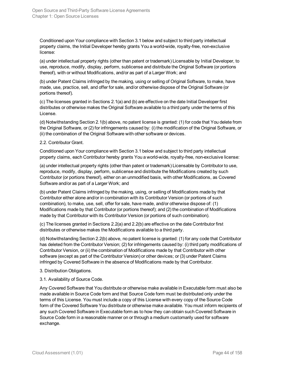Conditioned upon Your compliance with Section 3.1 below and subject to third party intellectual property claims, the Initial Developer hereby grants You a world-wide, royalty-free, non-exclusive license:

(a) under intellectual property rights (other than patent or trademark) Licensable by Initial Developer, to use, reproduce, modify, display, perform, sublicense and distribute the Original Software (or portions thereof), with or without Modifications, and/or as part of a Larger Work; and

(b) under Patent Claims infringed by the making, using or selling of Original Software, to make, have made, use, practice, sell, and offer for sale, and/or otherwise dispose of the Original Software (or portions thereof).

(c) The licenses granted in Sections 2.1(a) and (b) are effective on the date Initial Developer first distributes or otherwise makes the Original Software available to a third party under the terms of this License.

(d) Notwithstanding Section 2.1(b) above, no patent license is granted: (1) for code that You delete from the Original Software, or (2) for infringements caused by: (i) the modification of the Original Software, or (ii) the combination of the Original Software with other software or devices.

## 2.2. Contributor Grant.

Conditioned upon Your compliance with Section 3.1 below and subject to third party intellectual property claims, each Contributor hereby grants You a world-wide, royalty-free, non-exclusive license:

(a) under intellectual property rights (other than patent or trademark) Licensable by Contributor to use, reproduce, modify, display, perform, sublicense and distribute the Modifications created by such Contributor (or portions thereof), either on an unmodified basis, with other Modifications, as Covered Software and/or as part of a Larger Work; and

(b) under Patent Claims infringed by the making, using, or selling of Modifications made by that Contributor either alone and/or in combination with its Contributor Version (or portions of such combination), to make, use, sell, offer for sale, have made, and/or otherwise dispose of: (1) Modifications made by that Contributor (or portions thereof); and (2) the combination of Modifications made by that Contributor with its Contributor Version (or portions of such combination).

(c) The licenses granted in Sections 2.2(a) and 2.2(b) are effective on the date Contributor first distributes or otherwise makes the Modifications available to a third party.

(d) Notwithstanding Section 2.2(b) above, no patent license is granted: (1) for any code that Contributor has deleted from the Contributor Version; (2) for infringements caused by: (i) third party modifications of Contributor Version, or (ii) the combination of Modifications made by that Contributor with other software (except as part of the Contributor Version) or other devices; or (3) under Patent Claims infringed by Covered Software in the absence of Modifications made by that Contributor.

3. Distribution Obligations.

3.1. Availability of Source Code.

Any Covered Software that You distribute or otherwise make available in Executable form must also be made available in Source Code form and that Source Code form must be distributed only under the terms of this License. You must include a copy of this License with every copy of the Source Code form of the Covered Software You distribute or otherwise make available. You must inform recipients of any such Covered Software in Executable form as to how they can obtain such Covered Software in Source Code form in a reasonable manner on or through a medium customarily used for software exchange.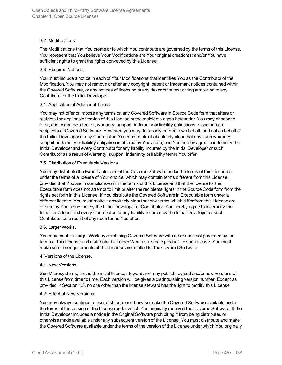## 3.2. Modifications.

The Modifications that You create or to which You contribute are governed by the terms of this License. You represent that You believe Your Modifications are Your original creation(s) and/or You have sufficient rights to grant the rights conveyed by this License.

## 3.3. Required Notices.

You must include a notice in each of Your Modifications that identifies You as the Contributor of the Modification. You may not remove or alter any copyright, patent or trademark notices contained within the Covered Software, or any notices of licensing or any descriptive text giving attribution to any Contributor or the Initial Developer.

## 3.4. Application of Additional Terms.

You may not offer or impose any terms on any Covered Software in Source Code form that alters or restricts the applicable version of this License or the recipients rights hereunder. You may choose to offer, and to charge a fee for, warranty, support, indemnity or liability obligations to one or more recipients of Covered Software. However, you may do so only on Your own behalf, and not on behalf of the Initial Developer or any Contributor. You must make it absolutely clear that any such warranty, support, indemnity or liability obligation is offered by You alone, and You hereby agree to indemnify the Initial Developer and every Contributor for any liability incurred by the Initial Developer or such Contributor as a result of warranty, support, indemnity or liability terms You offer.

# 3.5. Distribution of Executable Versions.

You may distribute the Executable form of the Covered Software under the terms of this License or under the terms of a license of Your choice, which may contain terms different from this License, provided that You are in compliance with the terms of this License and that the license for the Executable form does not attempt to limit or alter the recipients rights in the Source Code form from the rights set forth in this License. If You distribute the Covered Software in Executable form under a different license, You must make it absolutely clear that any terms which differ from this License are offered by You alone, not by the Initial Developer or Contributor. You hereby agree to indemnify the Initial Developer and every Contributor for any liability incurred by the Initial Developer or such Contributor as a result of any such terms You offer.

### 3.6. Larger Works.

You may create a Larger Work by combining Covered Software with other code not governed by the terms of this License and distribute the Larger Work as a single product. In such a case, You must make sure the requirements of this License are fulfilled for the Covered Software.

4. Versions of the License.

# 4.1. New Versions.

Sun Microsystems, Inc. is the initial license steward and may publish revised and/or new versions of this License from time to time. Each version will be given a distinguishing version number. Except as provided in Section 4.3, no one other than the license steward has the right to modify this License.

# 4.2. Effect of New Versions.

You may always continue to use, distribute or otherwise make the Covered Software available under the terms of the version of the License under which You originally received the Covered Software. If the Initial Developer includes a notice in the Original Software prohibiting it from being distributed or otherwise made available under any subsequent version of the License, You must distribute and make the Covered Software available under the terms of the version of the License under which You originally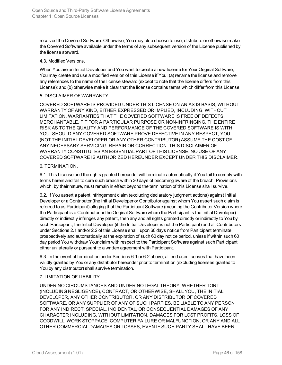received the Covered Software. Otherwise, You may also choose to use, distribute or otherwise make the Covered Software available under the terms of any subsequent version of the License published by the license steward.

### 4.3. Modified Versions.

When You are an Initial Developer and You want to create a new license for Your Original Software, You may create and use a modified version of this License if You: (a) rename the license and remove any references to the name of the license steward (except to note that the license differs from this License); and (b) otherwise make it clear that the license contains terms which differ from this License.

## 5. DISCLAIMER OF WARRANTY.

COVERED SOFTWARE IS PROVIDED UNDER THIS LICENSE ON AN AS IS BASIS, WITHOUT WARRANTY OF ANY KIND, EITHER EXPRESSED OR IMPLIED, INCLUDING, WITHOUT LIMITATION, WARRANTIES THAT THE COVERED SOFTWARE IS FREE OF DEFECTS, MERCHANTABLE, FIT FOR A PARTICULAR PURPOSE OR NON-INFRINGING. THE ENTIRE RISK AS TO THE QUALITY AND PERFORMANCE OF THE COVERED SOFTWARE IS WITH YOU. SHOULD ANY COVERED SOFTWARE PROVE DEFECTIVE IN ANY RESPECT, YOU (NOT THE INITIAL DEVELOPER OR ANY OTHER CONTRIBUTOR) ASSUME THE COST OF ANY NECESSARY SERVICING, REPAIR OR CORRECTION. THIS DISCLAIMER OF WARRANTY CONSTITUTES AN ESSENTIAL PART OF THIS LICENSE. NO USE OF ANY COVERED SOFTWARE IS AUTHORIZED HEREUNDER EXCEPT UNDER THIS DISCLAIMER.

## 6. TERMINATION.

6.1. This License and the rights granted hereunder will terminate automatically if You fail to comply with terms herein and fail to cure such breach within 30 days of becoming aware of the breach. Provisions which, by their nature, must remain in effect beyond the termination of this License shall survive.

6.2. If You assert a patent infringement claim (excluding declaratory judgment actions) against Initial Developer or a Contributor (the Initial Developer or Contributor against whom You assert such claim is referred to as Participant) alleging that the Participant Software (meaning the Contributor Version where the Participant is a Contributor or the Original Software where the Participant is the Initial Developer) directly or indirectly infringes any patent, then any and all rights granted directly or indirectly to You by such Participant, the Initial Developer (if the Initial Developer is not the Participant) and all Contributors under Sections 2.1 and/or 2.2 of this License shall, upon 60 days notice from Participant terminate prospectively and automatically at the expiration of such 60 day notice period, unless if within such 60 day period You withdraw Your claim with respect to the Participant Software against such Participant either unilaterally or pursuant to a written agreement with Participant.

6.3. In the event of termination under Sections 6.1 or 6.2 above, all end user licenses that have been validly granted by You or any distributor hereunder prior to termination (excluding licenses granted to You by any distributor) shall survive termination.

# 7. LIMITATION OF LIABILITY.

UNDER NO CIRCUMSTANCES AND UNDER NO LEGAL THEORY, WHETHER TORT (INCLUDING NEGLIGENCE), CONTRACT, OR OTHERWISE, SHALL YOU, THE INITIAL DEVELOPER, ANY OTHER CONTRIBUTOR, OR ANY DISTRIBUTOR OF COVERED SOFTWARE, OR ANY SUPPLIER OF ANY OF SUCH PARTIES, BE LIABLE TO ANY PERSON FOR ANY INDIRECT, SPECIAL, INCIDENTAL, OR CONSEQUENTIAL DAMAGES OF ANY CHARACTER INCLUDING, WITHOUT LIMITATION, DAMAGES FOR LOST PROFITS, LOSS OF GOODWILL, WORK STOPPAGE, COMPUTER FAILURE OR MALFUNCTION, OR ANY AND ALL OTHER COMMERCIAL DAMAGES OR LOSSES, EVEN IF SUCH PARTY SHALL HAVE BEEN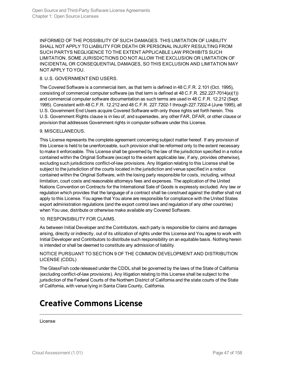INFORMED OF THE POSSIBILITY OF SUCH DAMAGES. THIS LIMITATION OF LIABILITY SHALL NOT APPLY TO LIABILITY FOR DEATH OR PERSONAL INJURY RESULTING FROM SUCH PARTYS NEGLIGENCE TO THE EXTENT APPLICABLE LAW PROHIBITS SUCH LIMITATION. SOME JURISDICTIONS DO NOT ALLOW THE EXCLUSION OR LIMITATION OF INCIDENTAL OR CONSEQUENTIAL DAMAGES, SO THIS EXCLUSION AND LIMITATION MAY NOT APPLY TO YOU.

## 8. U.S. GOVERNMENT END USERS.

The Covered Software is a commercial item, as that term is defined in 48 C.F.R. 2.101 (Oct. 1995), consisting of commercial computer software (as that term is defined at 48 C.F.R. 252.227-7014(a)(1)) and commercial computer software documentation as such terms are used in 48 C.F.R. 12.212 (Sept. 1995). Consistent with 48 C.F.R. 12.212 and 48 C.F.R. 227.7202-1 through 227.7202-4 (June 1995), all U.S. Government End Users acquire Covered Software with only those rights set forth herein. This U.S. Government Rights clause is in lieu of, and supersedes, any other FAR, DFAR, or other clause or provision that addresses Government rights in computer software under this License.

### 9. MISCELLANEOUS.

This License represents the complete agreement concerning subject matter hereof. If any provision of this License is held to be unenforceable, such provision shall be reformed only to the extent necessary to make it enforceable. This License shall be governed by the law of the jurisdiction specified in a notice contained within the Original Software (except to the extent applicable law, if any, provides otherwise), excluding such jurisdictions conflict-of-law provisions. Any litigation relating to this License shall be subject to the jurisdiction of the courts located in the jurisdiction and venue specified in a notice contained within the Original Software, with the losing party responsible for costs, including, without limitation, court costs and reasonable attorneys fees and expenses. The application of the United Nations Convention on Contracts for the International Sale of Goods is expressly excluded. Any law or regulation which provides that the language of a contract shall be construed against the drafter shall not apply to this License. You agree that You alone are responsible for compliance with the United States export administration regulations (and the export control laws and regulation of any other countries) when You use, distribute or otherwise make available any Covered Software.

### 10. RESPONSIBILITY FOR CLAIMS.

As between Initial Developer and the Contributors, each party is responsible for claims and damages arising, directly or indirectly, out of its utilization of rights under this License and You agree to work with Initial Developer and Contributors to distribute such responsibility on an equitable basis. Nothing herein is intended or shall be deemed to constitute any admission of liability.

# NOTICE PURSUANT TO SECTION 9 OF THE COMMON DEVELOPMENT AND DISTRIBUTION LICENSE (CDDL)

The GlassFish code released under the CDDL shall be governed by the laws of the State of California (excluding conflict-of-law provisions). Any litigation relating to this License shall be subject to the jurisdiction of the Federal Courts of the Northern District of California and the state courts of the State of California, with venue lying in Santa Clara County, California.

# **Creative Commons License**

#### License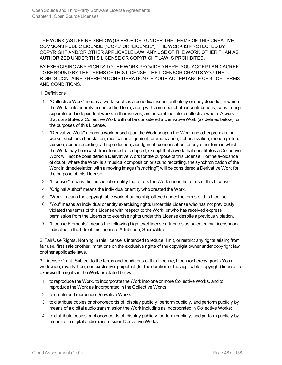THE WORK (AS DEFINED BELOW) IS PROVIDED UNDER THE TERMS OF THIS CREATIVE COMMONS PUBLIC LICENSE ("CCPL" OR "LICENSE"). THE WORK IS PROTECTED BY COPYRIGHT AND/OR OTHER APPLICABLE LAW. ANY USE OF THE WORK OTHER THAN AS AUTHORIZED UNDER THIS LICENSE OR COPYRIGHT LAW IS PROHIBITED.

BY EXERCISING ANY RIGHTS TO THE WORK PROVIDED HERE, YOU ACCEPT AND AGREE TO BE BOUND BY THE TERMS OF THIS LICENSE. THE LICENSOR GRANTS YOU THE RIGHTS CONTAINED HERE IN CONSIDERATION OF YOUR ACCEPTANCE OF SUCH TERMS AND CONDITIONS.

- 1. Definitions
- 1. "Collective Work" means a work, such as a periodical issue, anthology or encyclopedia, in which the Work in its entirety in unmodified form, along with a number of other contributions, constituting separate and independent works in themselves, are assembled into a collective whole. A work that constitutes a Collective Work will not be considered a Derivative Work (as defined below) for the purposes of this License.
- 2. "Derivative Work" means a work based upon the Work or upon the Work and other pre-existing works, such as a translation, musical arrangement, dramatization, fictionalization, motion picture version, sound recording, art reproduction, abridgment, condensation, or any other form in which the Work may be recast, transformed, or adapted, except that a work that constitutes a Collective Work will not be considered a Derivative Work for the purpose of this License. For the avoidance of doubt, where the Work is a musical composition or sound recording, the synchronization of the Work in timed-relation with a moving image ("synching") will be considered a Derivative Work for the purpose of this License.
- 3. "Licensor" means the individual or entity that offers the Work under the terms of this License.
- 4. "Original Author" means the individual or entity who created the Work.
- 5. "Work" means the copyrightable work of authorship offered under the terms of this License.
- 6. "You" means an individual or entity exercising rights under this License who has not previously violated the terms of this License with respect to the Work, or who has received express permission from the Licensor to exercise rights under this License despite a previous violation.
- 7. "License Elements" means the following high-level license attributes as selected by Licensor and indicated in the title of this License: Attribution, ShareAlike.

2. Fair Use Rights. Nothing in this license is intended to reduce, limit, or restrict any rights arising from fair use, first sale or other limitations on the exclusive rights of the copyright owner under copyright law or other applicable laws.

3. License Grant. Subject to the terms and conditions of this License, Licensor hereby grants You a worldwide, royalty-free, non-exclusive, perpetual (for the duration of the applicable copyright) license to exercise the rights in the Work as stated below:

- 1. to reproduce the Work, to incorporate the Work into one or more Collective Works, and to reproduce the Work as incorporated in the Collective Works;
- 2. to create and reproduce Derivative Works;
- 3. to distribute copies or phonorecords of, display publicly, perform publicly, and perform publicly by means of a digital audio transmission the Work including as incorporated in Collective Works;
- 4. to distribute copies or phonorecords of, display publicly, perform publicly, and perform publicly by means of a digital audio transmission Derivative Works.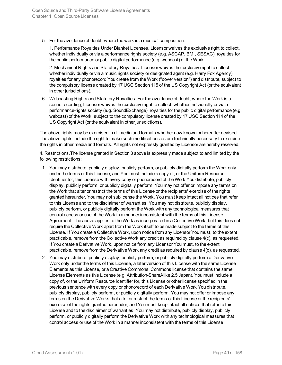5. For the avoidance of doubt, where the work is a musical composition:

1. Performance Royalties Under Blanket Licenses. Licensor waives the exclusive right to collect, whether individually or via a performance rights society (e.g. ASCAP, BMI, SESAC), royalties for the public performance or public digital performance (e.g. webcast) of the Work.

2. Mechanical Rights and Statutory Royalties. Licensor waives the exclusive right to collect, whether individually or via a music rights society or designated agent (e.g. Harry Fox Agency), royalties for any phonorecord You create from the Work ("cover version") and distribute, subject to the compulsory license created by 17 USC Section 115 of the US Copyright Act (or the equivalent in other jurisdictions).

6. Webcasting Rights and Statutory Royalties. For the avoidance of doubt, where the Work is a sound recording, Licensor waives the exclusive right to collect, whether individually or via a performance-rights society (e.g. SoundExchange), royalties for the public digital performance (e.g. webcast) of the Work, subject to the compulsory license created by 17 USC Section 114 of the US Copyright Act (or the equivalent in other jurisdictions).

The above rights may be exercised in all media and formats whether now known or hereafter devised. The above rights include the right to make such modifications as are technically necessary to exercise the rights in other media and formats. All rights not expressly granted by Licensor are hereby reserved.

4. Restrictions.The license granted in Section 3 above is expressly made subject to and limited by the following restrictions:

- 1. You may distribute, publicly display, publicly perform, or publicly digitally perform the Work only under the terms of this License, and You must include a copy of, or the Uniform Resource Identifier for, this License with every copy or phonorecord of the Work You distribute, publicly display, publicly perform, or publicly digitally perform. You may not offer or impose any terms on the Work that alter or restrict the terms of this License or the recipients' exercise of the rights granted hereunder. You may not sublicense the Work. You must keep intact all notices that refer to this License and to the disclaimer of warranties. You may not distribute, publicly display, publicly perform, or publicly digitally perform the Work with any technological measures that control access or use of the Work in a manner inconsistent with the terms of this License Agreement. The above applies to the Work as incorporated in a Collective Work, but this does not require the Collective Work apart from the Work itself to be made subject to the terms of this License. If You create a Collective Work, upon notice from any Licensor You must, to the extent practicable, remove from the Collective Work any credit as required by clause 4(c), as requested. If You create a Derivative Work, upon notice from any Licensor You must, to the extent practicable, remove from the Derivative Work any credit as required by clause 4(c), as requested.
- 2. You may distribute, publicly display, publicly perform, or publicly digitally perform a Derivative Work only under the terms of this License, a later version of this License with the same License Elements as this License, or a Creative Commons iCommons license that contains the same License Elements as this License (e.g. Attribution-ShareAlike 2.5 Japan). You must include a copy of, or the Uniform Resource Identifier for, this License or other license specified in the previous sentence with every copy or phonorecord of each Derivative Work You distribute, publicly display, publicly perform, or publicly digitally perform. You may not offer or impose any terms on the Derivative Works that alter or restrict the terms of this License or the recipients' exercise of the rights granted hereunder, and You must keep intact all notices that refer to this License and to the disclaimer of warranties. You may not distribute, publicly display, publicly perform, or publicly digitally perform the Derivative Work with any technological measures that control access or use of the Work in a manner inconsistent with the terms of this License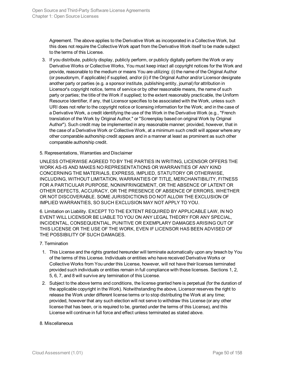Agreement. The above applies to the Derivative Work as incorporated in a Collective Work, but this does not require the Collective Work apart from the Derivative Work itself to be made subject to the terms of this License.

3. If you distribute, publicly display, publicly perform, or publicly digitally perform the Work or any Derivative Works or Collective Works, You must keep intact all copyright notices for the Work and provide, reasonable to the medium or means You are utilizing: (i) the name of the Original Author (or pseudonym, if applicable) if supplied, and/or (ii) if the Original Author and/or Licensor designate another party or parties (e.g. a sponsor institute, publishing entity, journal) for attribution in Licensor's copyright notice, terms of service or by other reasonable means, the name of such party or parties; the title of the Work if supplied; to the extent reasonably practicable, the Uniform Resource Identifier, if any, that Licensor specifies to be associated with the Work, unless such URI does not refer to the copyright notice or licensing information for the Work; and in the case of a Derivative Work, a credit identifying the use of the Work in the Derivative Work (e.g., "French translation of the Work by Original Author," or "Screenplay based on original Work by Original Author"). Such credit may be implemented in any reasonable manner; provided, however, that in the case of a Derivative Work or Collective Work, at a minimum such credit will appear where any other comparable authorship credit appears and in a manner at least as prominent as such other comparable authorship credit.

## 5. Representations, Warranties and Disclaimer

UNLESS OTHERWISE AGREED TO BY THE PARTIES IN WRITING, LICENSOR OFFERS THE WORK AS-IS AND MAKES NO REPRESENTATIONS OR WARRANTIES OF ANY KIND CONCERNING THE MATERIALS, EXPRESS, IMPLIED, STATUTORY OR OTHERWISE, INCLUDING, WITHOUT LIMITATION, WARRANTIES OF TITLE, MERCHANTIBILITY, FITNESS FOR A PARTICULAR PURPOSE, NONINFRINGEMENT, OR THE ABSENCE OF LATENT OR OTHER DEFECTS, ACCURACY, OR THE PRESENCE OF ABSENCE OF ERRORS, WHETHER OR NOT DISCOVERABLE. SOME JURISDICTIONS DO NOT ALLOW THE EXCLUSION OF IMPLIED WARRANTIES, SO SUCH EXCLUSION MAY NOT APPLY TO YOU.

6. Limitation on Liability. EXCEPT TO THE EXTENT REQUIRED BY APPLICABLE LAW, IN NO EVENT WILL LICENSOR BE LIABLE TO YOU ON ANY LEGAL THEORY FOR ANY SPECIAL, INCIDENTAL, CONSEQUENTIAL, PUNITIVE OR EXEMPLARY DAMAGES ARISING OUT OF THIS LICENSE OR THE USE OF THE WORK, EVEN IF LICENSOR HAS BEEN ADVISED OF THE POSSIBILITY OF SUCH DAMAGES.

# 7. Termination

- 1. This License and the rights granted hereunder will terminate automatically upon any breach by You of the terms of this License. Individuals or entities who have received Derivative Works or Collective Works from You under this License, however, will not have their licenses terminated provided such individuals or entities remain in full compliance with those licenses. Sections 1, 2, 5, 6, 7, and 8 will survive any termination of this License.
- 2. Subject to the above terms and conditions, the license granted here is perpetual (for the duration of the applicable copyright in the Work). Notwithstanding the above, Licensor reserves the right to release the Work under different license terms or to stop distributing the Work at any time; provided, however that any such election will not serve to withdraw this License (or any other license that has been, or is required to be, granted under the terms of this License), and this License will continue in full force and effect unless terminated as stated above.

# 8. Miscellaneous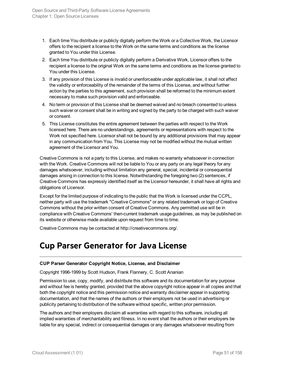- 1. Each time You distribute or publicly digitally perform the Work or a Collective Work, the Licensor offers to the recipient a license to the Work on the same terms and conditions as the license granted to You under this License.
- 2. Each time You distribute or publicly digitally perform a Derivative Work, Licensor offers to the recipient a license to the original Work on the same terms and conditions as the license granted to You under this License.
- 3. If any provision of this License is invalid or unenforceable under applicable law, it shall not affect the validity or enforceability of the remainder of the terms of this License, and without further action by the parties to this agreement, such provision shall be reformed to the minimum extent necessary to make such provision valid and enforceable.
- 4. No term or provision of this License shall be deemed waived and no breach consented to unless such waiver or consent shall be in writing and signed by the party to be charged with such waiver or consent.
- 5. This License constitutes the entire agreement between the parties with respect to the Work licensed here. There are no understandings, agreements or representations with respect to the Work not specified here. Licensor shall not be bound by any additional provisions that may appear in any communication from You. This License may not be modified without the mutual written agreement of the Licensor and You.

Creative Commons is not a party to this License, and makes no warranty whatsoever in connection with the Work. Creative Commons will not be liable to You or any party on any legal theory for any damages whatsoever, including without limitation any general, special, incidental or consequential damages arising in connection to this license. Notwithstanding the foregoing two (2) sentences, if Creative Commons has expressly identified itself as the Licensor hereunder, it shall have all rights and obligations of Licensor.

Except for the limited purpose of indicating to the public that the Work is licensed under the CCPL, neither party will use the trademark "Creative Commons" or any related trademark or logo of Creative Commons without the prior written consent of Creative Commons. Any permitted use will be in compliance with Creative Commons' then-current trademark usage guidelines, as may be published on its website or otherwise made available upon request from time to time.

Creative Commons may be contacted at http://creativecommons.org/.

# **Cup Parser Generator for Java License**

# **CUP Parser Generator Copyright Notice, License, and Disclaimer**

Copyright 1996-1999 by Scott Hudson, Frank Flannery, C. Scott Ananian

Permission to use, copy, modify, and distribute this software and its documentation for any purpose and without fee is hereby granted, provided that the above copyright notice appear in all copies and that both the copyright notice and this permission notice and warranty disclaimer appear in supporting documentation, and that the names of the authors or their employers not be used in advertising or publicity pertaining to distribution of the software without specific, written prior permission.

The authors and their employers disclaim all warranties with regard to this software, including all implied warranties of merchantability and fitness. In no event shall the authors or their employers be liable for any special, indirect or consequential damages or any damages whatsoever resulting from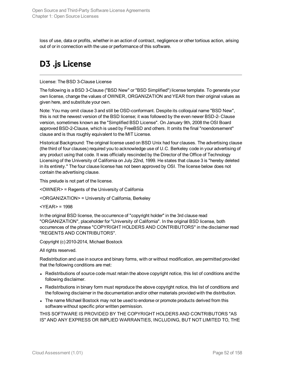loss of use, data or profits, whether in an action of contract, negligence or other tortious action, arising out of or in connection with the use or performance of this software.

# **D3 .js License**

License: The BSD 3-Clause License

The following is a BSD 3-Clause ("BSD New" or "BSD Simplified") license template. To generate your own license, change the values of OWNER, ORGANIZATION and YEAR from their original values as given here, and substitute your own.

Note: You may omit clause 3 and still be OSD-conformant. Despite its colloquial name "BSD New", this is not the newest version of the BSD license; it was followed by the even newer BSD-2- Clause version, sometimes known as the "Simplified BSD License". On January 9th, 2008 the OSI Board approved BSD-2-Clause, which is used by FreeBSD and others. It omits the final "noendorsement" clause and is thus roughly equivalent to the MIT License.

Historical Background: The original license used on BSD Unix had four clauses. The advertising clause (the third of four clauses) required you to acknowledge use of U.C. Berkeley code in your advertising of any product using that code. It was officially rescinded by the Director of the Office of Technology Licensing of the University of California on July 22nd, 1999. He states that clause 3 is "hereby deleted in its entirety." The four clause license has not been approved by OSI. The license below does not contain the advertising clause.

This prelude is not part of the license.

<OWNER> = Regents of the University of California

<ORGANIZATION> = University of California, Berkeley

<YEAR> = 1998

In the original BSD license, the occurrence of "copyright holder" in the 3rd clause read "ORGANIZATION", placeholder for "University of California". In the original BSD license, both occurrences of the phrase "COPYRIGHT HOLDERS AND CONTRIBUTORS" in the disclaimer read "REGENTS AND CONTRIBUTORS".

Copyright (c) 2010-2014, Michael Bostock

All rights reserved.

Redistribution and use in source and binary forms, with or without modification, are permitted provided that the following conditions are met:

- Redistributions of source code must retain the above copyright notice, this list of conditions and the following disclaimer.
- Redistributions in binary form must reproduce the above copyright notice, this list of conditions and the following disclaimer in the documentation and/or other materials provided with the distribution.
- The name Michael Bostock may not be used to endorse or promote products derived from this software without specific prior written permission.

THIS SOFTWARE IS PROVIDED BY THE COPYRIGHT HOLDERS AND CONTRIBUTORS "AS IS" AND ANY EXPRESS OR IMPLIED WARRANTIES, INCLUDING, BUT NOT LIMITED TO, THE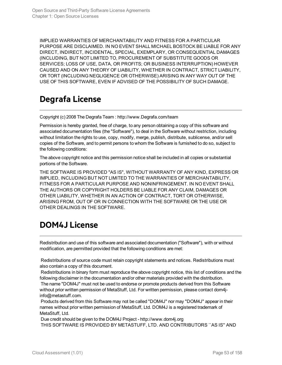IMPLIED WARRANTIES OF MERCHANTABILITY AND FITNESS FOR A PARTICULAR PURPOSE ARE DISCLAIMED. IN NO EVENT SHALL MICHAEL BOSTOCK BE LIABLE FOR ANY DIRECT, INDIRECT, INCIDENTAL, SPECIAL, EXEMPLARY, OR CONSEQUENTIAL DAMAGES (INCLUDING, BUT NOT LIMITED TO, PROCUREMENT OF SUBSTITUTE GOODS OR SERVICES; LOSS OF USE, DATA, OR PROFITS; OR BUSINESS INTERRUPTION) HOWEVER CAUSED AND ON ANY THEORY OF LIABILITY, WHETHER IN CONTRACT, STRICT LIABILITY, OR TORT (INCLUDING NEGLIGENCE OR OTHERWISE) ARISING IN ANY WAY OUT OF THE USE OF THIS SOFTWARE, EVEN IF ADVISED OF THE POSSIBILITY OF SUCH DAMAGE.

# **Degrafa License**

Copyright (c) 2008 The Degrafa Team : http://www.Degrafa.com/team

Permission is hereby granted, free of charge, to any person obtaining a copy of this software and associated documentation files (the "Software"), to deal in the Software without restriction, including without limitation the rights to use, copy, modify, merge, publish, distribute, sublicense, and/or sell copies of the Software, and to permit persons to whom the Software is furnished to do so, subject to the following conditions:

The above copyright notice and this permission notice shall be included in all copies or substantial portions of the Software.

THE SOFTWARE IS PROVIDED "AS IS", WITHOUT WARRANTY OF ANY KIND, EXPRESS OR IMPLIED, INCLUDING BUT NOT LIMITED TO THE WARRANTIES OF MERCHANTABILITY, FITNESS FOR A PARTICULAR PURPOSE AND NONINFRINGEMENT. IN NO EVENT SHALL THE AUTHORS OR COPYRIGHT HOLDERS BE LIABLE FOR ANY CLAIM, DAMAGES OR OTHER LIABILITY, WHETHER IN AN ACTION OF CONTRACT, TORT OR OTHERWISE, ARISING FROM, OUT OF OR IN CONNECTION WITH THE SOFTWARE OR THE USE OR OTHER DEALINGS IN THE SOFTWARE.

# **DOM4J License**

Redistribution and use of this software and associated documentation ("Software"), with or without modification, are permitted provided that the following conditions are met:

Redistributions of source code must retain copyright statements and notices. Redistributions must also contain a copy of this document.

Redistributions in binary form must reproduce the above copyright notice, this list of conditions and the following disclaimer in the documentation and/or other materials provided with the distribution.

The name "DOM4J" must not be used to endorse or promote products derived from this Software without prior written permission of MetaStuff, Ltd. For written permission, please contact dom4jinfo@metastuff.com.

Products derived from this Software may not be called "DOM4J" nor may "DOM4J" appear in their names without prior written permission of MetaStuff, Ltd. DOM4J is a registered trademark of MetaStuff, Ltd.

Due credit should be given to the DOM4J Project - http://www.dom4j.org THIS SOFTWARE IS PROVIDED BY METASTUFF, LTD. AND CONTRIBUTORS ``AS IS'' AND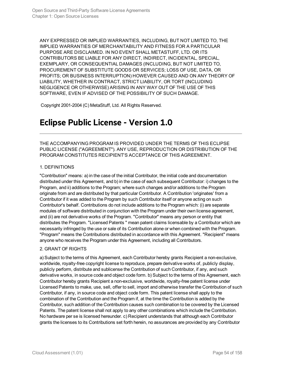ANY EXPRESSED OR IMPLIED WARRANTIES, INCLUDING, BUT NOT LIMITED TO, THE IMPLIED WARRANTIES OF MERCHANTABILITY AND FITNESS FOR A PARTICULAR PURPOSE ARE DISCLAIMED. IN NO EVENT SHALL METASTUFF, LTD. OR ITS CONTRIBUTORS BE LIABLE FOR ANY DIRECT, INDIRECT, INCIDENTAL, SPECIAL, EXEMPLARY, OR CONSEQUENTIAL DAMAGES (INCLUDING, BUT NOT LIMITED TO, PROCUREMENT OF SUBSTITUTE GOODS OR SERVICES; LOSS OF USE, DATA, OR PROFITS; OR BUSINESS INTERRUPTION) HOWEVER CAUSED AND ON ANY THEORY OF LIABILITY, WHETHER IN CONTRACT, STRICT LIABILITY, OR TORT (INCLUDING NEGLIGENCE OR OTHERWISE) ARISING IN ANY WAY OUT OF THE USE OF THIS SOFTWARE, EVEN IF ADVISED OF THE POSSIBILITY OF SUCH DAMAGE.

Copyright 2001-2004 (C) MetaStuff, Ltd. All Rights Reserved.

# **Eclipse Public License - Version 1.0**

THE ACCOMPANYING PROGRAM IS PROVIDED UNDER THE TERMS OF THIS ECLIPSE PUBLIC LICENSE ("AGREEMENT"). ANY USE, REPRODUCTION OR DISTRIBUTION OF THE PROGRAM CONSTITUTES RECIPIENT'S ACCEPTANCE OF THIS AGREEMENT.

# 1. DEFINITIONS

"Contribution" means: a) in the case of the initial Contributor, the initial code and documentation distributed under this Agreement, and b) in the case of each subsequent Contributor: i) changes to the Program, and ii) additions to the Program; where such changes and/or additions to the Program originate from and are distributed by that particular Contributor. A Contribution 'originates' from a Contributor if it was added to the Program by such Contributor itself or anyone acting on such Contributor's behalf. Contributions do not include additions to the Program which: (i) are separate modules of software distributed in conjunction with the Program under their own license agreement, and (ii) are not derivative works of the Program. "Contributor" means any person or entity that distributes the Program. "Licensed Patents " mean patent claims licensable by a Contributor which are necessarily infringed by the use or sale of its Contribution alone or when combined with the Program. "Program" means the Contributions distributed in accordance with this Agreement. "Recipient" means anyone who receives the Program under this Agreement, including all Contributors.

# 2. GRANT OF RIGHTS

a) Subject to the terms of this Agreement, each Contributor hereby grants Recipient a non-exclusive, worldwide, royalty-free copyright license to reproduce, prepare derivative works of, publicly display, publicly perform, distribute and sublicense the Contribution of such Contributor, if any, and such derivative works, in source code and object code form. b) Subject to the terms of this Agreement, each Contributor hereby grants Recipient a non-exclusive, worldwide, royalty-free patent license under Licensed Patents to make, use, sell, offer to sell, import and otherwise transfer the Contribution of such Contributor, if any, in source code and object code form. This patent license shall apply to the combination of the Contribution and the Program if, at the time the Contribution is added by the Contributor, such addition of the Contribution causes such combination to be covered by the Licensed Patents. The patent license shall not apply to any other combinations which include the Contribution. No hardware per se is licensed hereunder. c) Recipient understands that although each Contributor grants the licenses to its Contributions set forth herein, no assurances are provided by any Contributor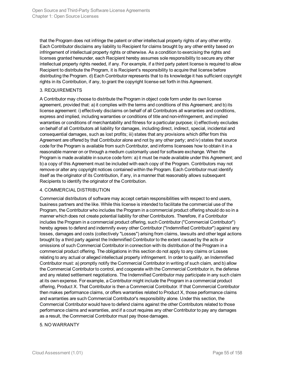that the Program does not infringe the patent or other intellectual property rights of any other entity. Each Contributor disclaims any liability to Recipient for claims brought by any other entity based on infringement of intellectual property rights or otherwise. As a condition to exercising the rights and licenses granted hereunder, each Recipient hereby assumes sole responsibility to secure any other intellectual property rights needed, if any. For example, if a third party patent license is required to allow Recipient to distribute the Program, it is Recipient's responsibility to acquire that license before distributing the Program. d) Each Contributor represents that to its knowledge it has sufficient copyright rights in its Contribution, if any, to grant the copyright license set forth in this Agreement.

## 3. REQUIREMENTS

A Contributor may choose to distribute the Program in object code form under its own license agreement, provided that: a) it complies with the terms and conditions of this Agreement; and b) its license agreement: i) effectively disclaims on behalf of all Contributors all warranties and conditions, express and implied, including warranties or conditions of title and non-infringement, and implied warranties or conditions of merchantability and fitness for a particular purpose; ii) effectively excludes on behalf of all Contributors all liability for damages, including direct, indirect, special, incidental and consequential damages, such as lost profits; iii) states that any provisions which differ from this Agreement are offered by that Contributor alone and not by any other party; and iv) states that source code for the Program is available from such Contributor, and informs licensees how to obtain it in a reasonable manner on or through a medium customarily used for software exchange. When the Program is made available in source code form: a) it must be made available under this Agreement; and b) a copy of this Agreement must be included with each copy of the Program. Contributors may not remove or alter any copyright notices contained within the Program. Each Contributor must identify itself as the originator of its Contribution, if any, in a manner that reasonably allows subsequent Recipients to identify the originator of the Contribution.

# 4. COMMERCIAL DISTRIBUTION

Commercial distributors of software may accept certain responsibilities with respect to end users, business partners and the like. While this license is intended to facilitate the commercial use of the Program, the Contributor who includes the Program in a commercial product offering should do so in a manner which does not create potential liability for other Contributors. Therefore, if a Contributor includes the Program in a commercial product offering, such Contributor ("Commercial Contributor") hereby agrees to defend and indemnify every other Contributor ("Indemnified Contributor") against any losses, damages and costs (collectively "Losses") arising from claims, lawsuits and other legal actions brought by a third party against the Indemnified Contributor to the extent caused by the acts or omissions of such Commercial Contributor in connection with its distribution of the Program in a commercial product offering. The obligations in this section do not apply to any claims or Losses relating to any actual or alleged intellectual property infringement. In order to qualify, an Indemnified Contributor must: a) promptly notify the Commercial Contributor in writing of such claim, and b) allow the Commercial Contributor to control, and cooperate with the Commercial Contributor in, the defense and any related settlement negotiations. The Indemnified Contributor may participate in any such claim at its own expense. For example, a Contributor might include the Program in a commercial product offering, Product X. That Contributor is then a Commercial Contributor. If that Commercial Contributor then makes performance claims, or offers warranties related to Product X, those performance claims and warranties are such Commercial Contributor's responsibility alone. Under this section, the Commercial Contributor would have to defend claims against the other Contributors related to those performance claims and warranties, and if a court requires any other Contributor to pay any damages as a result, the Commercial Contributor must pay those damages.

### 5. NO WARRANTY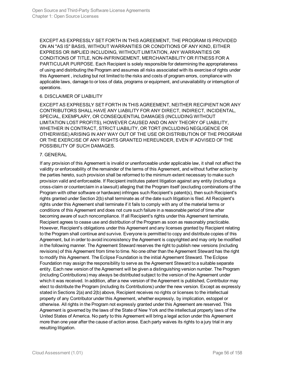EXCEPT AS EXPRESSLY SET FORTH IN THIS AGREEMENT, THE PROGRAM IS PROVIDED ON AN "AS IS" BASIS, WITHOUT WARRANTIES OR CONDITIONS OF ANY KIND, EITHER EXPRESS OR IMPLIED INCLUDING, WITHOUT LIMITATION, ANY WARRANTIES OR CONDITIONS OF TITLE, NON-INFRINGEMENT, MERCHANTABILITY OR FITNESS FOR A PARTICULAR PURPOSE. Each Recipient is solely responsible for determining the appropriateness of using and distributing the Program and assumes all risks associated with its exercise of rights under this Agreement , including but not limited to the risks and costs of program errors, compliance with applicable laws, damage to or loss of data, programs or equipment, and unavailability or interruption of operations.

## 6. DISCLAIMER OF LIABILITY

EXCEPT AS EXPRESSLY SET FORTH IN THIS AGREEMENT, NEITHER RECIPIENT NOR ANY CONTRIBUTORS SHALL HAVE ANY LIABILITY FOR ANY DIRECT, INDIRECT, INCIDENTAL, SPECIAL, EXEMPLARY, OR CONSEQUENTIAL DAMAGES (INCLUDING WITHOUT LIMITATION LOST PROFITS), HOWEVER CAUSED AND ON ANY THEORY OF LIABILITY, WHETHER IN CONTRACT, STRICT LIABILITY, OR TORT (INCLUDING NEGLIGENCE OR OTHERWISE) ARISING IN ANY WAY OUT OF THE USE OR DISTRIBUTION OF THE PROGRAM OR THE EXERCISE OF ANY RIGHTS GRANTED HEREUNDER, EVEN IF ADVISED OF THE POSSIBILITY OF SUCH DAMAGES.

## 7. GENERAL

If any provision of this Agreement is invalid or unenforceable under applicable law, it shall not affect the validity or enforceability of the remainder of the terms of this Agreement, and without further action by the parties hereto, such provision shall be reformed to the minimum extent necessary to make such provision valid and enforceable. If Recipient institutes patent litigation against any entity (including a cross-claim or counterclaim in a lawsuit) alleging that the Program itself (excluding combinations of the Program with other software or hardware) infringes such Recipient's patent(s), then such Recipient's rights granted under Section 2(b) shall terminate as of the date such litigation is filed. All Recipient's rights under this Agreement shall terminate if it fails to comply with any of the material terms or conditions of this Agreement and does not cure such failure in a reasonable period of time after becoming aware of such noncompliance. If all Recipient's rights under this Agreement terminate, Recipient agrees to cease use and distribution of the Program as soon as reasonably practicable. However, Recipient's obligations under this Agreement and any licenses granted by Recipient relating to the Program shall continue and survive. Everyone is permitted to copy and distribute copies of this Agreement, but in order to avoid inconsistency the Agreement is copyrighted and may only be modified in the following manner. The Agreement Steward reserves the right to publish new versions (including revisions) of this Agreement from time to time. No one other than the Agreement Steward has the right to modify this Agreement. The Eclipse Foundation is the initial Agreement Steward. The Eclipse Foundation may assign the responsibility to serve as the Agreement Steward to a suitable separate entity. Each new version of the Agreement will be given a distinguishing version number. The Program (including Contributions) may always be distributed subject to the version of the Agreement under which it was received. In addition, after a new version of the Agreement is published, Contributor may elect to distribute the Program (including its Contributions) under the new version. Except as expressly stated in Sections 2(a) and 2(b) above, Recipient receives no rights or licenses to the intellectual property of any Contributor under this Agreement, whether expressly, by implication, estoppel or otherwise. All rights in the Program not expressly granted under this Agreement are reserved. This Agreement is governed by the laws of the State of New York and the intellectual property laws of the United States of America. No party to this Agreement will bring a legal action under this Agreement more than one year after the cause of action arose. Each party waives its rights to a jury trial in any resulting litigation.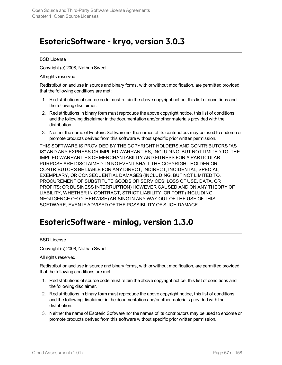# **EsotericSoftware - kryo, version 3.0.3**

BSD License

Copyright (c) 2008, Nathan Sweet

All rights reserved.

Redistribution and use in source and binary forms, with or without modification, are permitted provided that the following conditions are met:

- 1. Redistributions of source code must retain the above copyright notice, this list of conditions and the following disclaimer.
- 2. Redistributions in binary form must reproduce the above copyright notice, this list of conditions and the following disclaimer in the documentation and/or other materials provided with the distribution.
- 3. Neither the name of Esoteric Software nor the names of its contributors may be used to endorse or promote products derived from this software without specific prior written permission.

THIS SOFTWARE IS PROVIDED BY THE COPYRIGHT HOLDERS AND CONTRIBUTORS "AS IS" AND ANY EXPRESS OR IMPLIED WARRANTIES, INCLUDING, BUT NOT LIMITED TO, THE IMPLIED WARRANTIES OF MERCHANTABILITY AND FITNESS FOR A PARTICULAR PURPOSE ARE DISCLAIMED. IN NO EVENT SHALL THE COPYRIGHT HOLDER OR CONTRIBUTORS BE LIABLE FOR ANY DIRECT, INDIRECT, INCIDENTAL, SPECIAL, EXEMPLARY, OR CONSEQUENTIAL DAMAGES (INCLUDING, BUT NOT LIMITED TO, PROCUREMENT OF SUBSTITUTE GOODS OR SERVICES; LOSS OF USE, DATA, OR PROFITS; OR BUSINESS INTERRUPTION) HOWEVER CAUSED AND ON ANY THEORY OF LIABILITY, WHETHER IN CONTRACT, STRICT LIABILITY, OR TORT (INCLUDING NEGLIGENCE OR OTHERWISE) ARISING IN ANY WAY OUT OF THE USE OF THIS SOFTWARE, EVEN IF ADVISED OF THE POSSIBILITY OF SUCH DAMAGE.

# **EsotericSoftware - minlog, version 1.3.0**

#### BSD License

Copyright (c) 2008, Nathan Sweet

All rights reserved.

Redistribution and use in source and binary forms, with or without modification, are permitted provided that the following conditions are met:

- 1. Redistributions of source code must retain the above copyright notice, this list of conditions and the following disclaimer.
- 2. Redistributions in binary form must reproduce the above copyright notice, this list of conditions and the following disclaimer in the documentation and/or other materials provided with the distribution.
- 3. Neither the name of Esoteric Software nor the names of its contributors may be used to endorse or promote products derived from this software without specific prior written permission.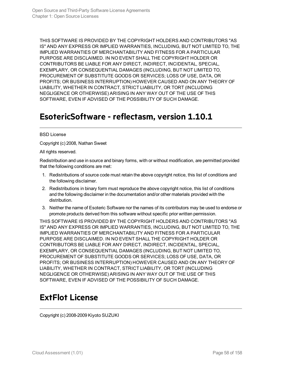THIS SOFTWARE IS PROVIDED BY THE COPYRIGHT HOLDERS AND CONTRIBUTORS "AS IS" AND ANY EXPRESS OR IMPLIED WARRANTIES, INCLUDING, BUT NOT LIMITED TO, THE IMPLIED WARRANTIES OF MERCHANTABILITY AND FITNESS FOR A PARTICULAR PURPOSE ARE DISCLAIMED. IN NO EVENT SHALL THE COPYRIGHT HOLDER OR CONTRIBUTORS BE LIABLE FOR ANY DIRECT, INDIRECT, INCIDENTAL, SPECIAL, EXEMPLARY, OR CONSEQUENTIAL DAMAGES (INCLUDING, BUT NOT LIMITED TO, PROCUREMENT OF SUBSTITUTE GOODS OR SERVICES; LOSS OF USE, DATA, OR PROFITS; OR BUSINESS INTERRUPTION) HOWEVER CAUSED AND ON ANY THEORY OF LIABILITY, WHETHER IN CONTRACT, STRICT LIABILITY, OR TORT (INCLUDING NEGLIGENCE OR OTHERWISE) ARISING IN ANY WAY OUT OF THE USE OF THIS SOFTWARE, EVEN IF ADVISED OF THE POSSIBILITY OF SUCH DAMAGE.

# **EsotericSoftware - reflectasm, version 1.10.1**

## BSD License

Copyright (c) 2008, Nathan Sweet

All rights reserved.

Redistribution and use in source and binary forms, with or without modification, are permitted provided that the following conditions are met:

- 1. Redistributions of source code must retain the above copyright notice, this list of conditions and the following disclaimer.
- 2. Redistributions in binary form must reproduce the above copyright notice, this list of conditions and the following disclaimer in the documentation and/or other materials provided with the distribution.
- 3. Neither the name of Esoteric Software nor the names of its contributors may be used to endorse or promote products derived from this software without specific prior written permission.

THIS SOFTWARE IS PROVIDED BY THE COPYRIGHT HOLDERS AND CONTRIBUTORS "AS IS" AND ANY EXPRESS OR IMPLIED WARRANTIES, INCLUDING, BUT NOT LIMITED TO, THE IMPLIED WARRANTIES OF MERCHANTABILITY AND FITNESS FOR A PARTICULAR PURPOSE ARE DISCLAIMED. IN NO EVENT SHALL THE COPYRIGHT HOLDER OR CONTRIBUTORS BE LIABLE FOR ANY DIRECT, INDIRECT, INCIDENTAL, SPECIAL, EXEMPLARY, OR CONSEQUENTIAL DAMAGES (INCLUDING, BUT NOT LIMITED TO, PROCUREMENT OF SUBSTITUTE GOODS OR SERVICES; LOSS OF USE, DATA, OR PROFITS; OR BUSINESS INTERRUPTION) HOWEVER CAUSED AND ON ANY THEORY OF LIABILITY, WHETHER IN CONTRACT, STRICT LIABILITY, OR TORT (INCLUDING NEGLIGENCE OR OTHERWISE) ARISING IN ANY WAY OUT OF THE USE OF THIS SOFTWARE, EVEN IF ADVISED OF THE POSSIBILITY OF SUCH DAMAGE.

# **ExtFlot License**

Copyright (c) 2008-2009 Kiyoto SUZUKI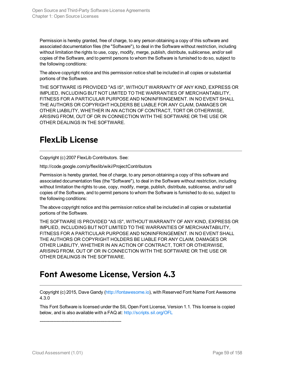Permission is hereby granted, free of charge, to any person obtaining a copy of this software and associated documentation files (the "Software"), to deal in the Software without restriction, including without limitation the rights to use, copy, modify, merge, publish, distribute, sublicense, and/or sell copies of the Software, and to permit persons to whom the Software is furnished to do so, subject to the following conditions:

The above copyright notice and this permission notice shall be included in all copies or substantial portions of the Software.

THE SOFTWARE IS PROVIDED "AS IS", WITHOUT WARRANTY OF ANY KIND, EXPRESS OR IMPLIED, INCLUDING BUT NOT LIMITED TO THE WARRANTIES OF MERCHANTABILITY, FITNESS FOR A PARTICULAR PURPOSE AND NONINFRINGEMENT. IN NO EVENT SHALL THE AUTHORS OR COPYRIGHT HOLDERS BE LIABLE FOR ANY CLAIM, DAMAGES OR OTHER LIABILITY, WHETHER IN AN ACTION OF CONTRACT, TORT OR OTHERWISE, ARISING FROM, OUT OF OR IN CONNECTION WITH THE SOFTWARE OR THE USE OR OTHER DEALINGS IN THE SOFTWARE.

# **FlexLib License**

Copyright (c) 2007 FlexLib Contributors. See:

http://code.google.com/p/flexlib/wiki/ProjectContributors

Permission is hereby granted, free of charge, to any person obtaining a copy of this software and associated documentation files (the "Software"), to deal in the Software without restriction, including without limitation the rights to use, copy, modify, merge, publish, distribute, sublicense, and/or sell copies of the Software, and to permit persons to whom the Software is furnished to do so, subject to the following conditions:

The above copyright notice and this permission notice shall be included in all copies or substantial portions of the Software.

THE SOFTWARE IS PROVIDED "AS IS", WITHOUT WARRANTY OF ANY KIND, EXPRESS OR IMPLIED, INCLUDING BUT NOT LIMITED TO THE WARRANTIES OF MERCHANTABILITY, FITNESS FOR A PARTICULAR PURPOSE AND NONINFRINGEMENT. IN NO EVENT SHALL THE AUTHORS OR COPYRIGHT HOLDERS BE LIABLE FOR ANY CLAIM, DAMAGES OR OTHER LIABILITY, WHETHER IN AN ACTION OF CONTRACT, TORT OR OTHERWISE, ARISING FROM, OUT OF OR IN CONNECTION WITH THE SOFTWARE OR THE USE OR OTHER DEALINGS IN THE SOFTWARE.

# **Font Awesome License, Version 4.3**

Copyright (c) 2015, Dave Gandy ([http://fontawesome.io](http://fontawesome.io/)), with Reserved Font Name Font Awesome 4.3.0

This Font Software is licensed under the SIL Open Font License, Version 1.1. This license is copied below, and is also available with a FAQ at: <http://scripts.sil.org/OFL>

-----------------------------------------------------------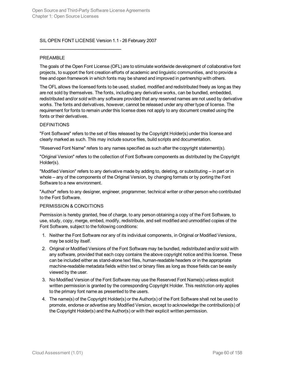-----------------------------------------------------------

## SIL OPEN FONT LICENSE Version 1.1 - 26 February 2007

#### PREAMBLE

The goals of the Open Font License (OFL) are to stimulate worldwide development of collaborative font projects, to support the font creation efforts of academic and linguistic communities, and to provide a free and open framework in which fonts may be shared and improved in partnership with others.

The OFL allows the licensed fonts to be used, studied, modified and redistributed freely as long as they are not sold by themselves. The fonts, including any derivative works, can be bundled, embedded, redistributed and/or sold with any software provided that any reserved names are not used by derivative works. The fonts and derivatives, however, cannot be released under any other type of license. The requirement for fonts to remain under this license does not apply to any document created using the fonts or their derivatives.

### DEFINITIONS

"Font Software" refers to the set of files released by the Copyright Holder(s) under this license and clearly marked as such. This may include source files, build scripts and documentation.

"Reserved Font Name" refers to any names specified as such after the copyright statement(s).

"Original Version" refers to the collection of Font Software components as distributed by the Copyright Holder(s).

"Modified Version" refers to any derivative made by adding to, deleting, or substituting -- in part or in whole -- any of the components of the Original Version, by changing formats or by porting the Font Software to a new environment.

"Author" refers to any designer, engineer, programmer, technical writer or other person who contributed to the Font Software.

### PERMISSION & CONDITIONS

Permission is hereby granted, free of charge, to any person obtaining a copy of the Font Software, to use, study, copy, merge, embed, modify, redistribute, and sell modified and unmodified copies of the Font Software, subject to the following conditions:

- 1. Neither the Font Software nor any of its individual components, in Original or Modified Versions, may be sold by itself.
- 2. Original or Modified Versions of the Font Software may be bundled, redistributed and/or sold with any software, provided that each copy contains the above copyright notice and this license. These can be included either as stand-alone text files, human-readable headers or in the appropriate machine-readable metadata fields within text or binary files as long as those fields can be easily viewed by the user.
- 3. No Modified Version of the Font Software may use the Reserved Font Name(s) unless explicit written permission is granted by the corresponding Copyright Holder. This restriction only applies to the primary font name as presented to the users.
- 4. The name(s) of the Copyright Holder(s) or the Author(s) of the Font Software shall not be used to promote, endorse or advertise any Modified Version, except to acknowledge the contribution(s) of the Copyright Holder(s) and the Author(s) or with their explicit written permission.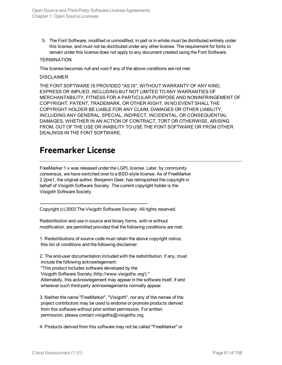5. The Font Software, modified or unmodified, in part or in whole,must be distributed entirely under this license, and must not be distributed under any other license. The requirement for fonts to remain under this license does not apply to any document created using the Font Software.

### **TERMINATION**

This license becomes null and void if any of the above conditions are not met.

### **DISCLAIMER**

THE FONT SOFTWARE IS PROVIDED "AS IS", WITHOUT WARRANTY OF ANY KIND, EXPRESS OR IMPLIED, INCLUDING BUT NOT LIMITED TO ANY WARRANTIES OF MERCHANTABILITY, FITNESS FOR A PARTICULAR PURPOSE AND NONINFRINGEMENT OF COPYRIGHT, PATENT, TRADEMARK, OR OTHER RIGHT. IN NO EVENT SHALL THE COPYRIGHT HOLDER BE LIABLE FOR ANY CLAIM, DAMAGES OR OTHER LIABILITY, INCLUDING ANY GENERAL, SPECIAL, INDIRECT, INCIDENTAL, OR CONSEQUENTIAL DAMAGES, WHETHER IN AN ACTION OF CONTRACT, TORT OR OTHERWISE, ARISING FROM, OUT OF THE USE OR INABILITY TO USE THE FONT SOFTWARE OR FROM OTHER DEALINGS IN THE FONT SOFTWARE.

# **Freemarker License**

FreeMarker 1.x was released under the LGPL license. Later, by community consensus, we have switched over to a BSD-style license. As of FreeMarker 2.2pre1, the original author, Benjamin Geer, has relinquished the copyright in behalf of Visigoth Software Society. The current copyright holder is the Visigoth Software Society.

Copyright (c) 2003 The Visigoth Software Society. All rights reserved.

------------------------------------------------------------------------------

Redistribution and use in source and binary forms, with or without modification, are permitted provided that the following conditions are met:

1. Redistributions of source code must retain the above copyright notice, this list of conditions and the following disclaimer.

2. The end-user documentation included with the redistribution, if any, must include the following acknowlegement:

"This product includes software developed by the Visigoth Software Society (http://www.visigoths.org/)." Alternately, this acknowlegement may appear in the software itself, if and wherever such third-party acknowlegements normally appear.

3. Neither the name "FreeMarker", "Visigoth", nor any of the names of the project contributors may be used to endorse or promote products derived from this software without prior written permission. For written permission, please contact visigoths@visigoths.org.

4. Products derived from this software may not be called "FreeMarker" or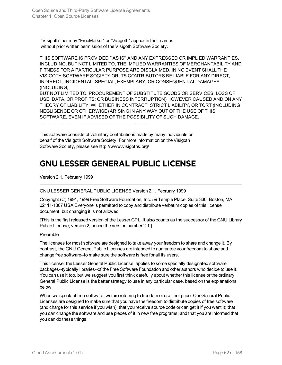"Visigoth" nor may "FreeMarker" or "Visigoth" appear in their names without prior written permission of the Visigoth Software Society.

THIS SOFTWARE IS PROVIDED ``AS IS'' AND ANY EXPRESSED OR IMPLIED WARRANTIES, INCLUDING, BUT NOT LIMITED TO, THE IMPLIED WARRANTIES OF MERCHANTABILITY AND FITNESS FOR A PARTICULAR PURPOSE ARE DISCLAIMED. IN NO EVENT SHALL THE VISIGOTH SOFTWARE SOCIETY OR ITS CONTRIBUTORS BE LIABLE FOR ANY DIRECT, INDIRECT, INCIDENTAL, SPECIAL, EXEMPLARY, OR CONSEQUENTIAL DAMAGES (INCLUDING, BUT NOT LIMITED TO, PROCUREMENT OF SUBSTITUTE GOODS OR SERVICES; LOSS OF

USE, DATA, OR PROFITS; OR BUSINESS INTERRUPTION) HOWEVER CAUSED AND ON ANY THEORY OF LIABILITY, WHETHER IN CONTRACT, STRICT LIABILITY, OR TORT (INCLUDING NEGLIGENCE OR OTHERWISE) ARISING IN ANY WAY OUT OF THE USE OF THIS SOFTWARE, EVEN IF ADVISED OF THE POSSIBILITY OF SUCH DAMAGE.

------------------------------------------------------------------------------

This software consists of voluntary contributions made by many individuals on behalf of the Visigoth Software Society. For more information on the Visigoth Software Society, please see http://www.visigoths.org/

# **GNU LESSER GENERAL PUBLIC LICENSE**

Version 2.1, February 1999

GNU LESSER GENERAL PUBLIC LICENSE Version 2.1, February 1999

Copyright (C) 1991, 1999 Free Software Foundation, Inc. 59 Temple Place, Suite 330, Boston, MA 02111-1307 USA Everyone is permitted to copy and distribute verbatim copies of this license document, but changing it is not allowed.

[This is the first released version of the Lesser GPL. It also counts as the successor of the GNU Library Public License, version 2, hence the version number 2.1.]

### Preamble

The licenses for most software are designed to take away your freedom to share and change it. By contrast, the GNU General Public Licenses are intended to guarantee your freedom to share and change free software--to make sure the software is free for all its users.

This license, the Lesser General Public License, applies to some specially designated software packages--typically libraries--of the Free Software Foundation and other authors who decide to use it. You can use it too, but we suggest you first think carefully about whether this license or the ordinary General Public License is the better strategy to use in any particular case, based on the explanations below.

When we speak of free software, we are referring to freedom of use, not price. Our General Public Licenses are designed to make sure that you have the freedom to distribute copies of free software (and charge for this service if you wish); that you receive source code or can get it if you want it; that you can change the software and use pieces of it in new free programs; and that you are informed that you can do these things.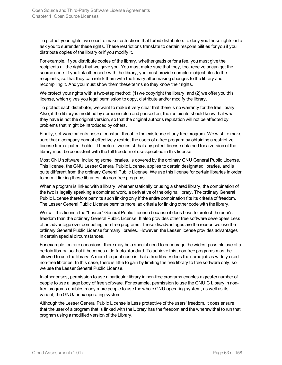To protect your rights, we need to make restrictions that forbid distributors to deny you these rights or to ask you to surrender these rights. These restrictions translate to certain responsibilities for you if you distribute copies of the library or if you modify it.

For example, if you distribute copies of the library, whether gratis or for a fee, you must give the recipients all the rights that we gave you. You must make sure that they, too, receive or can get the source code. If you link other code with the library, you must provide complete object files to the recipients, so that they can relink them with the library after making changes to the library and recompiling it. And you must show them these terms so they know their rights.

We protect your rights with a two-step method: (1) we copyright the library, and (2) we offer you this license, which gives you legal permission to copy, distribute and/or modify the library.

To protect each distributor, we want to make it very clear that there is no warranty for the free library. Also, if the library is modified by someone else and passed on, the recipients should know that what they have is not the original version, so that the original author's reputation will not be affected by problems that might be introduced by others.

Finally, software patents pose a constant threat to the existence of any free program. We wish to make sure that a company cannot effectively restrict the users of a free program by obtaining a restrictive license from a patent holder. Therefore, we insist that any patent license obtained for a version of the library must be consistent with the full freedom of use specified in this license.

Most GNU software, including some libraries, is covered by the ordinary GNU General Public License. This license, the GNU Lesser General Public License, applies to certain designated libraries, and is quite different from the ordinary General Public License. We use this license for certain libraries in order to permit linking those libraries into non-free programs.

When a program is linked with a library, whether statically or using a shared library, the combination of the two is legally speaking a combined work, a derivative of the original library. The ordinary General Public License therefore permits such linking only if the entire combination fits its criteria of freedom. The Lesser General Public License permits more lax criteria for linking other code with the library.

We call this license the "Lesser" General Public License because it does Less to protect the user's freedom than the ordinary General Public License. It also provides other free software developers Less of an advantage over competing non-free programs. These disadvantages are the reason we use the ordinary General Public License for many libraries. However, the Lesser license provides advantages in certain special circumstances.

For example, on rare occasions, there may be a special need to encourage the widest possible use of a certain library, so that it becomes a de-facto standard. To achieve this, non-free programs must be allowed to use the library. A more frequent case is that a free library does the same job as widely used non-free libraries. In this case, there is little to gain by limiting the free library to free software only, so we use the Lesser General Public License.

In other cases, permission to use a particular library in non-free programs enables a greater number of people to use a large body of free software. For example, permission to use the GNU C Library in nonfree programs enables many more people to use the whole GNU operating system, as well as its variant, the GNU/Linux operating system.

Although the Lesser General Public License is Less protective of the users' freedom, it does ensure that the user of a program that is linked with the Library has the freedom and the wherewithal to run that program using a modified version of the Library.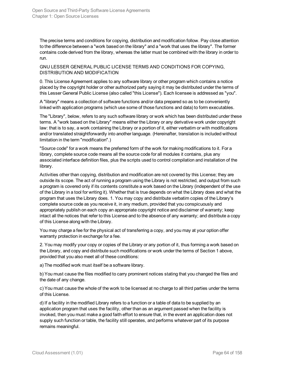The precise terms and conditions for copying, distribution and modification follow. Pay close attention to the difference between a "work based on the library" and a "work that uses the library". The former contains code derived from the library, whereas the latter must be combined with the library in order to run.

GNU LESSER GENERAL PUBLIC LICENSE TERMS AND CONDITIONS FOR COPYING, DISTRIBUTION AND MODIFICATION

0. This License Agreement applies to any software library or other program which contains a notice placed by the copyright holder or other authorized party saying it may be distributed under the terms of this Lesser General Public License (also called "this License"). Each licensee is addressed as "you".

A "library" means a collection of software functions and/or data prepared so as to be conveniently linked with application programs (which use some of those functions and data) to form executables.

The "Library", below, refers to any such software library or work which has been distributed under these terms. A "work based on the Library" means either the Library or any derivative work under copyright law: that is to say, a work containing the Library or a portion of it, either verbatim or with modifications and/or translated straightforwardly into another language. (Hereinafter, translation is included without limitation in the term "modification".)

"Source code" for a work means the preferred form of the work for making modifications to it. For a library, complete source code means all the source code for all modules it contains, plus any associated interface definition files, plus the scripts used to control compilation and installation of the library.

Activities other than copying, distribution and modification are not covered by this License; they are outside its scope. The act of running a program using the Library is not restricted, and output from such a program is covered only if its contents constitute a work based on the Library (independent of the use of the Library in a tool for writing it). Whether that is true depends on what the Library does and what the program that uses the Library does. 1. You may copy and distribute verbatim copies of the Library's complete source code as you receive it, in any medium, provided that you conspicuously and appropriately publish on each copy an appropriate copyright notice and disclaimer of warranty; keep intact all the notices that refer to this License and to the absence of any warranty; and distribute a copy of this License along with the Library.

You may charge a fee for the physical act of transferring a copy, and you may at your option offer warranty protection in exchange for a fee.

2. You may modify your copy or copies of the Library or any portion of it, thus forming a work based on the Library, and copy and distribute such modifications or work under the terms of Section 1 above, provided that you also meet all of these conditions:

a) The modified work must itself be a software library.

b) You must cause the files modified to carry prominent notices stating that you changed the files and the date of any change.

c) You must cause the whole of the work to be licensed at no charge to all third parties under the terms of this License.

d) If a facility in the modified Library refers to a function or a table of data to be supplied by an application program that uses the facility, other than as an argument passed when the facility is invoked, then you must make a good faith effort to ensure that, in the event an application does not supply such function or table, the facility still operates, and performs whatever part of its purpose remains meaningful.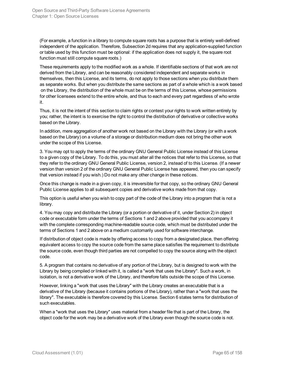(For example, a function in a library to compute square roots has a purpose that is entirely well-defined independent of the application. Therefore, Subsection 2d requires that any application-supplied function or table used by this function must be optional: if the application does not supply it, the square root function must still compute square roots.)

These requirements apply to the modified work as a whole. If identifiable sections of that work are not derived from the Library, and can be reasonably considered independent and separate works in themselves, then this License, and its terms, do not apply to those sections when you distribute them as separate works. But when you distribute the same sections as part of a whole which is a work based on the Library, the distribution of the whole must be on the terms of this License, whose permissions for other licensees extend to the entire whole, and thus to each and every part regardless of who wrote it.

Thus, it is not the intent of this section to claim rights or contest your rights to work written entirely by you; rather, the intent is to exercise the right to control the distribution of derivative or collective works based on the Library.

In addition, mere aggregation of another work not based on the Library with the Library (or with a work based on the Library) on a volume of a storage or distribution medium does not bring the other work under the scope of this License.

3. You may opt to apply the terms of the ordinary GNU General Public License instead of this License to a given copy of the Library. To do this, you must alter all the notices that refer to this License, so that they refer to the ordinary GNU General Public License, version 2, instead of to this License. (If a newer version than version 2 of the ordinary GNU General Public License has appeared, then you can specify that version instead if you wish.) Do not make any other change in these notices.

Once this change is made in a given copy, it is irreversible for that copy, so the ordinary GNU General Public License applies to all subsequent copies and derivative works made from that copy.

This option is useful when you wish to copy part of the code of the Library into a program that is not a library.

4. You may copy and distribute the Library (or a portion or derivative of it, under Section 2) in object code or executable form under the terms of Sections 1 and 2 above provided that you accompany it with the complete corresponding machine-readable source code, which must be distributed under the terms of Sections 1 and 2 above on a medium customarily used for software interchange.

If distribution of object code is made by offering access to copy from a designated place, then offering equivalent access to copy the source code from the same place satisfies the requirement to distribute the source code, even though third parties are not compelled to copy the source along with the object code.

5. A program that contains no derivative of any portion of the Library, but is designed to work with the Library by being compiled or linked with it, is called a "work that uses the Library". Such a work, in isolation, is not a derivative work of the Library, and therefore falls outside the scope of this License.

However, linking a "work that uses the Library" with the Library creates an executable that is a derivative of the Library (because it contains portions of the Library), rather than a "work that uses the library". The executable is therefore covered by this License. Section 6 states terms for distribution of such executables.

When a "work that uses the Library" uses material from a header file that is part of the Library, the object code for the work may be a derivative work of the Library even though the source code is not.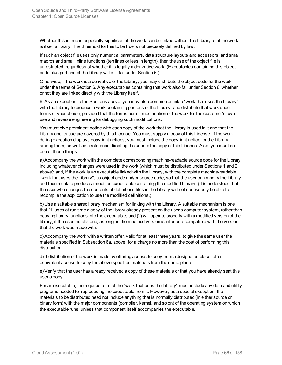Whether this is true is especially significant if the work can be linked without the Library, or if the work is itself a library. The threshold for this to be true is not precisely defined by law.

If such an object file uses only numerical parameters, data structure layouts and accessors, and small macros and small inline functions (ten lines or less in length), then the use of the object file is unrestricted, regardless of whether it is legally a derivative work. (Executables containing this object code plus portions of the Library will still fall under Section 6.)

Otherwise, if the work is a derivative of the Library, you may distribute the object code for the work under the terms of Section 6. Any executables containing that work also fall under Section 6, whether or not they are linked directly with the Library itself.

6. As an exception to the Sections above, you may also combine or link a "work that uses the Library" with the Library to produce a work containing portions of the Library, and distribute that work under terms of your choice, provided that the terms permit modification of the work for the customer's own use and reverse engineering for debugging such modifications.

You must give prominent notice with each copy of the work that the Library is used in it and that the Library and its use are covered by this License. You must supply a copy of this License. If the work during execution displays copyright notices, you must include the copyright notice for the Library among them, as well as a reference directing the user to the copy of this License. Also, you must do one of these things:

a) Accompany the work with the complete corresponding machine-readable source code for the Library including whatever changes were used in the work (which must be distributed under Sections 1 and 2 above); and, if the work is an executable linked with the Library, with the complete machine-readable "work that uses the Library", as object code and/or source code, so that the user can modify the Library and then relink to produce a modified executable containing the modified Library. (It is understood that the user who changes the contents of definitions files in the Library will not necessarily be able to recompile the application to use the modified definitions.)

b) Use a suitable shared library mechanism for linking with the Library. A suitable mechanism is one that (1) uses at run time a copy of the library already present on the user's computer system, rather than copying library functions into the executable, and (2) will operate properly with a modified version of the library, if the user installs one, as long as the modified version is interface-compatible with the version that the work was made with.

c) Accompany the work with a written offer, valid for at least three years, to give the same user the materials specified in Subsection 6a, above, for a charge no more than the cost of performing this distribution.

d) If distribution of the work is made by offering access to copy from a designated place, offer equivalent access to copy the above specified materials from the same place.

e) Verify that the user has already received a copy of these materials or that you have already sent this user a copy.

For an executable, the required form of the "work that uses the Library" must include any data and utility programs needed for reproducing the executable from it. However, as a special exception, the materials to be distributed need not include anything that is normally distributed (in either source or binary form) with the major components (compiler, kernel, and so on) of the operating system on which the executable runs, unless that component itself accompanies the executable.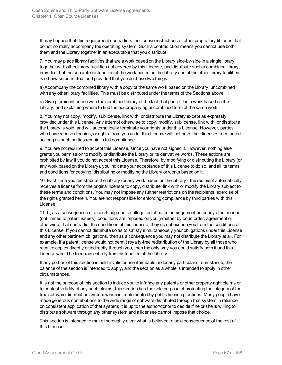It may happen that this requirement contradicts the license restrictions of other proprietary libraries that do not normally accompany the operating system. Such a contradiction means you cannot use both them and the Library together in an executable that you distribute.

7. You may place library facilities that are a work based on the Library side-by-side in a single library together with other library facilities not covered by this License, and distribute such a combined library, provided that the separate distribution of the work based on the Library and of the other library facilities is otherwise permitted, and provided that you do these two things:

a) Accompany the combined library with a copy of the same work based on the Library, uncombined with any other library facilities. This must be distributed under the terms of the Sections above.

b) Give prominent notice with the combined library of the fact that part of it is a work based on the Library, and explaining where to find the accompanying uncombined form of the same work.

8. You may not copy, modify, sublicense, link with, or distribute the Library except as expressly provided under this License. Any attempt otherwise to copy, modify, sublicense, link with, or distribute the Library is void, and will automatically terminate your rights under this License. However, parties who have received copies, or rights, from you under this License will not have their licenses terminated so long as such parties remain in full compliance.

9. You are not required to accept this License, since you have not signed it. However, nothing else grants you permission to modify or distribute the Library or its derivative works. These actions are prohibited by law if you do not accept this License. Therefore, by modifying or distributing the Library (or any work based on the Library), you indicate your acceptance of this License to do so, and all its terms and conditions for copying, distributing or modifying the Library or works based on it.

10. Each time you redistribute the Library (or any work based on the Library), the recipient automatically receives a license from the original licensor to copy, distribute, link with or modify the Library subject to these terms and conditions. You may not impose any further restrictions on the recipients' exercise of the rights granted herein. You are not responsible for enforcing compliance by third parties with this License.

11. If, as a consequence of a court judgment or allegation of patent infringement or for any other reason (not limited to patent issues), conditions are imposed on you (whether by court order, agreement or otherwise) that contradict the conditions of this License, they do not excuse you from the conditions of this License. If you cannot distribute so as to satisfy simultaneously your obligations under this License and any other pertinent obligations, then as a consequence you may not distribute the Library at all. For example, if a patent license would not permit royalty-free redistribution of the Library by all those who receive copies directly or indirectly through you, then the only way you could satisfy both it and this License would be to refrain entirely from distribution of the Library.

If any portion of this section is held invalid or unenforceable under any particular circumstance, the balance of the section is intended to apply, and the section as a whole is intended to apply in other circumstances.

It is not the purpose of this section to induce you to infringe any patents or other property right claims or to contest validity of any such claims; this section has the sole purpose of protecting the integrity of the free software distribution system which is implemented by public license practices. Many people have made generous contributions to the wide range of software distributed through that system in reliance on consistent application of that system; it is up to the author/donor to decide if he or she is willing to distribute software through any other system and a licensee cannot impose that choice.

This section is intended to make thoroughly clear what is believed to be a consequence of the rest of this License.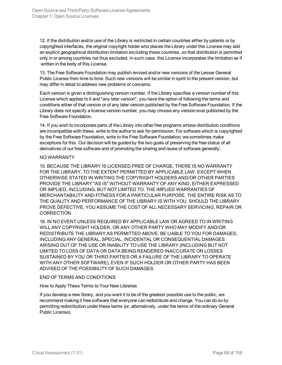12. If the distribution and/or use of the Library is restricted in certain countries either by patents or by copyrighted interfaces, the original copyright holder who places the Library under this License may add an explicit geographical distribution limitation excluding those countries, so that distribution is permitted only in or among countries not thus excluded. In such case, this License incorporates the limitation as if written in the body of this License.

13. The Free Software Foundation may publish revised and/or new versions of the Lesser General Public License from time to time. Such new versions will be similar in spirit to the present version, but may differ in detail to address new problems or concerns.

Each version is given a distinguishing version number. If the Library specifies a version number of this License which applies to it and "any later version", you have the option of following the terms and conditions either of that version or of any later version published by the Free Software Foundation. If the Library does not specify a license version number, you may choose any version ever published by the Free Software Foundation.

14. If you wish to incorporate parts of the Library into other free programs whose distribution conditions are incompatible with these, write to the author to ask for permission. For software which is copyrighted by the Free Software Foundation, write to the Free Software Foundation; we sometimes make exceptions for this. Our decision will be guided by the two goals of preserving the free status of all derivatives of our free software and of promoting the sharing and reuse of software generally.

## NO WARRANTY

15. BECAUSE THE LIBRARY IS LICENSED FREE OF CHARGE, THERE IS NO WARRANTY FOR THE LIBRARY, TO THE EXTENT PERMITTED BY APPLICABLE LAW. EXCEPT WHEN OTHERWISE STATED IN WRITING THE COPYRIGHT HOLDERS AND/OR OTHER PARTIES PROVIDE THE LIBRARY "AS IS" WITHOUT WARRANTY OF ANY KIND, EITHER EXPRESSED OR IMPLIED, INCLUDING, BUT NOT LIMITED TO, THE IMPLIED WARRANTIES OF MERCHANTABILITY AND FITNESS FOR A PARTICULAR PURPOSE. THE ENTIRE RISK AS TO THE QUALITY AND PERFORMANCE OF THE LIBRARY IS WITH YOU. SHOULD THE LIBRARY PROVE DEFECTIVE, YOU ASSUME THE COST OF ALL NECESSARY SERVICING, REPAIR OR CORRECTION.

16. IN NO EVENT UNLESS REQUIRED BY APPLICABLE LAW OR AGREED TO IN WRITING WILL ANY COPYRIGHT HOLDER, OR ANY OTHER PARTY WHO MAY MODIFY AND/OR REDISTRIBUTE THE LIBRARY AS PERMITTED ABOVE, BE LIABLE TO YOU FOR DAMAGES, INCLUDING ANY GENERAL, SPECIAL, INCIDENTAL OR CONSEQUENTIAL DAMAGES ARISING OUT OF THE USE OR INABILITY TO USE THE LIBRARY (INCLUDING BUT NOT LIMITED TO LOSS OF DATA OR DATA BEING RENDERED INACCURATE OR LOSSES SUSTAINED BY YOU OR THIRD PARTIES OR A FAILURE OF THE LIBRARY TO OPERATE WITH ANY OTHER SOFTWARE), EVEN IF SUCH HOLDER OR OTHER PARTY HAS BEEN ADVISED OF THE POSSIBILITY OF SUCH DAMAGES.

# END OF TERMS AND CONDITIONS

## How to Apply These Terms to Your New Libraries

If you develop a new library, and you want it to be of the greatest possible use to the public, we recommend making it free software that everyone can redistribute and change. You can do so by permitting redistribution under these terms (or, alternatively, under the terms of the ordinary General Public License).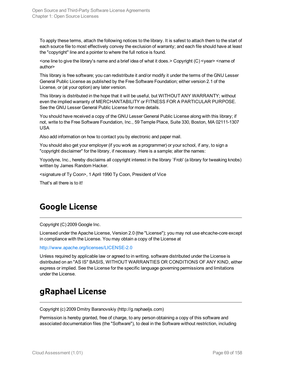To apply these terms, attach the following notices to the library. It is safest to attach them to the start of each source file to most effectively convey the exclusion of warranty; and each file should have at least the "copyright" line and a pointer to where the full notice is found.

<one line to give the library's name and a brief idea of what it does.> Copyright (C) <year> <name of author>

This library is free software; you can redistribute it and/or modify it under the terms of the GNU Lesser General Public License as published by the Free Software Foundation; either version 2.1 of the License, or (at your option) any later version.

This library is distributed in the hope that it will be useful, but WITHOUT ANY WARRANTY; without even the implied warranty of MERCHANTABILITY or FITNESS FOR A PARTICULAR PURPOSE. See the GNU Lesser General Public License for more details.

You should have received a copy of the GNU Lesser General Public License along with this library; if not, write to the Free Software Foundation, Inc., 59 Temple Place, Suite 330, Boston, MA 02111-1307 USA

Also add information on how to contact you by electronic and paper mail.

You should also get your employer (if you work as a programmer) or your school, if any, to sign a "copyright disclaimer" for the library, if necessary. Here is a sample; alter the names:

Yoyodyne, Inc., hereby disclaims all copyright interest in the library `Frob' (a library for tweaking knobs) written by James Random Hacker.

<signature of Ty Coon>, 1 April 1990 Ty Coon, President of Vice

That's all there is to it!

# **Google License**

Copyright (C) 2009 Google Inc.

Licensed under the Apache License, Version 2.0 (the "License"); you may not use ehcache-core except in compliance with the License. You may obtain a copy of the License at

<http://www.apache.org/licenses/LICENSE-2.0>

Unless required by applicable law or agreed to in writing, software distributed under the License is distributed on an "AS IS" BASIS, WITHOUT WARRANTIES OR CONDITIONS OF ANY KIND, either express or implied. See the License for the specific language governing permissions and limitations under the License.

# **gRaphael License**

Copyright (c) 2009 Dmitry Baranovskiy (http://g.raphaeljs.com)

Permission is hereby granted, free of charge, to any person obtaining a copy of this software and associated documentation files (the "Software"), to deal in the Software without restriction, including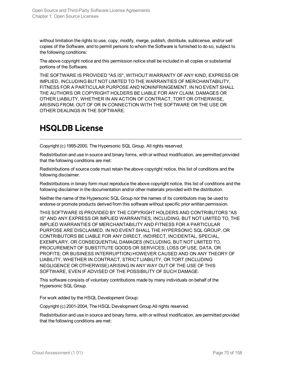without limitation the rights to use, copy, modify, merge, publish, distribute, sublicense, and/or sell copies of the Software, and to permit persons to whom the Software is furnished to do so, subject to the following conditions:

The above copyright notice and this permission notice shall be included in all copies or substantial portions of the Software.

THE SOFTWARE IS PROVIDED "AS IS", WITHOUT WARRANTY OF ANY KIND, EXPRESS OR IMPLIED, INCLUDING BUT NOT LIMITED TO THE WARRANTIES OF MERCHANTABILITY, FITNESS FOR A PARTICULAR PURPOSE AND NONINFRINGEMENT. IN NO EVENT SHALL THE AUTHORS OR COPYRIGHT HOLDERS BE LIABLE FOR ANY CLAIM, DAMAGES OR OTHER LIABILITY, WHETHER IN AN ACTION OF CONTRACT, TORT OR OTHERWISE, ARISING FROM, OUT OF OR IN CONNECTION WITH THE SOFTWARE OR THE USE OR OTHER DEALINGS IN THE SOFTWARE.

# **HSQLDB License**

Copyright (c) 1995-2000, The Hypersonic SQL Group. All rights reserved.

Redistribution and use in source and binary forms, with or without modification, are permitted provided that the following conditions are met:

Redistributions of source code must retain the above copyright notice, this list of conditions and the following disclaimer.

Redistributions in binary form must reproduce the above copyright notice, this list of conditions and the following disclaimer in the documentation and/or other materials provided with the distribution.

Neither the name of the Hypersonic SQL Group nor the names of its contributors may be used to endorse or promote products derived from this software without specific prior written permission.

THIS SOFTWARE IS PROVIDED BY THE COPYRIGHT HOLDERS AND CONTRIBUTORS "AS IS" AND ANY EXPRESS OR IMPLIED WARRANTIES, INCLUDING, BUT NOT LIMITED TO, THE IMPLIED WARRANTIES OF MERCHANTABILITY AND FITNESS FOR A PARTICULAR PURPOSE ARE DISCLAIMED. IN NO EVENT SHALL THE HYPERSONIC SQL GROUP, OR CONTRIBUTORS BE LIABLE FOR ANY DIRECT, INDIRECT, INCIDENTAL, SPECIAL, EXEMPLARY, OR CONSEQUENTIAL DAMAGES (INCLUDING, BUT NOT LIMITED TO, PROCUREMENT OF SUBSTITUTE GOODS OR SERVICES; LOSS OF USE, DATA, OR PROFITS; OR BUSINESS INTERRUPTION) HOWEVER CAUSED AND ON ANY THEORY OF LIABILITY, WHETHER IN CONTRACT, STRICT LIABILITY, OR TORT (INCLUDING NEGLIGENCE OR OTHERWISE) ARISING IN ANY WAY OUT OF THE USE OF THIS SOFTWARE, EVEN IF ADVISED OF THE POSSIBILITY OF SUCH DAMAGE.

This software consists of voluntary contributions made by many individuals on behalf of the Hypersonic SQL Group.

For work added by the HSQL Development Group:

Copyright (c) 2001-2004, The HSQL Development Group All rights reserved.

Redistribution and use in source and binary forms, with or without modification, are permitted provided that the following conditions are met: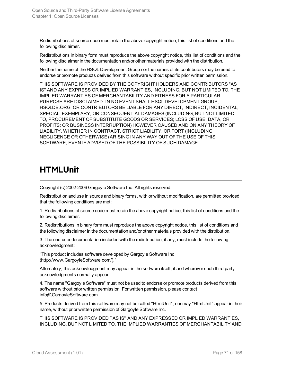Redistributions of source code must retain the above copyright notice, this list of conditions and the following disclaimer.

Redistributions in binary form must reproduce the above copyright notice, this list of conditions and the following disclaimer in the documentation and/or other materials provided with the distribution.

Neither the name of the HSQL Development Group nor the names of its contributors may be used to endorse or promote products derived from this software without specific prior written permission.

THIS SOFTWARE IS PROVIDED BY THE COPYRIGHT HOLDERS AND CONTRIBUTORS "AS IS" AND ANY EXPRESS OR IMPLIED WARRANTIES, INCLUDING, BUT NOT LIMITED TO, THE IMPLIED WARRANTIES OF MERCHANTABILITY AND FITNESS FOR A PARTICULAR PURPOSE ARE DISCLAIMED. IN NO EVENT SHALL HSQL DEVELOPMENT GROUP, HSQLDB.ORG, OR CONTRIBUTORS BE LIABLE FOR ANY DIRECT, INDIRECT, INCIDENTAL, SPECIAL, EXEMPLARY, OR CONSEQUENTIAL DAMAGES (INCLUDING, BUT NOT LIMITED TO, PROCUREMENT OF SUBSTITUTE GOODS OR SERVICES; LOSS OF USE, DATA, OR PROFITS; OR BUSINESS INTERRUPTION) HOWEVER CAUSED AND ON ANY THEORY OF LIABILITY, WHETHER IN CONTRACT, STRICT LIABILITY, OR TORT (INCLUDING NEGLIGENCE OR OTHERWISE) ARISING IN ANY WAY OUT OF THE USE OF THIS SOFTWARE, EVEN IF ADVISED OF THE POSSIBILITY OF SUCH DAMAGE.

# **HTMLUnit**

Copyright (c) 2002-2006 Gargoyle Software Inc. All rights reserved.

Redistribution and use in source and binary forms, with or without modification, are permitted provided that the following conditions are met:

1. Redistributions of source code must retain the above copyright notice, this list of conditions and the following disclaimer.

2. Redistributions in binary form must reproduce the above copyright notice, this list of conditions and the following disclaimer in the documentation and/or other materials provided with the distribution.

3. The end-user documentation included with the redistribution, if any, must include the following acknowledgment:

"This product includes software developed by Gargoyle Software Inc. (http://www.GargoyleSoftware.com/)."

Alternately, this acknowledgment may appear in the software itself, if and wherever such third-party acknowledgments normally appear.

4. The name "Gargoyle Software" must not be used to endorse or promote products derived from this software without prior written permission. For written permission, please contact info@GargoyleSoftware.com.

5. Products derived from this software may not be called "HtmlUnit", nor may "HtmlUnit" appear in their name, without prior written permission of Gargoyle Software Inc.

THIS SOFTWARE IS PROVIDED ``AS IS'' AND ANY EXPRESSED OR IMPLIED WARRANTIES, INCLUDING, BUT NOT LIMITED TO, THE IMPLIED WARRANTIES OF MERCHANTABILITY AND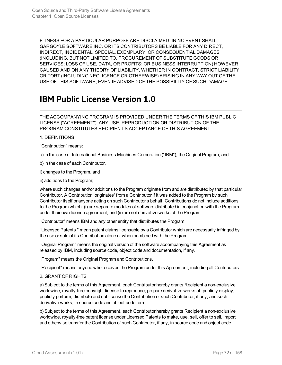FITNESS FOR A PARTICULAR PURPOSE ARE DISCLAIMED. IN NO EVENT SHALL GARGOYLE SOFTWARE INC. OR ITS CONTRIBUTORS BE LIABLE FOR ANY DIRECT, INDIRECT, INCIDENTAL, SPECIAL, EXEMPLARY, OR CONSEQUENTIAL DAMAGES (INCLUDING, BUT NOT LIMITED TO, PROCUREMENT OF SUBSTITUTE GOODS OR SERVICES; LOSS OF USE, DATA, OR PROFITS; OR BUSINESS INTERRUPTION) HOWEVER CAUSED AND ON ANY THEORY OF LIABILITY, WHETHER IN CONTRACT, STRICT LIABILITY, OR TORT (INCLUDING NEGLIGENCE OR OTHERWISE) ARISING IN ANY WAY OUT OF THE USE OF THIS SOFTWARE, EVEN IF ADVISED OF THE POSSIBILITY OF SUCH DAMAGE.

# **IBM Public License Version 1.0**

THE ACCOMPANYING PROGRAM IS PROVIDED UNDER THE TERMS OF THIS IBM PUBLIC LICENSE ("AGREEMENT"). ANY USE, REPRODUCTION OR DISTRIBUTION OF THE PROGRAM CONSTITUTES RECIPIENT'S ACCEPTANCE OF THIS AGREEMENT.

## 1. DEFINITIONS

"Contribution" means:

a) in the case of International Business Machines Corporation ("IBM"), the Original Program, and

- b) in the case of each Contributor,
- i) changes to the Program, and
- ii) additions to the Program;

where such changes and/or additions to the Program originate from and are distributed by that particular Contributor. A Contribution 'originates' from a Contributor if it was added to the Program by such Contributor itself or anyone acting on such Contributor's behalf. Contributions do not include additions to the Program which: (i) are separate modules of software distributed in conjunction with the Program under their own license agreement, and (ii) are not derivative works of the Program.

"Contributor" means IBM and any other entity that distributes the Program.

"Licensed Patents " mean patent claims licensable by a Contributor which are necessarily infringed by the use or sale of its Contribution alone or when combined with the Program.

"Original Program" means the original version of the software accompanying this Agreement as released by IBM, including source code, object code and documentation, if any.

"Program" means the Original Program and Contributions.

"Recipient" means anyone who receives the Program under this Agreement, including all Contributors.

### 2. GRANT OF RIGHTS

a) Subject to the terms of this Agreement, each Contributor hereby grants Recipient a non-exclusive, worldwide, royalty-free copyright license to reproduce, prepare derivative works of, publicly display, publicly perform, distribute and sublicense the Contribution of such Contributor, if any, and such derivative works, in source code and object code form.

b) Subject to the terms of this Agreement, each Contributor hereby grants Recipient a non-exclusive, worldwide, royalty-free patent license under Licensed Patents to make, use, sell, offer to sell, import and otherwise transfer the Contribution of such Contributor, if any, in source code and object code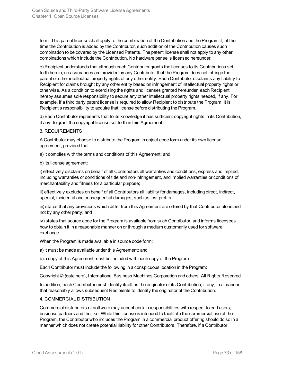form. This patent license shall apply to the combination of the Contribution and the Program if, at the time the Contribution is added by the Contributor, such addition of the Contribution causes such combination to be covered by the Licensed Patents. The patent license shall not apply to any other combinations which include the Contribution. No hardware per se is licensed hereunder.

c) Recipient understands that although each Contributor grants the licenses to its Contributions set forth herein, no assurances are provided by any Contributor that the Program does not infringe the patent or other intellectual property rights of any other entity. Each Contributor disclaims any liability to Recipient for claims brought by any other entity based on infringement of intellectual property rights or otherwise. As a condition to exercising the rights and licenses granted hereunder, each Recipient hereby assumes sole responsibility to secure any other intellectual property rights needed, if any. For example, if a third party patent license is required to allow Recipient to distribute the Program, it is Recipient's responsibility to acquire that license before distributing the Program.

d) Each Contributor represents that to its knowledge it has sufficient copyright rights in its Contribution, if any, to grant the copyright license set forth in this Agreement.

#### 3. REQUIREMENTS

A Contributor may choose to distribute the Program in object code form under its own license agreement, provided that:

a) it complies with the terms and conditions of this Agreement; and

b) its license agreement:

i) effectively disclaims on behalf of all Contributors all warranties and conditions, express and implied, including warranties or conditions of title and non-infringement, and implied warranties or conditions of merchantability and fitness for a particular purpose;

ii) effectively excludes on behalf of all Contributors all liability for damages, including direct, indirect, special, incidental and consequential damages, such as lost profits;

iii) states that any provisions which differ from this Agreement are offered by that Contributor alone and not by any other party; and

iv) states that source code for the Program is available from such Contributor, and informs licensees how to obtain it in a reasonable manner on or through a medium customarily used for software exchange.

When the Program is made available in source code form:

a) it must be made available under this Agreement; and

b) a copy of this Agreement must be included with each copy of the Program.

Each Contributor must include the following in a conspicuous location in the Program:

Copyright © {date here}, International Business Machines Corporation and others. All Rights Reserved.

In addition, each Contributor must identify itself as the originator of its Contribution, if any, in a manner that reasonably allows subsequent Recipients to identify the originator of the Contribution.

#### 4. COMMERCIAL DISTRIBUTION

Commercial distributors of software may accept certain responsibilities with respect to end users, business partners and the like. While this license is intended to facilitate the commercial use of the Program, the Contributor who includes the Program in a commercial product offering should do so in a manner which does not create potential liability for other Contributors. Therefore, if a Contributor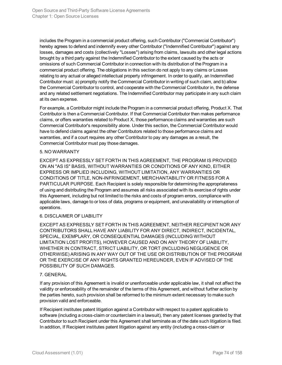includes the Program in a commercial product offering, such Contributor ("Commercial Contributor") hereby agrees to defend and indemnify every other Contributor ("Indemnified Contributor") against any losses, damages and costs (collectively "Losses") arising from claims, lawsuits and other legal actions brought by a third party against the Indemnified Contributor to the extent caused by the acts or omissions of such Commercial Contributor in connection with its distribution of the Program in a commercial product offering. The obligations in this section do not apply to any claims or Losses relating to any actual or alleged intellectual property infringement. In order to qualify, an Indemnified Contributor must: a) promptly notify the Commercial Contributor in writing of such claim, and b) allow the Commercial Contributor to control, and cooperate with the Commercial Contributor in, the defense and any related settlement negotiations. The Indemnified Contributor may participate in any such claim at its own expense.

For example, a Contributor might include the Program in a commercial product offering, Product X. That Contributor is then a Commercial Contributor. If that Commercial Contributor then makes performance claims, or offers warranties related to Product X, those performance claims and warranties are such Commercial Contributor's responsibility alone. Under this section, the Commercial Contributor would have to defend claims against the other Contributors related to those performance claims and warranties, and if a court requires any other Contributor to pay any damages as a result, the Commercial Contributor must pay those damages.

#### 5. NO WARRANTY

EXCEPT AS EXPRESSLY SET FORTH IN THIS AGREEMENT, THE PROGRAM IS PROVIDED ON AN "AS IS" BASIS, WITHOUT WARRANTIES OR CONDITIONS OF ANY KIND, EITHER EXPRESS OR IMPLIED INCLUDING, WITHOUT LIMITATION, ANY WARRANTIES OR CONDITIONS OF TITLE, NON-INFRINGEMENT, MERCHANTABILITY OR FITNESS FOR A PARTICULAR PURPOSE. Each Recipient is solely responsible for determining the appropriateness of using and distributing the Program and assumes all risks associated with its exercise of rights under this Agreement, including but not limited to the risks and costs of program errors, compliance with applicable laws, damage to or loss of data, programs or equipment, and unavailability or interruption of operations.

## 6. DISCLAIMER OF LIABILITY

EXCEPT AS EXPRESSLY SET FORTH IN THIS AGREEMENT, NEITHER RECIPIENT NOR ANY CONTRIBUTORS SHALL HAVE ANY LIABILITY FOR ANY DIRECT, INDIRECT, INCIDENTAL, SPECIAL, EXEMPLARY, OR CONSEQUENTIAL DAMAGES (INCLUDING WITHOUT LIMITATION LOST PROFITS), HOWEVER CAUSED AND ON ANY THEORY OF LIABILITY, WHETHER IN CONTRACT, STRICT LIABILITY, OR TORT (INCLUDING NEGLIGENCE OR OTHERWISE) ARISING IN ANY WAY OUT OF THE USE OR DISTRIBUTION OF THE PROGRAM OR THE EXERCISE OF ANY RIGHTS GRANTED HEREUNDER, EVEN IF ADVISED OF THE POSSIBILITY OF SUCH DAMAGES.

### 7. GENERAL

If any provision of this Agreement is invalid or unenforceable under applicable law, it shall not affect the validity or enforceability of the remainder of the terms of this Agreement, and without further action by the parties hereto, such provision shall be reformed to the minimum extent necessary to make such provision valid and enforceable.

If Recipient institutes patent litigation against a Contributor with respect to a patent applicable to software (including a cross-claim or counterclaim in a lawsuit), then any patent licenses granted by that Contributor to such Recipient under this Agreement shall terminate as of the date such litigation is filed. In addition, If Recipient institutes patent litigation against any entity (including a cross-claim or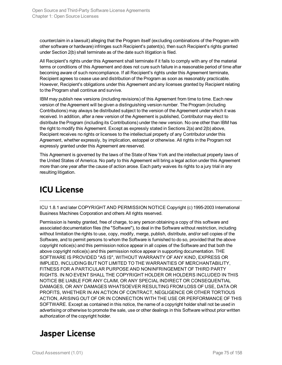counterclaim in a lawsuit) alleging that the Program itself (excluding combinations of the Program with other software or hardware) infringes such Recipient's patent(s), then such Recipient's rights granted under Section 2(b) shall terminate as of the date such litigation is filed.

All Recipient's rights under this Agreement shall terminate if it fails to comply with any of the material terms or conditions of this Agreement and does not cure such failure in a reasonable period of time after becoming aware of such noncompliance. If all Recipient's rights under this Agreement terminate, Recipient agrees to cease use and distribution of the Program as soon as reasonably practicable. However, Recipient's obligations under this Agreement and any licenses granted by Recipient relating to the Program shall continue and survive.

IBM may publish new versions (including revisions) of this Agreement from time to time. Each new version of the Agreement will be given a distinguishing version number. The Program (including Contributions) may always be distributed subject to the version of the Agreement under which it was received. In addition, after a new version of the Agreement is published, Contributor may elect to distribute the Program (including its Contributions) under the new version. No one other than IBM has the right to modify this Agreement. Except as expressly stated in Sections 2(a) and 2(b) above, Recipient receives no rights or licenses to the intellectual property of any Contributor under this Agreement, whether expressly, by implication, estoppel or otherwise. All rights in the Program not expressly granted under this Agreement are reserved.

This Agreement is governed by the laws of the State of New York and the intellectual property laws of the United States of America. No party to this Agreement will bring a legal action under this Agreement more than one year after the cause of action arose. Each party waives its rights to a jury trial in any resulting litigation.

# **ICU License**

ICU 1.8.1 and later COPYRIGHT AND PERMISSION NOTICE Copyright (c) 1995-2003 International Business Machines Corporation and others All rights reserved.

Permission is hereby granted, free of charge, to any person obtaining a copy of this software and associated documentation files (the "Software"), to deal in the Software without restriction, including without limitation the rights to use, copy, modify, merge, publish, distribute, and/or sell copies of the Software, and to permit persons to whom the Software is furnished to do so, provided that the above copyright notice(s) and this permission notice appear in all copies of the Software and that both the above copyright notice(s) and this permission notice appear in supporting documentation. THE SOFTWARE IS PROVIDED "AS IS", WITHOUT WARRANTY OF ANY KIND, EXPRESS OR IMPLIED, INCLUDING BUT NOT LIMITED TO THE WARRANTIES OF MERCHANTABILITY, FITNESS FOR A PARTICULAR PURPOSE AND NONINFRINGEMENT OF THIRD PARTY RIGHTS. IN NO EVENT SHALL THE COPYRIGHT HOLDER OR HOLDERS INCLUDED IN THIS NOTICE BE LIABLE FOR ANY CLAIM, OR ANY SPECIAL INDIRECT OR CONSEQUENTIAL DAMAGES, OR ANY DAMAGES WHATSOEVER RESULTING FROM LOSS OF USE, DATA OR PROFITS, WHETHER IN AN ACTION OF CONTRACT, NEGLIGENCE OR OTHER TORTIOUS ACTION, ARISING OUT OF OR IN CONNECTION WITH THE USE OR PERFORMANCE OF THIS SOFTWARE. Except as contained in this notice, the name of a copyright holder shall not be used in advertising or otherwise to promote the sale, use or other dealings in this Software without prior written authorization of the copyright holder.

# **Jasper License**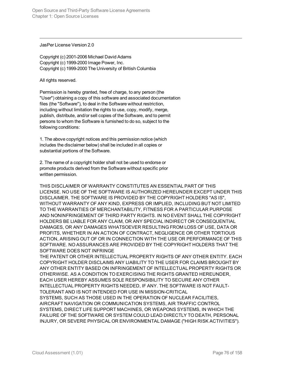#### JasPer License Version 2.0

Copyright (c) 2001-2006 Michael David Adams Copyright (c) 1999-2000 Image Power, Inc. Copyright (c) 1999-2000 The University of British Columbia

All rights reserved.

Permission is hereby granted, free of charge, to any person (the "User") obtaining a copy of this software and associated documentation files (the "Software"), to deal in the Software without restriction, including without limitation the rights to use, copy, modify, merge, publish, distribute, and/or sell copies of the Software, and to permit persons to whom the Software is furnished to do so, subject to the following conditions:

1. The above copyright notices and this permission notice (which includes the disclaimer below) shall be included in all copies or substantial portions of the Software.

2. The name of a copyright holder shall not be used to endorse or promote products derived from the Software without specific prior written permission.

THIS DISCLAIMER OF WARRANTY CONSTITUTES AN ESSENTIAL PART OF THIS LICENSE. NO USE OF THE SOFTWARE IS AUTHORIZED HEREUNDER EXCEPT UNDER THIS DISCLAIMER. THE SOFTWARE IS PROVIDED BY THE COPYRIGHT HOLDERS "AS IS", WITHOUT WARRANTY OF ANY KIND, EXPRESS OR IMPLIED, INCLUDING BUT NOT LIMITED TO THE WARRANTIES OF MERCHANTABILITY, FITNESS FOR A PARTICULAR PURPOSE AND NONINFRINGEMENT OF THIRD PARTY RIGHTS. IN NO EVENT SHALL THE COPYRIGHT HOLDERS BE LIABLE FOR ANY CLAIM, OR ANY SPECIAL INDIRECT OR CONSEQUENTIAL DAMAGES, OR ANY DAMAGES WHATSOEVER RESULTING FROM LOSS OF USE, DATA OR PROFITS, WHETHER IN AN ACTION OF CONTRACT, NEGLIGENCE OR OTHER TORTIOUS ACTION, ARISING OUT OF OR IN CONNECTION WITH THE USE OR PERFORMANCE OF THIS SOFTWARE. NO ASSURANCES ARE PROVIDED BY THE COPYRIGHT HOLDERS THAT THE SOFTWARE DOES NOT INFRINGE

THE PATENT OR OTHER INTELLECTUAL PROPERTY RIGHTS OF ANY OTHER ENTITY. EACH COPYRIGHT HOLDER DISCLAIMS ANY LIABILITY TO THE USER FOR CLAIMS BROUGHT BY ANY OTHER ENTITY BASED ON INFRINGEMENT OF INTELLECTUAL PROPERTY RIGHTS OR OTHERWISE. AS A CONDITION TO EXERCISING THE RIGHTS GRANTED HEREUNDER, EACH USER HEREBY ASSUMES SOLE RESPONSIBILITY TO SECURE ANY OTHER INTELLECTUAL PROPERTY RIGHTS NEEDED, IF ANY. THE SOFTWARE IS NOT FAULT-TOLERANT AND IS NOT INTENDED FOR USE IN MISSION-CRITICAL

SYSTEMS, SUCH AS THOSE USED IN THE OPERATION OF NUCLEAR FACILITIES, AIRCRAFT NAVIGATION OR COMMUNICATION SYSTEMS, AIR TRAFFIC CONTROL SYSTEMS, DIRECT LIFE SUPPORT MACHINES, OR WEAPONS SYSTEMS, IN WHICH THE FAILURE OF THE SOFTWARE OR SYSTEM COULD LEAD DIRECTLY TO DEATH, PERSONAL INJURY, OR SEVERE PHYSICAL OR ENVIRONMENTAL DAMAGE ("HIGH RISK ACTIVITIES").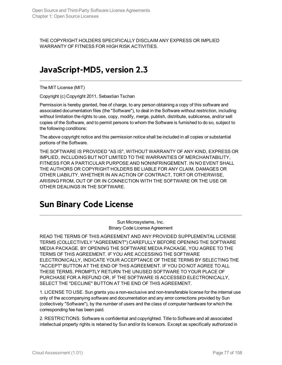THE COPYRIGHT HOLDERS SPECIFICALLY DISCLAIM ANY EXPRESS OR IMPLIED WARRANTY OF FITNESS FOR HIGH RISK ACTIVITIES.

# **JavaScript-MD5, version 2.3**

The MIT License (MIT)

Copyright (c) Copyright 2011, Sebastian Tschan

Permission is hereby granted, free of charge, to any person obtaining a copy of this software and associated documentation files (the "Software"), to deal in the Software without restriction, including without limitation the rights to use, copy, modify, merge, publish, distribute, sublicense, and/or sell copies of the Software, and to permit persons to whom the Software is furnished to do so, subject to the following conditions:

The above copyright notice and this permission notice shall be included in all copies or substantial portions of the Software.

THE SOFTWARE IS PROVIDED "AS IS", WITHOUT WARRANTY OF ANY KIND, EXPRESS OR IMPLIED, INCLUDING BUT NOT LIMITED TO THE WARRANTIES OF MERCHANTABILITY, FITNESS FOR A PARTICULAR PURPOSE AND NONINFRINGEMENT. IN NO EVENT SHALL THE AUTHORS OR COPYRIGHT HOLDERS BE LIABLE FOR ANY CLAIM, DAMAGES OR OTHER LIABILITY, WHETHER IN AN ACTION OF CONTRACT, TORT OR OTHERWISE, ARISING FROM, OUT OF OR IN CONNECTION WITH THE SOFTWARE OR THE USE OR OTHER DEALINGS IN THE SOFTWARE.

# **Sun Binary Code License**

Sun Microsystems, Inc. Binary Code License Agreement

READ THE TERMS OF THIS AGREEMENT AND ANY PROVIDED SUPPLEMENTAL LICENSE TERMS (COLLECTIVELY "AGREEMENT") CAREFULLY BEFORE OPENING THE SOFTWARE MEDIA PACKAGE. BY OPENING THE SOFTWARE MEDIA PACKAGE, YOU AGREE TO THE TERMS OF THIS AGREEMENT. IF YOU ARE ACCESSING THE SOFTWARE ELECTRONICALLY, INDICATE YOUR ACCEPTANCE OF THESE TERMS BY SELECTING THE "ACCEPT" BUTTON AT THE END OF THIS AGREEMENT. IF YOU DO NOT AGREE TO ALL THESE TERMS, PROMPTLY RETURN THE UNUSED SOFTWARE TO YOUR PLACE OF PURCHASE FOR A REFUND OR, IF THE SOFTWARE IS ACCESSED ELECTRONICALLY, SELECT THE "DECLINE" BUTTON AT THE END OF THIS AGREEMENT.

1. LICENSE TO USE. Sun grants you a non-exclusive and non-transferable license for the internal use only of the accompanying software and documentation and any error corrections provided by Sun (collectively "Software"), by the number of users and the class of computer hardware for which the corresponding fee has been paid.

2. RESTRICTIONS. Software is confidential and copyrighted. Title to Software and all associated intellectual property rights is retained by Sun and/or its licensors. Except as specifically authorized in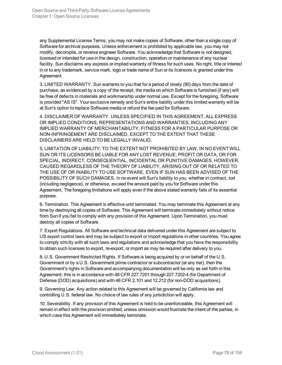any Supplemental License Terms, you may not make copies of Software, other than a single copy of Software for archival purposes. Unless enforcement is prohibited by applicable law, you may not modify, decompile, or reverse engineer Software. You acknowledge that Software is not designed, licensed or intended for use in the design, construction, operation or maintenance of any nuclear facility. Sun disclaims any express or implied warranty of fitness for such uses. No right, title or interest in or to any trademark, service mark, logo or trade name of Sun or its licensors is granted under this Agreement.

3. LIMITED WARRANTY. Sun warrants to you that for a period of ninety (90) days from the date of purchase, as evidenced by a copy of the receipt, the media on which Software is furnished (if any) will be free of defects in materials and workmanship under normal use. Except for the foregoing, Software is provided "AS IS". Your exclusive remedy and Sun's entire liability under this limited warranty will be at Sun's option to replace Software media or refund the fee paid for Software.

4. DISCLAIMER OF WARRANTY. UNLESS SPECIFIED IN THIS AGREEMENT, ALL EXPRESS OR IMPLIED CONDITIONS, REPRESENTATIONS AND WARRANTIES, INCLUDING ANY IMPLIED WARRANTY OF MERCHANTABILITY, FITNESS FOR A PARTICULAR PURPOSE OR NON-INFRINGEMENT ARE DISCLAIMED, EXCEPT TO THE EXTENT THAT THESE DISCLAIMERS ARE HELD TO BE LEGALLY INVALID.

5. LIMITATION OF LIABILITY. TO THE EXTENT NOT PROHIBITED BY LAW, IN NO EVENT WILL SUN OR ITS LICENSORS BE LIABLE FOR ANY LOST REVENUE, PROFIT OR DATA, OR FOR SPECIAL, INDIRECT, CONSEQUENTIAL, INCIDENTAL OR PUNITIVE DAMAGES, HOWEVER CAUSED REGARDLESS OF THE THEORY OF LIABILITY, ARISING OUT OF OR RELATED TO THE USE OF OR INABILITY TO USE SOFTWARE, EVEN IF SUN HAS BEEN ADVISED OF THE POSSIBILITY OF SUCH DAMAGES. In no event will Sun's liability to you, whether in contract, tort (including negligence), or otherwise, exceed the amount paid by you for Software under this Agreement. The foregoing limitations will apply even if the above stated warranty fails of its essential purpose.

6. Termination. This Agreement is effective until terminated. You may terminate this Agreement at any time by destroying all copies of Software. This Agreement will terminate immediately without notice from Sun if you fail to comply with any provision of this Agreement. Upon Termination, you must destroy all copies of Software.

7. Export Regulations. All Software and technical data delivered under this Agreement are subject to US export control laws and may be subject to export or import regulations in other countries. You agree to comply strictly with all such laws and regulations and acknowledge that you have the responsibility to obtain such licenses to export, re-export, or import as may be required after delivery to you.

8. U.S. Government Restricted Rights. If Software is being acquired by or on behalf of the U.S. Government or by a U.S. Government prime contractor or subcontractor (at any tier), then the Government's rights in Software and accompanying documentation will be only as set forth in this Agreement; this is in accordance with 48 CFR 227.7201 through 227.7202-4 (for Department of Defense (DOD) acquisitions) and with 48 CFR 2.101 and 12.212 (for non-DOD acquisitions).

9. Governing Law. Any action related to this Agreement will be governed by California law and controlling U.S. federal law. No choice of law rules of any jurisdiction will apply.

10. Severability. If any provision of this Agreement is held to be unenforceable, this Agreement will remain in effect with the provision omitted, unless omission would frustrate the intent of the parties, in which case this Agreement will immediately terminate.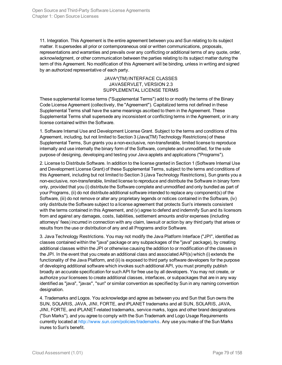11. Integration. This Agreement is the entire agreement between you and Sun relating to its subject matter. It supersedes all prior or contemporaneous oral or written communications, proposals, representations and warranties and prevails over any conflicting or additional terms of any quote, order, acknowledgment, or other communication between the parties relating to its subject matter during the term of this Agreement. No modification of this Agreement will be binding, unless in writing and signed by an authorized representative of each party.

## JAVA^(TM) INTERFACE CLASSES JAVASERVLET, VERSION 2.3 SUPPLEMENTAL LICENSE TERMS

These supplemental license terms ("Supplemental Terms") add to or modify the terms of the Binary Code License Agreement (collectively, the "Agreement"). Capitalized terms not defined in these Supplemental Terms shall have the same meanings ascribed to them in the Agreement. These Supplemental Terms shall supersede any inconsistent or conflicting terms in the Agreement, or in any license contained within the Software.

1. Software Internal Use and Development License Grant. Subject to the terms and conditions of this Agreement, including, but not limited to Section 3 (Java(TM) Technology Restrictions) of these Supplemental Terms, Sun grants you a non-exclusive, non-transferable, limited license to reproduce internally and use internally the binary form of the Software, complete and unmodified, for the sole purpose of designing, developing and testing your Java applets and applications ("Programs").

2. License to Distribute Software. In addition to the license granted in Section 1 (Software Internal Use and Development License Grant) of these Supplemental Terms, subject to the terms and conditions of this Agreement, including but not limited to Section 3 (Java Technology Restrictions), Sun grants you a non-exclusive, non-transferable, limited license to reproduce and distribute the Software in binary form only, provided that you (i) distribute the Software complete and unmodified and only bundled as part of your Programs, (ii) do not distribute additional software intended to replace any component(s) of the Software, (iii) do not remove or alter any proprietary legends or notices contained in the Software, (iv) only distribute the Software subject to a license agreement that protects Sun's interests consistent with the terms contained in this Agreement, and (v) agree to defend and indemnify Sun and its licensors from and against any damages, costs, liabilities, settlement amounts and/or expenses (including attorneys' fees) incurred in connection with any claim, lawsuit or action by any third party that arises or results from the use or distribution of any and all Programs and/or Software.

3. Java Technology Restrictions. You may not modify the Java Platform Interface ("JPI", identified as classes contained within the "java" package or any subpackages of the "java" package), by creating additional classes within the JPI or otherwise causing the addition to or modification of the classes in the JPI. In the event that you create an additional class and associated API(s) which (i) extends the functionality of the Java Platform, and (ii) is exposed to third party software developers for the purpose of developing additional software which invokes such additional API, you must promptly publish broadly an accurate specification for such API for free use by all developers. You may not create, or authorize your licensees to create additional classes, interfaces, or subpackages that are in any way identified as "java", "javax", "sun" or similar convention as specified by Sun in any naming convention designation.

4. Trademarks and Logos. You acknowledge and agree as between you and Sun that Sun owns the SUN, SOLARIS, JAVA, JINI, FORTE, and iPLANET trademarks and all SUN, SOLARIS, JAVA, JINI, FORTE, and iPLANET-related trademarks, service marks, logos and other brand designations ("Sun Marks"), and you agree to comply with the Sun Trademark and Logo Usage Requirements currently located at <http://www.sun.com/policies/trademarks>. Any use you make of the Sun Marks inures to Sun's benefit.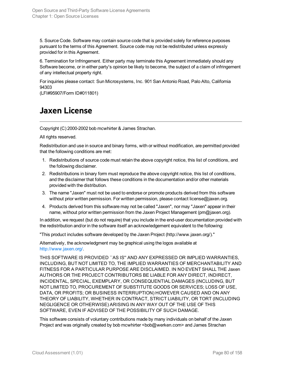5. Source Code. Software may contain source code that is provided solely for reference purposes pursuant to the terms of this Agreement. Source code may not be redistributed unless expressly provided for in this Agreement.

6. Termination for Infringement. Either party may terminate this Agreement immediately should any Software become, or in either party's opinion be likely to become, the subject of a claim of infringement of any intellectual property right.

For inquiries please contact: Sun Microsystems, Inc. 901 San Antonio Road, Palo Alto, California 94303

(LFI#95907/Form ID#011801)

# **Jaxen License**

Copyright (C) 2000-2002 bob mcwhirter & James Strachan.

All rights reserved.

Redistribution and use in source and binary forms, with or without modification, are permitted provided that the following conditions are met:

- 1. Redistributions of source code must retain the above copyright notice, this list of conditions, and the following disclaimer.
- 2. Redistributions in binary form must reproduce the above copyright notice, this list of conditions, and the disclaimer that follows these conditions in the documentation and/or other materials provided with the distribution.
- 3. The name "Jaxen" must not be used to endorse or promote products derived from this software without prior written permission. For written permission, please contact license@jaxen.org.
- 4. Products derived from this software may not be called "Jaxen", nor may "Jaxen" appear in their name, without prior written permission from the Jaxen Project Management (pm@jaxen.org).

In addition, we request (but do not require) that you include in the end-user documentation provided with the redistribution and/or in the software itself an acknowledgement equivalent to the following:

"This product includes software developed by the Jaxen Project (http://www.jaxen.org/)."

Alternatively, the acknowledgment may be graphical using the logos available at <http://www.jaxen.org/>.

THIS SOFTWARE IS PROVIDED ``AS IS'' AND ANY EXPRESSED OR IMPLIED WARRANTIES, INCLUDING, BUT NOT LIMITED TO, THE IMPLIED WARRANTIES OF MERCHANTABILITY AND FITNESS FOR A PARTICULAR PURPOSE ARE DISCLAIMED. IN NO EVENT SHALL THE Jaxen AUTHORS OR THE PROJECT CONTRIBUTORS BE LIABLE FOR ANY DIRECT, INDIRECT, INCIDENTAL, SPECIAL, EXEMPLARY, OR CONSEQUENTIAL DAMAGES (INCLUDING, BUT NOT LIMITED TO, PROCUREMENT OF SUBSTITUTE GOODS OR SERVICES; LOSS OF USE, DATA, OR PROFITS; OR BUSINESS INTERRUPTION) HOWEVER CAUSED AND ON ANY THEORY OF LIABILITY, WHETHER IN CONTRACT, STRICT LIABILITY, OR TORT (INCLUDING NEGLIGENCE OR OTHERWISE) ARISING IN ANY WAY OUT OF THE USE OF THIS SOFTWARE, EVEN IF ADVISED OF THE POSSIBILITY OF SUCH DAMAGE.

This software consists of voluntary contributions made by many individuals on behalf of the Jaxen Project and was originally created by bob mcwhirter <bob@werken.com> and James Strachan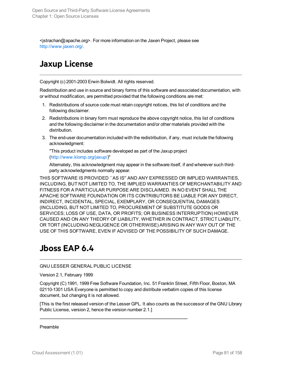<jstrachan@apache.org>. For more information on the Jaxen Project, please see <http://www.jaxen.org/>.

# **Jaxup License**

Copyright (c) 2001-2003 Erwin Bolwidt. All rights reserved.

Redistribution and use in source and binary forms of this software and associated documentation, with or without modification, are permitted provided that the following conditions are met:

- 1. Redistributions of source code must retain copyright notices, this list of conditions and the following disclaimer.
- 2. Redistributions in binary form must reproduce the above copyright notice, this list of conditions and the following disclaimer in the documentation and/or other materials provided with the distribution.
- 3. The end-user documentation included with the redistribution, if any, must include the following acknowledgment:

"This product includes software developed as part of the Jaxup project [\(http://www.klomp.org/jaxup/](http://www.klomp.org/jaxup/))"

Alternately, this acknowledgment may appear in the software itself, if and wherever such thirdparty acknowledgments normally appear.

THIS SOFTWARE IS PROVIDED ``AS IS'' AND ANY EXPRESSED OR IMPLIED WARRANTIES, INCLUDING, BUT NOT LIMITED TO, THE IMPLIED WARRANTIES OF MERCHANTABILITY AND FITNESS FOR A PARTICULAR PURPOSE ARE DISCLAIMED. IN NO EVENT SHALL THE APACHE SOFTWARE FOUNDATION OR ITS CONTRIBUTORS BE LIABLE FOR ANY DIRECT, INDIRECT, INCIDENTAL, SPECIAL, EXEMPLARY, OR CONSEQUENTIAL DAMAGES (INCLUDING, BUT NOT LIMITED TO, PROCUREMENT OF SUBSTITUTE GOODS OR SERVICES; LOSS OF USE, DATA, OR PROFITS; OR BUSINESS INTERRUPTION) HOWEVER CAUSED AND ON ANY THEORY OF LIABILITY, WHETHER IN CONTRACT, STRICT LIABILITY, OR TORT (INCLUDING NEGLIGENCE OR OTHERWISE) ARISING IN ANY WAY OUT OF THE USE OF THIS SOFTWARE, EVEN IF ADVISED OF THE POSSIBILITY OF SUCH DAMAGE.

# **Jboss EAP 6.4**

## GNU LESSER GENERAL PUBLIC LICENSE

Version 2.1, February 1999

Copyright (C) 1991, 1999 Free Software Foundation, Inc. 51 Franklin Street, Fifth Floor, Boston, MA 02110-1301 USA Everyone is permitted to copy and distribute verbatim copies of this license document, but changing it is not allowed.

[This is the first released version of the Lesser GPL. It also counts as the successor of the GNU Library Public License, version 2, hence the version number 2.1.]

-----------------------------------------------------------------------------------------------------------

Preamble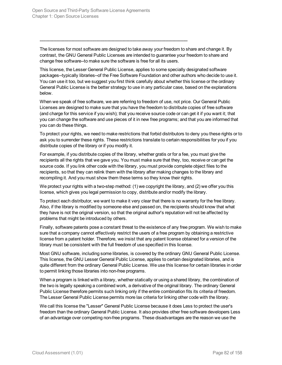The licenses for most software are designed to take away your freedom to share and change it. By contrast, the GNU General Public Licenses are intended to guarantee your freedom to share and change free software--to make sure the software is free for all its users.

-----------------------------------------------------------------------------------------------------------

This license, the Lesser General Public License, applies to some specially designated software packages--typically libraries--of the Free Software Foundation and other authors who decide to use it. You can use it too, but we suggest you first think carefully about whether this license or the ordinary General Public License is the better strategy to use in any particular case, based on the explanations below.

When we speak of free software, we are referring to freedom of use, not price. Our General Public Licenses are designed to make sure that you have the freedom to distribute copies of free software (and charge for this service if you wish); that you receive source code or can get it if you want it; that you can change the software and use pieces of it in new free programs; and that you are informed that you can do these things.

To protect your rights, we need to make restrictions that forbid distributors to deny you these rights or to ask you to surrender these rights. These restrictions translate to certain responsibilities for you if you distribute copies of the library or if you modify it.

For example, if you distribute copies of the library, whether gratis or for a fee, you must give the recipients all the rights that we gave you. You must make sure that they, too, receive or can get the source code. If you link other code with the library, you must provide complete object files to the recipients, so that they can relink them with the library after making changes to the library and recompiling it. And you must show them these terms so they know their rights.

We protect your rights with a two-step method: (1) we copyright the library, and (2) we offer you this license, which gives you legal permission to copy, distribute and/or modify the library.

To protect each distributor, we want to make it very clear that there is no warranty for the free library. Also, if the library is modified by someone else and passed on, the recipients should know that what they have is not the original version, so that the original author's reputation will not be affected by problems that might be introduced by others.

Finally, software patents pose a constant threat to the existence of any free program. We wish to make sure that a company cannot effectively restrict the users of a free program by obtaining a restrictive license from a patent holder. Therefore, we insist that any patent license obtained for a version of the library must be consistent with the full freedom of use specified in this license.

Most GNU software, including some libraries, is covered by the ordinary GNU General Public License. This license, the GNU Lesser General Public License, applies to certain designated libraries, and is quite different from the ordinary General Public License. We use this license for certain libraries in order to permit linking those libraries into non-free programs.

When a program is linked with a library, whether statically or using a shared library, the combination of the two is legally speaking a combined work, a derivative of the original library. The ordinary General Public License therefore permits such linking only if the entire combination fits its criteria of freedom. The Lesser General Public License permits more lax criteria for linking other code with the library.

We call this license the "Lesser" General Public License because it does Less to protect the user's freedom than the ordinary General Public License. It also provides other free software developers Less of an advantage over competing non-free programs. These disadvantages are the reason we use the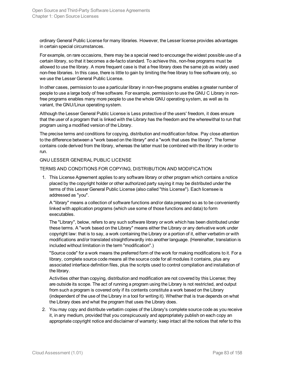ordinary General Public License for many libraries. However, the Lesser license provides advantages in certain special circumstances.

For example, on rare occasions, there may be a special need to encourage the widest possible use of a certain library, so that it becomes a de-facto standard. To achieve this, non-free programs must be allowed to use the library. A more frequent case is that a free library does the same job as widely used non-free libraries. In this case, there is little to gain by limiting the free library to free software only, so we use the Lesser General Public License.

In other cases, permission to use a particular library in non-free programs enables a greater number of people to use a large body of free software. For example, permission to use the GNU C Library in nonfree programs enables many more people to use the whole GNU operating system, as well as its variant, the GNU/Linux operating system.

Although the Lesser General Public License is Less protective of the users' freedom, it does ensure that the user of a program that is linked with the Library has the freedom and the wherewithal to run that program using a modified version of the Library.

The precise terms and conditions for copying, distribution and modification follow. Pay close attention to the difference between a "work based on the library" and a "work that uses the library". The former contains code derived from the library, whereas the latter must be combined with the library in order to run.

### GNU LESSER GENERAL PUBLIC LICENSE

## TERMS AND CONDITIONS FOR COPYING, DISTRIBUTION AND MODIFICATION

1. This License Agreement applies to any software library or other program which contains a notice placed by the copyright holder or other authorized party saying it may be distributed under the terms of this Lesser General Public License (also called "this License"). Each licensee is addressed as "you".

A "library" means a collection of software functions and/or data prepared so as to be conveniently linked with application programs (which use some of those functions and data) to form executables.

The "Library", below, refers to any such software library or work which has been distributed under these terms. A "work based on the Library" means either the Library or any derivative work under copyright law: that is to say, a work containing the Library or a portion of it, either verbatim or with modifications and/or translated straightforwardly into another language. (Hereinafter, translation is included without limitation in the term "modification".)

"Source code" for a work means the preferred form of the work for making modifications to it. For a library, complete source code means all the source code for all modules it contains, plus any associated interface definition files, plus the scripts used to control compilation and installation of the library.

Activities other than copying, distribution and modification are not covered by this License; they are outside its scope. The act of running a program using the Library is not restricted, and output from such a program is covered only if its contents constitute a work based on the Library (independent of the use of the Library in a tool for writing it). Whether that is true depends on what the Library does and what the program that uses the Library does.

2. You may copy and distribute verbatim copies of the Library's complete source code as you receive it, in any medium, provided that you conspicuously and appropriately publish on each copy an appropriate copyright notice and disclaimer of warranty; keep intact all the notices that refer to this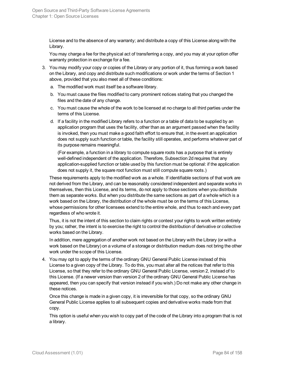License and to the absence of any warranty; and distribute a copy of this License along with the Library.

You may charge a fee for the physical act of transferring a copy, and you may at your option offer warranty protection in exchange for a fee.

- 3. You may modify your copy or copies of the Library or any portion of it, thus forming a work based on the Library, and copy and distribute such modifications or work under the terms of Section 1 above, provided that you also meet all of these conditions:
	- a. The modified work must itself be a software library.
	- b. You must cause the files modified to carry prominent notices stating that you changed the files and the date of any change.
	- c. You must cause the whole of the work to be licensed at no charge to all third parties under the terms of this License.
	- d. If a facility in the modified Library refers to a function or a table of data to be supplied by an application program that uses the facility, other than as an argument passed when the facility is invoked, then you must make a good faith effort to ensure that, in the event an application does not supply such function or table, the facility still operates, and performs whatever part of its purpose remains meaningful.

(For example, a function in a library to compute square roots has a purpose that is entirely well-defined independent of the application. Therefore, Subsection 2d requires that any application-supplied function or table used by this function must be optional: if the application does not supply it, the square root function must still compute square roots.)

These requirements apply to the modified work as a whole. If identifiable sections of that work are not derived from the Library, and can be reasonably considered independent and separate works in themselves, then this License, and its terms, do not apply to those sections when you distribute them as separate works. But when you distribute the same sections as part of a whole which is a work based on the Library, the distribution of the whole must be on the terms of this License, whose permissions for other licensees extend to the entire whole, and thus to each and every part regardless of who wrote it.

Thus, it is not the intent of this section to claim rights or contest your rights to work written entirely by you; rather, the intent is to exercise the right to control the distribution of derivative or collective works based on the Library.

In addition, mere aggregation of another work not based on the Library with the Library (or with a work based on the Library) on a volume of a storage or distribution medium does not bring the other work under the scope of this License.

4. You may opt to apply the terms of the ordinary GNU General Public License instead of this License to a given copy of the Library. To do this, you must alter all the notices that refer to this License, so that they refer to the ordinary GNU General Public License, version 2, instead of to this License. (If a newer version than version 2 of the ordinary GNU General Public License has appeared, then you can specify that version instead if you wish.) Do not make any other change in these notices.

Once this change is made in a given copy, it is irreversible for that copy, so the ordinary GNU General Public License applies to all subsequent copies and derivative works made from that copy.

This option is useful when you wish to copy part of the code of the Library into a program that is not a library.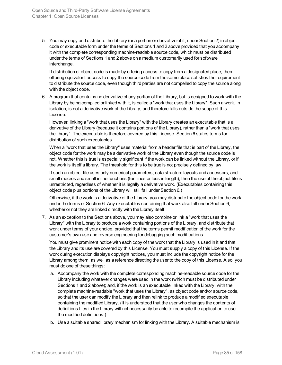5. You may copy and distribute the Library (or a portion or derivative of it, under Section 2) in object code or executable form under the terms of Sections 1 and 2 above provided that you accompany it with the complete corresponding machine-readable source code, which must be distributed under the terms of Sections 1 and 2 above on a medium customarily used for software interchange.

If distribution of object code is made by offering access to copy from a designated place, then offering equivalent access to copy the source code from the same place satisfies the requirement to distribute the source code, even though third parties are not compelled to copy the source along with the object code.

6. A program that contains no derivative of any portion of the Library, but is designed to work with the Library by being compiled or linked with it, is called a "work that uses the Library". Such a work, in isolation, is not a derivative work of the Library, and therefore falls outside the scope of this License.

However, linking a "work that uses the Library" with the Library creates an executable that is a derivative of the Library (because it contains portions of the Library), rather than a "work that uses the library". The executable is therefore covered by this License. Section 6 states terms for distribution of such executables.

When a "work that uses the Library" uses material from a header file that is part of the Library, the object code for the work may be a derivative work of the Library even though the source code is not. Whether this is true is especially significant if the work can be linked without the Library, or if the work is itself a library. The threshold for this to be true is not precisely defined by law.

If such an object file uses only numerical parameters, data structure layouts and accessors, and small macros and small inline functions (ten lines or less in length), then the use of the object file is unrestricted, regardless of whether it is legally a derivative work. (Executables containing this object code plus portions of the Library will still fall under Section 6.)

Otherwise, if the work is a derivative of the Library, you may distribute the object code for the work under the terms of Section 6. Any executables containing that work also fall under Section 6, whether or not they are linked directly with the Library itself.

7. As an exception to the Sections above, you may also combine or link a "work that uses the Library" with the Library to produce a work containing portions of the Library, and distribute that work under terms of your choice, provided that the terms permit modification of the work for the customer's own use and reverse engineering for debugging such modifications.

You must give prominent notice with each copy of the work that the Library is used in it and that the Library and its use are covered by this License. You must supply a copy of this License. If the work during execution displays copyright notices, you must include the copyright notice for the Library among them, as well as a reference directing the user to the copy of this License. Also, you must do one of these things:

- a. Accompany the work with the complete corresponding machine-readable source code for the Library including whatever changes were used in the work (which must be distributed under Sections 1 and 2 above); and, if the work is an executable linked with the Library, with the complete machine-readable "work that uses the Library", as object code and/or source code, so that the user can modify the Library and then relink to produce a modified executable containing the modified Library. (It is understood that the user who changes the contents of definitions files in the Library will not necessarily be able to recompile the application to use the modified definitions.)
- b. Use a suitable shared library mechanism for linking with the Library. A suitable mechanism is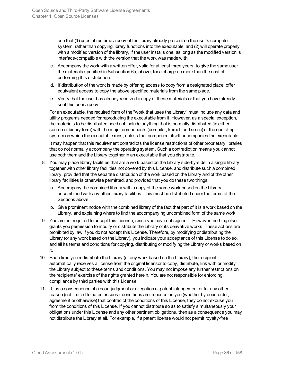one that (1) uses at run time a copy of the library already present on the user's computer system, rather than copying library functions into the executable, and (2) will operate properly with a modified version of the library, if the user installs one, as long as the modified version is interface-compatible with the version that the work was made with.

- c. Accompany the work with a written offer, valid for at least three years, to give the same user the materials specified in Subsection 6a, above, for a charge no more than the cost of performing this distribution.
- d. If distribution of the work is made by offering access to copy from a designated place, offer equivalent access to copy the above specified materials from the same place.
- e. Verify that the user has already received a copy of these materials or that you have already sent this user a copy.

For an executable, the required form of the "work that uses the Library" must include any data and utility programs needed for reproducing the executable from it. However, as a special exception, the materials to be distributed need not include anything that is normally distributed (in either source or binary form) with the major components (compiler, kernel, and so on) of the operating system on which the executable runs, unless that component itself accompanies the executable.

It may happen that this requirement contradicts the license restrictions of other proprietary libraries that do not normally accompany the operating system. Such a contradiction means you cannot use both them and the Library together in an executable that you distribute.

- 8. You may place library facilities that are a work based on the Library side-by-side in a single library together with other library facilities not covered by this License, and distribute such a combined library, provided that the separate distribution of the work based on the Library and of the other library facilities is otherwise permitted, and provided that you do these two things:
	- a. Accompany the combined library with a copy of the same work based on the Library, uncombined with any other library facilities. This must be distributed under the terms of the Sections above.
	- b. Give prominent notice with the combined library of the fact that part of it is a work based on the Library, and explaining where to find the accompanying uncombined form of the same work.
- 9. You are not required to accept this License, since you have not signed it. However, nothing else grants you permission to modify or distribute the Library or its derivative works. These actions are prohibited by law if you do not accept this License. Therefore, by modifying or distributing the Library (or any work based on the Library), you indicate your acceptance of this License to do so, and all its terms and conditions for copying, distributing or modifying the Library or works based on it.
- 10. Each time you redistribute the Library (or any work based on the Library), the recipient automatically receives a license from the original licensor to copy, distribute, link with or modify the Library subject to these terms and conditions. You may not impose any further restrictions on the recipients' exercise of the rights granted herein. You are not responsible for enforcing compliance by third parties with this License.
- 11. If, as a consequence of a court judgment or allegation of patent infringement or for any other reason (not limited to patent issues), conditions are imposed on you (whether by court order, agreement or otherwise) that contradict the conditions of this License, they do not excuse you from the conditions of this License. If you cannot distribute so as to satisfy simultaneously your obligations under this License and any other pertinent obligations, then as a consequence you may not distribute the Library at all. For example, if a patent license would not permit royalty-free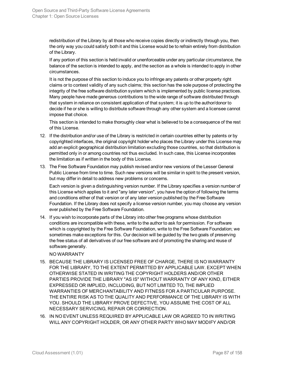redistribution of the Library by all those who receive copies directly or indirectly through you, then the only way you could satisfy both it and this License would be to refrain entirely from distribution of the Library.

If any portion of this section is held invalid or unenforceable under any particular circumstance, the balance of the section is intended to apply, and the section as a whole is intended to apply in other circumstances.

It is not the purpose of this section to induce you to infringe any patents or other property right claims or to contest validity of any such claims; this section has the sole purpose of protecting the integrity of the free software distribution system which is implemented by public license practices. Many people have made generous contributions to the wide range of software distributed through that system in reliance on consistent application of that system; it is up to the author/donor to decide if he or she is willing to distribute software through any other system and a licensee cannot impose that choice.

This section is intended to make thoroughly clear what is believed to be a consequence of the rest of this License.

- 12. If the distribution and/or use of the Library is restricted in certain countries either by patents or by copyrighted interfaces, the original copyright holder who places the Library under this License may add an explicit geographical distribution limitation excluding those countries, so that distribution is permitted only in or among countries not thus excluded. In such case, this License incorporates the limitation as if written in the body of this License.
- 13. The Free Software Foundation may publish revised and/or new versions of the Lesser General Public License from time to time. Such new versions will be similar in spirit to the present version, but may differ in detail to address new problems or concerns.

Each version is given a distinguishing version number. If the Library specifies a version number of this License which applies to it and "any later version", you have the option of following the terms and conditions either of that version or of any later version published by the Free Software Foundation. If the Library does not specify a license version number, you may choose any version ever published by the Free Software Foundation.

14. If you wish to incorporate parts of the Library into other free programs whose distribution conditions are incompatible with these, write to the author to ask for permission. For software which is copyrighted by the Free Software Foundation, write to the Free Software Foundation; we sometimes make exceptions for this. Our decision will be guided by the two goals of preserving the free status of all derivatives of our free software and of promoting the sharing and reuse of software generally.

## NO WARRANTY

- 15. BECAUSE THE LIBRARY IS LICENSED FREE OF CHARGE, THERE IS NO WARRANTY FOR THE LIBRARY, TO THE EXTENT PERMITTED BY APPLICABLE LAW. EXCEPT WHEN OTHERWISE STATED IN WRITING THE COPYRIGHT HOLDERS AND/OR OTHER PARTIES PROVIDE THE LIBRARY "AS IS" WITHOUT WARRANTY OF ANY KIND, EITHER EXPRESSED OR IMPLIED, INCLUDING, BUT NOT LIMITED TO, THE IMPLIED WARRANTIES OF MERCHANTABILITY AND FITNESS FOR A PARTICULAR PURPOSE. THE ENTIRE RISK AS TO THE QUALITY AND PERFORMANCE OF THE LIBRARY IS WITH YOU. SHOULD THE LIBRARY PROVE DEFECTIVE, YOU ASSUME THE COST OF ALL NECESSARY SERVICING, REPAIR OR CORRECTION.
- 16. IN NO EVENT UNLESS REQUIRED BY APPLICABLE LAW OR AGREED TO IN WRITING WILL ANY COPYRIGHT HOLDER, OR ANY OTHER PARTY WHO MAY MODIFY AND/OR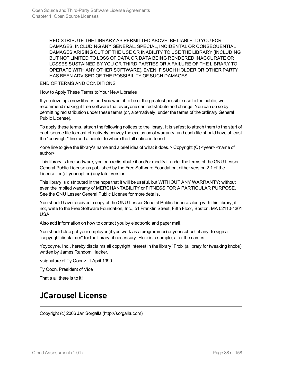REDISTRIBUTE THE LIBRARY AS PERMITTED ABOVE, BE LIABLE TO YOU FOR DAMAGES, INCLUDING ANY GENERAL, SPECIAL, INCIDENTAL OR CONSEQUENTIAL DAMAGES ARISING OUT OF THE USE OR INABILITY TO USE THE LIBRARY (INCLUDING BUT NOT LIMITED TO LOSS OF DATA OR DATA BEING RENDERED INACCURATE OR LOSSES SUSTAINED BY YOU OR THIRD PARTIES OR A FAILURE OF THE LIBRARY TO OPERATE WITH ANY OTHER SOFTWARE), EVEN IF SUCH HOLDER OR OTHER PARTY HAS BEEN ADVISED OF THE POSSIBILITY OF SUCH DAMAGES.

END OF TERMS AND CONDITIONS

How to Apply These Terms to Your New Libraries

If you develop a new library, and you want it to be of the greatest possible use to the public, we recommend making it free software that everyone can redistribute and change. You can do so by permitting redistribution under these terms (or, alternatively, under the terms of the ordinary General Public License).

To apply these terms, attach the following notices to the library. It is safest to attach them to the start of each source file to most effectively convey the exclusion of warranty; and each file should have at least the "copyright" line and a pointer to where the full notice is found.

 $\le$  one line to give the library's name and a brief idea of what it does. > Copyright (C)  $\le$  year  $\le$   $\le$  name of author>

This library is free software; you can redistribute it and/or modify it under the terms of the GNU Lesser General Public License as published by the Free Software Foundation; either version 2.1 of the License, or (at your option) any later version.

This library is distributed in the hope that it will be useful, but WITHOUT ANY WARRANTY; without even the implied warranty of MERCHANTABILITY or FITNESS FOR A PARTICULAR PURPOSE. See the GNU Lesser General Public License for more details.

You should have received a copy of the GNU Lesser General Public License along with this library; if not, write to the Free Software Foundation, Inc., 51 Franklin Street, Fifth Floor, Boston, MA 02110-1301 USA

Also add information on how to contact you by electronic and paper mail.

You should also get your employer (if you work as a programmer) or your school, if any, to sign a "copyright disclaimer" for the library, if necessary. Here is a sample; alter the names:

Yoyodyne, Inc., hereby disclaims all copyright interest in the library `Frob' (a library for tweaking knobs) written by James Random Hacker.

<signature of Ty Coon>, 1 April 1990

Ty Coon, President of Vice

That's all there is to it!

# **JCarousel License**

Copyright (c) 2006 Jan Sorgalla (http://sorgalla.com)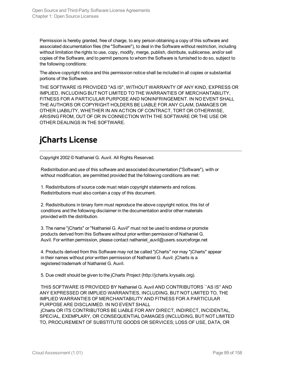Permission is hereby granted, free of charge, to any person obtaining a copy of this software and associated documentation files (the "Software"), to deal in the Software without restriction, including without limitation the rights to use, copy, modify, merge, publish, distribute, sublicense, and/or sell copies of the Software, and to permit persons to whom the Software is furnished to do so, subject to the following conditions:

The above copyright notice and this permission notice shall be included in all copies or substantial portions of the Software.

THE SOFTWARE IS PROVIDED "AS IS", WITHOUT WARRANTY OF ANY KIND, EXPRESS OR IMPLIED, INCLUDING BUT NOT LIMITED TO THE WARRANTIES OF MERCHANTABILITY, FITNESS FOR A PARTICULAR PURPOSE AND NONINFRINGEMENT. IN NO EVENT SHALL THE AUTHORS OR COPYRIGHT HOLDERS BE LIABLE FOR ANY CLAIM, DAMAGES OR OTHER LIABILITY, WHETHER IN AN ACTION OF CONTRACT, TORT OR OTHERWISE, ARISING FROM, OUT OF OR IN CONNECTION WITH THE SOFTWARE OR THE USE OR OTHER DEALINGS IN THE SOFTWARE.

# **jCharts License**

Copyright 2002 © Nathaniel G. Auvil. All Rights Reserved.

Redistribution and use of this software and associated documentation ("Software"), with or without modification, are permitted provided that the following conditions are met:

1. Redistributions of source code must retain copyright statements and notices. Redistributions must also contain a copy of this document.

2. Redistributions in binary form must reproduce the above copyright notice, this list of conditions and the following disclaimer in the documentation and/or other materials provided with the distribution.

3. The name "jCharts" or "Nathaniel G. Auvil" must not be used to endorse or promote products derived from this Software without prior written permission of Nathaniel G. Auvil. For written permission, please contact nathaniel\_auvil@users.sourceforge.net

4. Products derived from this Software may not be called "jCharts" nor may "jCharts" appear in their names without prior written permission of Nathaniel G. Auvil. jCharts is a registered trademark of Nathaniel G. Auvil.

5. Due credit should be given to the jCharts Project (http://jcharts.krysalis.org).

THIS SOFTWARE IS PROVIDED BY Nathaniel G. Auvil AND CONTRIBUTORS ``AS IS'' AND ANY EXPRESSED OR IMPLIED WARRANTIES, INCLUDING, BUT NOT LIMITED TO, THE IMPLIED WARRANTIES OF MERCHANTABILITY AND FITNESS FOR A PARTICULAR PURPOSE ARE DISCLAIMED. IN NO EVENT SHALL jCharts OR ITS CONTRIBUTORS BE LIABLE FOR ANY DIRECT, INDIRECT, INCIDENTAL, SPECIAL, EXEMPLARY, OR CONSEQUENTIAL DAMAGES (INCLUDING, BUT NOT LIMITED TO, PROCUREMENT OF SUBSTITUTE GOODS OR SERVICES; LOSS OF USE, DATA, OR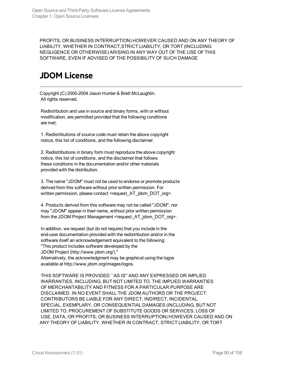PROFITS; OR BUSINESS INTERRUPTION) HOWEVER CAUSED AND ON ANY THEORY OF LIABILITY, WHETHER IN CONTRACT,STRICT LIABILITY, OR TORT (INCLUDING NEGLIGENCE OR OTHERWISE) ARISING IN ANY WAY OUT OF THE USE OF THIS SOFTWARE, EVEN IF ADVISED OF THE POSSIBILITY OF SUCH DAMAGE

# **JDOM License**

Copyright (C) 2000-2004 Jason Hunter & Brett McLaughlin. All rights reserved.

Redistribution and use in source and binary forms, with or without modification, are permitted provided that the following conditions are met:

1. Redistributions of source code must retain the above copyright notice, this list of conditions, and the following disclaimer.

2. Redistributions in binary form must reproduce the above copyright notice, this list of conditions, and the disclaimer that follows these conditions in the documentation and/or other materials provided with the distribution.

3. The name "JDOM" must not be used to endorse or promote products derived from this software without prior written permission. For written permission, please contact <request AT jdom\_DOT\_org>.

4. Products derived from this software may not be called "JDOM", nor may "JDOM" appear in their name, without prior written permission from the JDOM Project Management <request\_AT\_jdom\_DOT\_org>.

In addition, we request (but do not require) that you include in the end-user documentation provided with the redistribution and/or in the software itself an acknowledgement equivalent to the following: "This product includes software developed by the JDOM Project (http://www.jdom.org/)." Alternatively, the acknowledgment may be graphical using the logos available at http://www.jdom.org/images/logos.

THIS SOFTWARE IS PROVIDED ``AS IS'' AND ANY EXPRESSED OR IMPLIED WARRANTIES, INCLUDING, BUT NOT LIMITED TO, THE IMPLIED WARRANTIES OF MERCHANTABILITY AND FITNESS FOR A PARTICULAR PURPOSE ARE DISCLAIMED. IN NO EVENT SHALL THE JDOM AUTHORS OR THE PROJECT CONTRIBUTORS BE LIABLE FOR ANY DIRECT, INDIRECT, INCIDENTAL, SPECIAL, EXEMPLARY, OR CONSEQUENTIAL DAMAGES (INCLUDING, BUT NOT LIMITED TO, PROCUREMENT OF SUBSTITUTE GOODS OR SERVICES; LOSS OF USE, DATA, OR PROFITS; OR BUSINESS INTERRUPTION) HOWEVER CAUSED AND ON ANY THEORY OF LIABILITY, WHETHER IN CONTRACT, STRICT LIABILITY, OR TORT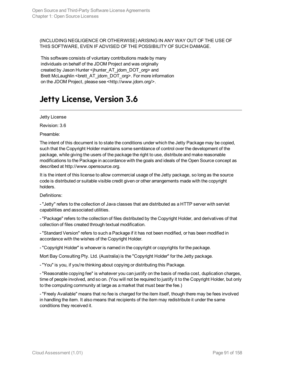(INCLUDING NEGLIGENCE OR OTHERWISE) ARISING IN ANY WAY OUT OF THE USE OF THIS SOFTWARE, EVEN IF ADVISED OF THE POSSIBILITY OF SUCH DAMAGE.

This software consists of voluntary contributions made by many individuals on behalf of the JDOM Project and was originally created by Jason Hunter <jhunter\_AT\_jdom\_DOT\_org> and Brett McLaughlin <br ett\_AT\_jdom\_DOT\_org>. For more information on the JDOM Project, please see <http://www.jdom.org/>.

# **Jetty License, Version 3.6**

Jetty License

Revision: 3.6

Preamble:

The intent of this document is to state the conditions under which the Jetty Package may be copied, such that the Copyright Holder maintains some semblance of control over the development of the package, while giving the users of the package the right to use, distribute and make reasonable modifications to the Package in accordance with the goals and ideals of the Open Source concept as described at http://www.opensource.org.

It is the intent of this license to allow commercial usage of the Jetty package, so long as the source code is distributed or suitable visible credit given or other arrangements made with the copyright holders.

Definitions:

- "Jetty" refers to the collection of Java classes that are distributed as a HTTP server with servlet capabilities and associated utilities.

- "Package" refers to the collection of files distributed by the Copyright Holder, and derivatives of that collection of files created through textual modification.

- "Standard Version" refers to such a Package if it has not been modified, or has been modified in accordance with the wishes of the Copyright Holder.

- "Copyright Holder" is whoever is named in the copyright or copyrights for the package.

Mort Bay Consulting Pty. Ltd. (Australia) is the "Copyright Holder" for the Jetty package.

- "You" is you, if you're thinking about copying or distributing this Package.

- "Reasonable copying fee" is whatever you can justify on the basis of media cost, duplication charges, time of people involved, and so on. (You will not be required to justify it to the Copyright Holder, but only to the computing community at large as a market that must bear the fee.)

- "Freely Available" means that no fee is charged for the item itself, though there may be fees involved in handling the item. It also means that recipients of the item may redistribute it under the same conditions they received it.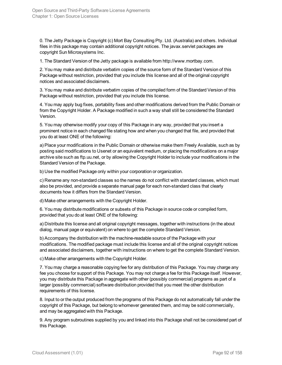0. The Jetty Package is Copyright (c) Mort Bay Consulting Pty. Ltd. (Australia) and others. Individual files in this package may contain additional copyright notices. The javax.servlet packages are copyright Sun Microsystems Inc.

1. The Standard Version of the Jetty package is available from http://www.mortbay.com.

2. You may make and distribute verbatim copies of the source form of the Standard Version of this Package without restriction, provided that you include this license and all of the original copyright notices and associated disclaimers.

3. You may make and distribute verbatim copies of the compiled form of the Standard Version of this Package without restriction, provided that you include this license.

4. You may apply bug fixes, portability fixes and other modifications derived from the Public Domain or from the Copyright Holder. A Package modified in such a way shall still be considered the Standard Version.

5. You may otherwise modify your copy of this Package in any way, provided that you insert a prominent notice in each changed file stating how and when you changed that file, and provided that you do at least ONE of the following:

a) Place your modifications in the Public Domain or otherwise make them Freely Available, such as by posting said modifications to Usenet or an equivalent medium, or placing the modifications on a major archive site such as ftp.uu.net, or by allowing the Copyright Holder to include your modifications in the Standard Version of the Package.

b) Use the modified Package only within your corporation or organization.

c) Rename any non-standard classes so the names do not conflict with standard classes, which must also be provided, and provide a separate manual page for each non-standard class that clearly documents how it differs from the Standard Version.

d) Make other arrangements with the Copyright Holder.

6. You may distribute modifications or subsets of this Package in source code or compiled form, provided that you do at least ONE of the following:

a) Distribute this license and all original copyright messages, together with instructions (in the about dialog, manual page or equivalent) on where to get the complete Standard Version.

b) Accompany the distribution with the machine-readable source of the Package with your modifications. The modified package must include this license and all of the original copyright notices and associated disclaimers, together with instructions on where to get the complete Standard Version.

c) Make other arrangements with the Copyright Holder.

7. You may charge a reasonable copying fee for any distribution of this Package. You may charge any fee you choose for support of this Package. You may not charge a fee for this Package itself. However, you may distribute this Package in aggregate with other (possibly commercial) programs as part of a larger (possibly commercial) software distribution provided that you meet the other distribution requirements of this license.

8. Input to or the output produced from the programs of this Package do not automatically fall under the copyright of this Package, but belong to whomever generated them, and may be sold commercially, and may be aggregated with this Package.

9. Any program subroutines supplied by you and linked into this Package shall not be considered part of this Package.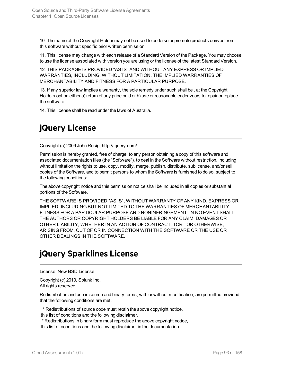10. The name of the Copyright Holder may not be used to endorse or promote products derived from this software without specific prior written permission.

11. This license may change with each release of a Standard Version of the Package. You may choose to use the license associated with version you are using or the license of the latest Standard Version.

12. THIS PACKAGE IS PROVIDED "AS IS" AND WITHOUT ANY EXPRESS OR IMPLIED WARRANTIES, INCLUDING, WITHOUT LIMITATION, THE IMPLIED WARRANTIES OF MERCHANTABILITY AND FITNESS FOR A PARTICULAR PURPOSE.

13. If any superior law implies a warranty, the sole remedy under such shall be , at the Copyright Holders option either a) return of any price paid or b) use or reasonable endeavours to repair or replace the software.

14. This license shall be read under the laws of Australia.

# **jQuery License**

Copyright (c) 2009 John Resig, http://jquery.com/

Permission is hereby granted, free of charge, to any person obtaining a copy of this software and associated documentation files (the "Software"), to deal in the Software without restriction, including without limitation the rights to use, copy, modify, merge, publish, distribute, sublicense, and/or sell copies of the Software, and to permit persons to whom the Software is furnished to do so, subject to the following conditions:

The above copyright notice and this permission notice shall be included in all copies or substantial portions of the Software.

THE SOFTWARE IS PROVIDED "AS IS", WITHOUT WARRANTY OF ANY KIND, EXPRESS OR IMPLIED, INCLUDING BUT NOT LIMITED TO THE WARRANTIES OF MERCHANTABILITY, FITNESS FOR A PARTICULAR PURPOSE AND NONINFRINGEMENT. IN NO EVENT SHALL THE AUTHORS OR COPYRIGHT HOLDERS BE LIABLE FOR ANY CLAIM, DAMAGES OR OTHER LIABILITY, WHETHER IN AN ACTION OF CONTRACT, TORT OR OTHERWISE, ARISING FROM, OUT OF OR IN CONNECTION WITH THE SOFTWARE OR THE USE OR OTHER DEALINGS IN THE SOFTWARE.

# **jQuery Sparklines License**

License: New BSD License

Copyright (c) 2010, Splunk Inc. All rights reserved.

Redistribution and use in source and binary forms, with or without modification, are permitted provided that the following conditions are met:

\* Redistributions of source code must retain the above copyright notice,

this list of conditions and the following disclaimer.

\* Redistributions in binary form must reproduce the above copyright notice, this list of conditions and the following disclaimer in the documentation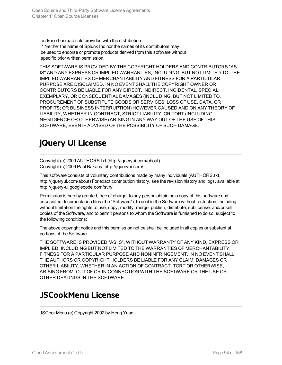and/or other materials provided with the distribution. \* Neither the name of Splunk Inc nor the names of its contributors may be used to endorse or promote products derived from this software without specific prior written permission.

THIS SOFTWARE IS PROVIDED BY THE COPYRIGHT HOLDERS AND CONTRIBUTORS "AS IS" AND ANY EXPRESS OR IMPLIED WARRANTIES, INCLUDING, BUT NOT LIMITED TO, THE IMPLIED WARRANTIES OF MERCHANTABILITY AND FITNESS FOR A PARTICULAR PURPOSE ARE DISCLAIMED. IN NO EVENT SHALL THE COPYRIGHT OWNER OR CONTRIBUTORS BE LIABLE FOR ANY DIRECT, INDIRECT, INCIDENTAL, SPECIAL, EXEMPLARY, OR CONSEQUENTIAL DAMAGES (INCLUDING, BUT NOT LIMITED TO, PROCUREMENT OF SUBSTITUTE GOODS OR SERVICES; LOSS OF USE, DATA, OR PROFITS; OR BUSINESS INTERRUPTION) HOWEVER CAUSED AND ON ANY THEORY OF LIABILITY, WHETHER IN CONTRACT, STRICT LIABILITY, OR TORT (INCLUDING NEGLIGENCE OR OTHERWISE) ARISING IN ANY WAY OUT OF THE USE OF THIS SOFTWARE, EVEN IF ADVISED OF THE POSSIBILITY OF SUCH DAMAGE.

# **jQuery UI License**

Copyright (c) 2009 AUTHORS.txt (http://jqueryui.com/about) Copyright (c) 2009 Paul Bakaus, http://jqueryui.com/

This software consists of voluntary contributions made by many individuals (AUTHORS.txt, http://jqueryui.com/about) For exact contribution history, see the revision history and logs, available at http://jquery-ui.googlecode.com/svn/

Permission is hereby granted, free of charge, to any person obtaining a copy of this software and associated documentation files (the "Software"), to deal in the Software without restriction, including without limitation the rights to use, copy, modify, merge, publish, distribute, sublicense, and/or sell copies of the Software, and to permit persons to whom the Software is furnished to do so, subject to the following conditions:

The above copyright notice and this permission notice shall be included in all copies or substantial portions of the Software.

THE SOFTWARE IS PROVIDED "AS IS", WITHOUT WARRANTY OF ANY KIND, EXPRESS OR IMPLIED, INCLUDING BUT NOT LIMITED TO THE WARRANTIES OF MERCHANTABILITY, FITNESS FOR A PARTICULAR PURPOSE AND NONINFRINGEMENT. IN NO EVENT SHALL THE AUTHORS OR COPYRIGHT HOLDERS BE LIABLE FOR ANY CLAIM, DAMAGES OR OTHER LIABILITY, WHETHER IN AN ACTION OF CONTRACT, TORT OR OTHERWISE, ARISING FROM, OUT OF OR IN CONNECTION WITH THE SOFTWARE OR THE USE OR OTHER DEALINGS IN THE SOFTWARE.

# **JSCookMenu License**

JSCookMenu (c) Copyright 2002 by Heng Yuan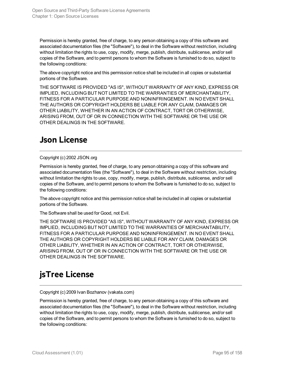Permission is hereby granted, free of charge, to any person obtaining a copy of this software and associated documentation files (the "Software"), to deal in the Software without restriction, including without limitation the rights to use, copy, modify, merge, publish, distribute, sublicense, and/or sell copies of the Software, and to permit persons to whom the Software is furnished to do so, subject to the following conditions:

The above copyright notice and this permission notice shall be included in all copies or substantial portions of the Software.

THE SOFTWARE IS PROVIDED "AS IS", WITHOUT WARRANTY OF ANY KIND, EXPRESS OR IMPLIED, INCLUDING BUT NOT LIMITED TO THE WARRANTIES OF MERCHANTABILITY, FITNESS FOR A PARTICULAR PURPOSE AND NONINFRINGEMENT. IN NO EVENT SHALL THE AUTHORS OR COPYRIGHT HOLDERS BE LIABLE FOR ANY CLAIM, DAMAGES OR OTHER LIABILITY, WHETHER IN AN ACTION OF CONTRACT, TORT OR OTHERWISE, ARISING FROM, OUT OF OR IN CONNECTION WITH THE SOFTWARE OR THE USE OR OTHER DEALINGS IN THE SOFTWARE.

# **Json License**

Copyright (c) 2002 JSON.org

Permission is hereby granted, free of charge, to any person obtaining a copy of this software and associated documentation files (the "Software"), to deal in the Software without restriction, including without limitation the rights to use, copy, modify, merge, publish, distribute, sublicense, and/or sell copies of the Software, and to permit persons to whom the Software is furnished to do so, subject to the following conditions:

The above copyright notice and this permission notice shall be included in all copies or substantial portions of the Software.

The Software shall be used for Good, not Evil.

THE SOFTWARE IS PROVIDED "AS IS", WITHOUT WARRANTY OF ANY KIND, EXPRESS OR IMPLIED, INCLUDING BUT NOT LIMITED TO THE WARRANTIES OF MERCHANTABILITY, FITNESS FOR A PARTICULAR PURPOSE AND NONINFRINGEMENT. IN NO EVENT SHALL THE AUTHORS OR COPYRIGHT HOLDERS BE LIABLE FOR ANY CLAIM, DAMAGES OR OTHER LIABILITY, WHETHER IN AN ACTION OF CONTRACT, TORT OR OTHERWISE, ARISING FROM, OUT OF OR IN CONNECTION WITH THE SOFTWARE OR THE USE OR OTHER DEALINGS IN THE SOFTWARE.

# **jsTree License**

#### Copyright (c) 2009 Ivan Bozhanov (vakata.com)

Permission is hereby granted, free of charge, to any person obtaining a copy of this software and associated documentation files (the "Software"), to deal in the Software without restriction, including without limitation the rights to use, copy, modify, merge, publish, distribute, sublicense, and/or sell copies of the Software, and to permit persons to whom the Software is furnished to do so, subject to the following conditions: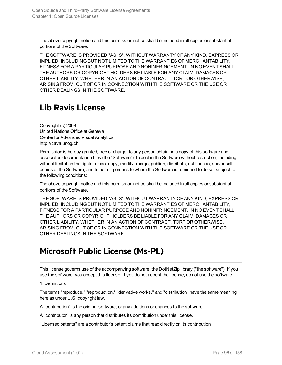The above copyright notice and this permission notice shall be included in all copies or substantial portions of the Software.

THE SOFTWARE IS PROVIDED "AS IS", WITHOUT WARRANTY OF ANY KIND, EXPRESS OR IMPLIED, INCLUDING BUT NOT LIMITED TO THE WARRANTIES OF MERCHANTABILITY, FITNESS FOR A PARTICULAR PURPOSE AND NONINFRINGEMENT. IN NO EVENT SHALL THE AUTHORS OR COPYRIGHT HOLDERS BE LIABLE FOR ANY CLAIM, DAMAGES OR OTHER LIABILITY, WHETHER IN AN ACTION OF CONTRACT, TORT OR OTHERWISE, ARISING FROM, OUT OF OR IN CONNECTION WITH THE SOFTWARE OR THE USE OR OTHER DEALINGS IN THE SOFTWARE.

# **Lib Ravis License**

Copyright (c) 2008 United Nations Office at Geneva Center for Advanced Visual Analytics http://cava.unog.ch

Permission is hereby granted, free of charge, to any person obtaining a copy of this software and associated documentation files (the "Software"), to deal in the Software without restriction, including without limitation the rights to use, copy, modify, merge, publish, distribute, sublicense, and/or sell copies of the Software, and to permit persons to whom the Software is furnished to do so, subject to the following conditions:

The above copyright notice and this permission notice shall be included in all copies or substantial portions of the Software.

THE SOFTWARE IS PROVIDED "AS IS", WITHOUT WARRANTY OF ANY KIND, EXPRESS OR IMPLIED, INCLUDING BUT NOT LIMITED TO THE WARRANTIES OF MERCHANTABILITY, FITNESS FOR A PARTICULAR PURPOSE AND NONINFRINGEMENT. IN NO EVENT SHALL THE AUTHORS OR COPYRIGHT HOLDERS BE LIABLE FOR ANY CLAIM, DAMAGES OR OTHER LIABILITY, WHETHER IN AN ACTION OF CONTRACT, TORT OR OTHERWISE, ARISING FROM, OUT OF OR IN CONNECTION WITH THE SOFTWARE OR THE USE OR OTHER DEALINGS IN THE SOFTWARE.

# **Microsoft Public License (Ms-PL)**

This license governs use of the accompanying software, the DotNetZip library ("the software"). If you use the software, you accept this license. If you do not accept the license, do not use the software.

#### 1. Definitions

The terms "reproduce," "reproduction," "derivative works," and "distribution" have the same meaning here as under U.S. copyright law.

A "contribution" is the original software, or any additions or changes to the software.

A "contributor" is any person that distributes its contribution under this license.

"Licensed patents" are a contributor's patent claims that read directly on its contribution.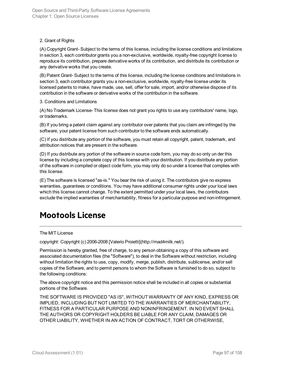### 2. Grant of Rights

(A) Copyright Grant- Subject to the terms of this license, including the license conditions and limitations in section 3, each contributor grants you a non-exclusive, worldwide, royalty-free copyright license to reproduce its contribution, prepare derivative works of its contribution, and distribute its contribution or any derivative works that you create.

(B) Patent Grant- Subject to the terms of this license, including the license conditions and limitations in section 3, each contributor grants you a non-exclusive, worldwide, royalty-free license under its licensed patents to make, have made, use, sell, offer for sale, import, and/or otherwise dispose of its contribution in the software or derivative works of the contribution in the software.

### 3. Conditions and Limitations

(A) No Trademark License- This license does not grant you rights to use any contributors' name, logo, or trademarks.

(B) If you bring a patent claim against any contributor over patents that you claim are infringed by the software, your patent license from such contributor to the software ends automatically.

(C) If you distribute any portion of the software, you must retain all copyright, patent, trademark, and attribution notices that are present in the software.

(D) If you distribute any portion of the software in source code form, you may do so only un der this license by including a complete copy of this license with your distribution. If you distribute any portion of the software in compiled or object code form, you may only do so under a license that complies with this license.

(E) The software is licensed "as-is." You bear the risk of using it. The contributors give no express warranties, guarantees or conditions. You may have additional consumer rights under your local laws which this license cannot change. To the extent permitted under your local laws, the contributors exclude the implied warranties of merchantability, fitness for a particular purpose and non-infringement.

# **Mootools License**

#### The MIT License

copyright: Copyright (c) 2006-2008 [Valerio Proietti](http://mad4milk.net/).

Permission is hereby granted, free of charge, to any person obtaining a copy of this software and associated documentation files (the "Software"), to deal in the Software without restriction, including without limitation the rights to use, copy, modify, merge, publish, distribute, sublicense, and/or sell copies of the Software, and to permit persons to whom the Software is furnished to do so, subject to the following conditions:

The above copyright notice and this permission notice shall be included in all copies or substantial portions of the Software.

THE SOFTWARE IS PROVIDED "AS IS", WITHOUT WARRANTY OF ANY KIND, EXPRESS OR IMPLIED, INCLUDING BUT NOT LIMITED TO THE WARRANTIES OF MERCHANTABILITY, FITNESS FOR A PARTICULAR PURPOSE AND NONINFRINGEMENT. IN NO EVENT SHALL THE AUTHORS OR COPYRIGHT HOLDERS BE LIABLE FOR ANY CLAIM, DAMAGES OR OTHER LIABILITY, WHETHER IN AN ACTION OF CONTRACT, TORT OR OTHERWISE,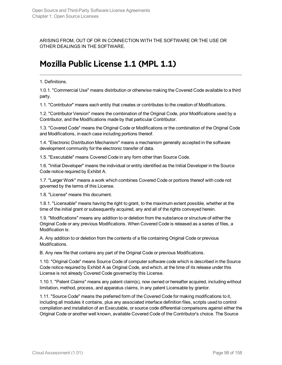ARISING FROM, OUT OF OR IN CONNECTION WITH THE SOFTWARE OR THE USE OR OTHER DEALINGS IN THE SOFTWARE.

# **Mozilla Public License 1.1 (MPL 1.1)**

1. Definitions.

1.0.1. "Commercial Use" means distribution or otherwise making the Covered Code available to a third party.

1.1. "Contributor" means each entity that creates or contributes to the creation of Modifications.

1.2. "Contributor Version" means the combination of the Original Code, prior Modifications used by a Contributor, and the Modifications made by that particular Contributor.

1.3. "Covered Code" means the Original Code or Modifications or the combination of the Original Code and Modifications, in each case including portions thereof.

1.4. "Electronic Distribution Mechanism" means a mechanism generally accepted in the software development community for the electronic transfer of data.

1.5. "Executable" means Covered Code in any form other than Source Code.

1.6. "Initial Developer" means the individual or entity identified as the Initial Developer in the Source Code notice required by Exhibit A.

1.7. "Larger Work" means a work which combines Covered Code or portions thereof with code not governed by the terms of this License.

1.8. "License" means this document.

1.8.1. "Licensable" means having the right to grant, to the maximum extent possible, whether at the time of the initial grant or subsequently acquired, any and all of the rights conveyed herein.

1.9. "Modifications" means any addition to or deletion from the substance or structure of either the Original Code or any previous Modifications. When Covered Code is released as a series of files, a Modification is:

A. Any addition to or deletion from the contents of a file containing Original Code or previous Modifications.

B. Any new file that contains any part of the Original Code or previous Modifications.

1.10. "Original Code" means Source Code of computer software code which is described in the Source Code notice required by Exhibit A as Original Code, and which, at the time of its release under this License is not already Covered Code governed by this License.

1.10.1. "Patent Claims" means any patent claim(s), now owned or hereafter acquired, including without limitation, method, process, and apparatus claims, in any patent Licensable by grantor.

1.11. "Source Code" means the preferred form of the Covered Code for making modifications to it, including all modules it contains, plus any associated interface definition files, scripts used to control compilation and installation of an Executable, or source code differential comparisons against either the Original Code or another well known, available Covered Code of the Contributor's choice. The Source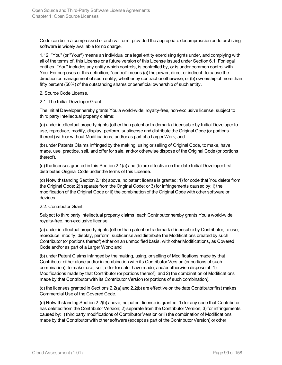Code can be in a compressed or archival form, provided the appropriate decompression or de-archiving software is widely available for no charge.

1.12. "You" (or "Your") means an individual or a legal entity exercising rights under, and complying with all of the terms of, this License or a future version of this License issued under Section 6.1. For legal entities, "You" includes any entity which controls, is controlled by, or is under common control with You. For purposes of this definition, "control" means (a) the power, direct or indirect, to cause the direction or management of such entity, whether by contract or otherwise, or (b) ownership of more than fifty percent (50%) of the outstanding shares or beneficial ownership of such entity.

#### 2. Source Code License.

2.1. The Initial Developer Grant.

The Initial Developer hereby grants You a world-wide, royalty-free, non-exclusive license, subject to third party intellectual property claims:

(a) under intellectual property rights (other than patent or trademark) Licensable by Initial Developer to use, reproduce, modify, display, perform, sublicense and distribute the Original Code (or portions thereof) with or without Modifications, and/or as part of a Larger Work; and

(b) under Patents Claims infringed by the making, using or selling of Original Code, to make, have made, use, practice, sell, and offer for sale, and/or otherwise dispose of the Original Code (or portions thereof).

(c) the licenses granted in this Section 2.1(a) and (b) are effective on the date Initial Developer first distributes Original Code under the terms of this License.

(d) Notwithstanding Section 2.1(b) above, no patent license is granted: 1) for code that You delete from the Original Code; 2) separate from the Original Code; or 3) for infringements caused by: i) the modification of the Original Code or ii) the combination of the Original Code with other software or devices.

#### 2.2. Contributor Grant.

Subject to third party intellectual property claims, each Contributor hereby grants You a world-wide, royalty-free, non-exclusive license

(a) under intellectual property rights (other than patent or trademark) Licensable by Contributor, to use, reproduce, modify, display, perform, sublicense and distribute the Modifications created by such Contributor (or portions thereof) either on an unmodified basis, with other Modifications, as Covered Code and/or as part of a Larger Work; and

(b) under Patent Claims infringed by the making, using, or selling of Modifications made by that Contributor either alone and/or in combination with its Contributor Version (or portions of such combination), to make, use, sell, offer for sale, have made, and/or otherwise dispose of: 1) Modifications made by that Contributor (or portions thereof); and 2) the combination of Modifications made by that Contributor with its Contributor Version (or portions of such combination).

(c) the licenses granted in Sections 2.2(a) and 2.2(b) are effective on the date Contributor first makes Commercial Use of the Covered Code.

(d) Notwithstanding Section 2.2(b) above, no patent license is granted: 1) for any code that Contributor has deleted from the Contributor Version; 2) separate from the Contributor Version; 3) for infringements caused by: i) third party modifications of Contributor Version or ii) the combination of Modifications made by that Contributor with other software (except as part of the Contributor Version) or other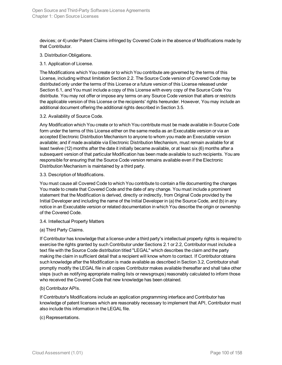devices; or 4) under Patent Claims infringed by Covered Code in the absence of Modifications made by that Contributor.

- 3. Distribution Obligations.
- 3.1. Application of License.

The Modifications which You create or to which You contribute are governed by the terms of this License, including without limitation Section 2.2. The Source Code version of Covered Code may be distributed only under the terms of this License or a future version of this License released under Section 6.1, and You must include a copy of this License with every copy of the Source Code You distribute. You may not offer or impose any terms on any Source Code version that alters or restricts the applicable version of this License or the recipients' rights hereunder. However, You may include an additional document offering the additional rights described in Section 3.5.

3.2. Availability of Source Code.

Any Modification which You create or to which You contribute must be made available in Source Code form under the terms of this License either on the same media as an Executable version or via an accepted Electronic Distribution Mechanism to anyone to whom you made an Executable version available; and if made available via Electronic Distribution Mechanism, must remain available for at least twelve (12) months after the date it initially became available, or at least six (6) months after a subsequent version of that particular Modification has been made available to such recipients. You are responsible for ensuring that the Source Code version remains available even if the Electronic Distribution Mechanism is maintained by a third party.

3.3. Description of Modifications.

You must cause all Covered Code to which You contribute to contain a file documenting the changes You made to create that Covered Code and the date of any change. You must include a prominent statement that the Modification is derived, directly or indirectly, from Original Code provided by the Initial Developer and including the name of the Initial Developer in (a) the Source Code, and (b) in any notice in an Executable version or related documentation in which You describe the origin or ownership of the Covered Code.

- 3.4. Intellectual Property Matters
- (a) Third Party Claims.

If Contributor has knowledge that a license under a third party's intellectual property rights is required to exercise the rights granted by such Contributor under Sections 2.1 or 2.2, Contributor must include a text file with the Source Code distribution titled "LEGAL" which describes the claim and the party making the claim in sufficient detail that a recipient will know whom to contact. If Contributor obtains such knowledge after the Modification is made available as described in Section 3.2, Contributor shall promptly modify the LEGAL file in all copies Contributor makes available thereafter and shall take other steps (such as notifying appropriate mailing lists or newsgroups) reasonably calculated to inform those who received the Covered Code that new knowledge has been obtained.

## (b) Contributor APIs.

If Contributor's Modifications include an application programming interface and Contributor has knowledge of patent licenses which are reasonably necessary to implement that API, Contributor must also include this information in the LEGAL file.

## (c) Representations.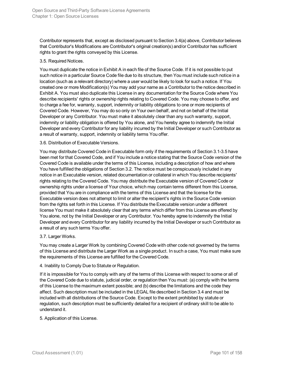Contributor represents that, except as disclosed pursuant to Section 3.4(a) above, Contributor believes that Contributor's Modifications are Contributor's original creation(s) and/or Contributor has sufficient rights to grant the rights conveyed by this License.

### 3.5. Required Notices.

You must duplicate the notice in Exhibit A in each file of the Source Code. If it is not possible to put such notice in a particular Source Code file due to its structure, then You must include such notice in a location (such as a relevant directory) where a user would be likely to look for such a notice. If You created one or more Modification(s) You may add your name as a Contributor to the notice described in Exhibit A. You must also duplicate this License in any documentation for the Source Code where You describe recipients' rights or ownership rights relating to Covered Code. You may choose to offer, and to charge a fee for, warranty, support, indemnity or liability obligations to one or more recipients of Covered Code. However, You may do so only on Your own behalf, and not on behalf of the Initial Developer or any Contributor. You must make it absolutely clear than any such warranty, support, indemnity or liability obligation is offered by You alone, and You hereby agree to indemnify the Initial Developer and every Contributor for any liability incurred by the Initial Developer or such Contributor as a result of warranty, support, indemnity or liability terms You offer.

#### 3.6. Distribution of Executable Versions.

You may distribute Covered Code in Executable form only if the requirements of Section 3.1-3.5 have been met for that Covered Code, and if You include a notice stating that the Source Code version of the Covered Code is available under the terms of this License, including a description of how and where You have fulfilled the obligations of Section 3.2. The notice must be conspicuously included in any notice in an Executable version, related documentation or collateral in which You describe recipients' rights relating to the Covered Code. You may distribute the Executable version of Covered Code or ownership rights under a license of Your choice, which may contain terms different from this License, provided that You are in compliance with the terms of this License and that the license for the Executable version does not attempt to limit or alter the recipient's rights in the Source Code version from the rights set forth in this License. If You distribute the Executable version under a different license You must make it absolutely clear that any terms which differ from this License are offered by You alone, not by the Initial Developer or any Contributor. You hereby agree to indemnify the Initial Developer and every Contributor for any liability incurred by the Initial Developer or such Contributor as a result of any such terms You offer.

#### 3.7. Larger Works.

You may create a Larger Work by combining Covered Code with other code not governed by the terms of this License and distribute the Larger Work as a single product. In such a case, You must make sure the requirements of this License are fulfilled for the Covered Code.

#### 4. Inability to Comply Due to Statute or Regulation.

If it is impossible for You to comply with any of the terms of this License with respect to some or all of the Covered Code due to statute, judicial order, or regulation then You must: (a) comply with the terms of this License to the maximum extent possible; and (b) describe the limitations and the code they affect. Such description must be included in the LEGAL file described in Section 3.4 and must be included with all distributions of the Source Code. Except to the extent prohibited by statute or regulation, such description must be sufficiently detailed for a recipient of ordinary skill to be able to understand it.

## 5. Application of this License.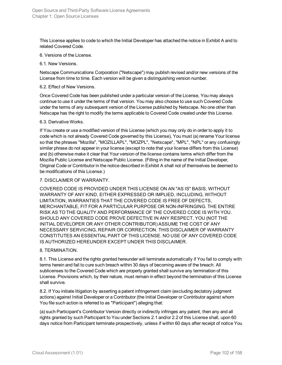This License applies to code to which the Initial Developer has attached the notice in Exhibit A and to related Covered Code.

6. Versions of the License.

6.1. New Versions.

Netscape Communications Corporation ("Netscape") may publish revised and/or new versions of the License from time to time. Each version will be given a distinguishing version number.

#### 6.2. Effect of New Versions.

Once Covered Code has been published under a particular version of the License, You may always continue to use it under the terms of that version. You may also choose to use such Covered Code under the terms of any subsequent version of the License published by Netscape. No one other than Netscape has the right to modify the terms applicable to Covered Code created under this License.

#### 6.3. Derivative Works.

If You create or use a modified version of this License (which you may only do in order to apply it to code which is not already Covered Code governed by this License), You must (a) rename Your license so that the phrases "Mozilla", "MOZILLAPL", "MOZPL", "Netscape", "MPL", "NPL" or any confusingly similar phrase do not appear in your license (except to note that your license differs from this License) and (b) otherwise make it clear that Your version of the license contains terms which differ from the Mozilla Public License and Netscape Public License. (Filling in the name of the Initial Developer, Original Code or Contributor in the notice described in Exhibit A shall not of themselves be deemed to be modifications of this License.)

#### 7. DISCLAIMER OF WARRANTY.

COVERED CODE IS PROVIDED UNDER THIS LICENSE ON AN "AS IS" BASIS, WITHOUT WARRANTY OF ANY KIND, EITHER EXPRESSED OR IMPLIED, INCLUDING, WITHOUT LIMITATION, WARRANTIES THAT THE COVERED CODE IS FREE OF DEFECTS, MERCHANTABLE, FIT FOR A PARTICULAR PURPOSE OR NON-INFRINGING. THE ENTIRE RISK AS TO THE QUALITY AND PERFORMANCE OF THE COVERED CODE IS WITH YOU. SHOULD ANY COVERED CODE PROVE DEFECTIVE IN ANY RESPECT, YOU (NOT THE INITIAL DEVELOPER OR ANY OTHER CONTRIBUTOR) ASSUME THE COST OF ANY NECESSARY SERVICING, REPAIR OR CORRECTION. THIS DISCLAIMER OF WARRANTY CONSTITUTES AN ESSENTIAL PART OF THIS LICENSE. NO USE OF ANY COVERED CODE IS AUTHORIZED HEREUNDER EXCEPT UNDER THIS DISCLAIMER.

#### 8. TERMINATION.

8.1. This License and the rights granted hereunder will terminate automatically if You fail to comply with terms herein and fail to cure such breach within 30 days of becoming aware of the breach. All sublicenses to the Covered Code which are properly granted shall survive any termination of this License. Provisions which, by their nature, must remain in effect beyond the termination of this License shall survive.

8.2. If You initiate litigation by asserting a patent infringement claim (excluding declatory judgment actions) against Initial Developer or a Contributor (the Initial Developer or Contributor against whom You file such action is referred to as "Participant") alleging that:

(a) such Participant's Contributor Version directly or indirectly infringes any patent, then any and all rights granted by such Participant to You under Sections 2.1 and/or 2.2 of this License shall, upon 60 days notice from Participant terminate prospectively, unless if within 60 days after receipt of notice You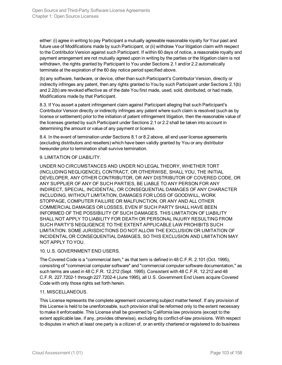either: (i) agree in writing to pay Participant a mutually agreeable reasonable royalty for Your past and future use of Modifications made by such Participant, or (ii) withdraw Your litigation claim with respect to the Contributor Version against such Participant. If within 60 days of notice, a reasonable royalty and payment arrangement are not mutually agreed upon in writing by the parties or the litigation claim is not withdrawn, the rights granted by Participant to You under Sections 2.1 and/or 2.2 automatically terminate at the expiration of the 60 day notice period specified above.

(b) any software, hardware, or device, other than such Participant's Contributor Version, directly or indirectly infringes any patent, then any rights granted to You by such Participant under Sections 2.1(b) and 2.2(b) are revoked effective as of the date You first made, used, sold, distributed, or had made, Modifications made by that Participant.

8.3. If You assert a patent infringement claim against Participant alleging that such Participant's Contributor Version directly or indirectly infringes any patent where such claim is resolved (such as by license or settlement) prior to the initiation of patent infringement litigation, then the reasonable value of the licenses granted by such Participant under Sections 2.1 or 2.2 shall be taken into account in determining the amount or value of any payment or license.

8.4. In the event of termination under Sections 8.1 or 8.2 above, all end user license agreements (excluding distributors and resellers) which have been validly granted by You or any distributor hereunder prior to termination shall survive termination.

### 9. LIMITATION OF LIABILITY.

UNDER NO CIRCUMSTANCES AND UNDER NO LEGAL THEORY, WHETHER TORT (INCLUDING NEGLIGENCE), CONTRACT, OR OTHERWISE, SHALL YOU, THE INITIAL DEVELOPER, ANY OTHER CONTRIBUTOR, OR ANY DISTRIBUTOR OF COVERED CODE, OR ANY SUPPLIER OF ANY OF SUCH PARTIES, BE LIABLE TO ANY PERSON FOR ANY INDIRECT, SPECIAL, INCIDENTAL, OR CONSEQUENTIAL DAMAGES OF ANY CHARACTER INCLUDING, WITHOUT LIMITATION, DAMAGES FOR LOSS OF GOODWILL, WORK STOPPAGE, COMPUTER FAILURE OR MALFUNCTION, OR ANY AND ALL OTHER COMMERCIAL DAMAGES OR LOSSES, EVEN IF SUCH PARTY SHALL HAVE BEEN INFORMED OF THE POSSIBILITY OF SUCH DAMAGES. THIS LIMITATION OF LIABILITY SHALL NOT APPLY TO LIABILITY FOR DEATH OR PERSONAL INJURY RESULTING FROM SUCH PARTY'S NEGLIGENCE TO THE EXTENT APPLICABLE LAW PROHIBITS SUCH LIMITATION. SOME JURISDICTIONS DO NOT ALLOW THE EXCLUSION OR LIMITATION OF INCIDENTAL OR CONSEQUENTIAL DAMAGES, SO THIS EXCLUSION AND LIMITATION MAY NOT APPLY TO YOU.

#### 10. U.S. GOVERNMENT END USERS.

The Covered Code is a "commercial item," as that term is defined in 48 C.F.R. 2.101 (Oct. 1995), consisting of "commercial computer software" and "commercial computer software documentation," as such terms are used in 48 C.F.R. 12.212 (Sept. 1995). Consistent with 48 C.F.R. 12.212 and 48 C.F.R. 227.7202-1 through 227.7202-4 (June 1995), all U.S. Government End Users acquire Covered Code with only those rights set forth herein.

## 11. MISCELLANEOUS.

This License represents the complete agreement concerning subject matter hereof. If any provision of this License is held to be unenforceable, such provision shall be reformed only to the extent necessary to make it enforceable. This License shall be governed by California law provisions (except to the extent applicable law, if any, provides otherwise), excluding its conflict-of-law provisions. With respect to disputes in which at least one party is a citizen of, or an entity chartered or registered to do business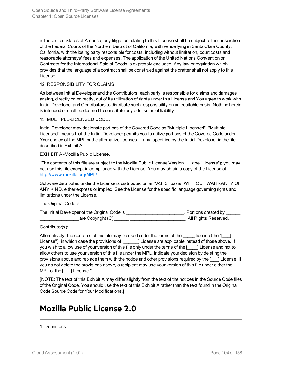in the United States of America, any litigation relating to this License shall be subject to the jurisdiction of the Federal Courts of the Northern District of California, with venue lying in Santa Clara County, California, with the losing party responsible for costs, including without limitation, court costs and reasonable attorneys' fees and expenses. The application of the United Nations Convention on Contracts for the International Sale of Goods is expressly excluded. Any law or regulation which provides that the language of a contract shall be construed against the drafter shall not apply to this License.

#### 12. RESPONSIBILITY FOR CLAIMS.

As between Initial Developer and the Contributors, each party is responsible for claims and damages arising, directly or indirectly, out of its utilization of rights under this License and You agree to work with Initial Developer and Contributors to distribute such responsibility on an equitable basis. Nothing herein is intended or shall be deemed to constitute any admission of liability.

#### 13. MULTIPLE-LICENSED CODE.

Initial Developer may designate portions of the Covered Code as "Multiple-Licensed". "Multiple-Licensed" means that the Initial Developer permits you to utilize portions of the Covered Code under Your choice of the MPL or the alternative licenses, if any, specified by the Initial Developer in the file described in Exhibit A.

#### EXHIBIT A -Mozilla Public License.

"The contents of this file are subject to the Mozilla Public License Version 1.1 (the "License"); you may not use this file except in compliance with the License. You may obtain a copy of the License at <http://www.mozilla.org/MPL/>

Software distributed under the License is distributed on an "AS IS" basis, WITHOUT WARRANTY OF ANY KIND, either express or implied. See the License for the specific language governing rights and limitations under the License.

The Original Code is \_\_\_\_\_\_\_\_\_\_\_\_\_\_\_\_\_\_\_\_\_\_\_\_\_\_\_\_\_\_\_\_\_\_\_\_\_\_.

The Initial Developer of the Original Code is \_\_\_\_\_\_\_\_\_\_\_\_\_\_\_\_\_\_\_\_\_\_\_\_\_\_\_\_\_. Portions created by \_\_\_\_\_\_\_\_ \_\_\_\_\_\_\_\_\_\_\_\_\_\_\_\_ are Copyright (C) \_\_\_\_\_\_ \_\_\_\_\_\_\_\_\_\_\_\_\_\_\_\_\_\_\_\_\_\_\_. All Rights Reserved.

Contributor(s):

Alternatively, the contents of this file may be used under the terms of the \_\_\_\_\_ license (the "[\_\_\_] License"), in which case the provisions of [  $\qquad$  ] License are applicable instead of those above. If you wish to allow use of your version of this file only under the terms of the [1,695] License and not to allow others to use your version of this file under the MPL, indicate your decision by deleting the provisions above and replace them with the notice and other provisions required by the [\_\_\_] License. If you do not delete the provisions above, a recipient may use your version of this file under either the MPL or the [  $\Box$  ] License."

[NOTE: The text of this Exhibit A may differ slightly from the text of the notices in the Source Code files of the Original Code. You should use the text of this Exhibit A rather than the text found in the Original Code Source Code for Your Modifications.]

## **Mozilla Public License 2.0**

#### 1. Definitions.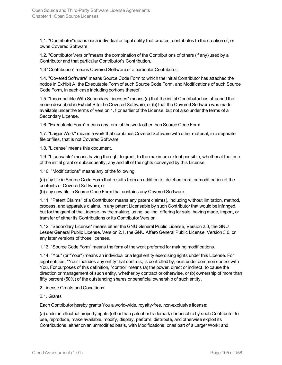1.1. "Contributor"means each individual or legal entity that creates, contributes to the creation of, or owns Covered Software.

1.2. "Contributor Version"means the combination of the Contributions of others (if any) used by a Contributor and that particular Contributor's Contribution.

1.3 "Contribution" means Covered Software of a particular Contributor.

1.4. "Covered Software" means Source Code Form to which the initial Contributor has attached the notice in Exhibit A, the Executable Form of such Source Code Form, and Modifications of such Source Code Form, in each case including portions thereof.

1.5. "Incompatible With Secondary Licenses" means (a) that the initial Contributor has attached the notice described in Exhibit B to the Covered Software; or (b) that the Covered Software was made available under the terms of version 1.1 or earlier of the License, but not also under the terms of a Secondary License.

1.6. "Executable Form" means any form of the work other than Source Code Form.

1.7. "Larger Work" means a work that combines Covered Software with other material, in a separate file or files, that is not Covered Software.

1.8. "License" means this document.

1.9. "Licensable" means having the right to grant, to the maximum extent possible, whether at the time of the initial grant or subsequently, any and all of the rights conveyed by this License.

1.10. "Modifications" means any of the following:

(a) any file in Source Code Form that results from an addition to, deletion from, or modification of the contents of Covered Software; or

(b) any new file in Source Code Form that contains any Covered Software.

1.11. "Patent Claims" of a Contributor means any patent claim(s), including without limitation, method, process, and apparatus claims, in any patent Licensable by such Contributor that would be infringed, but for the grant of the License, by the making, using, selling, offering for sale, having made, import, or transfer of either its Contributions or its Contributor Version.

1.12. "Secondary License" means either the GNU General Public License, Version 2.0, the GNU Lesser General Public License, Version 2.1, the GNU Affero General Public License, Version 3.0, or any later versions of those licenses.

1.13. "Source Code Form" means the form of the work preferred for making modifications.

1.14. "You" (or "Your") means an individual or a legal entity exercising rights under this License. For legal entities, "You" includes any entity that controls, is controlled by, or is under common control with You. For purposes of this definition, "control" means (a) the power, direct or indirect, to cause the direction or management of such entity, whether by contract or otherwise, or (b) ownership of more than fifty percent (50%) of the outstanding shares or beneficial ownership of such entity.

#### 2.License Grants and Conditions

## 2.1. Grants

Each Contributor hereby grants You a world-wide, royalty-free, non-exclusive license:

(a) under intellectual property rights (other than patent or trademark) Licensable by such Contributor to use, reproduce, make available, modify, display, perform, distribute, and otherwise exploit its Contributions, either on an unmodified basis, with Modifications, or as part of a Larger Work; and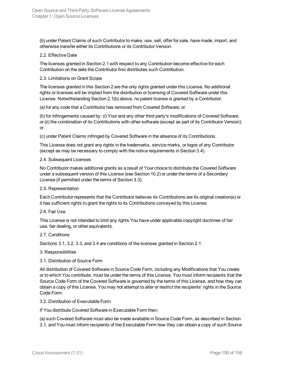(b) under Patent Claims of such Contributor to make, use, sell, offer for sale, have made, import, and otherwise transfer either its Contributions or its Contributor Version.

#### 2.2. Effective Date

The licenses granted in Section 2.1 with respect to any Contribution become effective for each Contribution on the date the Contributor first distributes such Contribution.

#### 2.3. Limitations on Grant Scope

The licenses granted in this Section 2 are the only rights granted under this License. No additional rights or licenses will be implied from the distribution or licensing of Covered Software under this License. Notwithstanding Section 2.1(b) above, no patent license is granted by a Contributor:

(a) for any code that a Contributor has removed from Covered Software; or

(b) for infringements caused by: (i) Your and any other third party's modifications of Covered Software, or (ii) the combination of its Contributions with other software (except as part of its Contributor Version); or

(c) under Patent Claims infringed by Covered Software in the absence of its Contributions.

This License does not grant any rights in the trademarks, service marks, or logos of any Contributor (except as may be necessary to comply with the notice requirements in Section 3.4).

### 2.4. Subsequent Licenses

No Contributor makes additional grants as a result of Your choice to distribute the Covered Software under a subsequent version of this License (see Section 10.2) or under the terms of a Secondary License (if permitted under the terms of Section 3.3).

#### 2.5. Representation

Each Contributor represents that the Contributor believes its Contributions are its original creation(s) or it has sufficient rights to grant the rights to its Contributions conveyed by this License.

#### 2.6. Fair Use

This License is not intended to limit any rights You have under applicable copyright doctrines of fair use, fair dealing, or other equivalents.

## 2.7. Conditions

Sections 3.1, 3.2, 3.3, and 3.4 are conditions of the licenses granted in Section 2.1.

#### 3. Responsibilities

#### 3.1. Distribution of Source Form

All distribution of Covered Software in Source Code Form, including any Modifications that You create or to which You contribute, must be under the terms of this License. You must inform recipients that the Source Code Form of the Covered Software is governed by the terms of this License, and how they can obtain a copy of this License. You may not attempt to alter or restrict the recipients' rights in the Source Code Form.

#### 3.2. Distribution of Executable Form

If You distribute Covered Software in Executable Form then:

(a) such Covered Software must also be made available in Source Code Form, as described in Section 3.1, and You must inform recipients of the Executable Form how they can obtain a copy of such Source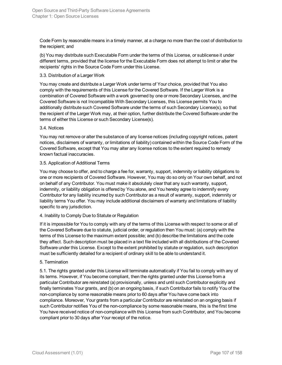Code Form by reasonable means in a timely manner, at a charge no more than the cost of distribution to the recipient; and

(b) You may distribute such Executable Form under the terms of this License, or sublicense it under different terms, provided that the license for the Executable Form does not attempt to limit or alter the recipients' rights in the Source Code Form under this License.

#### 3.3. Distribution of a Larger Work

You may create and distribute a Larger Work under terms of Your choice, provided that You also comply with the requirements of this License for the Covered Software. If the Larger Work is a combination of Covered Software with a work governed by one or more Secondary Licenses, and the Covered Software is not Incompatible With Secondary Licenses, this License permits You to additionally distribute such Covered Software under the terms of such Secondary License(s), so that the recipient of the Larger Work may, at their option, further distribute the Covered Software under the terms of either this License or such Secondary License(s).

### 3.4. Notices

You may not remove or alter the substance of any license notices (including copyright notices, patent notices, disclaimers of warranty, or limitations of liability) contained within the Source Code Form of the Covered Software, except that You may alter any license notices to the extent required to remedy known factual inaccuracies.

### 3.5. Application of Additional Terms

You may choose to offer, and to charge a fee for, warranty, support, indemnity or liability obligations to one or more recipients of Covered Software. However, You may do so only on Your own behalf, and not on behalf of any Contributor. You must make it absolutely clear that any such warranty, support, indemnity, or liability obligation is offered by You alone, and You hereby agree to indemnify every Contributor for any liability incurred by such Contributor as a result of warranty, support, indemnity or liability terms You offer. You may include additional disclaimers of warranty and limitations of liability specific to any jurisdiction.

## 4. Inability to Comply Due to Statute or Regulation

If it is impossible for You to comply with any of the terms of this License with respect to some or all of the Covered Software due to statute, judicial order, or regulation then You must: (a) comply with the terms of this License to the maximum extent possible; and (b) describe the limitations and the code they affect. Such description must be placed in a text file included with all distributions of the Covered Software under this License. Except to the extent prohibited by statute or regulation, such description must be sufficiently detailed for a recipient of ordinary skill to be able to understand it.

#### 5. Termination

5.1. The rights granted under this License will terminate automatically if You fail to comply with any of its terms. However, if You become compliant, then the rights granted under this License from a particular Contributor are reinstated (a) provisionally, unless and until such Contributor explicitly and finally terminates Your grants, and (b) on an ongoing basis, if such Contributor fails to notify You of the non-compliance by some reasonable means prior to 60 days after You have come back into compliance. Moreover, Your grants from a particular Contributor are reinstated on an ongoing basis if such Contributor notifies You of the non-compliance by some reasonable means, this is the first time You have received notice of non-compliance with this License from such Contributor, and You become compliant prior to 30 days after Your receipt of the notice.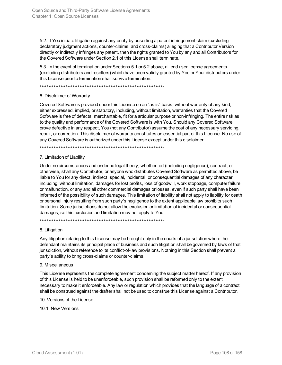5.2. If You initiate litigation against any entity by asserting a patent infringement claim (excluding declaratory judgment actions, counter-claims, and cross-claims) alleging that a Contributor Version directly or indirectly infringes any patent, then the rights granted to You by any and all Contributors for the Covered Software under Section 2.1 of this License shall terminate.

5.3. In the event of termination under Sections 5.1 or 5.2 above, all end user license agreements (excluding distributors and resellers) which have been validly granted by You or Your distributors under this License prior to termination shall survive termination.

\*\*\*\*\*\*\*\*\*\*\*\*\*\*\*\*\*\*\*\*\*\*\*\*\*\*\*\*\*\*\*\*\*\*\*\*\*\*\*\*\*\*\*\*\*\*\*\*\*\*\*\*\*\*\*\*\*\*\*\*\*\*\*\*\*\*\*\*\*\*\*\*

#### 6. Disclaimer of Warranty

Covered Software is provided under this License on an "as is" basis, without warranty of any kind, either expressed, implied, or statutory, including, without limitation, warranties that the Covered Software is free of defects, merchantable, fit for a articular purpose or non-infringing. The entire risk as to the quality and performance of the Covered Software is with You. Should any Covered Software prove defective in any respect, You (not any Contributor) assume the cost of any necessary servicing, repair, or correction. This disclaimer of warranty constitutes an essential part of this License. No use of any Covered Software is authorized under this License except under this disclaimer.

\*\*\*\*\*\*\*\*\*\*\*\*\*\*\*\*\*\*\*\*\*\*\*\*\*\*\*\*\*\*\*\*\*\*\*\*\*\*\*\*\*\*\*\*\*\*\*\*\*\*\*\*\*\*\*\*\*\*\*\*\*\*\*\*\*\*\*\*\*\*\*\*

#### 7. Limitation of Liability

Under no circumstances and under no legal theory, whether tort (including negligence), contract, or otherwise, shall any Contributor, or anyone who distributes Covered Software as permitted above, be liable to You for any direct, indirect, special, incidental, or consequential damages of any character including, without limitation, damages for lost profits, loss of goodwill, work stoppage, computer failure or malfunction, or any and all other commercial damages or losses, even if such party shall have been informed of the possibility of such damages. This limitation of liability shall not apply to liability for death or personal injury resulting from such party's negligence to the extent applicable law prohibits such limitation. Some jurisdictions do not allow the exclusion or limitation of incidental or consequential damages, so this exclusion and limitation may not apply to You.

\*\*\*\*\*\*\*\*\*\*\*\*\*\*\*\*\*\*\*\*\*\*\*\*\*\*\*\*\*\*\*\*\*\*\*\*\*\*\*\*\*\*\*\*\*\*\*\*\*\*\*\*\*\*\*\*\*\*\*\*\*\*\*\*\*\*\*\*\*\*\*\*

#### 8. Litigation

Any litigation relating to this License may be brought only in the courts of a jurisdiction where the defendant maintains its principal place of business and such litigation shall be governed by laws of that jurisdiction, without reference to its conflict-of-law provisions. Nothing in this Section shall prevent a party's ability to bring cross-claims or counter-claims.

#### 9. Miscellaneous

This License represents the complete agreement concerning the subject matter hereof. If any provision of this License is held to be unenforceable, such provision shall be reformed only to the extent necessary to make it enforceable. Any law or regulation which provides that the language of a contract shall be construed against the drafter shall not be used to construe this License against a Contributor.

- 10. Versions of the License
- 10.1. New Versions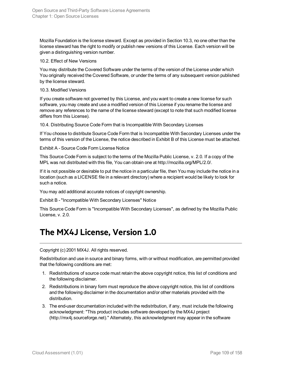Mozilla Foundation is the license steward. Except as provided in Section 10.3, no one other than the license steward has the right to modify or publish new versions of this License. Each version will be given a distinguishing version number.

### 10.2. Effect of New Versions

You may distribute the Covered Software under the terms of the version of the License under which You originally received the Covered Software, or under the terms of any subsequent version published by the license steward.

#### 10.3. Modified Versions

If you create software not governed by this License, and you want to create a new license for such software, you may create and use a modified version of this License if you rename the license and remove any references to the name of the license steward (except to note that such modified license differs from this License).

10.4. Distributing Source Code Form that is Incompatible With Secondary Licenses

If You choose to distribute Source Code Form that is Incompatible With Secondary Licenses under the terms of this version of the License, the notice described in Exhibit B of this License must be attached.

Exhibit A - Source Code Form License Notice

This Source Code Form is subject to the terms of the Mozilla Public License, v. 2.0. If a copy of the MPL was not distributed with this file, You can obtain one at http://mozilla.org/MPL/2.0/.

If it is not possible or desirable to put the notice in a particular file, then You may include the notice in a location (such as a LICENSE file in a relevant directory) where a recipient would be likely to look for such a notice.

You may add additional accurate notices of copyright ownership.

Exhibit B - "Incompatible With Secondary Licenses" Notice

This Source Code Form is "Incompatible With Secondary Licenses", as defined by the Mozilla Public License, v. 2.0.

## **The MX4J License, Version 1.0**

Copyright (c) 2001 MX4J. All rights reserved.

Redistribution and use in source and binary forms, with or without modification, are permitted provided that the following conditions are met:

- 1. Redistributions of source code must retain the above copyright notice, this list of conditions and the following disclaimer.
- 2. Redistributions in binary form must reproduce the above copyright notice, this list of conditions and the following disclaimer in the documentation and/or other materials provided with the distribution.
- 3. The end-user documentation included with the redistribution, if any, must include the following acknowledgment: "This product includes software developed by the MX4J project (http://mx4j.sourceforge.net)." Alternately, this acknowledgment may appear in the software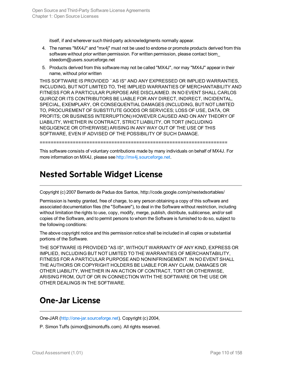itself, if and wherever such third-party acknowledgments normally appear.

- 4. The names "MX4J" and "mx4j" must not be used to endorse or promote products derived from this software without prior written permission. For written permission, please contact biorn\_ steedom@users.sourceforge.net
- 5. Products derived from this software may not be called "MX4J", nor may "MX4J" appear in their name, without prior written

THIS SOFTWARE IS PROVIDED ``AS IS'' AND ANY EXPRESSED OR IMPLIED WARRANTIES, INCLUDING, BUT NOT LIMITED TO, THE IMPLIED WARRANTIES OF MERCHANTABILITY AND FITNESS FOR A PARTICULAR PURPOSE ARE DISCLAIMED. IN NO EVENT SHALL CARLOS QUIROZ OR ITS CONTRIBUTORS BE LIABLE FOR ANY DIRECT, INDIRECT, INCIDENTAL, SPECIAL, EXEMPLARY, OR CONSEQUENTIAL DAMAGES (INCLUDING, BUT NOT LIMITED TO, PROCUREMENT OF SUBSTITUTE GOODS OR SERVICES; LOSS OF USE, DATA, OR PROFITS; OR BUSINESS INTERRUPTION) HOWEVER CAUSED AND ON ANY THEORY OF LIABILITY, WHETHER IN CONTRACT, STRICT LIABILITY, OR TORT (INCLUDING NEGLIGENCE OR OTHERWISE) ARISING IN ANY WAY OUT OF THE USE OF THIS SOFTWARE, EVEN IF ADVISED OF THE POSSIBILITY OF SUCH DAMAGE.

====================================================================

This software consists of voluntary contributions made by many individuals on behalf of MX4J. For more information on MX4J, please see [http://mx4j.sourceforge.net.](http://mx4j.sourceforge.net/)

## **Nested Sortable Widget License**

Copyright (c) 2007 Bernardo de Padua dos Santos, http://code.google.com/p/nestedsortables/

Permission is hereby granted, free of charge, to any person obtaining a copy of this software and associated documentation files (the "Software"), to deal in the Software without restriction, including without limitation the rights to use, copy, modify, merge, publish, distribute, sublicense, and/or sell copies of the Software, and to permit persons to whom the Software is furnished to do so, subject to the following conditions:

The above copyright notice and this permission notice shall be included in all copies or substantial portions of the Software.

THE SOFTWARE IS PROVIDED "AS IS", WITHOUT WARRANTY OF ANY KIND, EXPRESS OR IMPLIED, INCLUDING BUT NOT LIMITED TO THE WARRANTIES OF MERCHANTABILITY, FITNESS FOR A PARTICULAR PURPOSE AND NONINFRINGEMENT. IN NO EVENT SHALL THE AUTHORS OR COPYRIGHT HOLDERS BE LIABLE FOR ANY CLAIM, DAMAGES OR OTHER LIABILITY, WHETHER IN AN ACTION OF CONTRACT, TORT OR OTHERWISE, ARISING FROM, OUT OF OR IN CONNECTION WITH THE SOFTWARE OR THE USE OR OTHER DEALINGS IN THE SOFTWARE.

### **One-Jar License**

One-JAR [\(http://one-jar.sourceforge.net](http://one-jar.sourceforge.net/)). Copyright (c) 2004,

P. Simon Tuffs (simon@simontuffs.com). All rights reserved.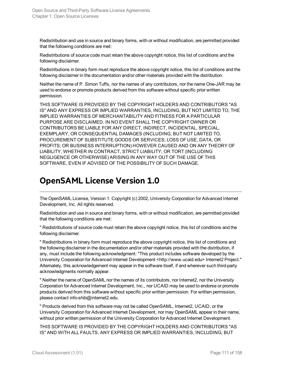Redistribution and use in source and binary forms, with or without modification, are permitted provided that the following conditions are met:

Redistributions of source code must retain the above copyright notice, this list of conditions and the following disclaimer.

Redistributions in binary form must reproduce the above copyright notice, this list of conditions and the following disclaimer in the documentation and/or other materials provided with the distribution.

Neither the name of P. Simon Tuffs, nor the names of any contributors, nor the name One-JAR may be used to endorse or promote products derived from this software without specific prior written permission.

THIS SOFTWARE IS PROVIDED BY THE COPYRIGHT HOLDERS AND CONTRIBUTORS "AS IS" AND ANY EXPRESS OR IMPLIED WARRANTIES, INCLUDING, BUT NOT LIMITED TO, THE IMPLIED WARRANTIES OF MERCHANTABILITY AND FITNESS FOR A PARTICULAR PURPOSE ARE DISCLAIMED. IN NO EVENT SHALL THE COPYRIGHT OWNER OR CONTRIBUTORS BE LIABLE FOR ANY DIRECT, INDIRECT, INCIDENTAL, SPECIAL, EXEMPLARY, OR CONSEQUENTIAL DAMAGES (INCLUDING, BUT NOT LIMITED TO, PROCUREMENT OF SUBSTITUTE GOODS OR SERVICES; LOSS OF USE, DATA, OR PROFITS; OR BUSINESS INTERRUPTION) HOWEVER CAUSED AND ON ANY THEORY OF LIABILITY, WHETHER IN CONTRACT, STRICT LIABILITY, OR TORT (INCLUDING NEGLIGENCE OR OTHERWISE) ARISING IN ANY WAY OUT OF THE USE OF THIS SOFTWARE, EVEN IF ADVISED OF THE POSSIBILITY OF SUCH DAMAGE.

## **OpenSAML License Version 1.0**

The OpenSAML License, Version 1. Copyright (c) 2002, University Corporation for Advanced Internet Development, Inc. All rights reserved.

Redistribution and use in source and binary forms, with or without modification, are permitted provided that the following conditions are met:

" Redistributions of source code must retain the above copyright notice, this list of conditions and the following disclaimer.

" Redistributions in binary form must reproduce the above copyright notice, this list of conditions and the following disclaimer in the documentation and/or other materials provided with the distribution, if any, must include the following acknowledgment: "This product includes software developed by the University Corporation for Advanced Internet Development <http://www.ucaid.edu> Internet2 Project." Alternately, this acknowledgement may appear in the software itself, if and wherever such third-party acknowledgments normally appear.

" Neither the name of OpenSAML nor the names of its contributors, nor Internet2, nor the University Corporation for Advanced Internet Development, Inc., nor UCAID may be used to endorse or promote products derived from this software without specific prior written permission. For written permission, please contact info-shib@internet2.edu.

" Products derived from this software may not be called OpenSAML, Internet2, UCAID, or the University Corporation for Advanced Internet Development, nor may OpenSAML appear in their name, without prior written permission of the University Corporation for Advanced Internet Development.

THIS SOFTWARE IS PROVIDED BY THE COPYRIGHT HOLDERS AND CONTRIBUTORS "AS IS" AND WITH ALL FAULTS. ANY EXPRESS OR IMPLIED WARRANTIES, INCLUDING, BUT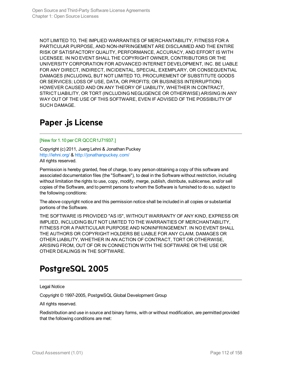NOT LIMITED TO, THE IMPLIED WARRANTIES OF MERCHANTABILITY, FITNESS FOR A PARTICULAR PURPOSE, AND NON-INFRINGEMENT ARE DISCLAIMED AND THE ENTIRE RISK OF SATISFACTORY QUALITY, PERFORMANCE, ACCURACY, AND EFFORT IS WITH LICENSEE. IN NO EVENT SHALL THE COPYRIGHT OWNER, CONTRIBUTORS OR THE UNIVERSITY CORPORATION FOR ADVANCED INTERNET DEVELOPMENT, INC. BE LIABLE FOR ANY DIRECT, INDIRECT, INCIDENTAL, SPECIAL, EXEMPLARY, OR CONSEQUENTIAL DAMAGES (INCLUDING, BUT NOT LIMITED TO, PROCUREMENT OF SUBSTITUTE GOODS OR SERVICES; LOSS OF USE, DATA, OR PROFITS; OR BUSINESS INTERRUPTION) HOWEVER CAUSED AND ON ANY THEORY OF LIABILITY, WHETHER IN CONTRACT, STRICT LIABILITY, OR TORT (INCLUDING NEGLIGENCE OR OTHERWISE) ARISING IN ANY WAY OUT OF THE USE OF THIS SOFTWARE, EVEN IF ADVISED OF THE POSSIBILITY OF SUCH DAMAGE.

## **Paper .js License**

### [New for 1.10 per CR QCCR1J71937.]

Copyright (c) 2011, Juerg Lehni & Jonathan Puckey <http://lehni.org/> & <http://jonathanpuckey.com/> All rights reserved.

Permission is hereby granted, free of charge, to any person obtaining a copy of this software and associated documentation files (the "Software"), to deal in the Software without restriction, including without limitation the rights to use, copy, modify, merge, publish, distribute, sublicense, and/or sell copies of the Software, and to permit persons to whom the Software is furnished to do so, subject to the following conditions:

The above copyright notice and this permission notice shall be included in all copies or substantial portions of the Software.

THE SOFTWARE IS PROVIDED "AS IS", WITHOUT WARRANTY OF ANY KIND, EXPRESS OR IMPLIED, INCLUDING BUT NOT LIMITED TO THE WARRANTIES OF MERCHANTABILITY, FITNESS FOR A PARTICULAR PURPOSE AND NONINFRINGEMENT. IN NO EVENT SHALL THE AUTHORS OR COPYRIGHT HOLDERS BE LIABLE FOR ANY CLAIM, DAMAGES OR OTHER LIABILITY, WHETHER IN AN ACTION OF CONTRACT, TORT OR OTHERWISE, ARISING FROM, OUT OF OR IN CONNECTION WITH THE SOFTWARE OR THE USE OR OTHER DEALINGS IN THE SOFTWARE.

## **PostgreSQL 2005**

### Legal Notice

Copyright © 1997-2005, PostgreSQL Global Development Group

All rights reserved.

Redistribution and use in source and binary forms, with or without modification, are permitted provided that the following conditions are met: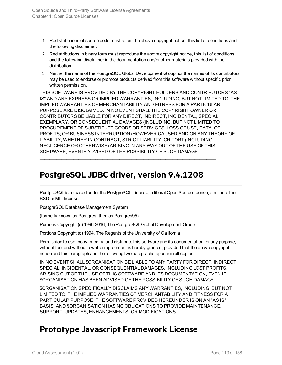- 1. Redistributions of source code must retain the above copyright notice, this list of conditions and the following disclaimer.
- 2. Redistributions in binary form must reproduce the above copyright notice, this list of conditions and the following disclaimer in the documentation and/or other materials provided with the distribution.
- 3. Neither the name of the PostgreSQL Global Development Group nor the names of its contributors may be used to endorse or promote products derived from this software without specific prior written permission.

THIS SOFTWARE IS PROVIDED BY THE COPYRIGHT HOLDERS AND CONTRIBUTORS "AS IS" AND ANY EXPRESS OR IMPLIED WARRANTIES, INCLUDING, BUT NOT LIMITED TO, THE IMPLIED WARRANTIES OF MERCHANTABILITY AND FITNESS FOR A PARTICULAR PURPOSE ARE DISCLAIMED. IN NO EVENT SHALL THE COPYRIGHT OWNER OR CONTRIBUTORS BE LIABLE FOR ANY DIRECT, INDIRECT, INCIDENTAL, SPECIAL, EXEMPLARY, OR CONSEQUENTIAL DAMAGES (INCLUDING, BUT NOT LIMITED TO, PROCUREMENT OF SUBSTITUTE GOODS OR SERVICES; LOSS OF USE, DATA, OR PROFITS; OR BUSINESS INTERRUPTION) HOWEVER CAUSED AND ON ANY THEORY OF LIABILITY, WHETHER IN CONTRACT, STRICT LIABILITY, OR TORT (INCLUDING NEGLIGENCE OR OTHERWISE) ARISING IN ANY WAY OUT OF THE USE OF THIS SOFTWARE, EVEN IF ADVISED OF THE POSSIBILITY OF SUCH DAMAGE.

## **PostgreSQL JDBC driver, version 9.4.1208**

\_\_\_\_\_\_\_\_\_\_\_\_\_\_\_\_\_\_\_\_\_\_\_\_\_\_\_\_\_\_\_\_\_\_\_\_\_\_\_\_\_\_\_\_\_\_\_\_\_\_\_\_\_\_\_\_\_\_\_\_\_\_\_\_\_\_\_\_\_\_\_\_\_

PostgreSQL is released under the PostgreSQL License, a liberal Open Source license, similar to the BSD or MIT licenses.

PostgreSQL Database Management System

(formerly known as Postgres, then as Postgres95)

Portions Copyright (c) 1996-2016, The PostgreSQL Global Development Group

Portions Copyright (c) 1994, The Regents of the University of California

Permission to use, copy, modify, and distribute this software and its documentation for any purpose, without fee, and without a written agreement is hereby granted, provided that the above copyright notice and this paragraph and the following two paragraphs appear in all copies.

IN NO EVENT SHALL \$ORGANISATION BE LIABLE TO ANY PARTY FOR DIRECT, INDIRECT, SPECIAL, INCIDENTAL, OR CONSEQUENTIAL DAMAGES, INCLUDING LOST PROFITS, ARISING OUT OF THE USE OF THIS SOFTWARE AND ITS DOCUMENTATION, EVEN IF \$ORGANISATION HAS BEEN ADVISED OF THE POSSIBILITY OF SUCH DAMAGE.

\$ORGANISATION SPECIFICALLY DISCLAIMS ANY WARRANTIES, INCLUDING, BUT NOT LIMITED TO, THE IMPLIED WARRANTIES OF MERCHANTABILITY AND FITNESS FOR A PARTICULAR PURPOSE. THE SOFTWARE PROVIDED HEREUNDER IS ON AN "AS IS" BASIS, AND \$ORGANISATION HAS NO OBLIGATIONS TO PROVIDE MAINTENANCE, SUPPORT, UPDATES, ENHANCEMENTS, OR MODIFICATIONS.

### **Prototype Javascript Framework License**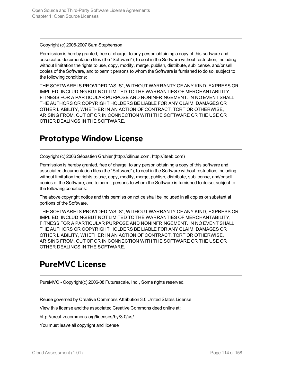Copyright (c) 2005-2007 Sam Stephenson

Permission is hereby granted, free of charge, to any person obtaining a copy of this software and associated documentation files (the "Software"), to deal in the Software without restriction, including without limitation the rights to use, copy, modify, merge, publish, distribute, sublicense, and/or sell copies of the Software, and to permit persons to whom the Software is furnished to do so, subject to the following conditions:

THE SOFTWARE IS PROVIDED "AS IS", WITHOUT WARRANTY OF ANY KIND, EXPRESS OR IMPLIED, INCLUDING BUT NOT LIMITED TO THE WARRANTIES OF MERCHANTABILITY, FITNESS FOR A PARTICULAR PURPOSE AND NONINFRINGEMENT. IN NO EVENT SHALL THE AUTHORS OR COPYRIGHT HOLDERS BE LIABLE FOR ANY CLAIM, DAMAGES OR OTHER LIABILITY, WHETHER IN AN ACTION OF CONTRACT, TORT OR OTHERWISE, ARISING FROM, OUT OF OR IN CONNECTION WITH THE SOFTWARE OR THE USE OR OTHER DEALINGS IN THE SOFTWARE.

## **Prototype Window License**

Copyright (c) 2006 Sébastien Gruhier (http://xilinus.com, http://itseb.com)

Permission is hereby granted, free of charge, to any person obtaining a copy of this software and associated documentation files (the "Software"), to deal in the Software without restriction, including without limitation the rights to use, copy, modify, merge, publish, distribute, sublicense, and/or sell copies of the Software, and to permit persons to whom the Software is furnished to do so, subject to the following conditions:

The above copyright notice and this permission notice shall be included in all copies or substantial portions of the Software.

THE SOFTWARE IS PROVIDED "AS IS", WITHOUT WARRANTY OF ANY KIND, EXPRESS OR IMPLIED, INCLUDING BUT NOT LIMITED TO THE WARRANTIES OF MERCHANTABILITY, FITNESS FOR A PARTICULAR PURPOSE AND NONINFRINGEMENT. IN NO EVENT SHALL THE AUTHORS OR COPYRIGHT HOLDERS BE LIABLE FOR ANY CLAIM, DAMAGES OR OTHER LIABILITY, WHETHER IN AN ACTION OF CONTRACT, TORT OR OTHERWISE, ARISING FROM, OUT OF OR IN CONNECTION WITH THE SOFTWARE OR THE USE OR OTHER DEALINGS IN THE SOFTWARE.

## **PureMVC License**

PureMVC - Copyright(c) 2006-08 Futurescale, Inc., Some rights reserved.

----------------------------------------------------------------------------------------------------------- Reuse governed by Creative Commons Attribution 3.0 United States License

View this license and the associated Creative Commons deed online at:

http://creativecommons.org/licenses/by/3.0/us/

You must leave all copyright and license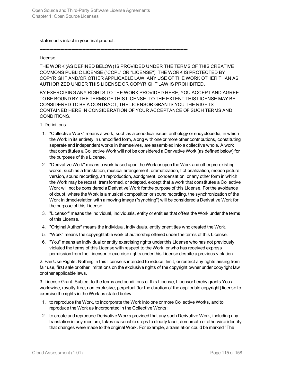statements intact in your final product.

### -----------------------------------------------------------------------------------------------------------

### License

THE WORK (AS DEFINED BELOW) IS PROVIDED UNDER THE TERMS OF THIS CREATIVE COMMONS PUBLIC LICENSE ("CCPL" OR "LICENSE"). THE WORK IS PROTECTED BY COPYRIGHT AND/OR OTHER APPLICABLE LAW. ANY USE OF THE WORK OTHER THAN AS AUTHORIZED UNDER THIS LICENSE OR COPYRIGHT LAW IS PROHIBITED.

BY EXERCISING ANY RIGHTS TO THE WORK PROVIDED HERE, YOU ACCEPT AND AGREE TO BE BOUND BY THE TERMS OF THIS LICENSE. TO THE EXTENT THIS LICENSE MAY BE CONSIDERED TO BE A CONTRACT, THE LICENSOR GRANTS YOU THE RIGHTS CONTAINED HERE IN CONSIDERATION OF YOUR ACCEPTANCE OF SUCH TERMS AND CONDITIONS.

1. Definitions

- 1. "Collective Work" means a work, such as a periodical issue, anthology or encyclopedia, in which the Work in its entirety in unmodified form, along with one or more other contributions, constituting separate and independent works in themselves, are assembled into a collective whole. A work that constitutes a Collective Work will not be considered a Derivative Work (as defined below) for the purposes of this License.
- 2. "Derivative Work" means a work based upon the Work or upon the Work and other pre-existing works, such as a translation, musical arrangement, dramatization, fictionalization, motion picture version, sound recording, art reproduction, abridgment, condensation, or any other form in which the Work may be recast, transformed, or adapted, except that a work that constitutes a Collective Work will not be considered a Derivative Work for the purpose of this License. For the avoidance of doubt, where the Work is a musical composition or sound recording, the synchronization of the Work in timed-relation with a moving image ("synching") will be considered a Derivative Work for the purpose of this License.
- 3. "Licensor" means the individual, individuals, entity or entities that offers the Work under the terms of this License.
- 4. "Original Author" means the individual, individuals, entity or entities who created the Work.
- 5. "Work" means the copyrightable work of authorship offered under the terms of this License.
- 6. "You" means an individual or entity exercising rights under this License who has not previously violated the terms of this License with respect to the Work, or who has received express permission from the Licensor to exercise rights under this License despite a previous violation.

2. Fair Use Rights. Nothing in this license is intended to reduce, limit, or restrict any rights arising from fair use, first sale or other limitations on the exclusive rights of the copyright owner under copyright law or other applicable laws.

3. License Grant. Subject to the terms and conditions of this License, Licensor hereby grants You a worldwide, royalty-free, non-exclusive, perpetual (for the duration of the applicable copyright) license to exercise the rights in the Work as stated below:

- 1. to reproduce the Work, to incorporate the Work into one or more Collective Works, and to reproduce the Work as incorporated in the Collective Works;
- 2. to create and reproduce Derivative Works provided that any such Derivative Work, including any translation in any medium, takes reasonable steps to clearly label, demarcate or otherwise identify that changes were made to the original Work. For example, a translation could be marked "The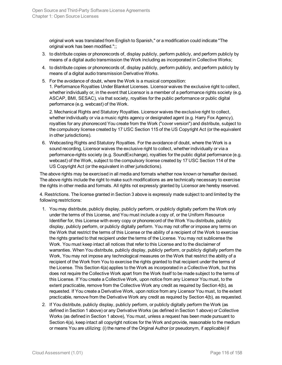original work was translated from English to Spanish," or a modification could indicate "The original work has been modified.";;

- 3. to distribute copies or phonorecords of, display publicly, perform publicly, and perform publicly by means of a digital audio transmission the Work including as incorporated in Collective Works;
- 4. to distribute copies or phonorecords of, display publicly, perform publicly, and perform publicly by means of a digital audio transmission Derivative Works.
- 5. For the avoidance of doubt, where the Work is a musical composition: 1. Performance Royalties Under Blanket Licenses. Licensor waives the exclusive right to collect, whether individually or, in the event that Licensor is a member of a performance rights society (e.g. ASCAP, BMI, SESAC), via that society, royalties for the public performance or public digital performance (e.g. webcast) of the Work.

2. Mechanical Rights and Statutory Royalties. Licensor waives the exclusive right to collect, whether individually or via a music rights agency or designated agent (e.g. Harry Fox Agency), royalties for any phonorecord You create from the Work ("cover version") and distribute, subject to the compulsory license created by 17 USC Section 115 of the US Copyright Act (or the equivalent in other jurisdictions).

6. Webcasting Rights and Statutory Royalties. For the avoidance of doubt, where the Work is a sound recording, Licensor waives the exclusive right to collect, whether individually or via a performance-rights society (e.g. SoundExchange), royalties for the public digital performance (e.g. webcast) of the Work, subject to the compulsory license created by 17 USC Section 114 of the US Copyright Act (or the equivalent in other jurisdictions).

The above rights may be exercised in all media and formats whether now known or hereafter devised. The above rights include the right to make such modifications as are technically necessary to exercise the rights in other media and formats. All rights not expressly granted by Licensor are hereby reserved.

4. Restrictions. The license granted in Section 3 above is expressly made subject to and limited by the following restrictions:

- 1. You may distribute, publicly display, publicly perform, or publicly digitally perform the Work only under the terms of this License, and You must include a copy of, or the Uniform Resource Identifier for, this License with every copy or phonorecord of the Work You distribute, publicly display, publicly perform, or publicly digitally perform. You may not offer or impose any terms on the Work that restrict the terms of this License or the ability of a recipient of the Work to exercise the rights granted to that recipient under the terms of the License. You may not sublicense the Work. You must keep intact all notices that refer to this License and to the disclaimer of warranties. When You distribute, publicly display, publicly perform, or publicly digitally perform the Work, You may not impose any technological measures on the Work that restrict the ability of a recipient of the Work from You to exercise the rights granted to that recipient under the terms of the License. This Section 4(a) applies to the Work as incorporated in a Collective Work, but this does not require the Collective Work apart from the Work itself to be made subject to the terms of this License. If You create a Collective Work, upon notice from any Licensor You must, to the extent practicable, remove from the Collective Work any credit as required by Section 4(b), as requested. If You create a Derivative Work, upon notice from any Licensor You must, to the extent practicable, remove from the Derivative Work any credit as required by Section 4(b), as requested.
- 2. If You distribute, publicly display, publicly perform, or publicly digitally perform the Work (as defined in Section 1 above) or any Derivative Works (as defined in Section 1 above) or Collective Works (as defined in Section 1 above), You must, unless a request has been made pursuant to Section 4(a), keep intact all copyright notices for the Work and provide, reasonable to the medium or means You are utilizing: (i) the name of the Original Author (or pseudonym, if applicable) if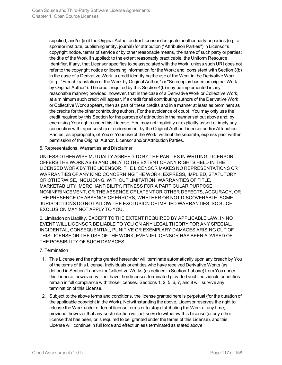supplied, and/or (ii) if the Original Author and/or Licensor designate another party or parties (e.g. a sponsor institute, publishing entity, journal) for attribution ("Attribution Parties") in Licensor's copyright notice, terms of service or by other reasonable means, the name of such party or parties; the title of the Work if supplied; to the extent reasonably practicable, the Uniform Resource Identifier, if any, that Licensor specifies to be associated with the Work, unless such URI does not refer to the copyright notice or licensing information for the Work; and, consistent with Section 3(b) in the case of a Derivative Work, a credit identifying the use of the Work in the Derivative Work (e.g., "French translation of the Work by Original Author," or "Screenplay based on original Work by Original Author"). The credit required by this Section 4(b) may be implemented in any reasonable manner; provided, however, that in the case of a Derivative Work or Collective Work, at a minimum such credit will appear, if a credit for all contributing authors of the Derivative Work or Collective Work appears, then as part of these credits and in a manner at least as prominent as the credits for the other contributing authors. For the avoidance of doubt, You may only use the credit required by this Section for the purpose of attribution in the manner set out above and, by exercising Your rights under this License, You may not implicitly or explicitly assert or imply any connection with, sponsorship or endorsement by the Original Author, Licensor and/or Attribution Parties, as appropriate, of You or Your use of the Work, without the separate, express prior written permission of the Original Author, Licensor and/or Attribution Parties.

### 5. Representations, Warranties and Disclaimer

UNLESS OTHERWISE MUTUALLY AGREED TO BY THE PARTIES IN WRITING, LICENSOR OFFERS THE WORK AS-IS AND ONLY TO THE EXTENT OF ANY RIGHTS HELD IN THE LICENSED WORK BY THE LICENSOR. THE LICENSOR MAKES NO REPRESENTATIONS OR WARRANTIES OF ANY KIND CONCERNING THE WORK, EXPRESS, IMPLIED, STATUTORY OR OTHERWISE, INCLUDING, WITHOUT LIMITATION, WARRANTIES OF TITLE, MARKETABILITY, MERCHANTIBILITY, FITNESS FOR A PARTICULAR PURPOSE, NONINFRINGEMENT, OR THE ABSENCE OF LATENT OR OTHER DEFECTS, ACCURACY, OR THE PRESENCE OF ABSENCE OF ERRORS, WHETHER OR NOT DISCOVERABLE. SOME JURISDICTIONS DO NOT ALLOW THE EXCLUSION OF IMPLIED WARRANTIES, SO SUCH EXCLUSION MAY NOT APPLY TO YOU.

6. Limitation on Liability. EXCEPT TO THE EXTENT REQUIRED BY APPLICABLE LAW, IN NO EVENT WILL LICENSOR BE LIABLE TO YOU ON ANY LEGAL THEORY FOR ANY SPECIAL, INCIDENTAL, CONSEQUENTIAL, PUNITIVE OR EXEMPLARY DAMAGES ARISING OUT OF THIS LICENSE OR THE USE OF THE WORK, EVEN IF LICENSOR HAS BEEN ADVISED OF THE POSSIBILITY OF SUCH DAMAGES.

#### 7. Termination

- 1. This License and the rights granted hereunder will terminate automatically upon any breach by You of the terms of this License. Individuals or entities who have received Derivative Works (as defined in Section 1 above) or Collective Works (as defined in Section 1 above) from You under this License, however, will not have their licenses terminated provided such individuals or entities remain in full compliance with those licenses. Sections 1, 2, 5, 6, 7, and 8 will survive any termination of this License.
- 2. Subject to the above terms and conditions, the license granted here is perpetual (for the duration of the applicable copyright in the Work). Notwithstanding the above, Licensor reserves the right to release the Work under different license terms or to stop distributing the Work at any time; provided, however that any such election will not serve to withdraw this License (or any other license that has been, or is required to be, granted under the terms of this License), and this License will continue in full force and effect unless terminated as stated above.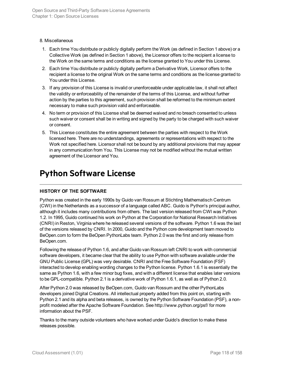### 8. Miscellaneous

- 1. Each time You distribute or publicly digitally perform the Work (as defined in Section 1 above) or a Collective Work (as defined in Section 1 above), the Licensor offers to the recipient a license to the Work on the same terms and conditions as the license granted to You under this License.
- 2. Each time You distribute or publicly digitally perform a Derivative Work, Licensor offers to the recipient a license to the original Work on the same terms and conditions as the license granted to You under this License.
- 3. If any provision of this License is invalid or unenforceable under applicable law, it shall not affect the validity or enforceability of the remainder of the terms of this License, and without further action by the parties to this agreement, such provision shall be reformed to the minimum extent necessary to make such provision valid and enforceable.
- 4. No term or provision of this License shall be deemed waived and no breach consented to unless such waiver or consent shall be in writing and signed by the party to be charged with such waiver or consent.
- 5. This License constitutes the entire agreement between the parties with respect to the Work licensed here. There are no understandings, agreements or representations with respect to the Work not specified here. Licensor shall not be bound by any additional provisions that may appear in any communication from You. This License may not be modified without the mutual written agreement of the Licensor and You.

# **Python Software License**

### **HISTORY OF THE SOFTWARE**

Python was created in the early 1990s by Guido van Rossum at Stichting Mathematisch Centrum (CWI) in the Netherlands as a successor of a language called ABC. Guido is Python's principal author, although it includes many contributions from others. The last version released from CWI was Python 1.2. In 1995, Guido continued his work on Python at the Corporation for National Research Initiatives (CNRI) in Reston, Virginia where he released several versions of the software. Python 1.6 was the last of the versions released by CNRI. In 2000, Guido and the Python core development team moved to BeOpen.com to form the BeOpen PythonLabs team. Python 2.0 was the first and only release from BeOpen.com.

Following the release of Python 1.6, and after Guido van Rossum left CNRI to work with commercial software developers, it became clear that the ability to use Python with software available under the GNU Public License (GPL) was very desirable. CNRI and the Free Software Foundation (FSF) interacted to develop enabling wording changes to the Python license. Python 1.6.1 is essentially the same as Python 1.6, with a few minor bug fixes, and with a different license that enables later versions to be GPL-compatible. Python 2.1 is a derivative work of Python 1.6.1, as well as of Python 2.0.

After Python 2.0 was released by BeOpen.com, Guido van Rossum and the other PythonLabs developers joined Digital Creations. All intellectual property added from this point on, starting with Python 2.1 and its alpha and beta releases, is owned by the Python Software Foundation (PSF), a nonprofit modeled after the Apache Software Foundation. See http://www.python.org/psf/ for more information about the PSF.

Thanks to the many outside volunteers who have worked under Guido's direction to make these releases possible.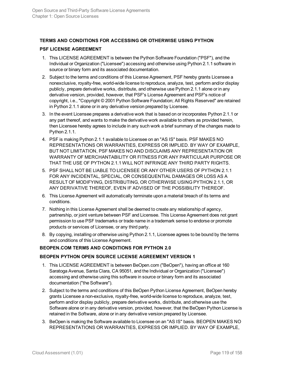### **TERMS AND CONDITIONS FOR ACCESSING OR OTHERWISE USING PYTHON**

### **PSF LICENSE AGREEMENT**

- 1. This LICENSE AGREEMENT is between the Python Software Foundation ("PSF"), and the Individual or Organization ("Licensee") accessing and otherwise using Python 2.1.1 software in source or binary form and its associated documentation.
- 2. Subject to the terms and conditions of this License Agreement, PSF hereby grants Licensee a nonexclusive, royalty-free, world-wide license to reproduce, analyze, test, perform and/or display publicly, prepare derivative works, distribute, and otherwise use Python 2.1.1 alone or in any derivative version, provided, however, that PSF's License Agreement and PSF's notice of copyright, i.e., "Copyright © 2001 Python Software Foundation; All Rights Reserved" are retained in Python 2.1.1 alone or in any derivative version prepared by Licensee.
- 3. In the event Licensee prepares a derivative work that is based on or incorporates Python 2.1.1 or any part thereof, and wants to make the derivative work available to others as provided herein, then Licensee hereby agrees to include in any such work a brief summary of the changes made to Python 2.1.1.
- 4. PSF is making Python 2.1.1 available to Licensee on an "AS IS" basis. PSF MAKES NO REPRESENTATIONS OR WARRANTIES, EXPRESS OR IMPLIED. BY WAY OF EXAMPLE, BUT NOT LIMITATION, PSF MAKES NO AND DISCLAIMS ANY REPRESENTATION OR WARRANTY OF MERCHANTABILITY OR FITNESS FOR ANY PARTICULAR PURPOSE OR THAT THE USE OF PYTHON 2.1.1 WILL NOT INFRINGE ANY THIRD PARTY RIGHTS.
- 5. PSF SHALL NOT BE LIABLE TO LICENSEE OR ANY OTHER USERS OF PYTHON 2.1.1 FOR ANY INCIDENTAL, SPECIAL, OR CONSEQUENTIAL DAMAGES OR LOSS AS A RESULT OF MODIFYING, DISTRIBUTING, OR OTHERWISE USING PYTHON 2.1.1, OR ANY DERIVATIVE THEREOF, EVEN IF ADVISED OF THE POSSIBILITY THEREOF.
- 6. This License Agreement will automatically terminate upon a material breach of its terms and conditions.
- 7. Nothing in this License Agreement shall be deemed to create any relationship of agency, partnership, or joint venture between PSF and Licensee. This License Agreement does not grant permission to use PSF trademarks or trade name in a trademark sense to endorse or promote products or services of Licensee, or any third party.
- 8. By copying, installing or otherwise using Python 2.1.1, Licensee agrees to be bound by the terms and conditions of this License Agreement.

### **BEOPEN.COM TERMS AND CONDITIONS FOR PYTHON 2.0**

#### **BEOPEN PYTHON OPEN SOURCE LICENSE AGREEMENT VERSION 1**

- 1. This LICENSE AGREEMENT is between BeOpen.com ("BeOpen"), having an office at 160 Saratoga Avenue, Santa Clara, CA 95051, and the Individual or Organization ("Licensee") accessing and otherwise using this software in source or binary form and its associated documentation ("the Software").
- 2. Subject to the terms and conditions of this BeOpen Python License Agreement, BeOpen hereby grants Licensee a non-exclusive, royalty-free, world-wide license to reproduce, analyze, test, perform and/or display publicly, prepare derivative works, distribute, and otherwise use the Software alone or in any derivative version, provided, however, that the BeOpen Python License is retained in the Software, alone or in any derivative version prepared by Licensee.
- 3. BeOpen is making the Software available to Licensee on an "AS IS" basis. BEOPEN MAKES NO REPRESENTATIONS OR WARRANTIES, EXPRESS OR IMPLIED. BY WAY OF EXAMPLE,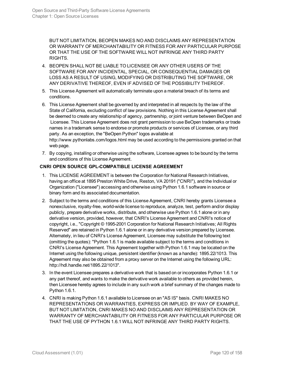BUT NOT LIMITATION, BEOPEN MAKES NO AND DISCLAIMS ANY REPRESENTATION OR WARRANTY OF MERCHANTABILITY OR FITNESS FOR ANY PARTICULAR PURPOSE OR THAT THE USE OF THE SOFTWARE WILL NOT INFRINGE ANY THIRD PARTY RIGHTS.

- 4. BEOPEN SHALL NOT BE LIABLE TO LICENSEE OR ANY OTHER USERS OF THE SOFTWARE FOR ANY INCIDENTAL, SPECIAL, OR CONSEQUENTIAL DAMAGES OR LOSS AS A RESULT OF USING, MODIFYING OR DISTRIBUTING THE SOFTWARE, OR ANY DERIVATIVE THEREOF, EVEN IF ADVISED OF THE POSSIBILITY THEREOF.
- 5. This License Agreement will automatically terminate upon a material breach of its terms and conditions.
- 6. This License Agreement shall be governed by and interpreted in all respects by the law of the State of California, excluding conflict of law provisions. Nothing in this License Agreement shall be deemed to create any relationship of agency, partnership, or joint venture between BeOpen and Licensee. This License Agreement does not grant permission to use BeOpen trademarks or trade names in a trademark sense to endorse or promote products or services of Licensee, or any third party. As an exception, the "BeOpen Python" logos available at http://www.pythonlabs.com/logos.html may be used according to the permissions granted on that web page.
- 7. By copying, installing or otherwise using the software, Licensee agrees to be bound by the terms and conditions of this License Agreement.

### **CNRI OPEN SOURCE GPL-COMPATIBLE LICENSE AGREEMENT**

- 1. This LICENSE AGREEMENT is between the Corporation for National Research Initiatives, having an office at 1895 Preston White Drive, Reston, VA 20191 ("CNRI"), and the Individual or Organization ("Licensee") accessing and otherwise using Python 1.6.1 software in source or binary form and its associated documentation.
- 2. Subject to the terms and conditions of this License Agreement, CNRI hereby grants Licensee a nonexclusive, royalty-free, world-wide license to reproduce, analyze, test, perform and/or display publicly, prepare derivative works, distribute, and otherwise use Python 1.6.1 alone or in any derivative version, provided, however, that CNRI's License Agreement and CNRI's notice of copyright, i.e., "Copyright © 1995-2001 Corporation for National Research Initiatives; All Rights Reserved" are retained in Python 1.6.1 alone or in any derivative version prepared by Licensee. Alternately, in lieu of CNRI's License Agreement, Licensee may substitute the following text (omitting the quotes): "Python 1.6.1 is made available subject to the terms and conditions in CNRI's License Agreement. This Agreement together with Python 1.6.1 may be located on the Internet using the following unique, persistent identifier (known as a handle): 1895.22/1013. This Agreement may also be obtained from a proxy server on the Internet using the following URL: http://hdl.handle.net/1895.22/1013".
- 3. In the event Licensee prepares a derivative work that is based on or incorporates Python 1.6.1 or any part thereof, and wants to make the derivative work available to others as provided herein, then Licensee hereby agrees to include in any such work a brief summary of the changes made to Python 1.6.1.
- 4. CNRI is making Python 1.6.1 available to Licensee on an "AS IS" basis. CNRI MAKES NO REPRESENTATIONS OR WARRANTIES, EXPRESS OR IMPLIED. BY WAY OF EXAMPLE, BUT NOT LIMITATION, CNRI MAKES NO AND DISCLAIMS ANY REPRESENTATION OR WARRANTY OF MERCHANTABILITY OR FITNESS FOR ANY PARTICULAR PURPOSE OR THAT THE USE OF PYTHON 1.6.1 WILL NOT INFRINGE ANY THIRD PARTY RIGHTS.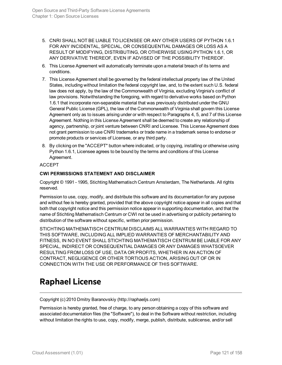- 5. CNRI SHALL NOT BE LIABLE TO LICENSEE OR ANY OTHER USERS OF PYTHON 1.6.1 FOR ANY INCIDENTAL, SPECIAL, OR CONSEQUENTIAL DAMAGES OR LOSS AS A RESULT OF MODIFYING, DISTRIBUTING, OR OTHERWISE USING PYTHON 1.6.1, OR ANY DERIVATIVE THEREOF, EVEN IF ADVISED OF THE POSSIBILITY THEREOF.
- 6. This License Agreement will automatically terminate upon a material breach of its terms and conditions.
- 7. This License Agreement shall be governed by the federal intellectual property law of the United States, including without limitation the federal copyright law, and, to the extent such U.S. federal law does not apply, by the law of the Commonwealth of Virginia, excluding Virginia's conflict of law provisions. Notwithstanding the foregoing, with regard to derivative works based on Python 1.6.1 that incorporate non-separable material that was previously distributed under the GNU General Public License (GPL), the law of the Commonwealth of Virginia shall govern this License Agreement only as to issues arising under or with respect to Paragraphs 4, 5, and 7 of this License Agreement. Nothing in this License Agreement shall be deemed to create any relationship of agency, partnership, or joint venture between CNRI and Licensee. This License Agreement does not grant permission to use CNRI trademarks or trade name in a trademark sense to endorse or promote products or services of Licensee, or any third party.
- 8. By clicking on the "ACCEPT" button where indicated, or by copying, installing or otherwise using Python 1.6.1, Licensee agrees to be bound by the terms and conditions of this License Agreement.

### ACCEPT

### **CWI PERMISSIONS STATEMENT AND DISCLAIMER**

Copyright © 1991 - 1995, Stichting Mathematisch Centrum Amsterdam, The Netherlands. All rights reserved.

Permission to use, copy, modify, and distribute this software and its documentation for any purpose and without fee is hereby granted, provided that the above copyright notice appear in all copies and that both that copyright notice and this permission notice appear in supporting documentation, and that the name of Stichting Mathematisch Centrum or CWI not be used in advertising or publicity pertaining to distribution of the software without specific, written prior permission.

STICHTING MATHEMATISCH CENTRUM DISCLAIMS ALL WARRANTIES WITH REGARD TO THIS SOFTWARE, INCLUDING ALL IMPLIED WARRANTIES OF MERCHANTABILITY AND FITNESS, IN NO EVENT SHALL STICHTING MATHEMATISCH CENTRUM BE LIABLE FOR ANY SPECIAL, INDIRECT OR CONSEQUENTIAL DAMAGES OR ANY DAMAGES WHATSOEVER RESULTING FROM LOSS OF USE, DATA OR PROFITS, WHETHER IN AN ACTION OF CONTRACT, NEGLIGENCE OR OTHER TORTIOUS ACTION, ARISING OUT OF OR IN CONNECTION WITH THE USE OR PERFORMANCE OF THIS SOFTWARE.

# **Raphael License**

#### Copyright (c) 2010 Dmitry Baranovskiy (http://raphaeljs.com)

Permission is hereby granted, free of charge, to any person obtaining a copy of this software and associated documentation files (the "Software"), to deal in the Software without restriction, including without limitation the rights to use, copy, modify, merge, publish, distribute, sublicense, and/or sell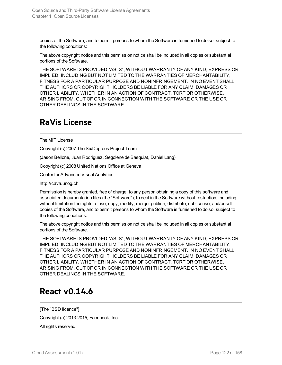copies of the Software, and to permit persons to whom the Software is furnished to do so, subject to the following conditions:

The above copyright notice and this permission notice shall be included in all copies or substantial portions of the Software.

THE SOFTWARE IS PROVIDED "AS IS", WITHOUT WARRANTY OF ANY KIND, EXPRESS OR IMPLIED, INCLUDING BUT NOT LIMITED TO THE WARRANTIES OF MERCHANTABILITY, FITNESS FOR A PARTICULAR PURPOSE AND NONINFRINGEMENT. IN NO EVENT SHALL THE AUTHORS OR COPYRIGHT HOLDERS BE LIABLE FOR ANY CLAIM, DAMAGES OR OTHER LIABILITY, WHETHER IN AN ACTION OF CONTRACT, TORT OR OTHERWISE, ARISING FROM, OUT OF OR IN CONNECTION WITH THE SOFTWARE OR THE USE OR OTHER DEALINGS IN THE SOFTWARE.

## **RaVis License**

The MIT License

Copyright (c) 2007 The SixDegrees Project Team

(Jason Bellone, Juan Rodriguez, Segolene de Basquiat, Daniel Lang).

Copyright (c) 2008 United Nations Office at Geneva

Center for Advanced Visual Analytics

http://cava.unog.ch

Permission is hereby granted, free of charge, to any person obtaining a copy of this software and associated documentation files (the "Software"), to deal in the Software without restriction, including without limitation the rights to use, copy, modify, merge, publish, distribute, sublicense, and/or sell copies of the Software, and to permit persons to whom the Software is furnished to do so, subject to the following conditions:

The above copyright notice and this permission notice shall be included in all copies or substantial portions of the Software.

THE SOFTWARE IS PROVIDED "AS IS", WITHOUT WARRANTY OF ANY KIND, EXPRESS OR IMPLIED, INCLUDING BUT NOT LIMITED TO THE WARRANTIES OF MERCHANTABILITY, FITNESS FOR A PARTICULAR PURPOSE AND NONINFRINGEMENT. IN NO EVENT SHALL THE AUTHORS OR COPYRIGHT HOLDERS BE LIABLE FOR ANY CLAIM, DAMAGES OR OTHER LIABILITY, WHETHER IN AN ACTION OF CONTRACT, TORT OR OTHERWISE, ARISING FROM, OUT OF OR IN CONNECTION WITH THE SOFTWARE OR THE USE OR OTHER DEALINGS IN THE SOFTWARE.

### **React v0.14.6**

[The "BSD licence"] Copyright (c) 2013-2015, Facebook, Inc. All rights reserved.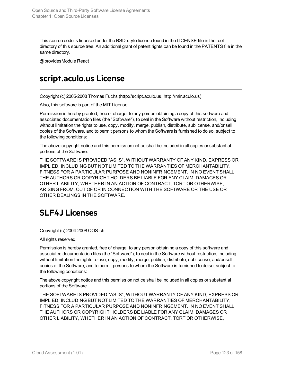This source code is licensed under the BSD-style license found in the LICENSE file in the root directory of this source tree. An additional grant of patent rights can be found in the PATENTS file in the same directory.

@providesModule React

## **script.aculo.us License**

Copyright (c) 2005-2008 Thomas Fuchs (http://script.aculo.us, http://mir.aculo.us)

Also, this software is part of the MIT License.

Permission is hereby granted, free of charge, to any person obtaining a copy of this software and associated documentation files (the "Software"), to deal in the Software without restriction, including without limitation the rights to use, copy, modify, merge, publish, distribute, sublicense, and/or sell copies of the Software, and to permit persons to whom the Software is furnished to do so, subject to the following conditions:

The above copyright notice and this permission notice shall be included in all copies or substantial portions of the Software.

THE SOFTWARE IS PROVIDED "AS IS", WITHOUT WARRANTY OF ANY KIND, EXPRESS OR IMPLIED, INCLUDING BUT NOT LIMITED TO THE WARRANTIES OF MERCHANTABILITY, FITNESS FOR A PARTICULAR PURPOSE AND NONINFRINGEMENT. IN NO EVENT SHALL THE AUTHORS OR COPYRIGHT HOLDERS BE LIABLE FOR ANY CLAIM, DAMAGES OR OTHER LIABILITY, WHETHER IN AN ACTION OF CONTRACT, TORT OR OTHERWISE, ARISING FROM, OUT OF OR IN CONNECTION WITH THE SOFTWARE OR THE USE OR OTHER DEALINGS IN THE SOFTWARE.

# **SLF4J Licenses**

Copyright (c) 2004-2008 QOS.ch

All rights reserved.

Permission is hereby granted, free of charge, to any person obtaining a copy of this software and associated documentation files (the "Software"), to deal in the Software without restriction, including without limitation the rights to use, copy, modify, merge, publish, distribute, sublicense, and/or sell copies of the Software, and to permit persons to whom the Software is furnished to do so, subject to the following conditions:

The above copyright notice and this permission notice shall be included in all copies or substantial portions of the Software.

THE SOFTWARE IS PROVIDED "AS IS", WITHOUT WARRANTY OF ANY KIND, EXPRESS OR IMPLIED, INCLUDING BUT NOT LIMITED TO THE WARRANTIES OF MERCHANTABILITY, FITNESS FOR A PARTICULAR PURPOSE AND NONINFRINGEMENT. IN NO EVENT SHALL THE AUTHORS OR COPYRIGHT HOLDERS BE LIABLE FOR ANY CLAIM, DAMAGES OR OTHER LIABILITY, WHETHER IN AN ACTION OF CONTRACT, TORT OR OTHERWISE,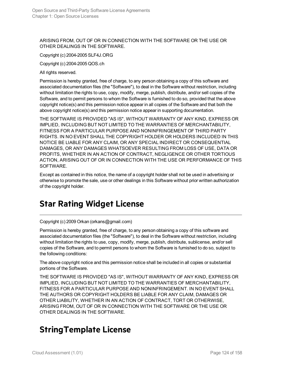### ARISING FROM, OUT OF OR IN CONNECTION WITH THE SOFTWARE OR THE USE OR OTHER DEALINGS IN THE SOFTWARE.

Copyright (c) 2004-2005 SLF4J.ORG

Copyright (c) 2004-2005 QOS.ch

All rights reserved.

Permission is hereby granted, free of charge, to any person obtaining a copy of this software and associated documentation files (the "Software"), to deal in the Software without restriction, including without limitation the rights to use, copy, modify, merge, publish, distribute, and/or sell copies of the Software, and to permit persons to whom the Software is furnished to do so, provided that the above copyright notice(s) and this permission notice appear in all copies of the Software and that both the above copyright notice(s) and this permission notice appear in supporting documentation.

THE SOFTWARE IS PROVIDED "AS IS", WITHOUT WARRANTY OF ANY KIND, EXPRESS OR IMPLIED, INCLUDING BUT NOT LIMITED TO THE WARRANTIES OF MERCHANTABILITY, FITNESS FOR A PARTICULAR PURPOSE AND NONINFRINGEMENT OF THIRD PARTY RIGHTS. IN NO EVENT SHALL THE COPYRIGHT HOLDER OR HOLDERS INCLUDED IN THIS NOTICE BE LIABLE FOR ANY CLAIM, OR ANY SPECIAL INDIRECT OR CONSEQUENTIAL DAMAGES, OR ANY DAMAGES WHATSOEVER RESULTING FROM LOSS OF USE, DATA OR PROFITS, WHETHER IN AN ACTION OF CONTRACT, NEGLIGENCE OR OTHER TORTIOUS ACTION, ARISING OUT OF OR IN CONNECTION WITH THE USE OR PERFORMANCE OF THIS SOFTWARE.

Except as contained in this notice, the name of a copyright holder shall not be used in advertising or otherwise to promote the sale, use or other dealings in this Software without prior written authorization of the copyright holder.

## **Star Rating Widget License**

### Copyright (c) 2009 Orkan (orkans@gmail.com)

Permission is hereby granted, free of charge, to any person obtaining a copy of this software and associated documentation files (the "Software"), to deal in the Software without restriction, including without limitation the rights to use, copy, modify, merge, publish, distribute, sublicense, and/or sell copies of the Software, and to permit persons to whom the Software is furnished to do so, subject to the following conditions:

The above copyright notice and this permission notice shall be included in all copies or substantial portions of the Software.

THE SOFTWARE IS PROVIDED "AS IS", WITHOUT WARRANTY OF ANY KIND, EXPRESS OR IMPLIED, INCLUDING BUT NOT LIMITED TO THE WARRANTIES OF MERCHANTABILITY, FITNESS FOR A PARTICULAR PURPOSE AND NONINFRINGEMENT. IN NO EVENT SHALL THE AUTHORS OR COPYRIGHT HOLDERS BE LIABLE FOR ANY CLAIM, DAMAGES OR OTHER LIABILITY, WHETHER IN AN ACTION OF CONTRACT, TORT OR OTHERWISE, ARISING FROM, OUT OF OR IN CONNECTION WITH THE SOFTWARE OR THE USE OR OTHER DEALINGS IN THE SOFTWARE.

## **StringTemplate License**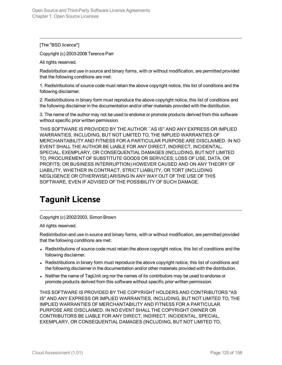[The "BSD licence"]

Copyright (c) 2003-2008 Terence Parr

All rights reserved.

Redistribution and use in source and binary forms, with or without modification, are permitted provided that the following conditions are met:

1. Redistributions of source code must retain the above copyright notice, this list of conditions and the following disclaimer.

2. Redistributions in binary form must reproduce the above copyright notice, this list of conditions and the following disclaimer in the documentation and/or other materials provided with the distribution.

3. The name of the author may not be used to endorse or promote products derived from this software without specific prior written permission.

THIS SOFTWARE IS PROVIDED BY THE AUTHOR ``AS IS'' AND ANY EXPRESS OR IMPLIED WARRANTIES, INCLUDING, BUT NOT LIMITED TO, THE IMPLIED WARRANTIES OF MERCHANTABILITY AND FITNESS FOR A PARTICULAR PURPOSE ARE DISCLAIMED. IN NO EVENT SHALL THE AUTHOR BE LIABLE FOR ANY DIRECT, INDIRECT, INCIDENTAL, SPECIAL, EXEMPLARY, OR CONSEQUENTIAL DAMAGES (INCLUDING, BUT NOT LIMITED TO, PROCUREMENT OF SUBSTITUTE GOODS OR SERVICES; LOSS OF USE, DATA, OR PROFITS; OR BUSINESS INTERRUPTION) HOWEVER CAUSED AND ON ANY THEORY OF LIABILITY, WHETHER IN CONTRACT, STRICT LIABILITY, OR TORT (INCLUDING NEGLIGENCE OR OTHERWISE) ARISING IN ANY WAY OUT OF THE USE OF THIS SOFTWARE, EVEN IF ADVISED OF THE POSSIBILITY OF SUCH DAMAGE.

## **Tagunit License**

Copyright (c) 2002/2003, Simon Brown

All rights reserved.

Redistribution and use in source and binary forms, with or without modification, are permitted provided that the following conditions are met:

- Redistributions of source code must retain the above copyright notice, this list of conditions and the following disclaimer.
- Redistributions in binary form must reproduce the above copyright notice, this list of conditions and the following disclaimer in the documentation and/or other materials provided with the distribution.
- Neither the name of TagUnit.org nor the names of its contributors may be used to endorse or promote products derived from this software without specific prior written permission.

THIS SOFTWARE IS PROVIDED BY THE COPYRIGHT HOLDERS AND CONTRIBUTORS "AS IS" AND ANY EXPRESS OR IMPLIED WARRANTIES, INCLUDING, BUT NOT LIMITED TO, THE IMPLIED WARRANTIES OF MERCHANTABILITY AND FITNESS FOR A PARTICULAR PURPOSE ARE DISCLAIMED. IN NO EVENT SHALL THE COPYRIGHT OWNER OR CONTRIBUTORS BE LIABLE FOR ANY DIRECT, INDIRECT, INCIDENTAL, SPECIAL, EXEMPLARY, OR CONSEQUENTIAL DAMAGES (INCLUDING, BUT NOT LIMITED TO,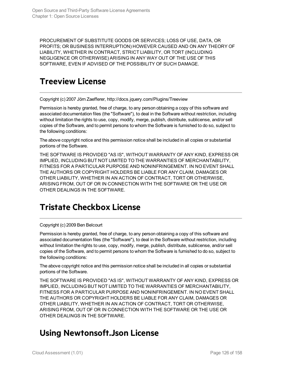PROCUREMENT OF SUBSTITUTE GOODS OR SERVICES; LOSS OF USE, DATA, OR PROFITS; OR BUSINESS INTERRUPTION) HOWEVER CAUSED AND ON ANY THEORY OF LIABILITY, WHETHER IN CONTRACT, STRICT LIABILITY, OR TORT (INCLUDING NEGLIGENCE OR OTHERWISE) ARISING IN ANY WAY OUT OF THE USE OF THIS SOFTWARE, EVEN IF ADVISED OF THE POSSIBILITY OF SUCH DAMAGE.

## **Treeview License**

Copyright (c) 2007 Jörn Zaefferer, http://docs.jquery.com/Plugins/Treeview

Permission is hereby granted, free of charge, to any person obtaining a copy of this software and associated documentation files (the "Software"), to deal in the Software without restriction, including without limitation the rights to use, copy, modify, merge, publish, distribute, sublicense, and/or sell copies of the Software, and to permit persons to whom the Software is furnished to do so, subject to the following conditions:

The above copyright notice and this permission notice shall be included in all copies or substantial portions of the Software.

THE SOFTWARE IS PROVIDED "AS IS", WITHOUT WARRANTY OF ANY KIND, EXPRESS OR IMPLIED, INCLUDING BUT NOT LIMITED TO THE WARRANTIES OF MERCHANTABILITY, FITNESS FOR A PARTICULAR PURPOSE AND NONINFRINGEMENT. IN NO EVENT SHALL THE AUTHORS OR COPYRIGHT HOLDERS BE LIABLE FOR ANY CLAIM, DAMAGES OR OTHER LIABILITY, WHETHER IN AN ACTION OF CONTRACT, TORT OR OTHERWISE, ARISING FROM, OUT OF OR IN CONNECTION WITH THE SOFTWARE OR THE USE OR OTHER DEALINGS IN THE SOFTWARE.

## **Tristate Checkbox License**

### Copyright (c) 2009 Ben Belcourt

Permission is hereby granted, free of charge, to any person obtaining a copy of this software and associated documentation files (the "Software"), to deal in the Software without restriction, including without limitation the rights to use, copy, modify, merge, publish, distribute, sublicense, and/or sell copies of the Software, and to permit persons to whom the Software is furnished to do so, subject to the following conditions:

The above copyright notice and this permission notice shall be included in all copies or substantial portions of the Software.

THE SOFTWARE IS PROVIDED "AS IS", WITHOUT WARRANTY OF ANY KIND, EXPRESS OR IMPLIED, INCLUDING BUT NOT LIMITED TO THE WARRANTIES OF MERCHANTABILITY, FITNESS FOR A PARTICULAR PURPOSE AND NONINFRINGEMENT. IN NO EVENT SHALL THE AUTHORS OR COPYRIGHT HOLDERS BE LIABLE FOR ANY CLAIM, DAMAGES OR OTHER LIABILITY, WHETHER IN AN ACTION OF CONTRACT, TORT OR OTHERWISE, ARISING FROM, OUT OF OR IN CONNECTION WITH THE SOFTWARE OR THE USE OR OTHER DEALINGS IN THE SOFTWARE.

## **Using Newtonsoft.Json License**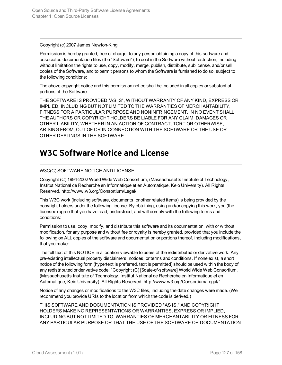Copyright (c) 2007 James Newton-King

Permission is hereby granted, free of charge, to any person obtaining a copy of this software and associated documentation files (the "Software"), to deal in the Software without restriction, including without limitation the rights to use, copy, modify, merge, publish, distribute, sublicense, and/or sell copies of the Software, and to permit persons to whom the Software is furnished to do so, subject to the following conditions:

The above copyright notice and this permission notice shall be included in all copies or substantial portions of the Software.

THE SOFTWARE IS PROVIDED "AS IS", WITHOUT WARRANTY OF ANY KIND, EXPRESS OR IMPLIED, INCLUDING BUT NOT LIMITED TO THE WARRANTIES OF MERCHANTABILITY, FITNESS FOR A PARTICULAR PURPOSE AND NONINFRINGEMENT. IN NO EVENT SHALL THE AUTHORS OR COPYRIGHT HOLDERS BE LIABLE FOR ANY CLAIM, DAMAGES OR OTHER LIABILITY, WHETHER IN AN ACTION OF CONTRACT, TORT OR OTHERWISE, ARISING FROM, OUT OF OR IN CONNECTION WITH THE SOFTWARE OR THE USE OR OTHER DEALINGS IN THE SOFTWARE.

# **W3C Software Notice and License**

### W3C(C) SOFTWARE NOTICE AND LICENSE

Copyright (C) 1994-2002 World Wide Web Consortium, (Massachusetts Institute of Technology, Institut National de Recherche en Informatique et en Automatique, Keio University). All Rights Reserved. http://www.w3.org/Consortium/Legal/

This W3C work (including software, documents, or other related items) is being provided by the copyright holders under the following license. By obtaining, using and/or copying this work, you (the licensee) agree that you have read, understood, and will comply with the following terms and conditions:

Permission to use, copy, modify, and distribute this software and its documentation, with or without modification, for any purpose and without fee or royalty is hereby granted, provided that you include the following on ALL copies of the software and documentation or portions thereof, including modifications, that you make:

The full text of this NOTICE in a location viewable to users of the redistributed or derivative work. Any pre-existing intellectual property disclaimers, notices, or terms and conditions. If none exist, a short notice of the following form (hypertext is preferred, text is permitted) should be used within the body of any redistributed or derivative code: "Copyright (C) [\$date-of-software] World Wide Web Consortium, (Massachusetts Institute of Technology, Institut National de Recherche en Informatique et en Automatique, Keio University). All Rights Reserved. http://www.w3.org/Consortium/Legal/"

Notice of any changes or modifications to the W3C files, including the date changes were made. (We recommend you provide URIs to the location from which the code is derived.)

THIS SOFTWARE AND DOCUMENTATION IS PROVIDED "AS IS," AND COPYRIGHT HOLDERS MAKE NO REPRESENTATIONS OR WARRANTIES, EXPRESS OR IMPLIED, INCLUDING BUT NOT LIMITED TO, WARRANTIES OF MERCHANTABILITY OR FITNESS FOR ANY PARTICULAR PURPOSE OR THAT THE USE OF THE SOFTWARE OR DOCUMENTATION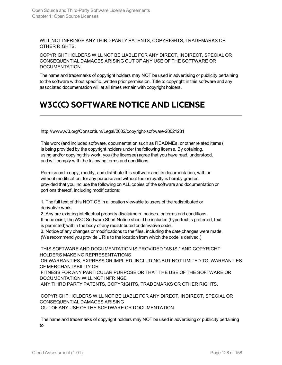WILL NOT INFRINGE ANY THIRD PARTY PATENTS, COPYRIGHTS, TRADEMARKS OR OTHER RIGHTS.

COPYRIGHT HOLDERS WILL NOT BE LIABLE FOR ANY DIRECT, INDIRECT, SPECIAL OR CONSEQUENTIAL DAMAGES ARISING OUT OF ANY USE OF THE SOFTWARE OR DOCUMENTATION.

The name and trademarks of copyright holders may NOT be used in advertising or publicity pertaining to the software without specific, written prior permission. Title to copyright in this software and any associated documentation will at all times remain with copyright holders.

## **W3C(C) SOFTWARE NOTICE AND LICENSE**

http://www.w3.org/Consortium/Legal/2002/copyright-software-20021231

This work (and included software, documentation such as READMEs, or other related items) is being provided by the copyright holders under the following license. By obtaining, using and/or copying this work, you (the licensee) agree that you have read, understood, and will comply with the following terms and conditions.

Permission to copy, modify, and distribute this software and its documentation, with or without modification, for any purpose and without fee or royalty is hereby granted, provided that you include the following on ALL copies of the software and documentation or portions thereof, including modifications:

1. The full text of this NOTICE in a location viewable to users of the redistributed or derivative work.

2. Any pre-existing intellectual property disclaimers, notices, or terms and conditions. If none exist, the W3C Software Short Notice should be included (hypertext is preferred, text is permitted) within the body of any redistributed or derivative code.

3. Notice of any changes or modifications to the files, including the date changes were made. (We recommend you provide URIs to the location from which the code is derived.)

THIS SOFTWARE AND DOCUMENTATION IS PROVIDED "AS IS," AND COPYRIGHT HOLDERS MAKE NO REPRESENTATIONS

OR WARRANTIES, EXPRESS OR IMPLIED, INCLUDING BUT NOT LIMITED TO, WARRANTIES OF MERCHANTABILITY OR

FITNESS FOR ANY PARTICULAR PURPOSE OR THAT THE USE OF THE SOFTWARE OR DOCUMENTATION WILL NOT INFRINGE

ANY THIRD PARTY PATENTS, COPYRIGHTS, TRADEMARKS OR OTHER RIGHTS.

COPYRIGHT HOLDERS WILL NOT BE LIABLE FOR ANY DIRECT, INDIRECT, SPECIAL OR CONSEQUENTIAL DAMAGES ARISING OUT OF ANY USE OF THE SOFTWARE OR DOCUMENTATION.

The name and trademarks of copyright holders may NOT be used in advertising or publicity pertaining to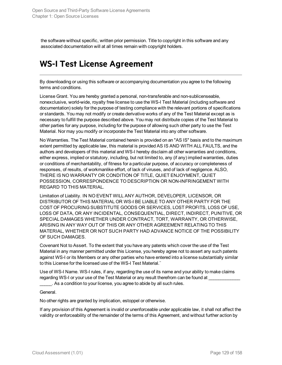the software without specific, written prior permission. Title to copyright in this software and any associated documentation will at all times remain with copyright holders.

## **WS-I Test License Agreement**

By downloading or using this software or accompanying documentation you agree to the following terms and conditions.

License Grant. You are hereby granted a personal, non-transferable and non-sublicenseable, nonexclusive, world-wide, royalty free license to use the WS-I Test Material (including software and documentation) solely for the purpose of testing compliance with the relevant portions of specifications or standards. You may not modify or create derivative works of any of the Test Material except as is necessary to fulfill the purpose described above. You may not distribute copies of the Test Material to other parties for any purpose, including for the purpose of allowing such other party to use the Test Material. Nor may you modify or incorporate the Test Material into any other software.

No Warranties. The Test Material contained herein is provided on an "AS IS" basis and to the maximum extent permitted by applicable law, this material is provided AS IS AND WITH ALL FAULTS, and the authors and developers of this material and WS-I hereby disclaim all other warranties and conditions, either express, implied or statutory, including, but not limited to, any (if any) implied warranties, duties or conditions of merchantability, of fitness for a particular purpose, of accuracy or completeness of responses, of results, of workmanlike effort, of lack of viruses, and of lack of negligence. ALSO, THERE IS NO WARRANTY OR CONDITION OF TITLE, QUIET ENJOYMENT, QUIET POSSESSION, CORRESPONDENCE TO DESCRIPTION OR NON-INFRINGEMENT WITH REGARD TO THIS MATERIAL.

Limitation of Liability. IN NO EVENT WILL ANY AUTHOR, DEVELOPER, LICENSOR, OR DISTRIBUTOR OF THIS MATERIAL OR WS-I BE LIABLE TO ANY OTHER PARTY FOR THE COST OF PROCURING SUBSTITUTE GOODS OR SERVICES, LOST PROFITS, LOSS OF USE, LOSS OF DATA, OR ANY INCIDENTAL, CONSEQUENTIAL, DIRECT, INDIRECT, PUNITIVE, OR SPECIAL DAMAGES WHETHER UNDER CONTRACT, TORT, WARRANTY, OR OTHERWISE, ARISING IN ANY WAY OUT OF THIS OR ANY OTHER AGREEMENT RELATING TO THIS MATERIAL, WHETHER OR NOT SUCH PARTY HAD ADVANCE NOTICE OF THE POSSIBILITY OF SUCH DAMAGES.

Covenant Not to Assert. To the extent that you have any patents which cover the use of the Test Material in any manner permitted under this License, you hereby agree not to assert any such patents against WS-I or its Members or any other parties who have entered into a license substantially similar to this License for the licensed use of the WS-I Test Material.¨

Use of WS-I Name. WS-I rules, if any, regarding the use of its name and your ability to make claims regarding WS-I or your use of the Test Material or any result therefrom can be found at

\_\_\_\_\_. As a condition to your license, you agree to abide by all such rules.

General.

No other rights are granted by implication, estoppel or otherwise.

If any provision of this Agreement is invalid or unenforceable under applicable law, it shall not affect the validity or enforceability of the remainder of the terms of this Agreement, and without further action by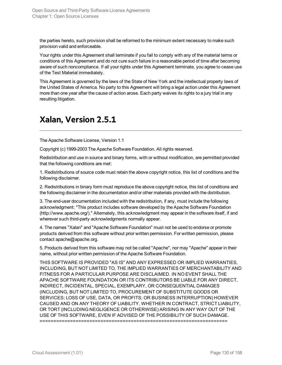the parties hereto, such provision shall be reformed to the minimum extent necessary to make such provision valid and enforceable.

Your rights under this Agreement shall terminate if you fail to comply with any of the material terms or conditions of this Agreement and do not cure such failure in a reasonable period of time after becoming aware of such noncompliance. If all your rights under this Agreement terminate, you agree to cease use of the Test Material immediately.

This Agreement is governed by the laws of the State of New York and the intellectual property laws of the United States of America. No party to this Agreement will bring a legal action under this Agreement more than one year after the cause of action arose. Each party waives its rights to a jury trial in any resulting litigation.

## **Xalan, Version 2.5.1**

The Apache Software License, Version 1.1

Copyright (c) 1999-2003 The Apache Software Foundation. All rights reserved.

Redistribution and use in source and binary forms, with or without modification, are permitted provided that the following conditions are met:

1. Redistributions of source code must retain the above copyright notice, this list of conditions and the following disclaimer.

2. Redistributions in binary form must reproduce the above copyright notice, this list of conditions and the following disclaimer in the documentation and/or other materials provided with the distribution.

3. The end-user documentation included with the redistribution, if any, must include the following acknowledgment: "This product includes software developed by the Apache Software Foundation (http://www.apache.org/)." Alternately, this acknowledgment may appear in the software itself, if and wherever such third-party acknowledgments normally appear.

4. The names "Xalan" and "Apache Software Foundation" must not be used to endorse or promote products derived from this software without prior written permission. For written permission, please contact apache@apache.org.

5. Products derived from this software may not be called "Apache", nor may "Apache" appear in their name, without prior written permission of the Apache Software Foundation.

THIS SOFTWARE IS PROVIDED "AS IS" AND ANY EXPRESSED OR IMPLIED WARRANTIES, INCLUDING, BUT NOT LIMITED TO, THE IMPLIED WARRANTIES OF MERCHANTABILITY AND FITNESS FOR A PARTICULAR PURPOSE ARE DISCLAIMED. IN NO EVENT SHALL THE APACHE SOFTWARE FOUNDATION OR ITS CONTRIBUTORS BE LIABLE FOR ANY DIRECT, INDIRECT, INCIDENTAL, SPECIAL, EXEMPLARY, OR CONSEQUENTIAL DAMAGES (INCLUDING, BUT NOT LIMITED TO, PROCUREMENT OF SUBSTITUTE GOODS OR SERVICES; LOSS OF USE, DATA, OR PROFITS; OR BUSINESS INTERRUPTION) HOWEVER CAUSED AND ON ANY THEORY OF LIABILITY, WHETHER IN CONTRACT, STRICT LIABILITY, OR TORT (INCLUDING NEGLIGENCE OR OTHERWISE) ARISING IN ANY WAY OUT OF THE USE OF THIS SOFTWARE, EVEN IF ADVISED OF THE POSSIBILITY OF SUCH DAMAGE. ====================================================================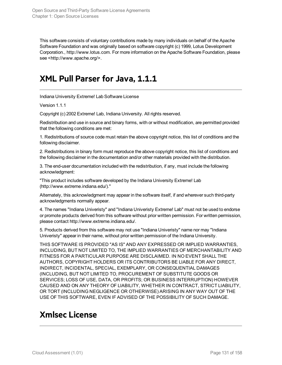This software consists of voluntary contributions made by many individuals on behalf of the Apache Software Foundation and was originally based on software copyright (c) 1999, Lotus Development Corporation., http://www.lotus.com. For more information on the Apache Software Foundation, please see <http://www.apache.org/>.

## **XML Pull Parser for Java, 1.1.1**

Indiana University Extreme! Lab Software License

Version 1.1.1

Copyright (c) 2002 Extreme! Lab, Indiana University. All rights reserved.

Redistribution and use in source and binary forms, with or without modification, are permitted provided that the following conditions are met:

1. Redistributions of source code must retain the above copyright notice, this list of conditions and the following disclaimer.

2. Redistributions in binary form must reproduce the above copyright notice, this list of conditions and the following disclaimer in the documentation and/or other materials provided with the distribution.

3. The end-user documentation included with the redistribution, if any, must include the following acknowledgment:

"This product includes software developed by the Indiana University Extreme! Lab (http://www.extreme.indiana.edu/)."

Alternately, this acknowledgment may appear in the software itself, if and wherever such third-party acknowledgments normally appear.

4. The names "Indiana Univeristy" and "Indiana Univeristy Extreme! Lab" must not be used to endorse or promote products derived from this software without prior written permission. For written permission, please contact http://www.extreme.indiana.edu/.

5. Products derived from this software may not use "Indiana Univeristy" name nor may "Indiana Univeristy" appear in their name, without prior written permission of the Indiana University.

THIS SOFTWARE IS PROVIDED "AS IS" AND ANY EXPRESSED OR IMPLIED WARRANTIES, INCLUDING, BUT NOT LIMITED TO, THE IMPLIED WARRANTIES OF MERCHANTABILITY AND FITNESS FOR A PARTICULAR PURPOSE ARE DISCLAIMED. IN NO EVENT SHALL THE AUTHORS, COPYRIGHT HOLDERS OR ITS CONTRIBUTORS BE LIABLE FOR ANY DIRECT, INDIRECT, INCIDENTAL, SPECIAL, EXEMPLARY, OR CONSEQUENTIAL DAMAGES (INCLUDING, BUT NOT LIMITED TO, PROCUREMENT OF SUBSTITUTE GOODS OR SERVICES; LOSS OF USE, DATA, OR PROFITS; OR BUSINESS INTERRUPTION) HOWEVER CAUSED AND ON ANY THEORY OF LIABILITY, WHETHER IN CONTRACT, STRICT LIABILITY, OR TORT (INCLUDING NEGLIGENCE OR OTHERWISE) ARISING IN ANY WAY OUT OF THE USE OF THIS SOFTWARE, EVEN IF ADVISED OF THE POSSIBILITY OF SUCH DAMAGE.

### **Xmlsec License**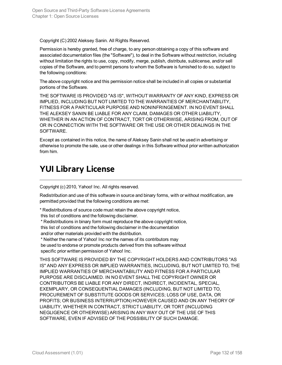Copyright (C) 2002 Aleksey Sanin. All Rights Reserved.

Permission is hereby granted, free of charge, to any person obtaining a copy of this software and associated documentation files (the "Software"), to deal in the Software without restriction, including without limitation the rights to use, copy, modify, merge, publish, distribute, sublicense, and/or sell copies of the Software, and to permit persons to whom the Software is furnished to do so, subject to the following conditions:

The above copyright notice and this permission notice shall be included in all copies or substantial portions of the Software.

THE SOFTWARE IS PROVIDED "AS IS", WITHOUT WARRANTY OF ANY KIND, EXPRESS OR IMPLIED, INCLUDING BUT NOT LIMITED TO THE WARRANTIES OF MERCHANTABILITY, FITNESS FOR A PARTICULAR PURPOSE AND NONINFRINGEMENT. IN NO EVENT SHALL THE ALEKSEY SANIN BE LIABLE FOR ANY CLAIM, DAMAGES OR OTHER LIABILITY, WHETHER IN AN ACTION OF CONTRACT, TORT OR OTHERWISE, ARISING FROM, OUT OF OR IN CONNECTION WITH THE SOFTWARE OR THE USE OR OTHER DEALINGS IN THE SOFTWARE.

Except as contained in this notice, the name of Aleksey Sanin shall not be used in advertising or otherwise to promote the sale, use or other dealings in this Software without prior written authorization from him.

## **YUI Library License**

Copyright (c) 2010, Yahoo! Inc. All rights reserved.

Redistribution and use of this software in source and binary forms, with or without modification, are permitted provided that the following conditions are met:

\* Redistributions of source code must retain the above copyright notice,

this list of conditions and the following disclaimer.

\* Redistributions in binary form must reproduce the above copyright notice, this list of conditions and the following disclaimer in the documentation and/or other materials provided with the distribution.

\* Neither the name of Yahoo! Inc nor the names of its contributors may be used to endorse or promote products derived from this software without specific prior written permission of Yahoo! Inc.

THIS SOFTWARE IS PROVIDED BY THE COPYRIGHT HOLDERS AND CONTRIBUTORS "AS IS" AND ANY EXPRESS OR IMPLIED WARRANTIES, INCLUDING, BUT NOT LIMITED TO, THE IMPLIED WARRANTIES OF MERCHANTABILITY AND FITNESS FOR A PARTICULAR PURPOSE ARE DISCLAIMED. IN NO EVENT SHALL THE COPYRIGHT OWNER OR CONTRIBUTORS BE LIABLE FOR ANY DIRECT, INDIRECT, INCIDENTAL, SPECIAL, EXEMPLARY, OR CONSEQUENTIAL DAMAGES (INCLUDING, BUT NOT LIMITED TO, PROCUREMENT OF SUBSTITUTE GOODS OR SERVICES; LOSS OF USE, DATA, OR PROFITS; OR BUSINESS INTERRUPTION) HOWEVER CAUSED AND ON ANY THEORY OF LIABILITY, WHETHER IN CONTRACT, STRICT LIABILITY, OR TORT (INCLUDING NEGLIGENCE OR OTHERWISE) ARISING IN ANY WAY OUT OF THE USE OF THIS SOFTWARE, EVEN IF ADVISED OF THE POSSIBILITY OF SUCH DAMAGE.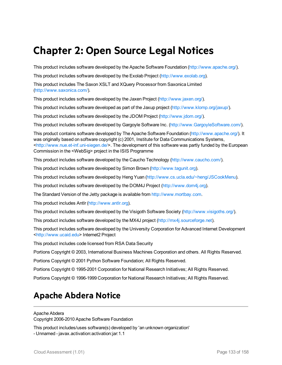# **Chapter 2: Open Source Legal Notices**

This product includes software developed by the Apache Software Foundation [\(http://www.apache.org/](http://www.apache.org/)).

This product includes software developed by the Exolab Project ([http://www.exolab.org\)](http://www.exolab.org/).

This product includes The Saxon XSLT and XQuery Processor from Saxonica Limited [\(http://www.saxonica.com/](http://www.saxonica.com/)).

This product includes software developed by the Jaxen Project [\(http://www.jaxen.org/\)](http://www.jaxen.org/).

This product includes software developed as part of the Jaxup project (<http://www.klomp.org/jaxup/>).

This product includes software developed by the JDOM Project [\(http://www.jdom.org/\)](http://www.jdom.org/).

This product includes software developed by Gargoyle Software Inc. [\(http://www.GargoyleSoftware.com/\)](http://www.gargoylesoftware.com/).

This product contains software developed by The Apache Software Foundation [\(http://www.apache.org/\)](http://www.apache.org/). It was originally based on software copyright (c) 2001, Institute for Data Communications Systems, <<http://www.nue.et-inf.uni-siegen.de/>>. The development of this software was partly funded by the European Commission in the <WebSig> project in the ISIS Programme

This product includes software developed by the Caucho Technology [\(http://www.caucho.com/](http://www.caucho.com/)).

This product includes software developed by Simon Brown [\(http://www.tagunit.org](http://www.tagunit.org/)).

This product includes software developed by Heng Yuan [\(http://www.cs.ucla.edu/~heng/JSCookMenu](http://www.cs.ucla.edu/~heng/JSCookMenu)).

This product includes software developed by the DOM4J Project [\(http://www.dom4j.org](http://www.dom4j.org/)).

The Standard Version of the Jetty package is available from [http://www.mortbay.com](http://www.mortbay.com/).

This product includes Antlr [\(http://www.antlr.org](http://www.antlr.org/)).

This product includes software developed by the Visigoth Software Society [\(http://www.visigoths.org/\)](http://www.visigoths.org/).

This product includes software developed by the MX4J project ([http://mx4j.sourceforge.net](http://mx4j.sourceforge.net/)).

This product includes software developed by the University Corporation for Advanced Internet Development <[http://www.ucaid.edu>](http://www.ucaid.edu/) Internet2 Project

This product includes code licensed from RSA Data Security

Portions Copyright © 2003, International Business Machines Corporation and others. All Rights Reserved.

Portions Copyright © 2001 Python Software Foundation; All Rights Reserved.

Portions Copyright © 1995-2001 Corporation for National Research Initiatives; All Rights Reserved.

Portions Copyright © 1996-1999 Corporation for National Research Initiatives; All Rights Reserved.

## **Apache Abdera Notice**

Apache Abdera

Copyright 2006-2010 Apache Software Foundation

This product includes/uses software(s) developed by 'an unknown organization' - Unnamed - javax.activation:activation:jar:1.1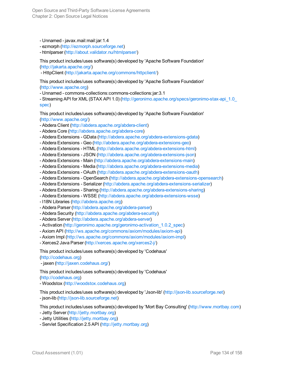Open Source and Third-Party Software License Agreements Chapter 2: Open Source Legal Notices

- Unnamed javax.mail:mail:jar:1.4
- ezmorph [\(http://ezmorph.sourceforge.net\)](http://ezmorph.sourceforge.net/)

- htmlparser [\(http://about.validator.nu/htmlparser/](http://about.validator.nu/htmlparser/))

This product includes/uses software(s) developed by 'Apache Software Foundation' [\(http://jakarta.apache.org/](http://jakarta.apache.org/))

- HttpClient [\(http://jakarta.apache.org/commons/httpclient/](http://jakarta.apache.org/commons/httpclient/))

This product includes/uses software(s) developed by 'Apache Software Foundation' [\(http://www.apache.org](http://www.apache.org/))

- Unnamed - commons-collections:commons-collections:jar:3.1

- Streaming API for XML (STAX API 1.0) [\(http://geronimo.apache.org/specs/geronimo-stax-api\\_1.0\\_](http://geronimo.apache.org/specs/geronimo-stax-api_1.0_spec) [spec](http://geronimo.apache.org/specs/geronimo-stax-api_1.0_spec))

This product includes/uses software(s) developed by 'Apache Software Foundation' [\(http://www.apache.org/](http://www.apache.org/))

- Abdera Client [\(http://abdera.apache.org/abdera-client\)](http://abdera.apache.org/abdera-client)

- Abdera Core [\(http://abdera.apache.org/abdera-core](http://abdera.apache.org/abdera-core))

- Abdera Extensions GData [\(http://abdera.apache.org/abdera-extensions-gdata\)](http://abdera.apache.org/abdera-extensions-gdata)
- Abdera Extensions Geo [\(http://abdera.apache.org/abdera-extensions-geo](http://abdera.apache.org/abdera-extensions-geo))
- Abdera Extensions HTML [\(http://abdera.apache.org/abdera-extensions-html](http://abdera.apache.org/abdera-extensions-html))
- Abdera Extensions JSON [\(http://abdera.apache.org/abdera-extensions-json](http://abdera.apache.org/abdera-extensions-json))
- Abdera Extensions Main [\(http://abdera.apache.org/abdera-extensions-main](http://abdera.apache.org/abdera-extensions-main))
- Abdera Extensions Media [\(http://abdera.apache.org/abdera-extensions-media\)](http://abdera.apache.org/abdera-extensions-media)
- Abdera Extensions OAuth [\(http://abdera.apache.org/abdera-extensions-oauth](http://abdera.apache.org/abdera-extensions-oauth))
- Abdera Extensions OpenSearch [\(http://abdera.apache.org/abdera-extensions-opensearch\)](http://abdera.apache.org/abdera-extensions-opensearch)
- Abdera Extensions Serializer [\(http://abdera.apache.org/abdera-extensions-serializer\)](http://abdera.apache.org/abdera-extensions-serializer)
- Abdera Extensions Sharing [\(http://abdera.apache.org/abdera-extensions-sharing\)](http://abdera.apache.org/abdera-extensions-sharing)
- Abdera Extensions WSSE [\(http://abdera.apache.org/abdera-extensions-wsse](http://abdera.apache.org/abdera-extensions-wsse))
- I18N Libraries [\(http://abdera.apache.org](http://abdera.apache.org/))
- Abdera Parser [\(http://abdera.apache.org/abdera-parser](http://abdera.apache.org/abdera-parser))
- Abdera Security [\(http://abdera.apache.org/abdera-security](http://abdera.apache.org/abdera-security))
- Abdera Server [\(http://abdera.apache.org/abdera-server](http://abdera.apache.org/abdera-server))
- Activation [\(http://geronimo.apache.org/geronimo-activation\\_1.0.2\\_spec\)](http://geronimo.apache.org/geronimo-activation_1.0.2_spec)
- Axiom API [\(http://ws.apache.org/commons/axiom/modules/axiom-api](http://ws.apache.org/commons/axiom/modules/axiom-api))
- Axiom Impl ([http://ws.apache.org/commons/axiom/modules/axiom-impl\)](http://ws.apache.org/commons/axiom/modules/axiom-impl)
- Xerces2 Java Parser [\(http://xerces.apache.org/xerces2-j/](http://xerces.apache.org/xerces2-j/))

This product includes/uses software(s) developed by 'Codehaus' [\(http://codehaus.org](http://codehaus.org/))

- jaxen [\(http://jaxen.codehaus.org/\)](http://jaxen.codehaus.org/)

This product includes/uses software(s) developed by 'Codehaus'

[\(http://codehaus.org](http://codehaus.org/))

- Woodstox [\(http://woodstox.codehaus.org](http://woodstox.codehaus.org/))

This product includes/uses software(s) developed by 'Json-lib' [\(http://json-lib.sourceforge.net](http://json-lib.sourceforge.net/)) - json-lib ([http://json-lib.sourceforge.net](http://json-lib.sourceforge.net/))

This product includes/uses software(s) developed by 'Mort Bay Consulting' [\(http://www.mortbay.com\)](http://www.mortbay.com/)

- Jetty Server [\(http://jetty.mortbay.org](http://jetty.mortbay.org/))
- Jetty Utilities [\(http://jetty.mortbay.org\)](http://jetty.mortbay.org/)
- Servlet Specification 2.5 API [\(http://jetty.mortbay.org\)](http://jetty.mortbay.org/)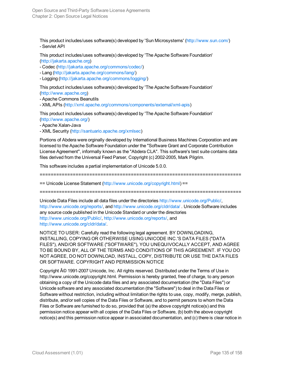This product includes/uses software(s) developed by 'Sun Microsystems' [\(http://www.sun.com/](http://www.sun.com/)) - Servlet API

This product includes/uses software(s) developed by 'The Apache Software Foundation' [\(http://jakarta.apache.org](http://jakarta.apache.org/))

- Codec [\(http://jakarta.apache.org/commons/codec/](http://jakarta.apache.org/commons/codec/))

- Lang [\(http://jakarta.apache.org/commons/lang/](http://jakarta.apache.org/commons/lang/))
- Logging [\(http://jakarta.apache.org/commons/logging/\)](http://jakarta.apache.org/commons/logging/)

This product includes/uses software(s) developed by 'The Apache Software Foundation' [\(http://www.apache.org](http://www.apache.org/))

- Apache Commons Beanutils

- XML APIs [\(http://xml.apache.org/commons/components/external/xml-apis](http://xml.apache.org/commons/components/external/xml-apis))

This product includes/uses software(s) developed by 'The Apache Software Foundation' [\(http://www.apache.org/](http://www.apache.org/))

- Apache Xalan-Java

- XML Security [\(http://santuario.apache.org/xmlsec](http://santuario.apache.org/xmlsec))

Portions of Abdera were orginally developed by International Business Machines Corporation and are licensed to the Apache Software Foundation under the "Software Grant and Corporate Contribution License Agreement", informally known as the "Abdera CLA". This software's test suite contains data files derived from the Universal Feed Parser, Copyright (c) 2002-2005, Mark Pilgrim.

This software includes a partial implementation of Unicode 5.0.0.

=========================================================================

== Unicode License Statement [\(http://www.unicode.org/copyright.html\)](http://www.unicode.org/copyright.html) ==

=========================================================================

Unicode Data Files include all data files under the directories [http://www.unicode.org/Public/,](http://www.unicode.org/Public/) [http://www.unicode.org/reports/,](http://www.unicode.org/reports/) and <http://www.unicode.org/cldr/data/> . Unicode Software includes any source code published in the Unicode Standard or under the directories <http://www.unicode.org/Public/>, <http://www.unicode.org/reports/>, and <http://www.unicode.org/cldr/data/>.

NOTICE TO USER: Carefully read the following legal agreement. BY DOWNLOADING, INSTALLING, COPYING OR OTHERWISE USING UNICODE INC.'S DATA FILES ("DATA FILES"), AND/OR SOFTWARE ("SOFTWARE"), YOU UNEQUIVOCALLY ACCEPT, AND AGREE TO BE BOUND BY, ALL OF THE TERMS AND CONDITIONS OF THIS AGREEMENT. IF YOU DO NOT AGREE, DO NOT DOWNLOAD, INSTALL, COPY, DISTRIBUTE OR USE THE DATA FILES OR SOFTWARE. COPYRIGHT AND PERMISSION NOTICE

Copyright © 1991-2007 Unicode, Inc. All rights reserved. Distributed under the Terms of Use in http://www.unicode.org/copyright.html. Permission is hereby granted, free of charge, to any person obtaining a copy of the Unicode data files and any associated documentation (the "Data Files") or Unicode software and any associated documentation (the "Software") to deal in the Data Files or Software without restriction, including without limitation the rights to use, copy, modify, merge, publish, distribute, and/or sell copies of the Data Files or Software, and to permit persons to whom the Data Files or Software are furnished to do so, provided that (a) the above copyright notice(s) and this permission notice appear with all copies of the Data Files or Software, (b) both the above copyright notice(s) and this permission notice appear in associated documentation, and (c) there is clear notice in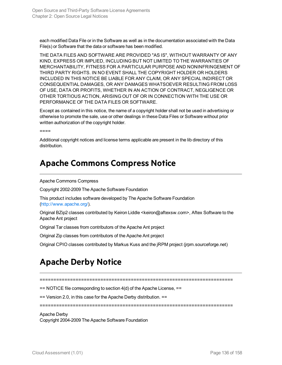each modified Data File or in the Software as well as in the documentation associated with the Data File(s) or Software that the data or software has been modified.

THE DATA FILES AND SOFTWARE ARE PROVIDED "AS IS", WITHOUT WARRANTY OF ANY KIND, EXPRESS OR IMPLIED, INCLUDING BUT NOT LIMITED TO THE WARRANTIES OF MERCHANTABILITY, FITNESS FOR A PARTICULAR PURPOSE AND NONINFRINGEMENT OF THIRD PARTY RIGHTS. IN NO EVENT SHALL THE COPYRIGHT HOLDER OR HOLDERS INCLUDED IN THIS NOTICE BE LIABLE FOR ANY CLAIM, OR ANY SPECIAL INDIRECT OR CONSEQUENTIAL DAMAGES, OR ANY DAMAGES WHATSOEVER RESULTING FROM LOSS OF USE, DATA OR PROFITS, WHETHER IN AN ACTION OF CONTRACT, NEGLIGENCE OR OTHER TORTIOUS ACTION, ARISING OUT OF OR IN CONNECTION WITH THE USE OR PERFORMANCE OF THE DATA FILES OR SOFTWARE.

Except as contained in this notice, the name of a copyright holder shall not be used in advertising or otherwise to promote the sale, use or other dealings in these Data Files or Software without prior written authorization of the copyright holder.

 $====$ 

Additional copyright notices and license terms applicable are present in the lib directory of this distribution.

## **Apache Commons Compress Notice**

Apache Commons Compress

Copyright 2002-2009 The Apache Software Foundation

This product includes software developed by The Apache Software Foundation [\(http://www.apache.org/](http://www.apache.org/)).

Original BZip2 classes contributed by Keiron Liddle <keiron@aftexsw.com>, Aftex Software to the Apache Ant project

Original Tar classes from contributors of the Apache Ant project

Original Zip classes from contributors of the Apache Ant project

Original CPIO classes contributed by Markus Kuss and the jRPM project (jrpm.sourceforge.net)

## **Apache Derby Notice**

======================================================================

== NOTICE file corresponding to section 4(d) of the Apache License, ==

 $==$  Version 2.0, in this case for the Apache Derby distribution.  $==$ 

======================================================================

#### Apache Derby

Copyright 2004-2009 The Apache Software Foundation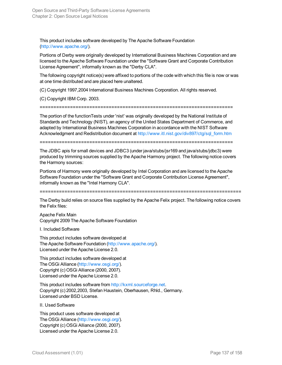This product includes software developed by The Apache Software Foundation [\(http://www.apache.org/](http://www.apache.org/)).

Portions of Derby were originally developed by International Business Machines Corporation and are licensed to the Apache Software Foundation under the "Software Grant and Corporate Contribution License Agreement", informally known as the "Derby CLA".

The following copyright notice(s) were affixed to portions of the code with which this file is now or was at one time distributed and are placed here unaltered.

(C) Copyright 1997,2004 International Business Machines Corporation. All rights reserved.

(C) Copyright IBM Corp. 2003.

======================================================================

The portion of the functionTests under 'nist' was originally developed by the National Institute of Standards and Technology (NIST), an agency of the United States Department of Commerce, and adapted by International Business Machines Corporation in accordance with the NIST Software Acknowledgment and Redistribution document at [http://www.itl.nist.gov/div897/ctg/sql\\_form.htm](http://www.itl.nist.gov/div897/ctg/sql_form.htm)

======================================================================

The JDBC apis for small devices and JDBC3 (under java/stubs/jsr169 and java/stubs/jdbc3) were produced by trimming sources supplied by the Apache Harmony project. The following notice covers the Harmony sources:

Portions of Harmony were originally developed by Intel Corporation and are licensed to the Apache Software Foundation under the "Software Grant and Corporate Contribution License Agreement", informally known as the "Intel Harmony CLA".

=========================================================================

The Derby build relies on source files supplied by the Apache Felix project. The following notice covers the Felix files:

Apache Felix Main Copyright 2009 The Apache Software Foundation

I. Included Software

This product includes software developed at The Apache Software Foundation [\(http://www.apache.org/\)](http://www.apache.org/). Licensed under the Apache License 2.0.

This product includes software developed at The OSGi Alliance [\(http://www.osgi.org/\)](http://www.osgi.org/). Copyright (c) OSGi Alliance (2000, 2007). Licensed under the Apache License 2.0.

This product includes software from [http://kxml.sourceforge.net](http://kxml.sourceforge.net/). Copyright (c) 2002,2003, Stefan Haustein, Oberhausen, Rhld., Germany. Licensed under BSD License.

II. Used Software

This product uses software developed at The OSGi Alliance [\(http://www.osgi.org/\)](http://www.osgi.org/). Copyright (c) OSGi Alliance (2000, 2007). Licensed under the Apache License 2.0.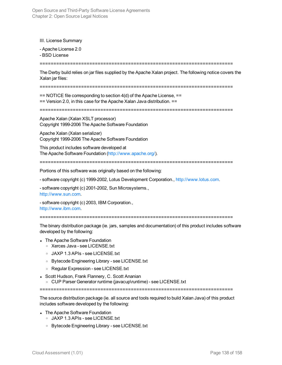III. License Summary

- Apache License 2.0

- BSD License

======================================================================

The Derby build relies on jar files supplied by the Apache Xalan project. The following notice covers the Xalan jar files:

======================================================================

== NOTICE file corresponding to section 4(d) of the Apache License, == == Version 2.0, in this case for the Apache Xalan Java distribution. ==

======================================================================

Apache Xalan (Xalan XSLT processor) Copyright 1999-2006 The Apache Software Foundation

Apache Xalan (Xalan serializer) Copyright 1999-2006 The Apache Software Foundation

This product includes software developed at The Apache Software Foundation [\(http://www.apache.org/\)](http://www.apache.org/).

======================================================================

Portions of this software was originally based on the following:

- software copyright (c) 1999-2002, Lotus Development Corporation., [http://www.lotus.com.](http://www.lotus.com/)

- software copyright (c) 2001-2002, Sun Microsystems., [http://www.sun.com.](http://www.sun.com/)

- software copyright (c) 2003, IBM Corporation., [http://www.ibm.com.](http://www.ibm.com/)

======================================================================

The binary distribution package (ie. jars, samples and documentation) of this product includes software developed by the following:

- The Apache Software Foundation
	- <sup>o</sup> Xerces Java see LICENSE.txt
	- <sup>o</sup> JAXP 1.3 APIs see LICENSE.txt
	- <sup>o</sup> Bytecode Engineering Library see LICENSE.txt
	- <sup>o</sup> Regular Expression see LICENSE.txt
- Scott Hudson, Frank Flannery, C. Scott Ananian
	- <sup>o</sup> CUP Parser Generator runtime (javacup\runtime) see LICENSE.txt

======================================================================

The source distribution package (ie. all source and tools required to build Xalan Java) of this product includes software developed by the following:

- The Apache Software Foundation
	- <sup>o</sup> JAXP 1.3 APIs see LICENSE.txt
	- <sup>o</sup> Bytecode Engineering Library see LICENSE.txt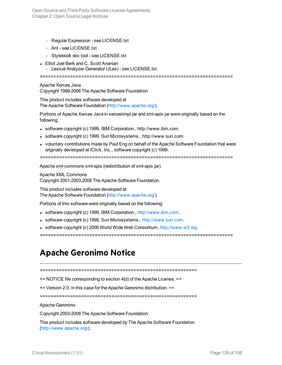Open Source and Third-Party Software License Agreements Chapter 2: Open Source Legal Notices

- <sup>o</sup> Regular Expression see LICENSE.txt
- <sup>o</sup> Ant see LICENSE.txt
- <sup>o</sup> Stylebook doc tool see LICENSE.txt
- Elliot Joel Berk and C. Scott Ananian
	- <sup>o</sup> Lexical Analyzer Generator (JLex) see LICENSE.txt

======================================================================

Apache Xerces Java Copyright 1999-2006 The Apache Software Foundation

This product includes software developed at The Apache Software Foundation [\(http://www.apache.org/\)](http://www.apache.org/).

Portions of Apache Xerces Java in xercesImpl.jar and xml-apis.jar were originally based on the following:

- software copyright (c) 1999, IBM Corporation., http://www.ibm.com.
- software copyright (c) 1999, Sun Microsystems., http://www.sun.com.
- voluntary contributions made by Paul Eng on behalf of the Apache Software Foundation that were originally developed at iClick, Inc., software copyright (c) 1999.

======================================================================

Apache xml-commons xml-apis (redistribution of xml-apis.jar)

Apache XML Commons Copyright 2001-2003,2006 The Apache Software Foundation.

This product includes software developed at The Apache Software Foundation [\(http://www.apache.org/\)](http://www.apache.org/).

Portions of this software were originally based on the following:

- oftware copyright (c) 1999, IBM Corporation., [http://www.ibm.com](http://www.ibm.com/).
- software copyright (c) 1999, Sun Microsystems., [http://www.sun.com.](http://www.sun.com/)
- software copyright (c) 2000 World Wide Web Consortium, [http://www.w3.org.](http://www.w3.org/)

======================================================================

### **Apache Geronimo Notice**

=========================================================

== NOTICE file corresponding to section 4(d) of the Apache License, ==

== Version 2.0, in this case for the Apache Geronimo distribution. ==

=========================================================

#### Apache Geronimo

Copyright 2003-2008 The Apache Software Foundation

This product includes software developed by The Apache Software Foundation [\(http://www.apache.org/](http://www.apache.org/)).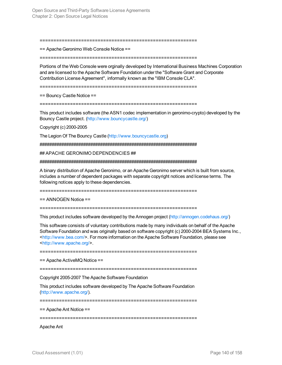Open Source and Third-Party Software License Agreements Chapter 2: Open Source Legal Notices

=========================================================

== Apache Geronimo Web Console Notice ==

=========================================================

Portions of the Web Console were orginally developed by International Business Machines Corporation and are licensed to the Apache Software Foundation under the "Software Grant and Corporate Contribution License Agreement", informally known as the "IBM Console CLA".

=========================================================

== Bouncy Castle Notice ==

=========================================================

This product includes software (the ASN1 codec implementation in geronimo-crypto) developed by the Bouncy Castle project. [\(http://www.bouncycastle.org/](http://www.bouncycastle.org/))

Copyright (c) 2000-2005

The Legion Of The Bouncy Castle [\(http://www.bouncycastle.org\)](http://www.bouncycastle.org/)

#################################################################

## APACHE GERONIMO DEPENDENCIES ##

#### #################################################################

A binary distribution of Apache Geronimo, or an Apache Geronimo server which is built from source, includes a number of dependent packages with separate copyright notices and license terms. The following notices apply to these dependencies.

=========================================================

== ANNOGEN Notice ==

=========================================================

This product includes software developed by the Annogen project [\(http://annogen.codehaus.org/](http://annogen.codehaus.org/))

This software consists of voluntary contributions made by many individuals on behalf of the Apache Software Foundation and was originally based on software copyright (c) 2000-2004 BEA Systems Inc., [<http://www.bea.com/>](http://www.bea.com/). For more information on the Apache Software Foundation, please see [<http://www.apache.org/](http://www.apache.org/)>.

=========================================================

== Apache ActiveMQ Notice ==

=========================================================

Copyright 2005-2007 The Apache Software Foundation

This product includes software developed by The Apache Software Foundation [\(http://www.apache.org/](http://www.apache.org/)).

=========================================================

 $==$  Apache Ant Notice  $==$ 

=========================================================

Apache Ant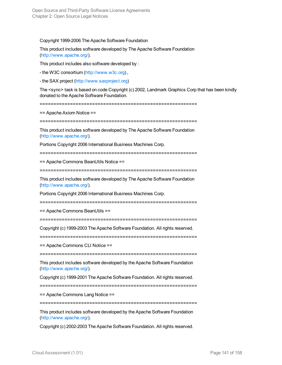#### Copyright 1999-2006 The Apache Software Foundation

This product includes software developed by The Apache Software Foundation [\(http://www.apache.org/](http://www.apache.org/)).

This product includes also software developed by :

- the W3C consortium [\(http://www.w3c.org\)](http://www.w3c.org/),

- the SAX project [\(http://www.saxproject.org\)](http://www.saxproject.org/)

The <sync> task is based on code Copyright (c) 2002, Landmark Graphics Corp that has been kindly donated to the Apache Software Foundation.

=========================================================

== Apache Axiom Notice ==

=========================================================

This product includes software developed by The Apache Software Foundation [\(http://www.apache.org/](http://www.apache.org/)).

Portions Copyright 2006 International Business Machines Corp.

=========================================================

== Apache Commons BeanUtils Notice ==

=========================================================

This product includes software developed by The Apache Software Foundation [\(http://www.apache.org/](http://www.apache.org/)).

Portions Copyright 2006 International Business Machines Corp.

=========================================================

== Apache Commons BeanUtils ==

=========================================================

Copyright (c) 1999-2003 The Apache Software Foundation. All rights reserved.

=========================================================

== Apache Commons CLI Notice ==

=========================================================

This product includes software developed by the Apache Software Foundation [\(http://www.apache.org/](http://www.apache.org/)).

Copyright (c) 1999-2001 The Apache Software Foundation. All rights reserved.

=========================================================

== Apache Commons Lang Notice ==

=========================================================

This product includes software developed by the Apache Software Foundation [\(http://www.apache.org/](http://www.apache.org/)).

Copyright (c) 2002-2003 The Apache Software Foundation. All rights reserved.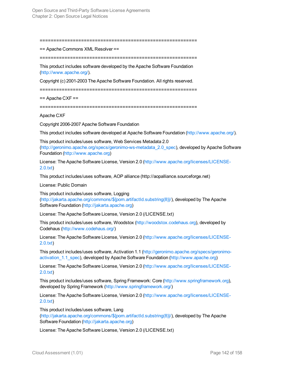Open Source and Third-Party Software License Agreements Chapter 2: Open Source Legal Notices

=========================================================

#### == Apache Commons XML Resolver ==

=========================================================

This product includes software developed by the Apache Software Foundation [\(http://www.apache.org/](http://www.apache.org/)).

Copyright (c) 2001-2003 The Apache Software Foundation. All rights reserved.

=========================================================

 $==$  Apache CXF  $==$ 

=========================================================

Apache CXF

Copyright 2006-2007 Apache Software Foundation

This product includes software developed at Apache Software Foundation [\(http://www.apache.org/](http://www.apache.org/)).

This product includes/uses software, Web Services Metadata 2.0 [\(http://geronimo.apache.org/specs/geronimo-ws-metadata\\_2.0\\_spec\)](http://geronimo.apache.org/specs/geronimo-ws-metadata_2.0_spec), developed by Apache Software Foundation ([http://www.apache.org](http://www.apache.org/))

License: The Apache Software License, Version 2.0 ([http://www.apache.org/licenses/LICENSE-](http://www.apache.org/licenses/LICENSE-2.0.txt)[2.0.txt](http://www.apache.org/licenses/LICENSE-2.0.txt))

This product includes/uses software, AOP alliance (http://aopalliance.sourceforge.net)

License: Public Domain

This product includes/uses software, Logging [\(http://jakarta.apache.org/commons/\\${pom.artifactId.substring\(8\)}/](http://jakarta.apache.org/commons/${pom.artifactId.substring(8)}/)), developed by The Apache Software Foundation [\(http://jakarta.apache.org](http://jakarta.apache.org/))

License: The Apache Software License, Version 2.0 (/LICENSE.txt)

This product includes/uses software, Woodstox [\(http://woodstox.codehaus.org](http://woodstox.codehaus.org/)), developed by Codehaus [\(http://www.codehaus.org/](http://www.codehaus.org/))

License: The Apache Software License, Version 2.0 ([http://www.apache.org/licenses/LICENSE-](http://www.apache.org/licenses/LICENSE-2.0.txt)[2.0.txt](http://www.apache.org/licenses/LICENSE-2.0.txt))

This product includes/uses software, Activation 1.1 [\(http://geronimo.apache.org/specs/geronimo](http://geronimo.apache.org/specs/geronimo-activation_1.1_spec)[activation\\_1.1\\_spec](http://geronimo.apache.org/specs/geronimo-activation_1.1_spec)), developed by Apache Software Foundation [\(http://www.apache.org\)](http://www.apache.org/)

License: The Apache Software License, Version 2.0 ([http://www.apache.org/licenses/LICENSE-](http://www.apache.org/licenses/LICENSE-2.0.txt)[2.0.txt](http://www.apache.org/licenses/LICENSE-2.0.txt))

This product includes/uses software, Spring Framework: Core [\(http://www.springframework.org](http://www.springframework.org/)), developed by Spring Framework (<http://www.springframework.org/>)

License: The Apache Software License, Version 2.0 ([http://www.apache.org/licenses/LICENSE-](http://www.apache.org/licenses/LICENSE-2.0.txt)[2.0.txt](http://www.apache.org/licenses/LICENSE-2.0.txt))

This product includes/uses software, Lang [\(http://jakarta.apache.org/commons/\\${pom.artifactId.substring\(8\)}/](http://jakarta.apache.org/commons/${pom.artifactId.substring(8)}/)), developed by The Apache Software Foundation [\(http://jakarta.apache.org](http://jakarta.apache.org/))

License: The Apache Software License, Version 2.0 (/LICENSE.txt)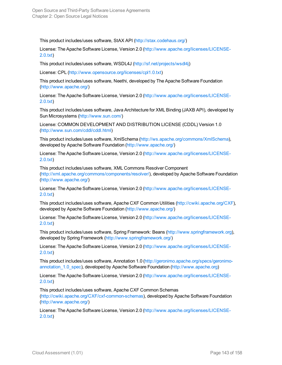This product includes/uses software, StAX API [\(http://stax.codehaus.org/\)](http://stax.codehaus.org/)

License: The Apache Software License, Version 2.0 ([http://www.apache.org/licenses/LICENSE-](http://www.apache.org/licenses/LICENSE-2.0.txt)[2.0.txt](http://www.apache.org/licenses/LICENSE-2.0.txt))

This product includes/uses software, WSDL4J [\(http://sf.net/projects/wsdl4j](http://sf.net/projects/wsdl4j))

License: CPL [\(http://www.opensource.org/licenses/cpl1.0.txt](http://www.opensource.org/licenses/cpl1.0.txt))

This product includes/uses software, Neethi, developed by The Apache Software Foundation [\(http://www.apache.org/](http://www.apache.org/))

License: The Apache Software License, Version 2.0 ([http://www.apache.org/licenses/LICENSE-](http://www.apache.org/licenses/LICENSE-2.0.txt)[2.0.txt](http://www.apache.org/licenses/LICENSE-2.0.txt))

This product includes/uses software, Java Architecture for XML Binding (JAXB API), developed by Sun Microsystems [\(http://www.sun.com/](http://www.sun.com/))

License: COMMON DEVELOPMENT AND DISTRIBUTION LICENSE (CDDL) Version 1.0 [\(http://www.sun.com/cddl/cddl.html\)](http://www.sun.com/cddl/cddl.html)

This product includes/uses software, XmlSchema [\(http://ws.apache.org/commons/XmlSchema](http://ws.apache.org/commons/XmlSchema)), developed by Apache Software Foundation [\(http://www.apache.org/](http://www.apache.org/))

License: The Apache Software License, Version 2.0 ([http://www.apache.org/licenses/LICENSE-](http://www.apache.org/licenses/LICENSE-2.0.txt)[2.0.txt](http://www.apache.org/licenses/LICENSE-2.0.txt))

This product includes/uses software, XML Commons Resolver Component [\(http://xml.apache.org/commons/components/resolver/](http://xml.apache.org/commons/components/resolver/)), developed by Apache Software Foundation [\(http://www.apache.org/](http://www.apache.org/))

License: The Apache Software License, Version 2.0 ([http://www.apache.org/licenses/LICENSE-](http://www.apache.org/licenses/LICENSE-2.0.txt)[2.0.txt](http://www.apache.org/licenses/LICENSE-2.0.txt))

This product includes/uses software, Apache CXF Common Utilities [\(http://cwiki.apache.org/CXF](http://cwiki.apache.org/CXF)), developed by Apache Software Foundation [\(http://www.apache.org/](http://www.apache.org/))

License: The Apache Software License, Version 2.0 ([http://www.apache.org/licenses/LICENSE-](http://www.apache.org/licenses/LICENSE-2.0.txt)[2.0.txt](http://www.apache.org/licenses/LICENSE-2.0.txt))

This product includes/uses software, Spring Framework: Beans [\(http://www.springframework.org](http://www.springframework.org/)), developed by Spring Framework (<http://www.springframework.org/>)

License: The Apache Software License, Version 2.0 ([http://www.apache.org/licenses/LICENSE-](http://www.apache.org/licenses/LICENSE-2.0.txt)[2.0.txt](http://www.apache.org/licenses/LICENSE-2.0.txt))

This product includes/uses software, Annotation 1.0 [\(http://geronimo.apache.org/specs/geronimo](http://geronimo.apache.org/specs/geronimo-annotation_1.0_spec)[annotation\\_1.0\\_spec](http://geronimo.apache.org/specs/geronimo-annotation_1.0_spec)), developed by Apache Software Foundation ([http://www.apache.org](http://www.apache.org/))

License: The Apache Software License, Version 2.0 ([http://www.apache.org/licenses/LICENSE-](http://www.apache.org/licenses/LICENSE-2.0.txt)[2.0.txt](http://www.apache.org/licenses/LICENSE-2.0.txt))

This product includes/uses software, Apache CXF Common Schemas [\(http://cwiki.apache.org/CXF/cxf-common-schemas](http://cwiki.apache.org/CXF/cxf-common-schemas)), developed by Apache Software Foundation [\(http://www.apache.org/](http://www.apache.org/))

License: The Apache Software License, Version 2.0 ([http://www.apache.org/licenses/LICENSE-](http://www.apache.org/licenses/LICENSE-2.0.txt)[2.0.txt](http://www.apache.org/licenses/LICENSE-2.0.txt))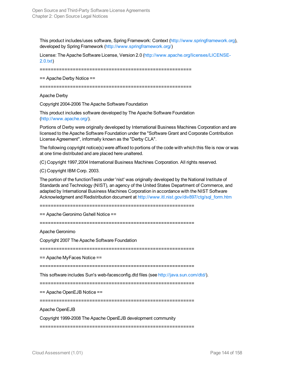This product includes/uses software, Spring Framework: Context [\(http://www.springframework.org](http://www.springframework.org/)), developed by Spring Framework (<http://www.springframework.org/>)

License: The Apache Software License, Version 2.0 ([http://www.apache.org/licenses/LICENSE-](http://www.apache.org/licenses/LICENSE-2.0.txt)[2.0.txt](http://www.apache.org/licenses/LICENSE-2.0.txt))

=======================================================

== Apache Derby Notice ==

=======================================================

Apache Derby

Copyright 2004-2006 The Apache Software Foundation

This product includes software developed by The Apache Software Foundation [\(http://www.apache.org/](http://www.apache.org/)).

Portions of Derby were originally developed by International Business Machines Corporation and are licensed to the Apache Software Foundation under the "Software Grant and Corporate Contribution License Agreement", informally known as the "Derby CLA".

The following copyright notice(s) were affixed to portions of the code with which this file is now or was at one time distributed and are placed here unaltered.

(C) Copyright 1997,2004 International Business Machines Corporation. All rights reserved.

(C) Copyright IBM Corp. 2003.

The portion of the functionTests under 'nist' was originally developed by the National Institute of Standards and Technology (NIST), an agency of the United States Department of Commerce, and adapted by International Business Machines Corporation in accordance with the NIST Software Acknowledgment and Redistribution document at [http://www.itl.nist.gov/div897/ctg/sql\\_form.htm](http://www.itl.nist.gov/div897/ctg/sql_form.htm)

========================================================

== Apache Geronimo Gshell Notice ==

========================================================

Apache Geronimo

Copyright 2007 The Apache Software Foundation

========================================================

== Apache MyFaces Notice ==

========================================================

This software includes Sun's web-facesconfig.dtd files (see <http://java.sun.com/dtd/>).

========================================================

== Apache OpenEJB Notice ==

========================================================

Apache OpenEJB

Copyright 1999-2008 The Apache OpenEJB development community

========================================================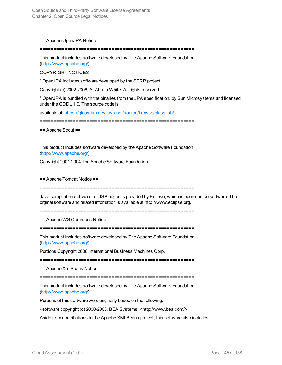== Apache OpenJPA Notice ==

========================================================

This product includes software developed by The Apache Software Foundation [\(http://www.apache.org/](http://www.apache.org/)).

COPYRIGHT NOTICES

\* OpenJPA includes software developed by the SERP project

Copyright (c) 2002-2006, A. Abram White. All rights reserved.

\* OpenJPA is bundled with the binaries from the JPA specification, by Sun Microsystems and licensed under the CDDL 1.0. The source code is

available at: <https://glassfish.dev.java.net/source/browse/glassfish/>

========================================================

== Apache Scout ==

========================================================

This product includes software developed by the Apache Software Foundation [\(http://www.apache.org/](http://www.apache.org/)).

Copyright 2001-2004 The Apache Software Foundation.

========================================================

== Apache Tomcat Notice ==

========================================================

Java compilation software for JSP pages is provided by Eclipse, which is open source software. The orginal software and related infomation is available at http://www.eclipse.org.

========================================================

== Apache WS Commons Notice ==

========================================================

This product includes software developed by The Apache Software Foundation [\(http://www.apache.org/](http://www.apache.org/)).

Portions Copyright 2006 International Business Machines Corp.

========================================================

== Apache XmlBeans Notice ==

========================================================

This product includes software developed by The Apache Software Foundation [\(http://www.apache.org/](http://www.apache.org/)).

Portions of this software were originally based on the following:

- software copyright (c) 2000-2003, BEA Systems, <http://www.bea.com/>.

Aside from contributions to the Apache XMLBeans project, this software also includes: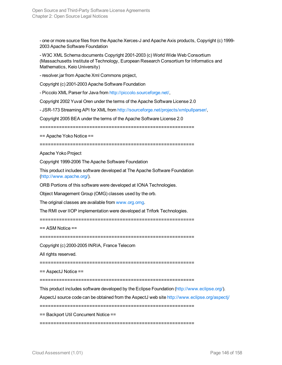- one or more source files from the Apache Xerces-J and Apache Axis products, Copyright (c) 1999- 2003 Apache Software Foundation

- W3C XML Schema documents Copyright 2001-2003 (c) World Wide Web Consortium (Massachusetts Institute of Technology, European Research Consortium for Informatics and Mathematics, Keio University)

- resolver.jar from Apache Xml Commons project,

Copyright (c) 2001-2003 Apache Software Foundation

- Piccolo XML Parser for Java from [http://piccolo.sourceforge.net/,](http://piccolo.sourceforge.net/)

Copyright 2002 Yuval Oren under the terms of the Apache Software License 2.0

- JSR-173 Streaming API for XML from <http://sourceforge.net/projects/xmlpullparser/>,

Copyright 2005 BEA under the terms of the Apache Software License 2.0

========================================================

== Apache Yoko Notice ==

========================================================

Apache Yoko Project

Copyright 1999-2006 The Apache Software Foundation

This product includes software developed at The Apache Software Foundation [\(http://www.apache.org/](http://www.apache.org/)).

ORB Portions of this software were developed at IONA Technologies.

Object Management Group (OMG) classes used by the orb.

The original classes are available from [www.org.omg.](http://www.org.omg/)

The RMI over IIOP implementation were developed at Trifork Technologies.

========================================================

== ASM Notice ==

========================================================

Copyright (c) 2000-2005 INRIA, France Telecom

All rights reserved.

========================================================

== AspectJ Notice ==

========================================================

This product includes software developed by the Eclipse Foundation [\(http://www.eclipse.org/\)](http://www.eclipse.org/).

AspectJ source code can be obtained from the AspectJ web site <http://www.eclipse.org/aspectj/>

========================================================

== Backport Util Concurrent Notice ==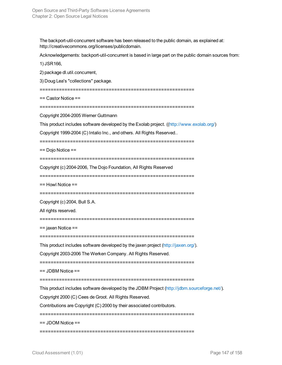The backport-util-concurrent software has been released to the public domain, as explained at: http://creativecommons.org/licenses/publicdomain.

Acknowledgements: backport-util-concurrent is based in large part on the public domain sources from:

1) JSR166, 2) package dl.util.concurrent, 3) Doug Lea's "collections" package. ======================================================== == Castor Notice == ======================================================== Copyright 2004-2005 Werner Guttmann This product includes software developed by the Exolab project. ((<http://www.exolab.org/>) Copyright 1999-2004 (C) Intalio Inc., and others. All Rights Reserved.. ======================================================== == Dojo Notice == ======================================================== Copyright (c) 2004-2006, The Dojo Foundation, All Rights Reserved ======================================================== == Howl Notice == ======================================================== Copyright (c) 2004, Bull S.A. All rights reserved. ======================================================== == jaxen Notice == ======================================================== This product includes software developed by the jaxen project [\(http://jaxen.org/](http://jaxen.org/)). Copyright 2003-2006 The Werken Company. All Rights Reserved. ======================================================== == JDBM Notice == ======================================================== This product includes software developed by the JDBM Project [\(http://jdbm.sourceforge.net/\)](http://jdbm.sourceforge.net/). Copyright 2000 (C) Cees de Groot. All Rights Reserved. Contributions are Copyright (C) 2000 by their associated contributors. ======================================================== == JDOM Notice ==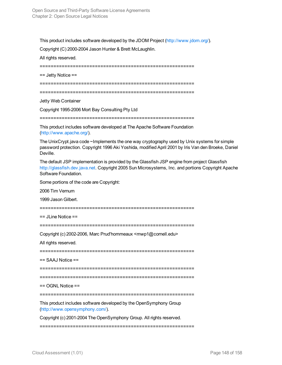This product includes software developed by the JDOM Project (<http://www.jdom.org/>).

Copyright (C) 2000-2004 Jason Hunter & Brett McLaughlin.

All rights reserved.

========================================================

 $==$  Jetty Notice  $==$ 

========================================================

========================================================

Jetty Web Container

Copyright 1995-2006 Mort Bay Consulting Pty Ltd

========================================================

This product includes software developed at The Apache Software Foundation [\(http://www.apache.org/](http://www.apache.org/)).

The UnixCrypt.java code ~Implements the one way cryptography used by Unix systems for simple password protection. Copyright 1996 Aki Yoshida, modified April 2001 by Iris Van den Broeke, Daniel Deville.

The default JSP implementation is provided by the Glassfish JSP engine from project Glassfish [http://glassfish.dev.java.net](http://glassfish.dev.java.net/). Copyright 2005 Sun Microsystems, Inc. and portions Copyright Apache Software Foundation.

Some portions of the code are Copyright:

2006 Tim Vernum

1999 Jason Gilbert.

========================================================

 $==$  JLine Notice  $==$ 

========================================================

Copyright (c) 2002-2006, Marc Prud'hommeaux <mwp1@cornell.edu>

All rights reserved.

========================================================

 $==$  SAAJ Notice  $==$ 

========================================================

========================================================

== OGNL Notice ==

========================================================

This product includes software developed by the OpenSymphony Group [\(http://www.opensymphony.com/](http://www.opensymphony.com/)).

Copyright (c) 2001-2004 The OpenSymphony Group. All rights reserved.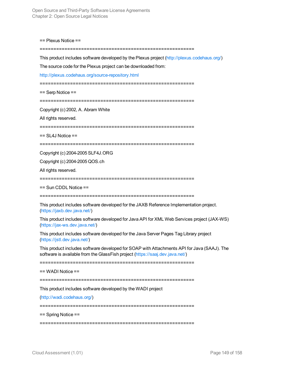== Plexus Notice == ======================================================== This product includes software developed by the Plexus project (<http://plexus.codehaus.org/>) The source code for the Plexus project can be downloaded from: <http://plexus.codehaus.org/source-repository.html> ======================================================== == Serp Notice == ======================================================== Copyright (c) 2002, A. Abram White All rights reserved. ========================================================  $==$  SL4J Notice  $==$ ======================================================== Copyright (c) 2004-2005 SLF4J.ORG Copyright (c) 2004-2005 QOS.ch All rights reserved. ======================================================== == Sun CDDL Notice == ======================================================== This product includes software developed for the JAXB Reference Implementation project. [\(https://jaxb.dev.java.net/](https://jaxb.dev.java.net/)) This product includes software developed for Java API for XML Web Services project (JAX-WS) [\(https://jax-ws.dev.java.net/\)](https://jax-ws.dev.java.net/) This product includes software developed for the Java Server Pages Tag Library project [\(https://jstl.dev.java.net/](https://jstl.dev.java.net/)) This product includes software developed for SOAP with Attachments API for Java (SAAJ). The software is available from the GlassFish project [\(https://saaj.dev.java.net/\)](https://saaj.dev.java.net/)

========================================================

== WADI Notice ==

========================================================

This product includes software developed by the WADI project

[\(http://wadi.codehaus.org/\)](http://wadi.codehaus.org/)

========================================================

== Spring Notice ==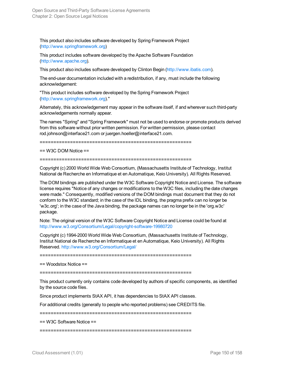This product also includes software developed by Spring Framework Project [\(http://www.springframework.org\)](http://www.springframework.org/)

This product includes software developed by the Apache Software Foundation [\(http://www.apache.org](http://www.apache.org/)).

This product also includes software developed by Clinton Begin [\(http://www.ibatis.com](http://www.ibatis.com/)).

The end-user documentation included with a redistribution, if any, must include the following acknowledgement:

"This product includes software developed by the Spring Framework Project [\(http://www.springframework.org\)](http://www.springframework.org/)."

Alternately, this acknowledgement may appear in the software itself, if and wherever such third-party acknowledgements normally appear.

The names "Spring" and "Spring Framework" must not be used to endorse or promote products derived from this software without prior written permission. For written permission, please contact rod.johnson@interface21.com or juergen.hoeller@interface21.com.

=======================================================

 $==$  W3C DOM Notice  $==$ 

=======================================================

Copyright (c) 2000 World Wide Web Consortium, (Massachusetts Institute of Technology, Institut National de Recherche en Informatique et en Automatique, Keio University). All Rights Reserved.

The DOM bindings are published under the W3C Software Copyright Notice and License. The software license requires "Notice of any changes or modifications to the W3C files, including the date changes were made." Consequently, modified versions of the DOM bindings must document that they do not conform to the W3C standard; in the case of the IDL binding, the pragma prefix can no longer be 'w3c.org'; in the case of the Java binding, the package names can no longer be in the 'org.w3c' package.

Note: The original version of the W3C Software Copyright Notice and License could be found at <http://www.w3.org/Consortium/Legal/copyright-software-19980720>

Copyright (c) 1994-2000 World Wide Web Consortium, (Massachusetts Institute of Technology, Institut National de Recherche en Informatique et en Automatique, Keio University). All Rights Reserved. <http://www.w3.org/Consortium/Legal/>

=======================================================

== Woodstox Notice ==

=======================================================

This product currently only contains code developed by authors of specific components, as identified by the source code files.

Since product implements StAX API, it has dependencies to StAX API classes.

For additional credits (generally to people who reported problems) see CREDITS file.

=======================================================

== W3C Software Notice ==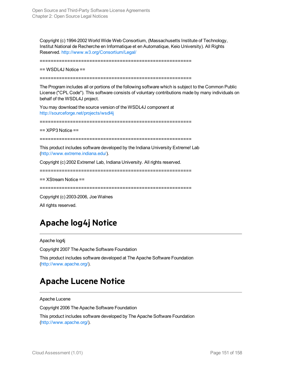Copyright (c) 1994-2002 World Wide Web Consortium, (Massachusetts Institute of Technology, Institut National de Recherche en Informatique et en Automatique, Keio University). All Rights Reserved. <http://www.w3.org/Consortium/Legal/>

=======================================================

 $==$  WSDL4J Notice  $==$ 

=======================================================

The Program includes all or portions of the following software which is subject to the Common Public License ("CPL Code"). This software consists of voluntary contributions made by many individuals on behalf of the WSDL4J project.

You may download the source version of the WSDL4J component at <http://sourceforge.net/projects/wsdl4j>

=======================================================

 $==$  XPP3 Notice  $==$ 

=======================================================

This product includes software developed by the Indiana University Extreme! Lab [\(http://www.extreme.indiana.edu/](http://www.extreme.indiana.edu/)).

Copyright (c) 2002 Extreme! Lab, Indiana University. All rights reserved.

=======================================================

== XStream Notice ==

=======================================================

Copyright (c) 2003-2006, Joe Walnes

All rights reserved.

### **Apache log4j Notice**

Apache log4j

Copyright 2007 The Apache Software Foundation

This product includes software developed at The Apache Software Foundation [\(http://www.apache.org/](http://www.apache.org/)).

### **Apache Lucene Notice**

Apache Lucene

Copyright 2006 The Apache Software Foundation

This product includes software developed by The Apache Software Foundation [\(http://www.apache.org/](http://www.apache.org/)).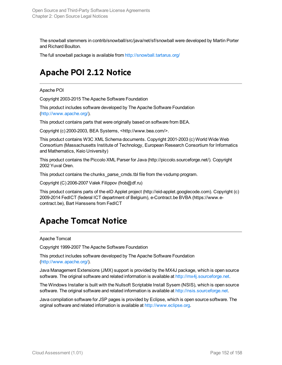The snowball stemmers in contrib/snowball/src/java/net/sf/snowball were developed by Martin Porter and Richard Boulton.

The full snowball package is available from <http://snowball.tartarus.org/>

# **Apache POI 2.12 Notice**

#### Apache POI

Copyright 2003-2015 The Apache Software Foundation

This product includes software developed by The Apache Software Foundation [\(http://www.apache.org/](http://www.apache.org/)).

This product contains parts that were originally based on software from BEA.

Copyright (c) 2000-2003, BEA Systems, <http://www.bea.com/>.

This product contains W3C XML Schema documents. Copyright 2001-2003 (c) World Wide Web Consortium (Massachusetts Institute of Technology, European Research Consortium for Informatics and Mathematics, Keio University)

This product contains the Piccolo XML Parser for Java (http://piccolo.sourceforge.net/). Copyright 2002 Yuval Oren.

This product contains the chunks\_parse\_cmds.tbl file from the vsdump program.

Copyright (C) 2006-2007 Valek Filippov (frob@df.ru)

This product contains parts of the eID Applet project (http://eid-applet.googlecode.com). Copyright (c) 2009-2014 FedICT (federal ICT department of Belgium), e-Contract.be BVBA (https://www.econtract.be), Bart Hanssens from FedICT

### **Apache Tomcat Notice**

#### Apache Tomcat

Copyright 1999-2007 The Apache Software Foundation

This product includes software developed by The Apache Software Foundation [\(http://www.apache.org/](http://www.apache.org/)).

Java Management Extensions (JMX) support is provided by the MX4J package, which is open source software. The original software and related information is available at [http://mx4j.sourceforge.net](http://mx4j.sourceforge.net/).

The Windows Installer is built with the Nullsoft Scriptable Install Sysem (NSIS), which is open source software. The original software and related information is available at [http://nsis.sourceforge.net](http://nsis.sourceforge.net/).

Java compilation software for JSP pages is provided by Eclipse, which is open source software. The orginal software and related infomation is available at [http://www.eclipse.org](http://www.eclipse.org/).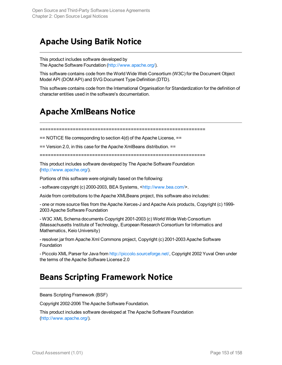### **Apache Using Batik Notice**

This product includes software developed by The Apache Software Foundation [\(http://www.apache.org/\)](http://www.apache.org/).

This software contains code from the World Wide Web Consortium (W3C) for the Document Object Model API (DOM API) and SVG Document Type Definition (DTD).

This software contains code from the International Organisation for Standardization for the definition of character entities used in the software's documentation.

# **Apache XmlBeans Notice**

============================================================

== NOTICE file corresponding to section 4(d) of the Apache License, ==

== Version 2.0, in this case for the Apache XmlBeans distribution. ==

============================================================

This product includes software developed by The Apache Software Foundation [\(http://www.apache.org/](http://www.apache.org/)).

Portions of this software were originally based on the following:

- software copyright (c) 2000-2003, BEA Systems, <<http://www.bea.com/>>.

Aside from contributions to the Apache XMLBeans project, this software also includes:

- one or more source files from the Apache Xerces-J and Apache Axis products, Copyright (c) 1999- 2003 Apache Software Foundation

- W3C XML Schema documents Copyright 2001-2003 (c) World Wide Web Consortium (Massachusetts Institute of Technology, European Research Consortium for Informatics and Mathematics, Keio University)

- resolver.jar from Apache Xml Commons project, Copyright (c) 2001-2003 Apache Software Foundation

- Piccolo XML Parser for Java from [http://piccolo.sourceforge.net/,](http://piccolo.sourceforge.net/) Copyright 2002 Yuval Oren under the terms of the Apache Software License 2.0

#### **Beans Scripting Framework Notice**

Beans Scripting Framework (BSF)

Copyright 2002-2006 The Apache Software Foundation.

This product includes software developed at The Apache Software Foundation [\(http://www.apache.org/](http://www.apache.org/)).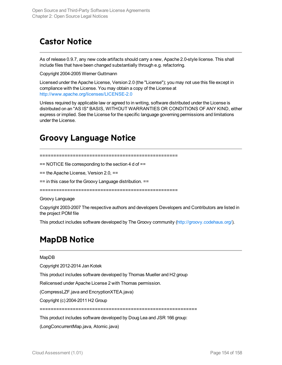### **Castor Notice**

As of release 0.9.7, any new code artifacts should carry a new, Apache 2.0-style license. This shall include files that have been changed substantially through e.g. refactoring.

Copyright 2004-2005 Werner Guttmann

Licensed under the Apache License, Version 2.0 (the "License"); you may not use this file except in compliance with the License. You may obtain a copy of the License at <http://www.apache.org/licenses/LICENSE-2.0>

Unless required by applicable law or agreed to in writing, software distributed under the License is distributed on an "AS IS" BASIS, WITHOUT WARRANTIES OR CONDITIONS OF ANY KIND, either express or implied. See the License for the specific language governing permissions and limitations under the License.

#### **Groovy Language Notice**

==================================================

 $=$  NOTICE file corresponding to the section 4 d of  $=$ 

== the Apache License, Version 2.0, ==

== in this case for the Groovy Language distribution. ==

==================================================

Groovy Language

Copyright 2003-2007 The respective authors and developers Developers and Contributors are listed in the project POM file

This product includes software developed by The Groovy community [\(http://groovy.codehaus.org/](http://groovy.codehaus.org/)).

#### **MapDB Notice**

#### MapDB

Copyright 2012-2014 Jan Kotek

This product includes software developed by Thomas Mueller and H2 group

Relicensed under Apache License 2 with Thomas permission.

(CompressLZF.java and EncryptionXTEA.java)

Copyright (c) 2004-2011 H2 Group

=========================================================

This product includes software developed by Doug Lea and JSR 166 group:

(LongConcurrentMap.java, Atomic.java)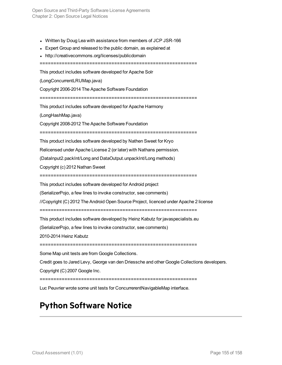- Written by Doug Lea with assistance from members of JCP JSR-166
- Expert Group and released to the public domain, as explained at
- http://creativecommons.org/licenses/publicdomain

=========================================================

This product includes software developed for Apache Solr

(LongConcurrentLRUMap.java)

Copyright 2006-2014 The Apache Software Foundation

=========================================================

This product includes software developed for Apache Harmony

(LongHashMap.java)

Copyright 2008-2012 The Apache Software Foundation

=========================================================

This product includes software developed by Nathen Sweet for Kryo

Relicensed under Apache License 2 (or later) with Nathans permission.

(DataInput2.packInt/Long and DataOutput.unpackInt/Long methods)

Copyright (c) 2012 Nathan Sweet

=========================================================

This product includes software developed for Android project

(SerializerPojo, a few lines to invoke constructor, see comments)

//Copyright (C) 2012 The Android Open Source Project, licenced under Apache 2 license

=========================================================

This product includes software developed by Heinz Kabutz for javaspecialists.eu

(SerializerPojo, a few lines to invoke constructor, see comments)

2010-2014 Heinz Kabutz

=========================================================

Some Map unit tests are from Google Collections.

Credit goes to Jared Levy, George van den Driessche and other Google Collections developers.

Copyright (C) 2007 Google Inc.

=========================================================

Luc Peuvrier wrote some unit tests for ConcurrerentNavigableMap interface.

# **Python Software Notice**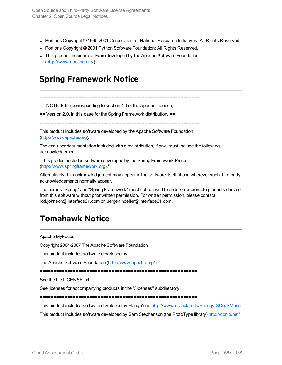- Portions Copyright © 1995-2001 Corporation for National Research Initiatives; All Rights Reserved.
- Portions Copyright © 2001 Python Software Foundation; All Rights Reserved.
- This product includes software developed by the Apache Software Foundation [\(http://www.apache.org/](http://www.apache.org/)).

# **Spring Framework Notice**

==========================================================

== NOTICE file corresponding to section 4 d of the Apache License, ==

== Version 2.0, in this case for the Spring Framework distribution. ==

==========================================================

This product includes software developed by the Apache Software Foundation [\(http://www.apache.org](http://www.apache.org/)).

The end-user documentation included with a redistribution, if any, must include the following acknowledgement:

"This product includes software developed by the Spring Framework Project [\(http://www.springframework.org\)](http://www.springframework.org/)."

Alternatively, this acknowledgement may appear in the software itself, if and wherever such third-party acknowledgements normally appear.

The names "Spring" and "Spring Framework" must not be used to endorse or promote products derived from this software without prior written permission. For written permission, please contact rod.johnson@interface21.com or juergen.hoeller@interface21.com.

# **Tomahawk Notice**

Apache MyFaces

Copyright 2004-2007 The Apache Software Foundation

This product includes software developed by:

The Apache Software Foundation [\(http://www.apache.org/\)](http://www.apache.org/).

=========================================================

See the file LICENSE.txt

See licenses for accompanying products in the "/licenses" subdirectory.

=========================================================

This product includes software developed by Heng Yuan <http://www.cs.ucla.edu/~heng/JSCookMenu> This product includes software developed by Sam Stephenson (the ProtoType library) <http://conio.net/>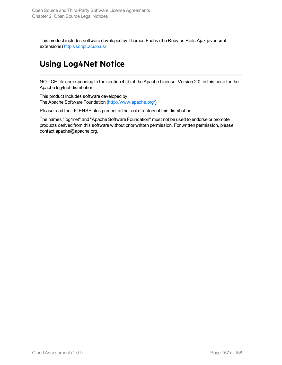This product includes software developed by Thomas Fuchs (the Ruby on Rails Ajax javascript extensions) <http://script.aculo.us/>

# **Using Log4Net Notice**

NOTICE file corresponding to the section 4 (d) of the Apache License, Version 2.0, in this case for the Apache log4net distribution.

This product includes software developed by The Apache Software Foundation [\(http://www.apache.org/\)](http://www.apache.org/).

Please read the LICENSE files present in the root directory of this distribution.

The names "log4net" and "Apache Software Foundation" must not be used to endorse or promote products derived from this software without prior written permission. For written permission, please contact apache@apache.org.